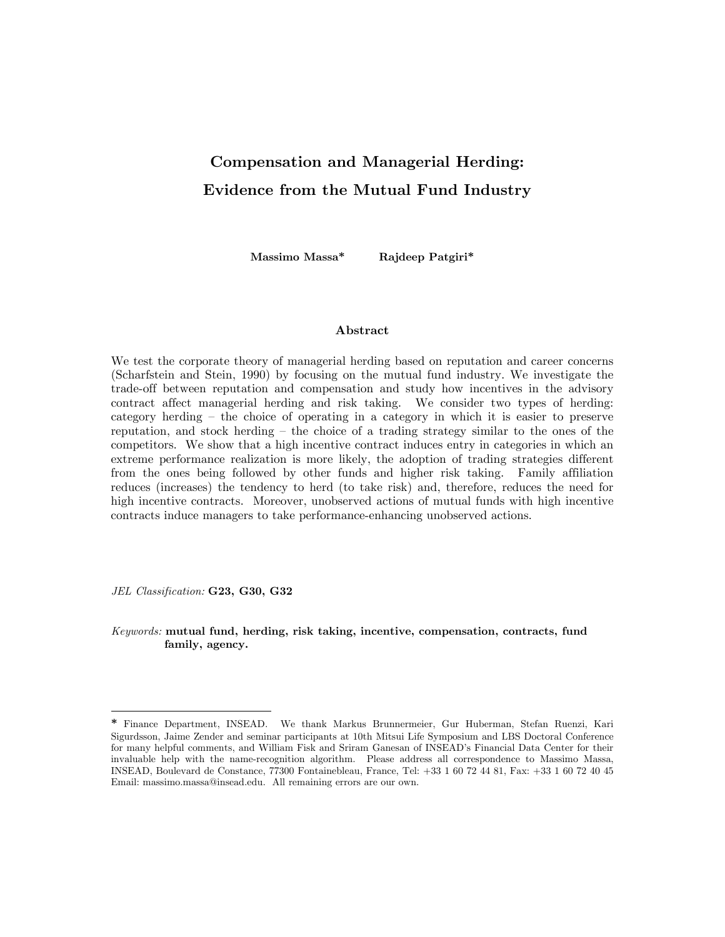# Compensation and Managerial Herding: Evidence from the Mutual Fund Industry

Massimo Massa\* Rajdeep Patgiri\*

#### Abstract

We test the corporate theory of managerial herding based on reputation and career concerns (Scharfstein and Stein, 1990) by focusing on the mutual fund industry. We investigate the trade-off between reputation and compensation and study how incentives in the advisory contract affect managerial herding and risk taking. We consider two types of herding: category herding — the choice of operating in a category in which it is easier to preserve reputation, and stock herding — the choice of a trading strategy similar to the ones of the competitors. We show that a high incentive contract induces entry in categories in which an extreme performance realization is more likely, the adoption of trading strategies different from the ones being followed by other funds and higher risk taking. Family affiliation reduces (increases) the tendency to herd (to take risk) and, therefore, reduces the need for high incentive contracts. Moreover, unobserved actions of mutual funds with high incentive contracts induce managers to take performance-enhancing unobserved actions.

JEL Classification: G23, G30, G32

-

Keywords: mutual fund, herding, risk taking, incentive, compensation, contracts, fund family, agency.

<sup>\*</sup> Finance Department, INSEAD. We thank Markus Brunnermeier, Gur Huberman, Stefan Ruenzi, Kari Sigurdsson, Jaime Zender and seminar participants at 10th Mitsui Life Symposium and LBS Doctoral Conference for many helpful comments, and William Fisk and Sriram Ganesan of INSEAD's Financial Data Center for their invaluable help with the name-recognition algorithm. Please address all correspondence to Massimo Massa, INSEAD, Boulevard de Constance, 77300 Fontainebleau, France, Tel: +33 1 60 72 44 81, Fax: +33 1 60 72 40 45 Email: massimo.massa@insead.edu. All remaining errors are our own.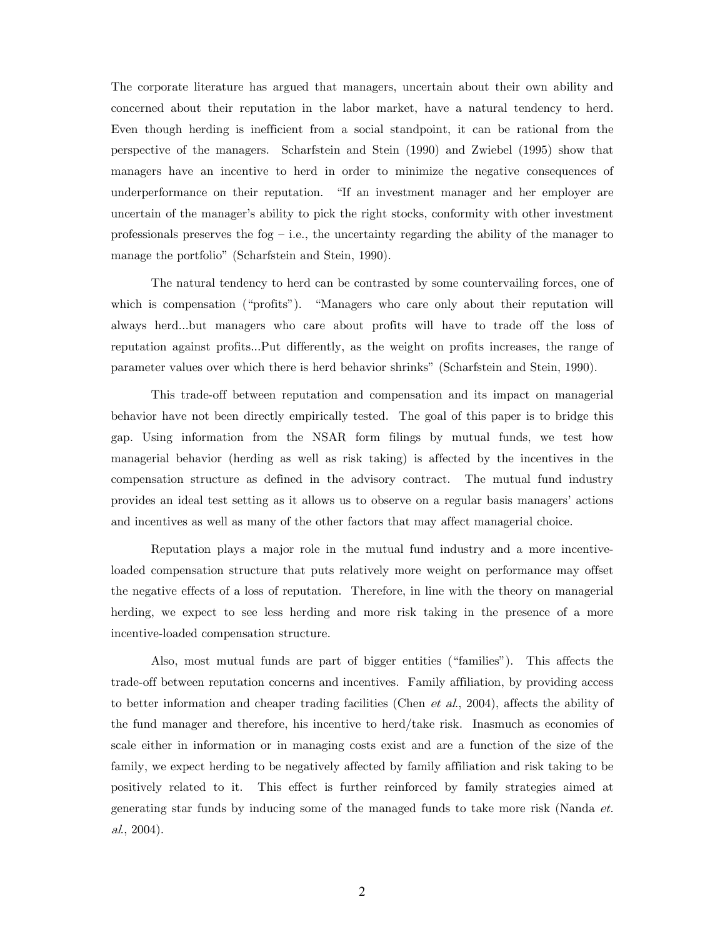The corporate literature has argued that managers, uncertain about their own ability and concerned about their reputation in the labor market, have a natural tendency to herd. Even though herding is inefficient from a social standpoint, it can be rational from the perspective of the managers. Scharfstein and Stein (1990) and Zwiebel (1995) show that managers have an incentive to herd in order to minimize the negative consequences of underperformance on their reputation. "If an investment manager and her employer are uncertain of the manager's ability to pick the right stocks, conformity with other investment professionals preserves the fog  $-$  i.e., the uncertainty regarding the ability of the manager to manage the portfolio" (Scharfstein and Stein, 1990).

The natural tendency to herd can be contrasted by some countervailing forces, one of which is compensation ("profits"). "Managers who care only about their reputation will always herd...but managers who care about profits will have to trade off the loss of reputation against profits...Put differently, as the weight on profits increases, the range of parameter values over which there is herd behavior shrinks" (Scharfstein and Stein, 1990).

This trade-off between reputation and compensation and its impact on managerial behavior have not been directly empirically tested. The goal of this paper is to bridge this gap. Using information from the NSAR form filings by mutual funds, we test how managerial behavior (herding as well as risk taking) is affected by the incentives in the compensation structure as defined in the advisory contract. The mutual fund industry provides an ideal test setting as it allows us to observe on a regular basis managers' actions and incentives as well as many of the other factors that may affect managerial choice.

Reputation plays a major role in the mutual fund industry and a more incentiveloaded compensation structure that puts relatively more weight on performance may offset the negative effects of a loss of reputation. Therefore, in line with the theory on managerial herding, we expect to see less herding and more risk taking in the presence of a more incentive-loaded compensation structure.

Also, most mutual funds are part of bigger entities ("families"). This affects the trade-off between reputation concerns and incentives. Family affiliation, by providing access to better information and cheaper trading facilities (Chen *et al.*, 2004), affects the ability of the fund manager and therefore, his incentive to herd/take risk. Inasmuch as economies of scale either in information or in managing costs exist and are a function of the size of the family, we expect herding to be negatively affected by family affiliation and risk taking to be positively related to it. This effect is further reinforced by family strategies aimed at generating star funds by inducing some of the managed funds to take more risk (Nanda et. al., 2004).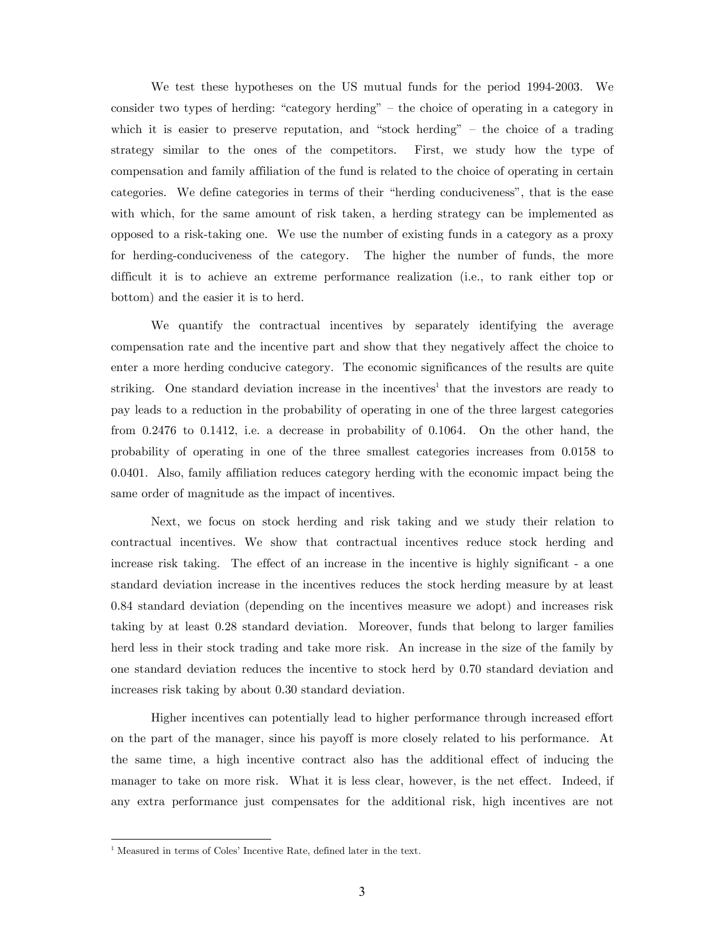We test these hypotheses on the US mutual funds for the period 1994-2003. We consider two types of herding: "category herding" — the choice of operating in a category in which it is easier to preserve reputation, and "stock herding" – the choice of a trading strategy similar to the ones of the competitors. First, we study how the type of compensation and family affiliation of the fund is related to the choice of operating in certain categories. We define categories in terms of their "herding conduciveness", that is the ease with which, for the same amount of risk taken, a herding strategy can be implemented as opposed to a risk-taking one. We use the number of existing funds in a category as a proxy for herding-conduciveness of the category. The higher the number of funds, the more difficult it is to achieve an extreme performance realization (i.e., to rank either top or bottom) and the easier it is to herd.

We quantify the contractual incentives by separately identifying the average compensation rate and the incentive part and show that they negatively affect the choice to enter a more herding conducive category. The economic significances of the results are quite striking. One standard deviation increase in the incentives<sup>1</sup> that the investors are ready to pay leads to a reduction in the probability of operating in one of the three largest categories from 0.2476 to 0.1412, i.e. a decrease in probability of 0.1064. On the other hand, the probability of operating in one of the three smallest categories increases from 0.0158 to 0.0401. Also, family affiliation reduces category herding with the economic impact being the same order of magnitude as the impact of incentives.

Next, we focus on stock herding and risk taking and we study their relation to contractual incentives. We show that contractual incentives reduce stock herding and increase risk taking. The effect of an increase in the incentive is highly significant - a one standard deviation increase in the incentives reduces the stock herding measure by at least 0.84 standard deviation (depending on the incentives measure we adopt) and increases risk taking by at least 0.28 standard deviation. Moreover, funds that belong to larger families herd less in their stock trading and take more risk. An increase in the size of the family by one standard deviation reduces the incentive to stock herd by 0.70 standard deviation and increases risk taking by about 0.30 standard deviation.

Higher incentives can potentially lead to higher performance through increased effort on the part of the manager, since his payoff is more closely related to his performance. At the same time, a high incentive contract also has the additional effect of inducing the manager to take on more risk. What it is less clear, however, is the net effect. Indeed, if any extra performance just compensates for the additional risk, high incentives are not

-

<sup>&</sup>lt;sup>1</sup> Measured in terms of Coles' Incentive Rate, defined later in the text.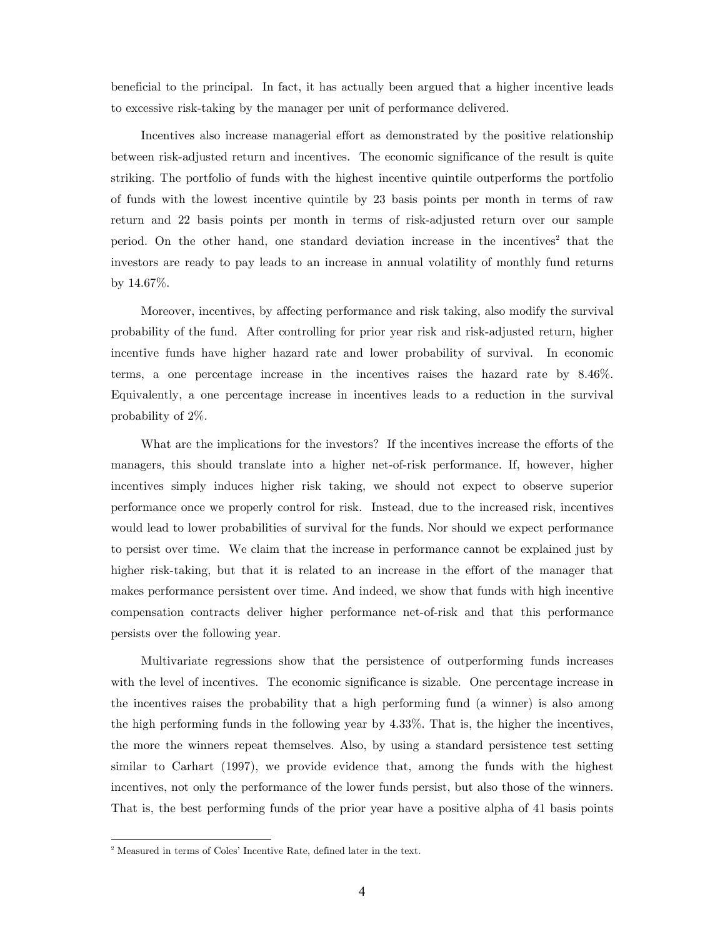beneficial to the principal. In fact, it has actually been argued that a higher incentive leads to excessive risk-taking by the manager per unit of performance delivered.

Incentives also increase managerial effort as demonstrated by the positive relationship between risk-adjusted return and incentives. The economic significance of the result is quite striking. The portfolio of funds with the highest incentive quintile outperforms the portfolio of funds with the lowest incentive quintile by 23 basis points per month in terms of raw return and 22 basis points per month in terms of risk-adjusted return over our sample period. On the other hand, one standard deviation increase in the incentives<sup>2</sup> that the investors are ready to pay leads to an increase in annual volatility of monthly fund returns by 14.67%.

Moreover, incentives, by affecting performance and risk taking, also modify the survival probability of the fund. After controlling for prior year risk and risk-adjusted return, higher incentive funds have higher hazard rate and lower probability of survival. In economic terms, a one percentage increase in the incentives raises the hazard rate by 8.46%. Equivalently, a one percentage increase in incentives leads to a reduction in the survival probability of 2%.

What are the implications for the investors? If the incentives increase the efforts of the managers, this should translate into a higher net-of-risk performance. If, however, higher incentives simply induces higher risk taking, we should not expect to observe superior performance once we properly control for risk. Instead, due to the increased risk, incentives would lead to lower probabilities of survival for the funds. Nor should we expect performance to persist over time. We claim that the increase in performance cannot be explained just by higher risk-taking, but that it is related to an increase in the effort of the manager that makes performance persistent over time. And indeed, we show that funds with high incentive compensation contracts deliver higher performance net-of-risk and that this performance persists over the following year.

Multivariate regressions show that the persistence of outperforming funds increases with the level of incentives. The economic significance is sizable. One percentage increase in the incentives raises the probability that a high performing fund (a winner) is also among the high performing funds in the following year by 4.33%. That is, the higher the incentives, the more the winners repeat themselves. Also, by using a standard persistence test setting similar to Carhart (1997), we provide evidence that, among the funds with the highest incentives, not only the performance of the lower funds persist, but also those of the winners. That is, the best performing funds of the prior year have a positive alpha of 41 basis points

-

<sup>&</sup>lt;sup>2</sup> Measured in terms of Coles' Incentive Rate, defined later in the text.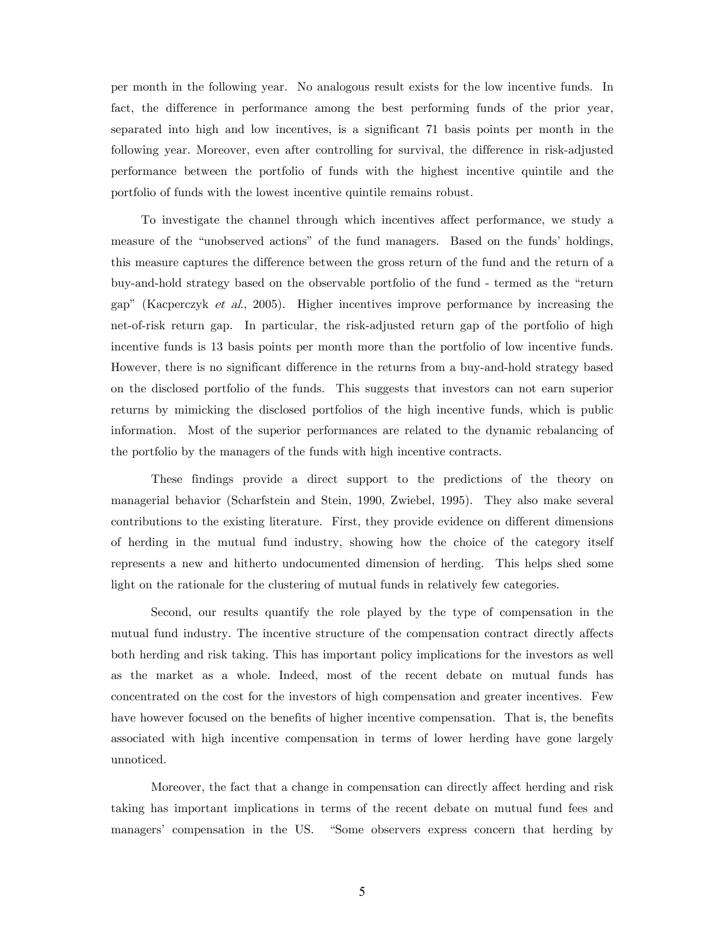per month in the following year. No analogous result exists for the low incentive funds. In fact, the difference in performance among the best performing funds of the prior year, separated into high and low incentives, is a significant 71 basis points per month in the following year. Moreover, even after controlling for survival, the difference in risk-adjusted performance between the portfolio of funds with the highest incentive quintile and the portfolio of funds with the lowest incentive quintile remains robust.

To investigate the channel through which incentives affect performance, we study a measure of the "unobserved actions" of the fund managers. Based on the funds' holdings, this measure captures the difference between the gross return of the fund and the return of a buy-and-hold strategy based on the observable portfolio of the fund - termed as the "return gap" (Kacperczyk et al., 2005). Higher incentives improve performance by increasing the net-of-risk return gap. In particular, the risk-adjusted return gap of the portfolio of high incentive funds is 13 basis points per month more than the portfolio of low incentive funds. However, there is no significant difference in the returns from a buy-and-hold strategy based on the disclosed portfolio of the funds. This suggests that investors can not earn superior returns by mimicking the disclosed portfolios of the high incentive funds, which is public information. Most of the superior performances are related to the dynamic rebalancing of the portfolio by the managers of the funds with high incentive contracts.

These findings provide a direct support to the predictions of the theory on managerial behavior (Scharfstein and Stein, 1990, Zwiebel, 1995). They also make several contributions to the existing literature. First, they provide evidence on different dimensions of herding in the mutual fund industry, showing how the choice of the category itself represents a new and hitherto undocumented dimension of herding. This helps shed some light on the rationale for the clustering of mutual funds in relatively few categories.

Second, our results quantify the role played by the type of compensation in the mutual fund industry. The incentive structure of the compensation contract directly affects both herding and risk taking. This has important policy implications for the investors as well as the market as a whole. Indeed, most of the recent debate on mutual funds has concentrated on the cost for the investors of high compensation and greater incentives. Few have however focused on the benefits of higher incentive compensation. That is, the benefits associated with high incentive compensation in terms of lower herding have gone largely unnoticed.

Moreover, the fact that a change in compensation can directly affect herding and risk taking has important implications in terms of the recent debate on mutual fund fees and managers' compensation in the US. "Some observers express concern that herding by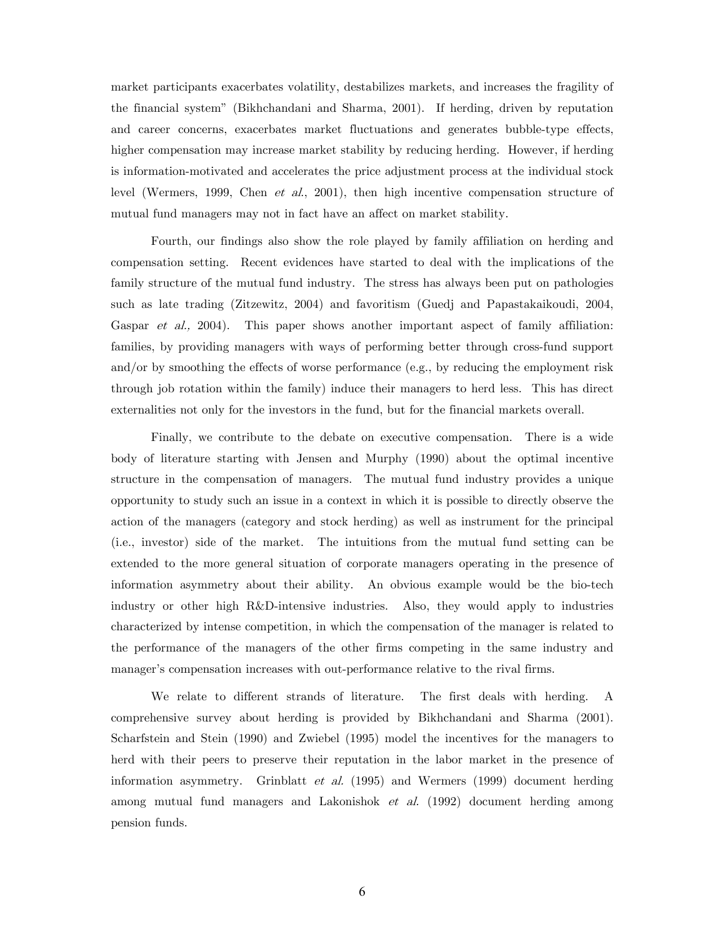market participants exacerbates volatility, destabilizes markets, and increases the fragility of the financial system" (Bikhchandani and Sharma, 2001). If herding, driven by reputation and career concerns, exacerbates market fluctuations and generates bubble-type effects, higher compensation may increase market stability by reducing herding. However, if herding is information-motivated and accelerates the price adjustment process at the individual stock level (Wermers, 1999, Chen et al., 2001), then high incentive compensation structure of mutual fund managers may not in fact have an affect on market stability.

Fourth, our findings also show the role played by family affiliation on herding and compensation setting. Recent evidences have started to deal with the implications of the family structure of the mutual fund industry. The stress has always been put on pathologies such as late trading (Zitzewitz, 2004) and favoritism (Guedj and Papastakaikoudi, 2004, Gaspar *et al.*, 2004). This paper shows another important aspect of family affiliation: families, by providing managers with ways of performing better through cross-fund support and/or by smoothing the effects of worse performance (e.g., by reducing the employment risk through job rotation within the family) induce their managers to herd less. This has direct externalities not only for the investors in the fund, but for the financial markets overall.

Finally, we contribute to the debate on executive compensation. There is a wide body of literature starting with Jensen and Murphy (1990) about the optimal incentive structure in the compensation of managers. The mutual fund industry provides a unique opportunity to study such an issue in a context in which it is possible to directly observe the action of the managers (category and stock herding) as well as instrument for the principal (i.e., investor) side of the market. The intuitions from the mutual fund setting can be extended to the more general situation of corporate managers operating in the presence of information asymmetry about their ability. An obvious example would be the bio-tech industry or other high R&D-intensive industries. Also, they would apply to industries characterized by intense competition, in which the compensation of the manager is related to the performance of the managers of the other firms competing in the same industry and manager's compensation increases with out-performance relative to the rival firms.

We relate to different strands of literature. The first deals with herding. A comprehensive survey about herding is provided by Bikhchandani and Sharma (2001). Scharfstein and Stein (1990) and Zwiebel (1995) model the incentives for the managers to herd with their peers to preserve their reputation in the labor market in the presence of information asymmetry. Grinblatt et al. (1995) and Wermers (1999) document herding among mutual fund managers and Lakonishok et al. (1992) document herding among pension funds.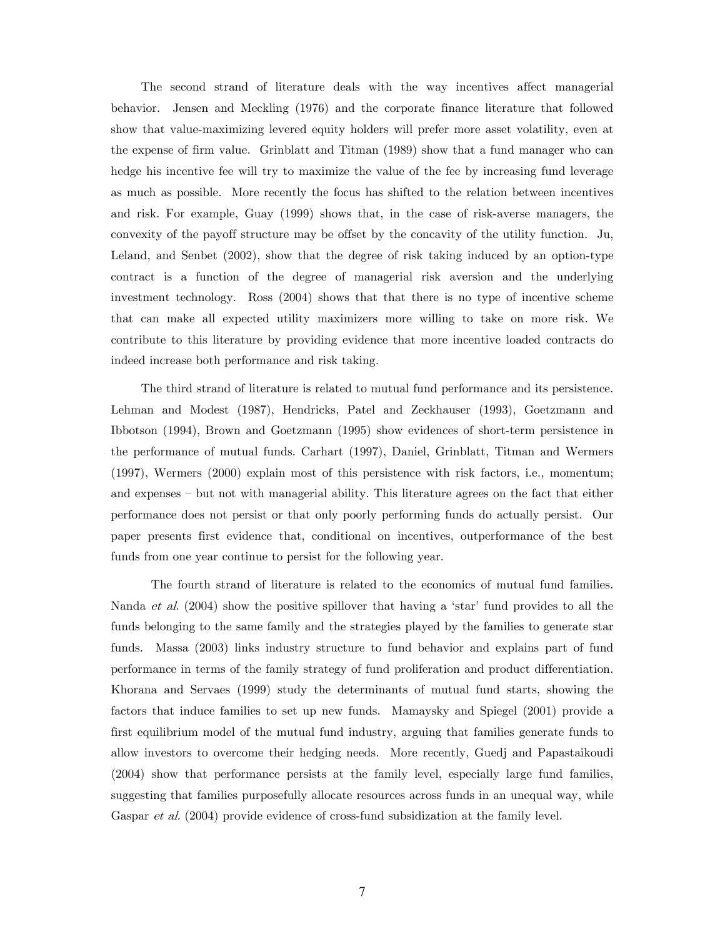The second strand of literature deals with the way incentives affect managerial behavior. Jensen and Meckling (1976) and the corporate finance literature that followed show that value-maximizing levered equity holders will prefer more asset volatility, even at the expense of firm value. Grinblatt and Titman (1989) show that a fund manager who can hedge his incentive fee will try to maximize the value of the fee by increasing fund leverage as much as possible. More recently the focus has shifted to the relation between incentives and risk. For example, Guay (1999) shows that, in the case of risk-averse managers, the convexity of the payoff structure may be offset by the concavity of the utility function. Ju, Leland, and Senbet (2002), show that the degree of risk taking induced by an option-type contract is a function of the degree of managerial risk aversion and the underlying investment technology. Ross (2004) shows that that there is no type of incentive scheme that can make all expected utility maximizers more willing to take on more risk. We contribute to this literature by providing evidence that more incentive loaded contracts do indeed increase both performance and risk taking.

The third strand of literature is related to mutual fund performance and its persistence. Lehman and Modest (1987), Hendricks, Patel and Zeckhauser (1993), Goetzmann and Ibbotson (1994), Brown and Goetzmann (1995) show evidences of short-term persistence in the performance of mutual funds. Carhart (1997), Daniel, Grinblatt, Titman and Wermers (1997), Wermers (2000) explain most of this persistence with risk factors, i.e., momentum; and expenses — but not with managerial ability. This literature agrees on the fact that either performance does not persist or that only poorly performing funds do actually persist. Our paper presents first evidence that, conditional on incentives, outperformance of the best funds from one year continue to persist for the following year.

The fourth strand of literature is related to the economics of mutual fund families. Nanda *et al.* (2004) show the positive spillover that having a 'star' fund provides to all the funds belonging to the same family and the strategies played by the families to generate star funds. Massa (2003) links industry structure to fund behavior and explains part of fund performance in terms of the family strategy of fund proliferation and product differentiation. Khorana and Servaes (1999) study the determinants of mutual fund starts, showing the factors that induce families to set up new funds. Mamaysky and Spiegel (2001) provide a first equilibrium model of the mutual fund industry, arguing that families generate funds to allow investors to overcome their hedging needs. More recently, Guedj and Papastaikoudi (2004) show that performance persists at the family level, especially large fund families, suggesting that families purposefully allocate resources across funds in an unequal way, while Gaspar *et al.* (2004) provide evidence of cross-fund subsidization at the family level.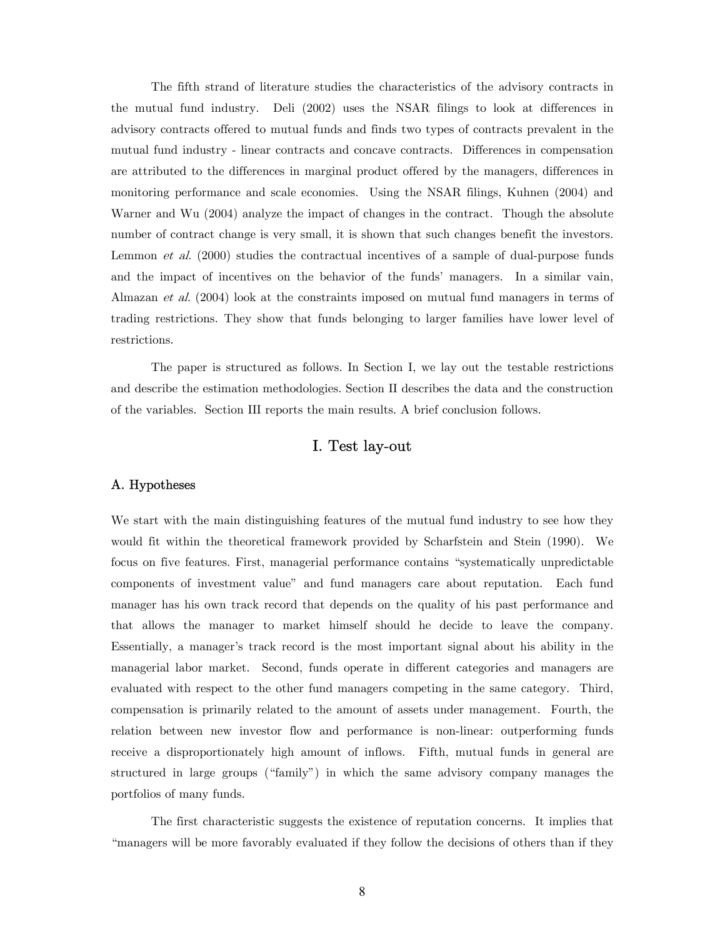The fifth strand of literature studies the characteristics of the advisory contracts in the mutual fund industry. Deli (2002) uses the NSAR filings to look at differences in advisory contracts offered to mutual funds and finds two types of contracts prevalent in the mutual fund industry - linear contracts and concave contracts. Differences in compensation are attributed to the differences in marginal product offered by the managers, differences in monitoring performance and scale economies. Using the NSAR filings, Kuhnen (2004) and Warner and Wu (2004) analyze the impact of changes in the contract. Though the absolute number of contract change is very small, it is shown that such changes benefit the investors. Lemmon *et al.* (2000) studies the contractual incentives of a sample of dual-purpose funds and the impact of incentives on the behavior of the funds' managers. In a similar vain, Almazan et al. (2004) look at the constraints imposed on mutual fund managers in terms of trading restrictions. They show that funds belonging to larger families have lower level of restrictions.

The paper is structured as follows. In Section I, we lay out the testable restrictions and describe the estimation methodologies. Section II describes the data and the construction of the variables. Section III reports the main results. A brief conclusion follows.

# I. Test lay-out

#### A. Hypotheses

We start with the main distinguishing features of the mutual fund industry to see how they would fit within the theoretical framework provided by Scharfstein and Stein (1990). We focus on five features. First, managerial performance contains "systematically unpredictable components of investment value" and fund managers care about reputation. Each fund manager has his own track record that depends on the quality of his past performance and that allows the manager to market himself should he decide to leave the company. Essentially, a manager's track record is the most important signal about his ability in the managerial labor market. Second, funds operate in different categories and managers are evaluated with respect to the other fund managers competing in the same category. Third, compensation is primarily related to the amount of assets under management. Fourth, the relation between new investor flow and performance is non-linear: outperforming funds receive a disproportionately high amount of inflows. Fifth, mutual funds in general are structured in large groups ("family") in which the same advisory company manages the portfolios of many funds.

The first characteristic suggests the existence of reputation concerns. It implies that "managers will be more favorably evaluated if they follow the decisions of others than if they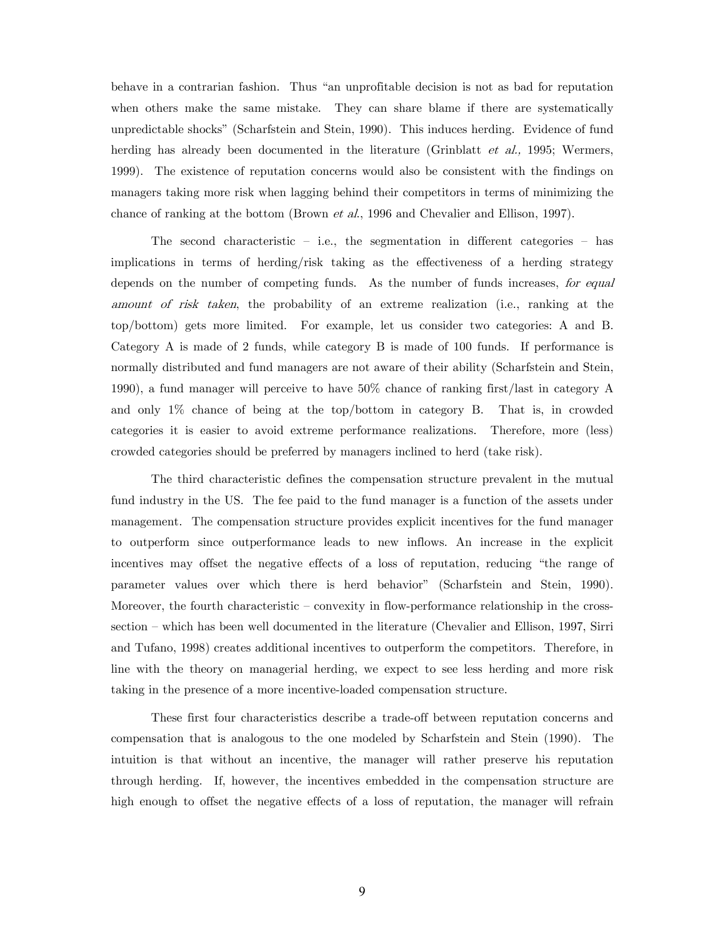behave in a contrarian fashion. Thus "an unprofitable decision is not as bad for reputation when others make the same mistake. They can share blame if there are systematically unpredictable shocks" (Scharfstein and Stein, 1990). This induces herding. Evidence of fund herding has already been documented in the literature (Grinblatt *et al.*, 1995; Wermers, 1999). The existence of reputation concerns would also be consistent with the findings on managers taking more risk when lagging behind their competitors in terms of minimizing the chance of ranking at the bottom (Brown *et al.*, 1996 and Chevalier and Ellison, 1997).

The second characteristic  $-$  i.e., the segmentation in different categories  $-$  has implications in terms of herding/risk taking as the effectiveness of a herding strategy depends on the number of competing funds. As the number of funds increases, for equal amount of risk taken, the probability of an extreme realization (i.e., ranking at the top/bottom) gets more limited. For example, let us consider two categories: A and B. Category A is made of 2 funds, while category B is made of 100 funds. If performance is normally distributed and fund managers are not aware of their ability (Scharfstein and Stein, 1990), a fund manager will perceive to have 50% chance of ranking first/last in category A and only 1% chance of being at the top/bottom in category B. That is, in crowded categories it is easier to avoid extreme performance realizations. Therefore, more (less) crowded categories should be preferred by managers inclined to herd (take risk).

The third characteristic defines the compensation structure prevalent in the mutual fund industry in the US. The fee paid to the fund manager is a function of the assets under management. The compensation structure provides explicit incentives for the fund manager to outperform since outperformance leads to new inflows. An increase in the explicit incentives may offset the negative effects of a loss of reputation, reducing "the range of parameter values over which there is herd behavior" (Scharfstein and Stein, 1990). Moreover, the fourth characteristic – convexity in flow-performance relationship in the crosssection — which has been well documented in the literature (Chevalier and Ellison, 1997, Sirri and Tufano, 1998) creates additional incentives to outperform the competitors. Therefore, in line with the theory on managerial herding, we expect to see less herding and more risk taking in the presence of a more incentive-loaded compensation structure.

These first four characteristics describe a trade-off between reputation concerns and compensation that is analogous to the one modeled by Scharfstein and Stein (1990). The intuition is that without an incentive, the manager will rather preserve his reputation through herding. If, however, the incentives embedded in the compensation structure are high enough to offset the negative effects of a loss of reputation, the manager will refrain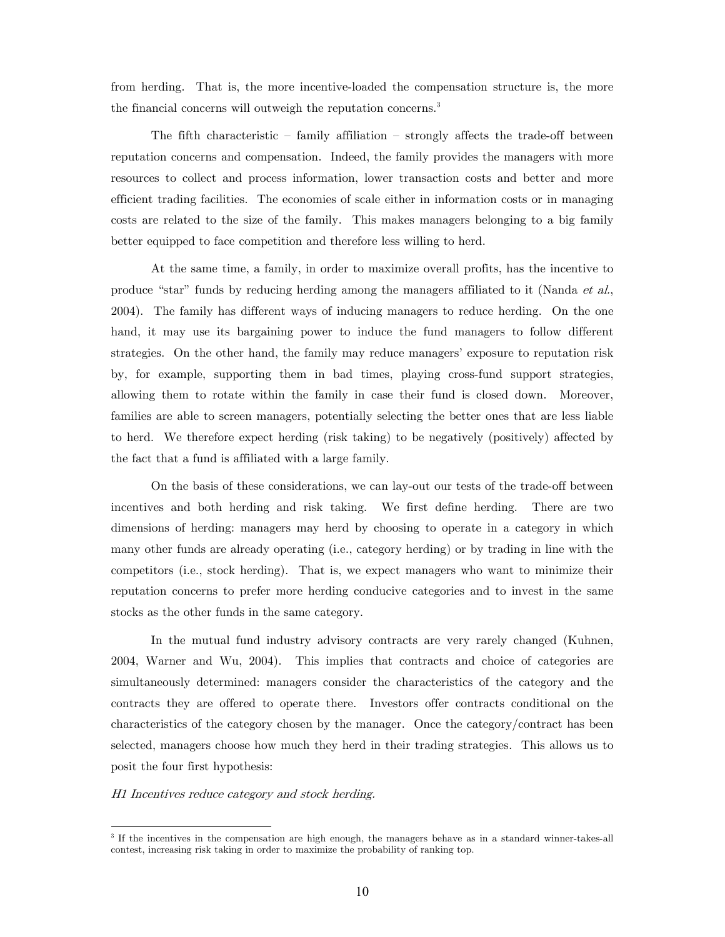from herding. That is, the more incentive-loaded the compensation structure is, the more the financial concerns will outweigh the reputation concerns.<sup>3</sup>

The fifth characteristic  $-$  family affiliation  $-$  strongly affects the trade-off between reputation concerns and compensation. Indeed, the family provides the managers with more resources to collect and process information, lower transaction costs and better and more efficient trading facilities. The economies of scale either in information costs or in managing costs are related to the size of the family. This makes managers belonging to a big family better equipped to face competition and therefore less willing to herd.

At the same time, a family, in order to maximize overall profits, has the incentive to produce "star" funds by reducing herding among the managers affiliated to it (Nanda et al., 2004). The family has different ways of inducing managers to reduce herding. On the one hand, it may use its bargaining power to induce the fund managers to follow different strategies. On the other hand, the family may reduce managers' exposure to reputation risk by, for example, supporting them in bad times, playing cross-fund support strategies, allowing them to rotate within the family in case their fund is closed down. Moreover, families are able to screen managers, potentially selecting the better ones that are less liable to herd. We therefore expect herding (risk taking) to be negatively (positively) affected by the fact that a fund is affiliated with a large family.

On the basis of these considerations, we can lay-out our tests of the trade-off between incentives and both herding and risk taking. We first define herding. There are two dimensions of herding: managers may herd by choosing to operate in a category in which many other funds are already operating (i.e., category herding) or by trading in line with the competitors (i.e., stock herding). That is, we expect managers who want to minimize their reputation concerns to prefer more herding conducive categories and to invest in the same stocks as the other funds in the same category.

In the mutual fund industry advisory contracts are very rarely changed (Kuhnen, 2004, Warner and Wu, 2004). This implies that contracts and choice of categories are simultaneously determined: managers consider the characteristics of the category and the contracts they are offered to operate there. Investors offer contracts conditional on the characteristics of the category chosen by the manager. Once the category/contract has been selected, managers choose how much they herd in their trading strategies. This allows us to posit the four first hypothesis:

#### H1 Incentives reduce category and stock herding.

-

<sup>3</sup> If the incentives in the compensation are high enough, the managers behave as in a standard winner-takes-all contest, increasing risk taking in order to maximize the probability of ranking top.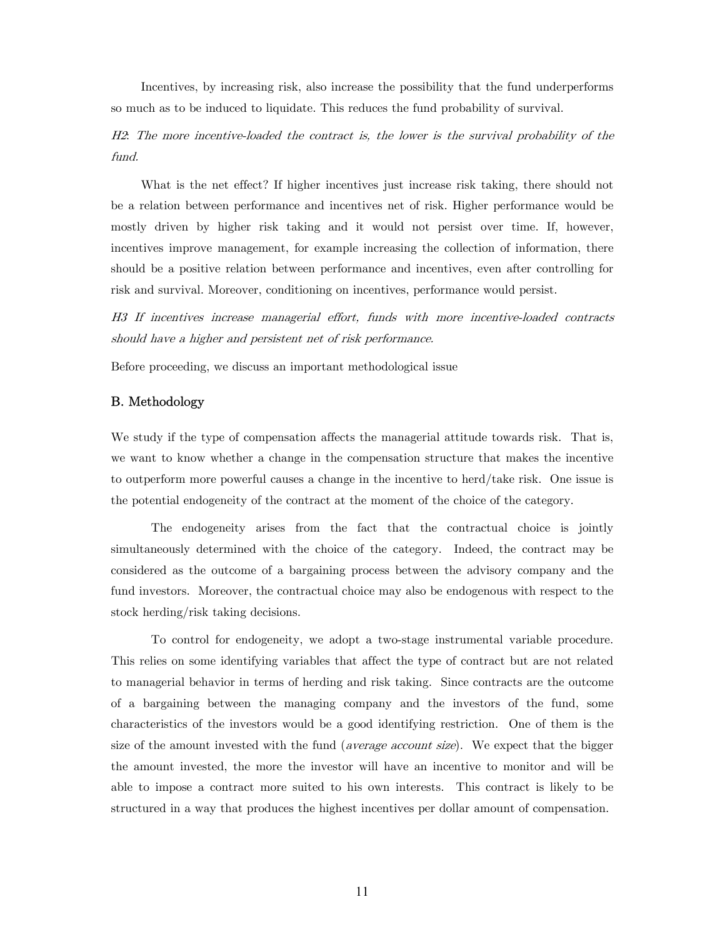Incentives, by increasing risk, also increase the possibility that the fund underperforms so much as to be induced to liquidate. This reduces the fund probability of survival.

H2: The more incentive-loaded the contract is, the lower is the survival probability of the fund.

What is the net effect? If higher incentives just increase risk taking, there should not be a relation between performance and incentives net of risk. Higher performance would be mostly driven by higher risk taking and it would not persist over time. If, however, incentives improve management, for example increasing the collection of information, there should be a positive relation between performance and incentives, even after controlling for risk and survival. Moreover, conditioning on incentives, performance would persist.

H3 If incentives increase managerial effort, funds with more incentive-loaded contracts should have a higher and persistent net of risk performance.

Before proceeding, we discuss an important methodological issue

#### B. Methodology

We study if the type of compensation affects the managerial attitude towards risk. That is, we want to know whether a change in the compensation structure that makes the incentive to outperform more powerful causes a change in the incentive to herd/take risk. One issue is the potential endogeneity of the contract at the moment of the choice of the category.

The endogeneity arises from the fact that the contractual choice is jointly simultaneously determined with the choice of the category. Indeed, the contract may be considered as the outcome of a bargaining process between the advisory company and the fund investors. Moreover, the contractual choice may also be endogenous with respect to the stock herding/risk taking decisions.

To control for endogeneity, we adopt a two-stage instrumental variable procedure. This relies on some identifying variables that affect the type of contract but are not related to managerial behavior in terms of herding and risk taking. Since contracts are the outcome of a bargaining between the managing company and the investors of the fund, some characteristics of the investors would be a good identifying restriction. One of them is the size of the amount invested with the fund (*average account size*). We expect that the bigger the amount invested, the more the investor will have an incentive to monitor and will be able to impose a contract more suited to his own interests. This contract is likely to be structured in a way that produces the highest incentives per dollar amount of compensation.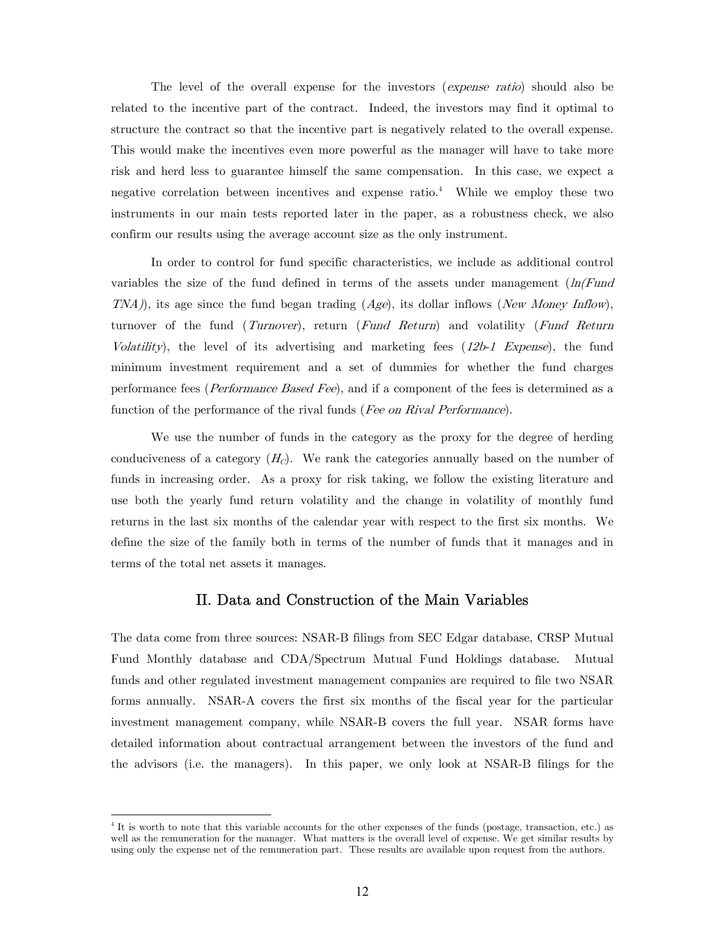The level of the overall expense for the investors (expense ratio) should also be related to the incentive part of the contract. Indeed, the investors may find it optimal to structure the contract so that the incentive part is negatively related to the overall expense. This would make the incentives even more powerful as the manager will have to take more risk and herd less to guarantee himself the same compensation. In this case, we expect a negative correlation between incentives and expense ratio.<sup>4</sup> While we employ these two instruments in our main tests reported later in the paper, as a robustness check, we also confirm our results using the average account size as the only instrument.

In order to control for fund specific characteristics, we include as additional control variables the size of the fund defined in terms of the assets under management  $(ln(Fund$  $TNA)$ , its age since the fund began trading  $(Age)$ , its dollar inflows (New Money Inflow), turnover of the fund (*Turnover*), return (Fund Return) and volatility (Fund Return Volatility), the level of its advertising and marketing fees  $(12b-1)$  Expense), the fund minimum investment requirement and a set of dummies for whether the fund charges performance fees (Performance Based Fee), and if a component of the fees is determined as a function of the performance of the rival funds (Fee on Rival Performance).

We use the number of funds in the category as the proxy for the degree of herding conduciveness of a category  $(H<sub>c</sub>)$ . We rank the categories annually based on the number of funds in increasing order. As a proxy for risk taking, we follow the existing literature and use both the yearly fund return volatility and the change in volatility of monthly fund returns in the last six months of the calendar year with respect to the first six months. We define the size of the family both in terms of the number of funds that it manages and in terms of the total net assets it manages.

### II. Data and Construction of the Main Variables

The data come from three sources: NSAR-B filings from SEC Edgar database, CRSP Mutual Fund Monthly database and CDA/Spectrum Mutual Fund Holdings database. Mutual funds and other regulated investment management companies are required to file two NSAR forms annually. NSAR-A covers the first six months of the fiscal year for the particular investment management company, while NSAR-B covers the full year. NSAR forms have detailed information about contractual arrangement between the investors of the fund and the advisors (i.e. the managers). In this paper, we only look at NSAR-B filings for the

-

<sup>&</sup>lt;sup>4</sup> It is worth to note that this variable accounts for the other expenses of the funds (postage, transaction, etc.) as well as the remuneration for the manager. What matters is the overall level of expense. We get similar results by using only the expense net of the remuneration part. These results are available upon request from the authors.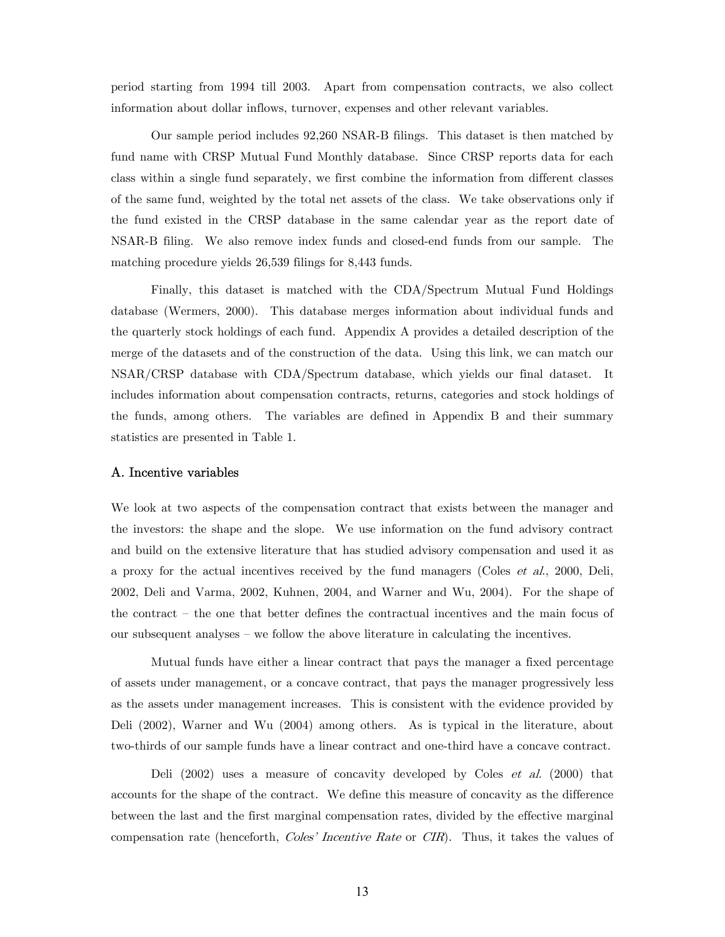period starting from 1994 till 2003. Apart from compensation contracts, we also collect information about dollar inflows, turnover, expenses and other relevant variables.

Our sample period includes 92,260 NSAR-B filings. This dataset is then matched by fund name with CRSP Mutual Fund Monthly database. Since CRSP reports data for each class within a single fund separately, we first combine the information from different classes of the same fund, weighted by the total net assets of the class. We take observations only if the fund existed in the CRSP database in the same calendar year as the report date of NSAR-B filing. We also remove index funds and closed-end funds from our sample. The matching procedure yields 26,539 filings for 8,443 funds.

Finally, this dataset is matched with the CDA/Spectrum Mutual Fund Holdings database (Wermers, 2000). This database merges information about individual funds and the quarterly stock holdings of each fund. Appendix A provides a detailed description of the merge of the datasets and of the construction of the data. Using this link, we can match our NSAR/CRSP database with CDA/Spectrum database, which yields our final dataset. It includes information about compensation contracts, returns, categories and stock holdings of the funds, among others. The variables are defined in Appendix B and their summary statistics are presented in Table 1.

#### A. Incentive variables

We look at two aspects of the compensation contract that exists between the manager and the investors: the shape and the slope. We use information on the fund advisory contract and build on the extensive literature that has studied advisory compensation and used it as a proxy for the actual incentives received by the fund managers (Coles et al., 2000, Deli, 2002, Deli and Varma, 2002, Kuhnen, 2004, and Warner and Wu, 2004). For the shape of the contract — the one that better defines the contractual incentives and the main focus of our subsequent analyses — we follow the above literature in calculating the incentives.

Mutual funds have either a linear contract that pays the manager a fixed percentage of assets under management, or a concave contract, that pays the manager progressively less as the assets under management increases. This is consistent with the evidence provided by Deli (2002), Warner and Wu (2004) among others. As is typical in the literature, about two-thirds of our sample funds have a linear contract and one-third have a concave contract.

Deli (2002) uses a measure of concavity developed by Coles et al. (2000) that accounts for the shape of the contract. We define this measure of concavity as the difference between the last and the first marginal compensation rates, divided by the effective marginal compensation rate (henceforth, *Coles' Incentive Rate* or *CIR*). Thus, it takes the values of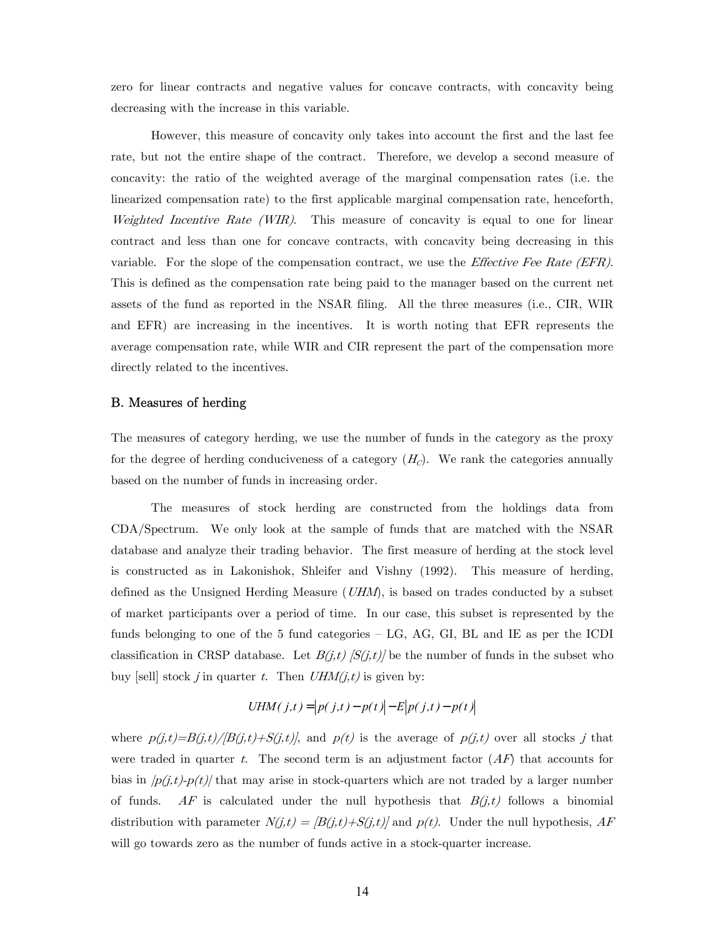zero for linear contracts and negative values for concave contracts, with concavity being decreasing with the increase in this variable.

However, this measure of concavity only takes into account the first and the last fee rate, but not the entire shape of the contract. Therefore, we develop a second measure of concavity: the ratio of the weighted average of the marginal compensation rates (i.e. the linearized compensation rate) to the first applicable marginal compensation rate, henceforth, Weighted Incentive Rate (WIR). This measure of concavity is equal to one for linear contract and less than one for concave contracts, with concavity being decreasing in this variable. For the slope of the compensation contract, we use the *Effective Fee Rate (EFR)*. This is defined as the compensation rate being paid to the manager based on the current net assets of the fund as reported in the NSAR filing. All the three measures (i.e., CIR, WIR and EFR) are increasing in the incentives. It is worth noting that EFR represents the average compensation rate, while WIR and CIR represent the part of the compensation more directly related to the incentives.

#### B. Measures of herding

The measures of category herding, we use the number of funds in the category as the proxy for the degree of herding conduciveness of a category  $(H<sub>c</sub>)$ . We rank the categories annually based on the number of funds in increasing order.

The measures of stock herding are constructed from the holdings data from CDA/Spectrum. We only look at the sample of funds that are matched with the NSAR database and analyze their trading behavior. The first measure of herding at the stock level is constructed as in Lakonishok, Shleifer and Vishny (1992). This measure of herding, defined as the Unsigned Herding Measure  $(UHM)$ , is based on trades conducted by a subset of market participants over a period of time. In our case, this subset is represented by the funds belonging to one of the 5 fund categories — LG, AG, GI, BL and IE as per the ICDI classification in CRSP database. Let  $B(j,t)$   $[S(j,t)]$  be the number of funds in the subset who buy [sell] stock j in quarter t. Then  $UHM(j,t)$  is given by:

$$
UHM(j,t) = |p(j,t) - p(t)| - E|p(j,t) - p(t)|
$$

where  $p(j,t)=B(j,t)/[B(j,t)+S(j,t)]$ , and  $p(t)$  is the average of  $p(j,t)$  over all stocks j that were traded in quarter t. The second term is an adjustment factor  $(AF)$  that accounts for bias in  $|p(j,t)-p(t)|$  that may arise in stock-quarters which are not traded by a larger number of funds. AF is calculated under the null hypothesis that  $B(j,t)$  follows a binomial distribution with parameter  $N(j,t) = [B(j,t)+S(j,t)]$  and  $p(t)$ . Under the null hypothesis, AF will go towards zero as the number of funds active in a stock-quarter increase.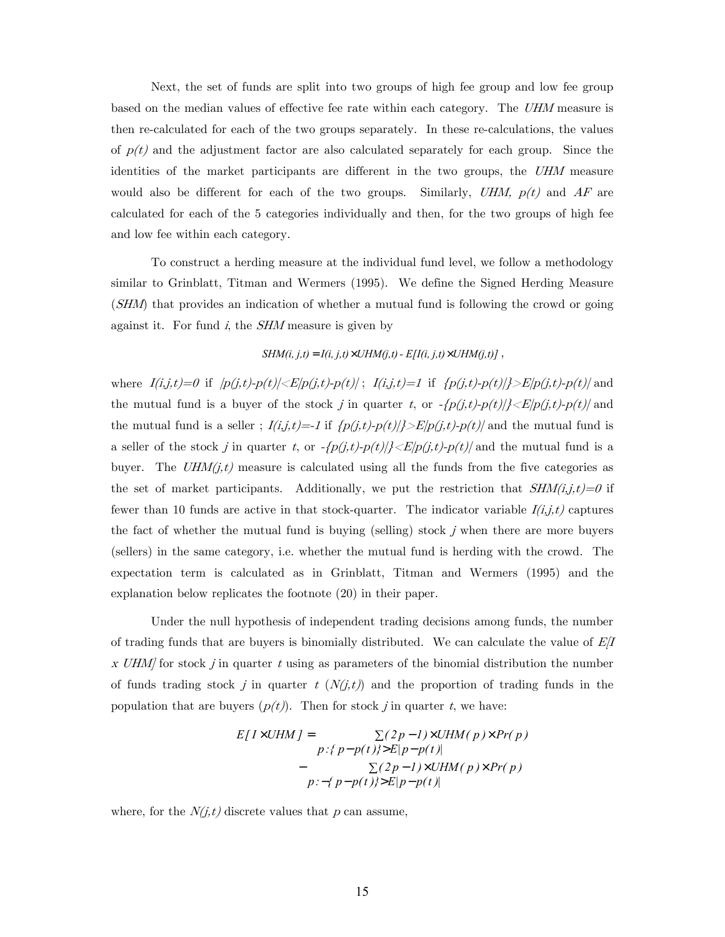Next, the set of funds are split into two groups of high fee group and low fee group based on the median values of effective fee rate within each category. The UHM measure is then re-calculated for each of the two groups separately. In these re-calculations, the values of  $p(t)$  and the adjustment factor are also calculated separately for each group. Since the identities of the market participants are different in the two groups, the UHM measure would also be different for each of the two groups. Similarly, UHM,  $p(t)$  and AF are calculated for each of the 5 categories individually and then, for the two groups of high fee and low fee within each category.

To construct a herding measure at the individual fund level, we follow a methodology similar to Grinblatt, Titman and Wermers (1995). We define the Signed Herding Measure (SHM) that provides an indication of whether a mutual fund is following the crowd or going against it. For fund  $i$ , the  $SHM$  measure is given by

#### *SHM(i, j,t)* =  $I(i, j, t) \times UHM(j, t) - E/I(i, j, t) \times UHM(j, t)$

where  $I(i,j,t)=0$  if  $|p(j,t)-p(t)|\ll E|p(j,t)-p(t)|$ ;  $I(i,j,t)=1$  if  $\{p(j,t)-p(t)|\ll E|p(j,t)-p(t)|\}$  and the mutual fund is a buyer of the stock j in quarter t, or  $-\frac{p(j,t)-p(t)}{\geq E|p(j,t)-p(t)|}$  and the mutual fund is a seller ;  $I(i,j,t) = -1$  if  $\{p(j,t)-p(t)|\} > E[p(j,t)-p(t)]$  and the mutual fund is a seller of the stock j in quarter t, or  $-\{p(j,t)-p(t)|\}< E|p(j,t)-p(t)|$  and the mutual fund is a buyer. The  $UHM(j,t)$  measure is calculated using all the funds from the five categories as the set of market participants. Additionally, we put the restriction that  $SHM(i,j,t)=0$  if fewer than 10 funds are active in that stock-quarter. The indicator variable  $I(i,j,t)$  captures the fact of whether the mutual fund is buying (selling) stock j when there are more buyers (sellers) in the same category, i.e. whether the mutual fund is herding with the crowd. The expectation term is calculated as in Grinblatt, Titman and Wermers (1995) and the explanation below replicates the footnote (20) in their paper.

Under the null hypothesis of independent trading decisions among funds, the number of trading funds that are buyers is binomially distributed. We can calculate the value of  $E/I$ x UHM for stock j in quarter t using as parameters of the binomial distribution the number of funds trading stock j in quarter  $t (N(j,t))$  and the proportion of trading funds in the population that are buyers  $(p(t))$ . Then for stock j in quarter t, we have:

$$
E[I \times UHM] = \sum_{p:\{p-p(t)\} > E|p-p(t)|} \sum_{p|p(p(t)| > E|p-p(t)|} \sum_{p|p(p(t)| > E|p-p(t)|} \sum_{p|p(p(t)| > E|p-p(t)|} \sum_{p|p(p(t)| > E|p-p(t)|} \sum_{p|p(p(t)|} \sum_{p|p(p(t)|} \sum_{p|p(p(t)|} \sum_{p|p(p(t)|} \sum_{p|p(p(t)|} \sum_{p|p(p(t)|} \sum_{p|p(p(t)|} \sum_{p|p(p(t)|} \sum_{p|p(p(t)|} \sum_{p|p(p(t)|} \sum_{p|p(p(t)|} \sum_{p|p(p(t)|} \sum_{p|p(p(t)|} \sum_{p|p(p(t)|} \sum_{p|p(p(t)|} \sum_{p|p(p(t)|} \sum_{p|p(p(t)|} \sum_{p|p(p(t)|} \sum_{p|p(p(t)|} \sum_{p|p(p(t)|} \sum_{p|p(p(t)|} \sum_{p|p(p(t)|} \sum_{p|p(p(t)|} \sum_{p|p(p(t)|} \sum_{p|p(p(t)|} \sum_{p|p(p(t)|} \sum_{p|p(p(t)|} \sum_{p|p(p(t)|} \sum_{p|p(p(t)|} \sum_{p|p(p(t)|} \sum_{p|p(p(t)|} \sum_{p|p(p(t)|} \sum_{p|p(p(t)|} \sum_{p|p(p(t)|} \sum_{p|p(p(t)|} \sum_{p|p(p(t)|} \sum_{p|p(p(t)|} \sum_{p|p(p(t)|} \sum_{p|p(p(t)|} \sum_{p|p(p(t)|} \sum_{p|p(p(t)|} \sum_{p|p(p(t)|} \sum_{p|p(p(t)|} \sum_{p|p(p(t)|} \sum_{p|p(p(t)|} \sum_{p|p(p(t)|} \sum_{p|p(p(t)|} \sum_{p|p(p(t)|} \sum_{p|p(p(t)|} \sum_{p|p(p(t)|} \sum_{p|p(p(t)|} \sum_{p|p(p(t)|} \sum_{p|p(p(t)|} \sum_{p|p(p(t)|} \sum_{p|p(p(t)|} \sum_{p|p(p(t)|} \sum_{p|p(p(t)|} \sum_{p|p(p(t)|} \sum_{p|p(p(t)|} \sum_{p|p(p(t)|} \sum_{p|p(p(t)|} \sum_{p|p(p(t)|} \sum_{p|p(p(t)|} \sum_{p|p(p(t)|} \sum_{p|p(p(t)|} \sum_{p|p(p(t)|} \sum_{p
$$

where, for the  $N(j,t)$  discrete values that p can assume,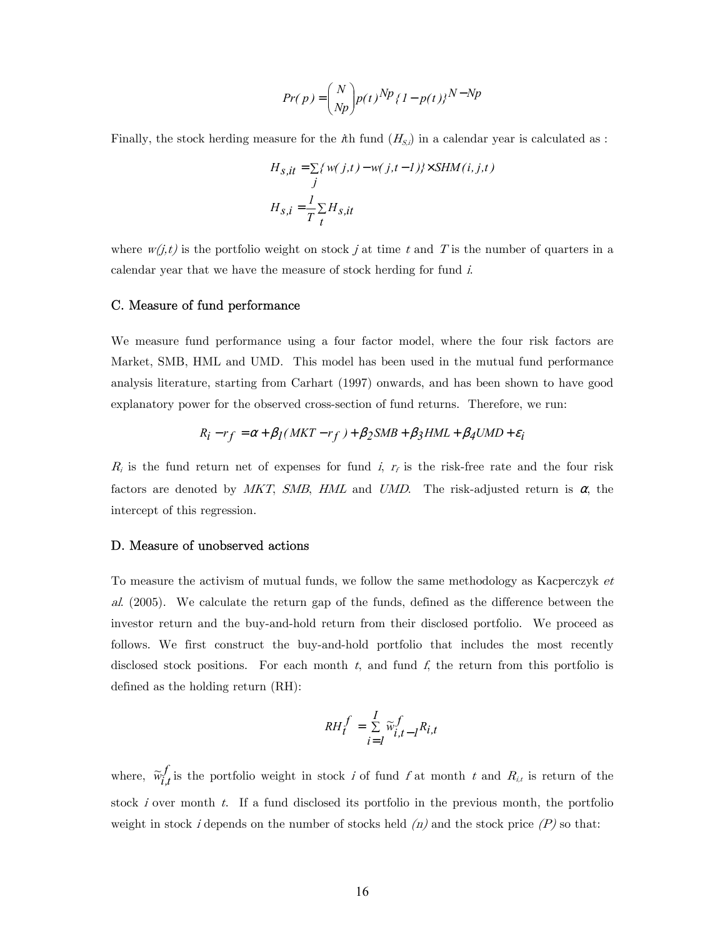$$
Pr(p) = \binom{N}{Np} p(t)^{Np} \{1 - p(t)\}^{N - Np}
$$

Finally, the stock herding measure for the  $\hbar$ h fund  $(H_{S,i})$  in a calendar year is calculated as :

$$
H_{S, it} = \sum \{ w(j, t) - w(j, t - 1) \} \times SHM(i, j, t)
$$
  

$$
H_{S, i} = \frac{1}{T} \sum_{t} H_{S, it}
$$

where  $w(j,t)$  is the portfolio weight on stock j at time t and T is the number of quarters in a calendar year that we have the measure of stock herding for fund i.

#### C. Measure of fund performance

We measure fund performance using a four factor model, where the four risk factors are Market, SMB, HML and UMD. This model has been used in the mutual fund performance analysis literature, starting from Carhart (1997) onwards, and has been shown to have good explanatory power for the observed cross-section of fund returns. Therefore, we run:

$$
R_i - r_f = \alpha + \beta_I (MKT - r_f) + \beta_2 SMB + \beta_3 HML + \beta_4 UMD + \varepsilon_i
$$

 $R_i$  is the fund return net of expenses for fund i,  $r_f$  is the risk-free rate and the four risk factors are denoted by MKT, SMB, HML and UMD. The risk-adjusted return is  $\alpha$ , the intercept of this regression.

#### D. Measure of unobserved actions

To measure the activism of mutual funds, we follow the same methodology as Kacperczyk et al. (2005). We calculate the return gap of the funds, defined as the difference between the investor return and the buy-and-hold return from their disclosed portfolio. We proceed as follows. We first construct the buy-and-hold portfolio that includes the most recently disclosed stock positions. For each month  $t$ , and fund  $f$ , the return from this portfolio is defined as the holding return (RH):

$$
RH_t^f = \sum_{i=1}^I \widetilde{w}_{i,t-1}^f R_{i,t}
$$

where,  $\widetilde{w}_{i,t}^f$  is the portfolio weight in stock i of fund f at month t and  $R_{i,t}$  is return of the stock i over month t. If a fund disclosed its portfolio in the previous month, the portfolio weight in stock *i* depends on the number of stocks held  $(n)$  and the stock price  $(P)$  so that: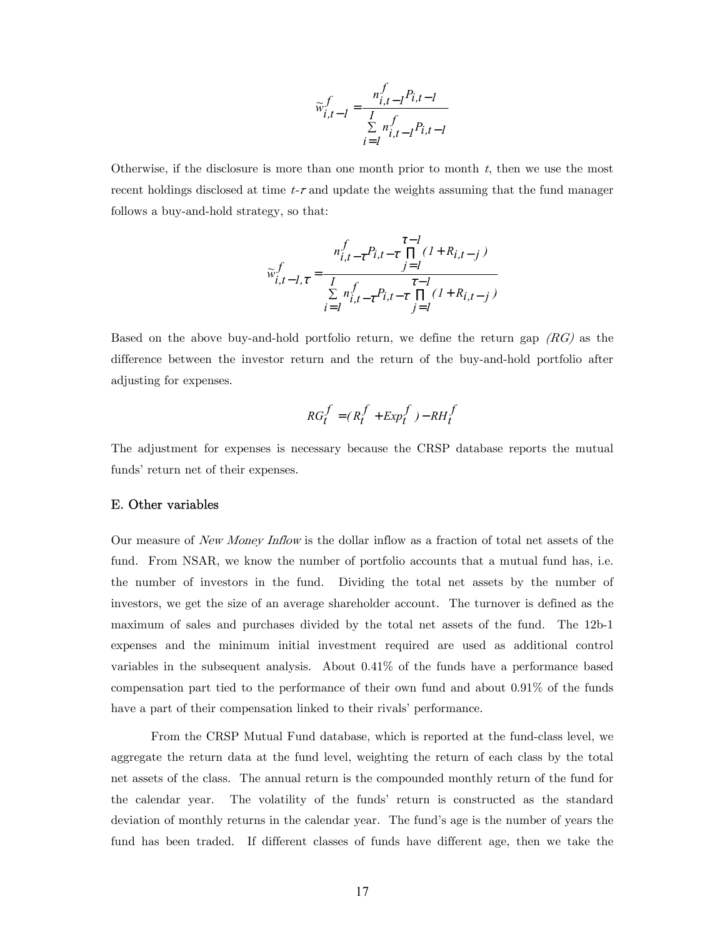$$
\widetilde{w}_{i,t-l}^f = \frac{n_{i,t-l}^f P_{i,t-l}}{\sum\limits_{i=1}^{I} n_{i,t-l}^f P_{i,t-l}}
$$

Otherwise, if the disclosure is more than one month prior to month  $t$ , then we use the most recent holdings disclosed at time  $t-\tau$  and update the weights assuming that the fund manager follows a buy-and-hold strategy, so that:

$$
\widetilde{w}_{i,t-1,\tau}^{f} = \frac{n_{i,t-\tau}^{f} P_{i,t-\tau} \prod_{j=1}^{\tau-l} (1 + R_{i,t-j})}{\sum_{i=1}^{T} n_{i,t-\tau}^{f} P_{i,t-\tau} \prod_{j=1}^{\tau-l} (1 + R_{i,t-j})}
$$

Based on the above buy-and-hold portfolio return, we define the return gap  $(RG)$  as the difference between the investor return and the return of the buy-and-hold portfolio after adjusting for expenses.

$$
RG_t^f = (R_t^f + Exp_t^f) - RH_t^f
$$

The adjustment for expenses is necessary because the CRSP database reports the mutual funds' return net of their expenses.

#### E. Other variables

Our measure of New Money Inflow is the dollar inflow as a fraction of total net assets of the fund. From NSAR, we know the number of portfolio accounts that a mutual fund has, i.e. the number of investors in the fund. Dividing the total net assets by the number of investors, we get the size of an average shareholder account. The turnover is defined as the maximum of sales and purchases divided by the total net assets of the fund. The 12b-1 expenses and the minimum initial investment required are used as additional control variables in the subsequent analysis. About 0.41% of the funds have a performance based compensation part tied to the performance of their own fund and about 0.91% of the funds have a part of their compensation linked to their rivals' performance.

From the CRSP Mutual Fund database, which is reported at the fund-class level, we aggregate the return data at the fund level, weighting the return of each class by the total net assets of the class. The annual return is the compounded monthly return of the fund for the calendar year. The volatility of the funds' return is constructed as the standard deviation of monthly returns in the calendar year. The fund's age is the number of years the fund has been traded. If different classes of funds have different age, then we take the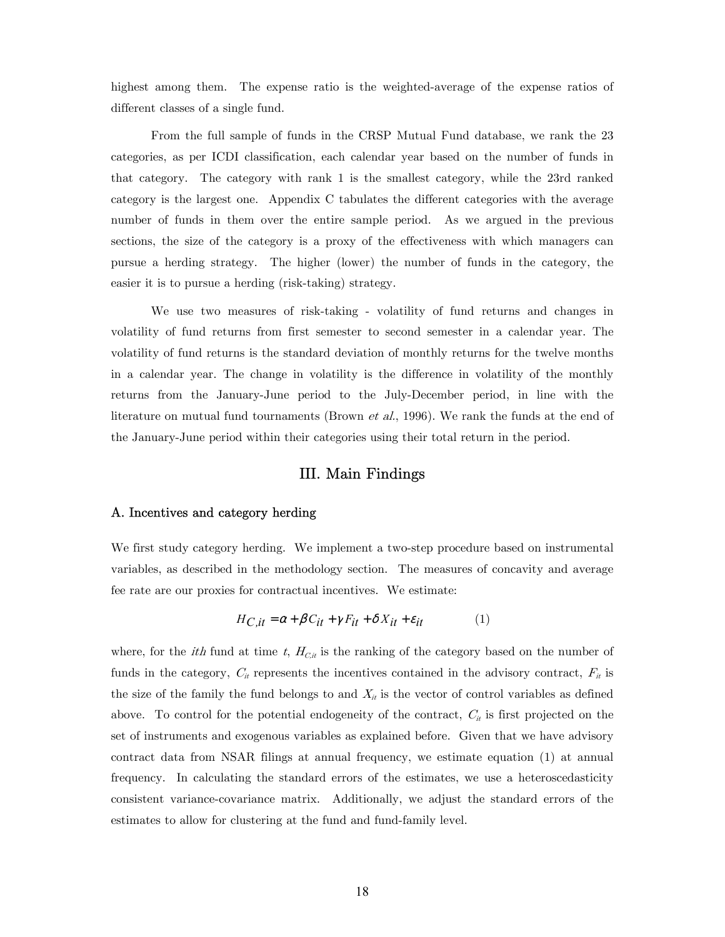highest among them. The expense ratio is the weighted-average of the expense ratios of different classes of a single fund.

From the full sample of funds in the CRSP Mutual Fund database, we rank the 23 categories, as per ICDI classification, each calendar year based on the number of funds in that category. The category with rank 1 is the smallest category, while the 23rd ranked category is the largest one. Appendix C tabulates the different categories with the average number of funds in them over the entire sample period. As we argued in the previous sections, the size of the category is a proxy of the effectiveness with which managers can pursue a herding strategy. The higher (lower) the number of funds in the category, the easier it is to pursue a herding (risk-taking) strategy.

 We use two measures of risk-taking - volatility of fund returns and changes in volatility of fund returns from first semester to second semester in a calendar year. The volatility of fund returns is the standard deviation of monthly returns for the twelve months in a calendar year. The change in volatility is the difference in volatility of the monthly returns from the January-June period to the July-December period, in line with the literature on mutual fund tournaments (Brown *et al.*, 1996). We rank the funds at the end of the January-June period within their categories using their total return in the period.

## III. Main Findings

#### A. Incentives and category herding

We first study category herding. We implement a two-step procedure based on instrumental variables, as described in the methodology section. The measures of concavity and average fee rate are our proxies for contractual incentives. We estimate:

$$
H_{C, it} = \alpha + \beta C_{it} + \gamma F_{it} + \delta X_{it} + \varepsilon_{it}
$$
 (1)

where, for the *ith* fund at time t,  $H_{C,i}$  is the ranking of the category based on the number of funds in the category,  $C_{it}$  represents the incentives contained in the advisory contract,  $F_{it}$  is the size of the family the fund belongs to and  $X_{it}$  is the vector of control variables as defined above. To control for the potential endogeneity of the contract,  $C_{it}$  is first projected on the set of instruments and exogenous variables as explained before. Given that we have advisory contract data from NSAR filings at annual frequency, we estimate equation (1) at annual frequency. In calculating the standard errors of the estimates, we use a heteroscedasticity consistent variance-covariance matrix. Additionally, we adjust the standard errors of the estimates to allow for clustering at the fund and fund-family level.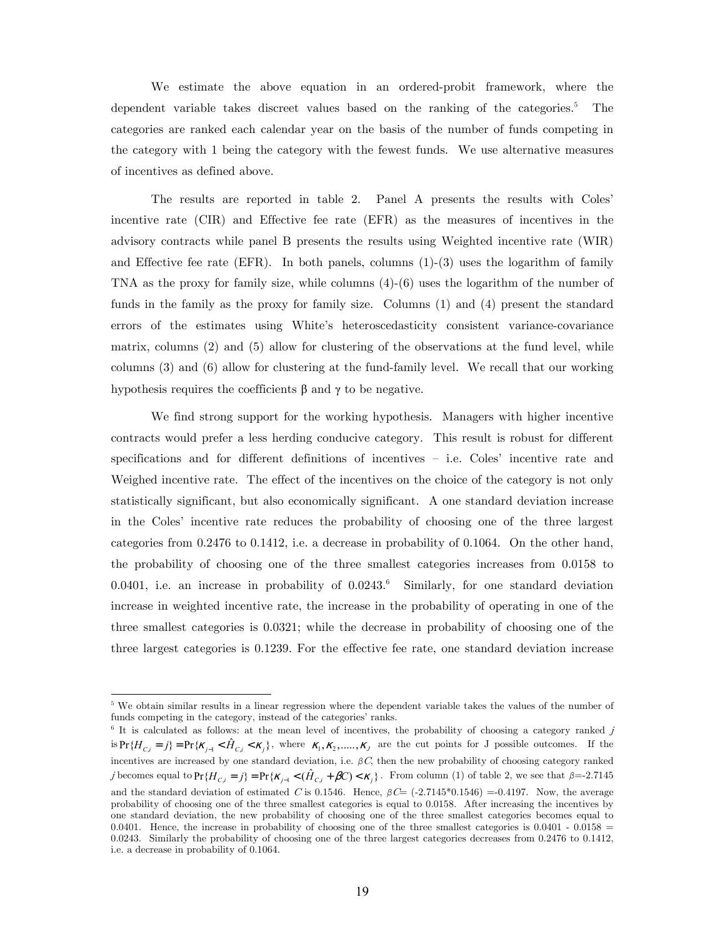We estimate the above equation in an ordered-probit framework, where the dependent variable takes discreet values based on the ranking of the categories.<sup>5</sup> The categories are ranked each calendar year on the basis of the number of funds competing in the category with 1 being the category with the fewest funds. We use alternative measures of incentives as defined above.

The results are reported in table 2. Panel A presents the results with Coles' incentive rate (CIR) and Effective fee rate (EFR) as the measures of incentives in the advisory contracts while panel B presents the results using Weighted incentive rate (WIR) and Effective fee rate (EFR). In both panels, columns  $(1)-(3)$  uses the logarithm of family TNA as the proxy for family size, while columns (4)-(6) uses the logarithm of the number of funds in the family as the proxy for family size. Columns (1) and (4) present the standard errors of the estimates using White's heteroscedasticity consistent variance-covariance matrix, columns (2) and (5) allow for clustering of the observations at the fund level, while columns (3) and (6) allow for clustering at the fund-family level. We recall that our working hypothesis requires the coefficients  $\beta$  and  $\gamma$  to be negative.

We find strong support for the working hypothesis. Managers with higher incentive contracts would prefer a less herding conducive category. This result is robust for different specifications and for different definitions of incentives — i.e. Coles' incentive rate and Weighed incentive rate. The effect of the incentives on the choice of the category is not only statistically significant, but also economically significant. A one standard deviation increase in the Coles' incentive rate reduces the probability of choosing one of the three largest categories from 0.2476 to 0.1412, i.e. a decrease in probability of 0.1064. On the other hand, the probability of choosing one of the three smallest categories increases from 0.0158 to 0.0401, i.e. an increase in probability of  $0.0243$ .<sup>6</sup> Similarly, for one standard deviation increase in weighted incentive rate, the increase in the probability of operating in one of the three smallest categories is 0.0321; while the decrease in probability of choosing one of the three largest categories is 0.1239. For the effective fee rate, one standard deviation increase

-

<sup>&</sup>lt;sup>5</sup> We obtain similar results in a linear regression where the dependent variable takes the values of the number of funds competing in the category, instead of the categories' ranks.

<sup>&</sup>lt;sup>6</sup> It is calculated as follows: at the mean level of incentives, the probability of choosing a category ranked j  $\inf \{ H_{C,i} = j \} = \Pr \{ \mathcal{K}_{i-1} < \hat{H}_{C,i} < \mathcal{K}_i \},$  where  $\mathcal{K}_1, \mathcal{K}_2, \dots, \mathcal{K}_J$  are the cut points for J possible outcomes. If the incentives are increased by one standard deviation, i.e. *β*C, then the new probability of choosing category ranked *j* becomes equal to  $Pr{H_{C,i} = j} = Pr{\kappa_{i-1} < (\hat{H}_{C,i} + \beta C) < \kappa_i}$ . From column (1) of table 2, we see that  $\beta = -2.7145$ and the standard deviation of estimated C is 0.1546. Hence,  $\beta C = (-2.7145^*0.1546) = -0.4197$ . Now, the average probability of choosing one of the three smallest categories is equal to 0.0158. After increasing the incentives by one standard deviation, the new probability of choosing one of the three smallest categories becomes equal to 0.0401. Hence, the increase in probability of choosing one of the three smallest categories is  $0.0401 - 0.0158 =$ 0.0243. Similarly the probability of choosing one of the three largest categories decreases from 0.2476 to 0.1412, i.e. a decrease in probability of 0.1064.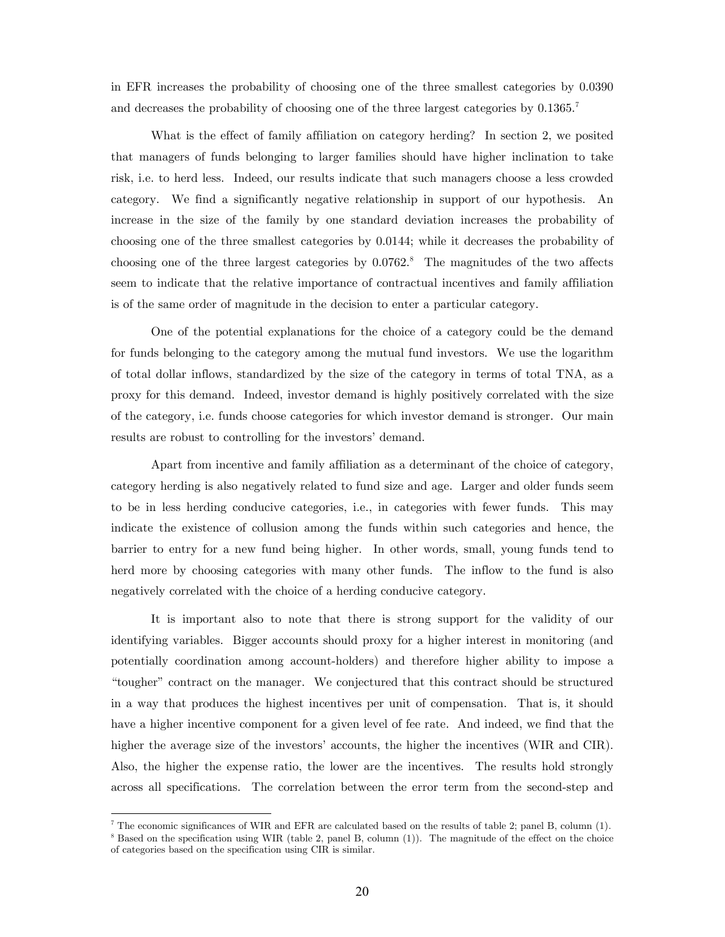in EFR increases the probability of choosing one of the three smallest categories by 0.0390 and decreases the probability of choosing one of the three largest categories by  $0.1365$ .

What is the effect of family affiliation on category herding? In section 2, we posited that managers of funds belonging to larger families should have higher inclination to take risk, i.e. to herd less. Indeed, our results indicate that such managers choose a less crowded category. We find a significantly negative relationship in support of our hypothesis. An increase in the size of the family by one standard deviation increases the probability of choosing one of the three smallest categories by 0.0144; while it decreases the probability of choosing one of the three largest categories by  $0.0762$ .<sup>8</sup> The magnitudes of the two affects seem to indicate that the relative importance of contractual incentives and family affiliation is of the same order of magnitude in the decision to enter a particular category.

One of the potential explanations for the choice of a category could be the demand for funds belonging to the category among the mutual fund investors. We use the logarithm of total dollar inflows, standardized by the size of the category in terms of total TNA, as a proxy for this demand. Indeed, investor demand is highly positively correlated with the size of the category, i.e. funds choose categories for which investor demand is stronger. Our main results are robust to controlling for the investors' demand.

Apart from incentive and family affiliation as a determinant of the choice of category, category herding is also negatively related to fund size and age. Larger and older funds seem to be in less herding conducive categories, i.e., in categories with fewer funds. This may indicate the existence of collusion among the funds within such categories and hence, the barrier to entry for a new fund being higher. In other words, small, young funds tend to herd more by choosing categories with many other funds. The inflow to the fund is also negatively correlated with the choice of a herding conducive category.

It is important also to note that there is strong support for the validity of our identifying variables. Bigger accounts should proxy for a higher interest in monitoring (and potentially coordination among account-holders) and therefore higher ability to impose a "tougher" contract on the manager. We conjectured that this contract should be structured in a way that produces the highest incentives per unit of compensation. That is, it should have a higher incentive component for a given level of fee rate. And indeed, we find that the higher the average size of the investors' accounts, the higher the incentives (WIR and CIR). Also, the higher the expense ratio, the lower are the incentives. The results hold strongly across all specifications. The correlation between the error term from the second-step and

<sup>&</sup>lt;sup>7</sup> The economic significances of WIR and EFR are calculated based on the results of table 2; panel B, column (1).  $\frac{8}{10}$  Based on the procedure with a procedure  $\frac{8}{10}$  Based on the procedure  $\frac{1}{10}$ .

 $8$  Based on the specification using WIR (table 2, panel B, column (1)). The magnitude of the effect on the choice of categories based on the specification using CIR is similar.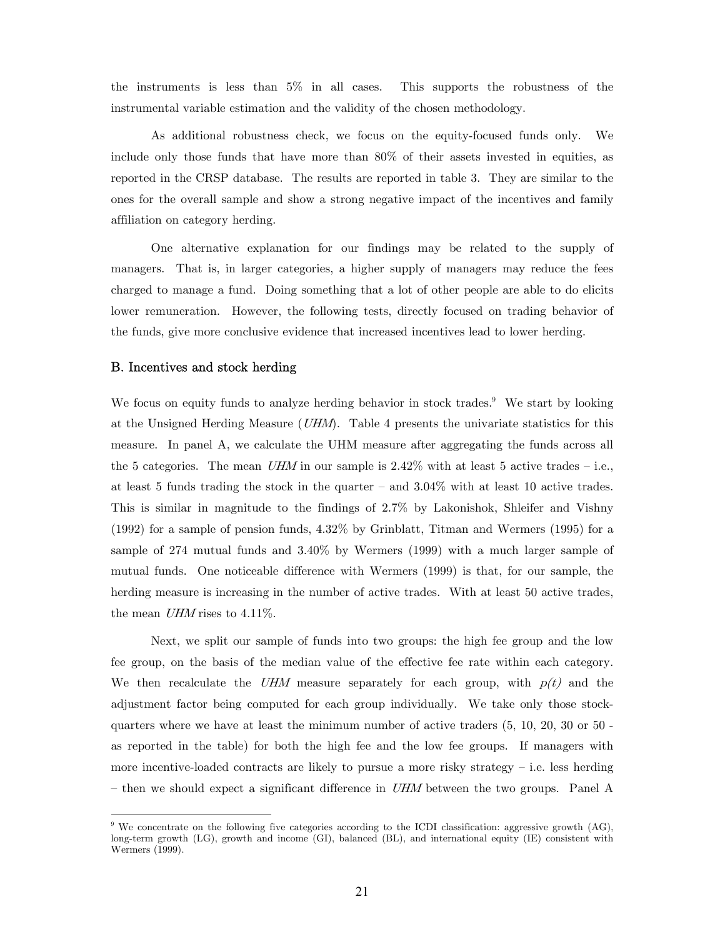the instruments is less than 5% in all cases. This supports the robustness of the instrumental variable estimation and the validity of the chosen methodology.

As additional robustness check, we focus on the equity-focused funds only. We include only those funds that have more than 80% of their assets invested in equities, as reported in the CRSP database. The results are reported in table 3. They are similar to the ones for the overall sample and show a strong negative impact of the incentives and family affiliation on category herding.

One alternative explanation for our findings may be related to the supply of managers. That is, in larger categories, a higher supply of managers may reduce the fees charged to manage a fund. Doing something that a lot of other people are able to do elicits lower remuneration. However, the following tests, directly focused on trading behavior of the funds, give more conclusive evidence that increased incentives lead to lower herding.

#### B. Incentives and stock herding

-

We focus on equity funds to analyze herding behavior in stock trades.<sup>9</sup> We start by looking at the Unsigned Herding Measure  $(UHM)$ . Table 4 presents the univariate statistics for this measure. In panel A, we calculate the UHM measure after aggregating the funds across all the 5 categories. The mean UHM in our sample is  $2.42\%$  with at least 5 active trades – i.e., at least 5 funds trading the stock in the quarter – and  $3.04\%$  with at least 10 active trades. This is similar in magnitude to the findings of 2.7% by Lakonishok, Shleifer and Vishny (1992) for a sample of pension funds, 4.32% by Grinblatt, Titman and Wermers (1995) for a sample of 274 mutual funds and 3.40% by Wermers (1999) with a much larger sample of mutual funds. One noticeable difference with Wermers (1999) is that, for our sample, the herding measure is increasing in the number of active trades. With at least 50 active trades, the mean  $UHM$  rises to 4.11%.

Next, we split our sample of funds into two groups: the high fee group and the low fee group, on the basis of the median value of the effective fee rate within each category. We then recalculate the UHM measure separately for each group, with  $p(t)$  and the adjustment factor being computed for each group individually. We take only those stockquarters where we have at least the minimum number of active traders (5, 10, 20, 30 or 50 as reported in the table) for both the high fee and the low fee groups. If managers with more incentive-loaded contracts are likely to pursue a more risky strategy — i.e. less herding – then we should expect a significant difference in  $UHM$  between the two groups. Panel A

<sup>&</sup>lt;sup>9</sup> We concentrate on the following five categories according to the ICDI classification: aggressive growth (AG), long-term growth (LG), growth and income (GI), balanced (BL), and international equity (IE) consistent with Wermers (1999).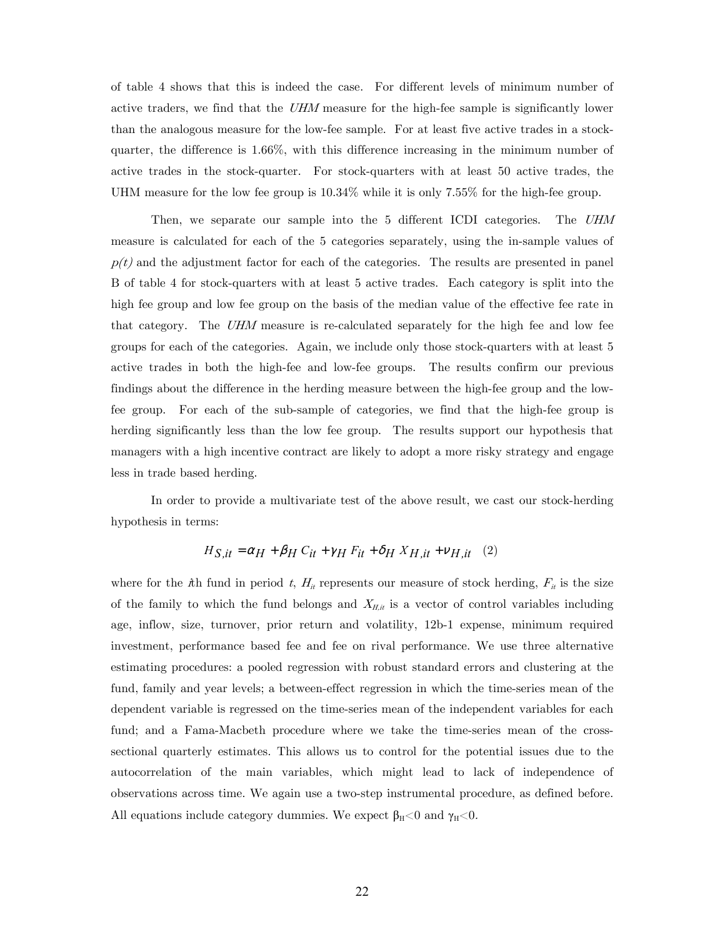of table 4 shows that this is indeed the case. For different levels of minimum number of active traders, we find that the UHM measure for the high-fee sample is significantly lower than the analogous measure for the low-fee sample. For at least five active trades in a stockquarter, the difference is 1.66%, with this difference increasing in the minimum number of active trades in the stock-quarter. For stock-quarters with at least 50 active trades, the UHM measure for the low fee group is 10.34% while it is only 7.55% for the high-fee group.

Then, we separate our sample into the 5 different ICDI categories. The UHM measure is calculated for each of the 5 categories separately, using the in-sample values of  $p(t)$  and the adjustment factor for each of the categories. The results are presented in panel B of table 4 for stock-quarters with at least 5 active trades. Each category is split into the high fee group and low fee group on the basis of the median value of the effective fee rate in that category. The UHM measure is re-calculated separately for the high fee and low fee groups for each of the categories. Again, we include only those stock-quarters with at least 5 active trades in both the high-fee and low-fee groups. The results confirm our previous findings about the difference in the herding measure between the high-fee group and the lowfee group. For each of the sub-sample of categories, we find that the high-fee group is herding significantly less than the low fee group. The results support our hypothesis that managers with a high incentive contract are likely to adopt a more risky strategy and engage less in trade based herding.

In order to provide a multivariate test of the above result, we cast our stock-herding hypothesis in terms:

$$
H_{S, it} = \alpha_H + \beta_H C_{it} + \gamma_H F_{it} + \delta_H X_{H, it} + \nu_{H, it} \quad (2)
$$

where for the *i*th fund in period t,  $H_{it}$  represents our measure of stock herding,  $F_{it}$  is the size of the family to which the fund belongs and  $X_{H,i}$  is a vector of control variables including age, inflow, size, turnover, prior return and volatility, 12b-1 expense, minimum required investment, performance based fee and fee on rival performance. We use three alternative estimating procedures: a pooled regression with robust standard errors and clustering at the fund, family and year levels; a between-effect regression in which the time-series mean of the dependent variable is regressed on the time-series mean of the independent variables for each fund; and a Fama-Macbeth procedure where we take the time-series mean of the crosssectional quarterly estimates. This allows us to control for the potential issues due to the autocorrelation of the main variables, which might lead to lack of independence of observations across time. We again use a two-step instrumental procedure, as defined before. All equations include category dummies. We expect  $\beta_H < 0$  and  $\gamma_H < 0$ .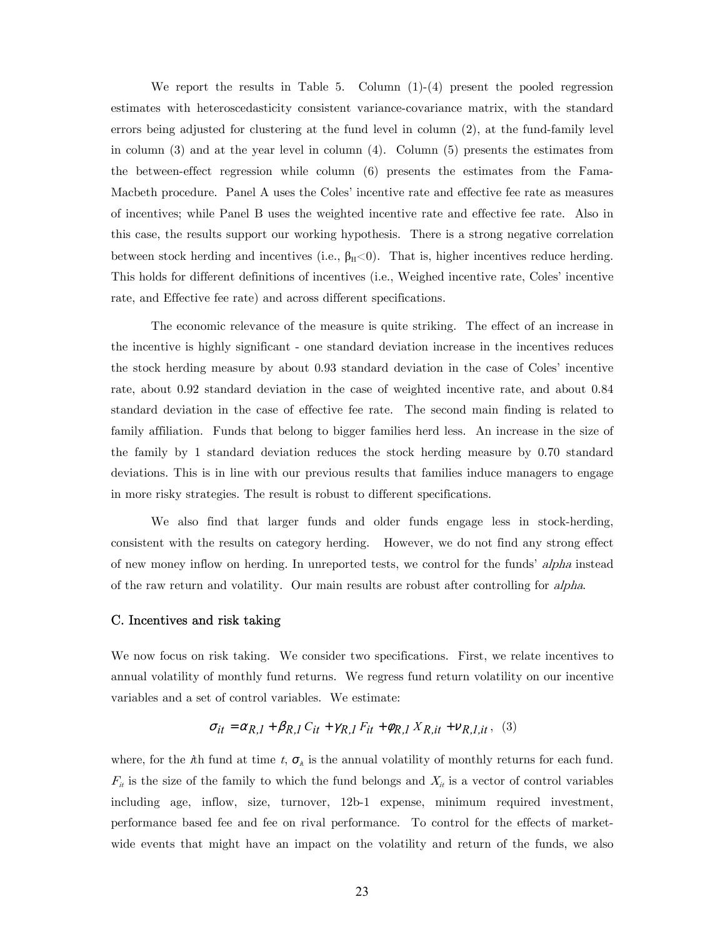We report the results in Table 5. Column (1)-(4) present the pooled regression estimates with heteroscedasticity consistent variance-covariance matrix, with the standard errors being adjusted for clustering at the fund level in column (2), at the fund-family level in column (3) and at the year level in column (4). Column (5) presents the estimates from the between-effect regression while column (6) presents the estimates from the Fama-Macbeth procedure. Panel A uses the Coles' incentive rate and effective fee rate as measures of incentives; while Panel B uses the weighted incentive rate and effective fee rate. Also in this case, the results support our working hypothesis. There is a strong negative correlation between stock herding and incentives (i.e.,  $\beta_H < 0$ ). That is, higher incentives reduce herding. This holds for different definitions of incentives (i.e., Weighed incentive rate, Coles' incentive rate, and Effective fee rate) and across different specifications.

The economic relevance of the measure is quite striking. The effect of an increase in the incentive is highly significant - one standard deviation increase in the incentives reduces the stock herding measure by about 0.93 standard deviation in the case of Coles' incentive rate, about 0.92 standard deviation in the case of weighted incentive rate, and about 0.84 standard deviation in the case of effective fee rate. The second main finding is related to family affiliation. Funds that belong to bigger families herd less. An increase in the size of the family by 1 standard deviation reduces the stock herding measure by 0.70 standard deviations. This is in line with our previous results that families induce managers to engage in more risky strategies. The result is robust to different specifications.

We also find that larger funds and older funds engage less in stock-herding, consistent with the results on category herding. However, we do not find any strong effect of new money inflow on herding. In unreported tests, we control for the funds' alpha instead of the raw return and volatility. Our main results are robust after controlling for alpha.

#### C. Incentives and risk taking

We now focus on risk taking. We consider two specifications. First, we relate incentives to annual volatility of monthly fund returns. We regress fund return volatility on our incentive variables and a set of control variables. We estimate:

$$
\sigma_{it} = \alpha_{R,I} + \beta_{R,I} C_{it} + \gamma_{R,I} F_{it} + \phi_{R,I} X_{R,it} + \nu_{R,I,it}, \quad (3)
$$

where, for the *i*th fund at time t,  $\sigma_{\lambda}$  is the annual volatility of monthly returns for each fund.  $F_{it}$  is the size of the family to which the fund belongs and  $X_{it}$  is a vector of control variables including age, inflow, size, turnover, 12b-1 expense, minimum required investment, performance based fee and fee on rival performance. To control for the effects of marketwide events that might have an impact on the volatility and return of the funds, we also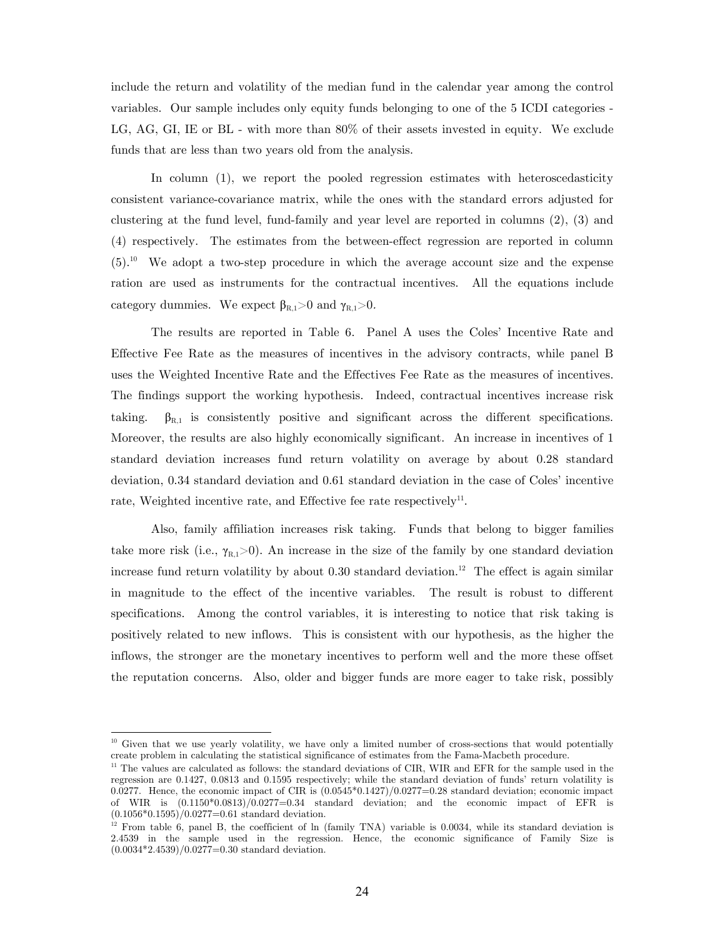include the return and volatility of the median fund in the calendar year among the control variables. Our sample includes only equity funds belonging to one of the 5 ICDI categories - LG, AG, GI, IE or BL - with more than 80% of their assets invested in equity. We exclude funds that are less than two years old from the analysis.

In column (1), we report the pooled regression estimates with heteroscedasticity consistent variance-covariance matrix, while the ones with the standard errors adjusted for clustering at the fund level, fund-family and year level are reported in columns (2), (3) and (4) respectively. The estimates from the between-effect regression are reported in column  $(5).$ <sup>10</sup> We adopt a two-step procedure in which the average account size and the expense ration are used as instruments for the contractual incentives. All the equations include category dummies. We expect  $\beta_{R,1}>0$  and  $\gamma_{R,1}>0$ .

The results are reported in Table 6. Panel A uses the Coles' Incentive Rate and Effective Fee Rate as the measures of incentives in the advisory contracts, while panel B uses the Weighted Incentive Rate and the Effectives Fee Rate as the measures of incentives. The findings support the working hypothesis. Indeed, contractual incentives increase risk taking.  $\beta_{R,1}$  is consistently positive and significant across the different specifications. Moreover, the results are also highly economically significant. An increase in incentives of 1 standard deviation increases fund return volatility on average by about 0.28 standard deviation, 0.34 standard deviation and 0.61 standard deviation in the case of Coles' incentive rate, Weighted incentive rate, and Effective fee rate respectively<sup>11</sup>.

Also, family affiliation increases risk taking. Funds that belong to bigger families take more risk (i.e.,  $\gamma_{R,1} > 0$ ). An increase in the size of the family by one standard deviation increase fund return volatility by about  $0.30$  standard deviation.<sup>12</sup> The effect is again similar in magnitude to the effect of the incentive variables. The result is robust to different specifications. Among the control variables, it is interesting to notice that risk taking is positively related to new inflows. This is consistent with our hypothesis, as the higher the inflows, the stronger are the monetary incentives to perform well and the more these offset the reputation concerns. Also, older and bigger funds are more eager to take risk, possibly

-

<sup>&</sup>lt;sup>10</sup> Given that we use yearly volatility, we have only a limited number of cross-sections that would potentially create problem in calculating the statistical significance of estimates from the Fama-Macbeth procedure.

 $11$  The values are calculated as follows: the standard deviations of CIR, WIR and EFR for the sample used in the regression are 0.1427, 0.0813 and 0.1595 respectively; while the standard deviation of funds' return volatility is 0.0277. Hence, the economic impact of CIR is  $(0.0545*0.1427)/0.0277=0.28$  standard deviation; economic impact of WIR is  $(0.1150*0.0813)/0.0277=0.34$  standard deviation; and the economic impact of EFR is  $(0.1056*0.1595)/0.0277=0.61$  standard deviation.

 $12$  From table 6, panel B, the coefficient of ln (family TNA) variable is 0.0034, while its standard deviation is 2.4539 in the sample used in the regression. Hence, the economic significance of Family Size is  $(0.0034*2.4539)/0.0277=0.30$  standard deviation.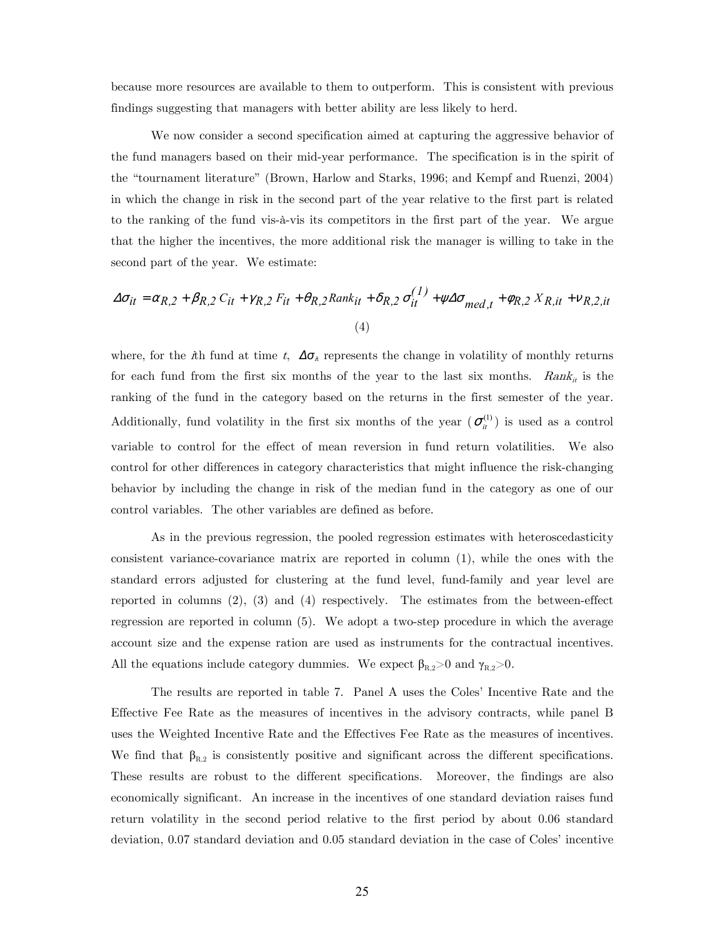because more resources are available to them to outperform. This is consistent with previous findings suggesting that managers with better ability are less likely to herd.

We now consider a second specification aimed at capturing the aggressive behavior of the fund managers based on their mid-year performance. The specification is in the spirit of the "tournament literature" (Brown, Harlow and Starks, 1996; and Kempf and Ruenzi, 2004) in which the change in risk in the second part of the year relative to the first part is related to the ranking of the fund vis-à-vis its competitors in the first part of the year. We argue that the higher the incentives, the more additional risk the manager is willing to take in the second part of the year. We estimate:

$$
\Delta \sigma_{it} = \alpha_{R,2} + \beta_{R,2} C_{it} + \gamma_{R,2} F_{it} + \theta_{R,2} Rank_{it} + \delta_{R,2} \sigma_{it}^{(1)} + \psi \Delta \sigma_{med,t} + \phi_{R,2} X_{R,it} + \psi_{R,2,it}
$$
\n
$$
(4)
$$

where, for the *i*th fund at time t,  $\Delta \sigma_{\lambda}$  represents the change in volatility of monthly returns for each fund from the first six months of the year to the last six months.  $Rank_{it}$  is the ranking of the fund in the category based on the returns in the first semester of the year. Additionally, fund volatility in the first six months of the year  $(\sigma_i^{(1)})$  is used as a control variable to control for the effect of mean reversion in fund return volatilities. We also control for other differences in category characteristics that might influence the risk-changing behavior by including the change in risk of the median fund in the category as one of our control variables. The other variables are defined as before.

As in the previous regression, the pooled regression estimates with heteroscedasticity consistent variance-covariance matrix are reported in column (1), while the ones with the standard errors adjusted for clustering at the fund level, fund-family and year level are reported in columns  $(2)$ ,  $(3)$  and  $(4)$  respectively. The estimates from the between-effect regression are reported in column (5). We adopt a two-step procedure in which the average account size and the expense ration are used as instruments for the contractual incentives. All the equations include category dummies. We expect  $\beta_{R,2}{>}0$  and  $\gamma_{R,2}{>}0.$ 

The results are reported in table 7. Panel A uses the Coles' Incentive Rate and the Effective Fee Rate as the measures of incentives in the advisory contracts, while panel B uses the Weighted Incentive Rate and the Effectives Fee Rate as the measures of incentives. We find that  $\beta_{R,2}$  is consistently positive and significant across the different specifications. These results are robust to the different specifications. Moreover, the findings are also economically significant. An increase in the incentives of one standard deviation raises fund return volatility in the second period relative to the first period by about 0.06 standard deviation, 0.07 standard deviation and 0.05 standard deviation in the case of Coles' incentive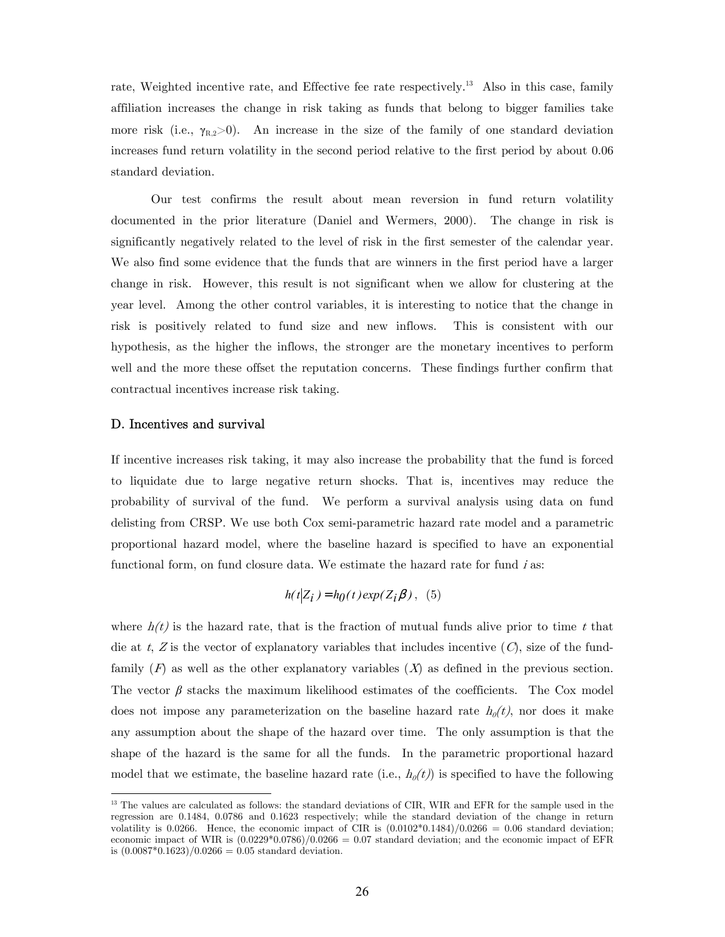rate, Weighted incentive rate, and Effective fee rate respectively.<sup>13</sup> Also in this case, family affiliation increases the change in risk taking as funds that belong to bigger families take more risk (i.e.,  $\gamma_{R,2}>0$ ). An increase in the size of the family of one standard deviation increases fund return volatility in the second period relative to the first period by about 0.06 standard deviation.

Our test confirms the result about mean reversion in fund return volatility documented in the prior literature (Daniel and Wermers, 2000). The change in risk is significantly negatively related to the level of risk in the first semester of the calendar year. We also find some evidence that the funds that are winners in the first period have a larger change in risk. However, this result is not significant when we allow for clustering at the year level. Among the other control variables, it is interesting to notice that the change in risk is positively related to fund size and new inflows. This is consistent with our hypothesis, as the higher the inflows, the stronger are the monetary incentives to perform well and the more these offset the reputation concerns. These findings further confirm that contractual incentives increase risk taking.

#### D. Incentives and survival

-

If incentive increases risk taking, it may also increase the probability that the fund is forced to liquidate due to large negative return shocks. That is, incentives may reduce the probability of survival of the fund. We perform a survival analysis using data on fund delisting from CRSP. We use both Cox semi-parametric hazard rate model and a parametric proportional hazard model, where the baseline hazard is specified to have an exponential functional form, on fund closure data. We estimate the hazard rate for fund  $i$  as:

$$
h(t|Z_i) = h_0(t) \exp(Z_i \beta), \quad (5)
$$

where  $h(t)$  is the hazard rate, that is the fraction of mutual funds alive prior to time t that die at t, Z is the vector of explanatory variables that includes incentive  $(C)$ , size of the fundfamily  $(F)$  as well as the other explanatory variables  $(X)$  as defined in the previous section. The vector  $\beta$  stacks the maximum likelihood estimates of the coefficients. The Cox model does not impose any parameterization on the baseline hazard rate  $h_{\theta}(t)$ , nor does it make any assumption about the shape of the hazard over time. The only assumption is that the shape of the hazard is the same for all the funds. In the parametric proportional hazard model that we estimate, the baseline hazard rate (i.e.,  $h_{\theta}(t)$ ) is specified to have the following

<sup>&</sup>lt;sup>13</sup> The values are calculated as follows: the standard deviations of CIR, WIR and EFR for the sample used in the regression are 0.1484, 0.0786 and 0.1623 respectively; while the standard deviation of the change in return volatility is 0.0266. Hence, the economic impact of CIR is  $(0.0102*0.1484)/0.0266 = 0.06$  standard deviation; economic impact of WIR is  $(0.0229^*0.0786)/0.0266 = 0.07$  standard deviation; and the economic impact of EFR is  $(0.0087*0.1623)/0.0266 = 0.05$  standard deviation.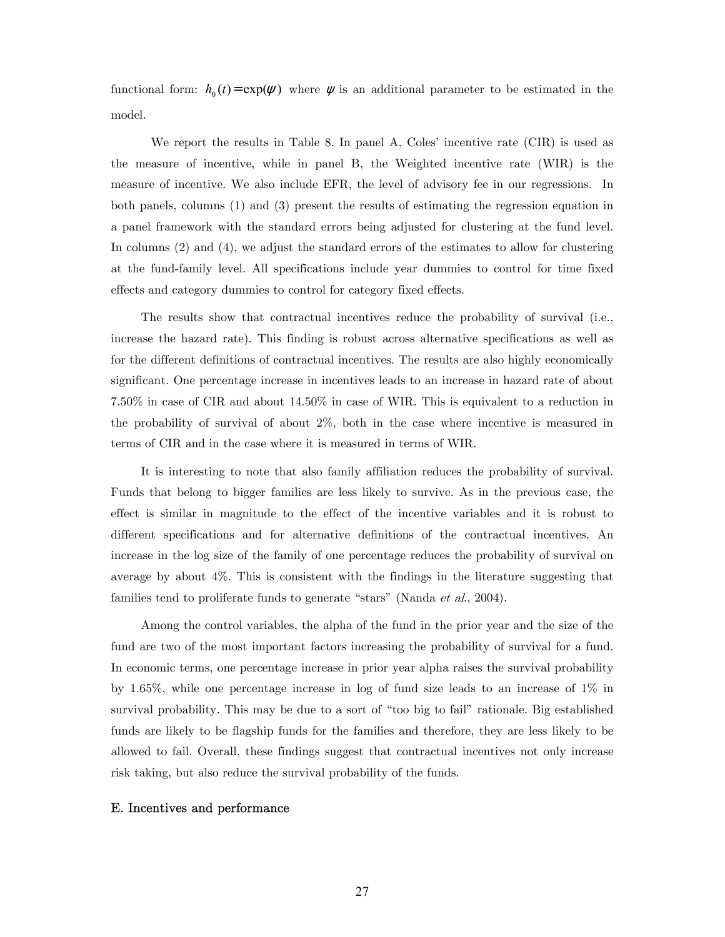functional form:  $h_0(t) = \exp(\psi)$  where  $\psi$  is an additional parameter to be estimated in the model.

We report the results in Table 8. In panel A, Coles' incentive rate (CIR) is used as the measure of incentive, while in panel B, the Weighted incentive rate (WIR) is the measure of incentive. We also include EFR, the level of advisory fee in our regressions. In both panels, columns (1) and (3) present the results of estimating the regression equation in a panel framework with the standard errors being adjusted for clustering at the fund level. In columns (2) and (4), we adjust the standard errors of the estimates to allow for clustering at the fund-family level. All specifications include year dummies to control for time fixed effects and category dummies to control for category fixed effects.

The results show that contractual incentives reduce the probability of survival (i.e., increase the hazard rate). This finding is robust across alternative specifications as well as for the different definitions of contractual incentives. The results are also highly economically significant. One percentage increase in incentives leads to an increase in hazard rate of about 7.50% in case of CIR and about 14.50% in case of WIR. This is equivalent to a reduction in the probability of survival of about 2%, both in the case where incentive is measured in terms of CIR and in the case where it is measured in terms of WIR.

It is interesting to note that also family affiliation reduces the probability of survival. Funds that belong to bigger families are less likely to survive. As in the previous case, the effect is similar in magnitude to the effect of the incentive variables and it is robust to different specifications and for alternative definitions of the contractual incentives. An increase in the log size of the family of one percentage reduces the probability of survival on average by about 4%. This is consistent with the findings in the literature suggesting that families tend to proliferate funds to generate "stars" (Nanda et al., 2004).

Among the control variables, the alpha of the fund in the prior year and the size of the fund are two of the most important factors increasing the probability of survival for a fund. In economic terms, one percentage increase in prior year alpha raises the survival probability by 1.65%, while one percentage increase in log of fund size leads to an increase of 1% in survival probability. This may be due to a sort of "too big to fail" rationale. Big established funds are likely to be flagship funds for the families and therefore, they are less likely to be allowed to fail. Overall, these findings suggest that contractual incentives not only increase risk taking, but also reduce the survival probability of the funds.

#### E. Incentives and performance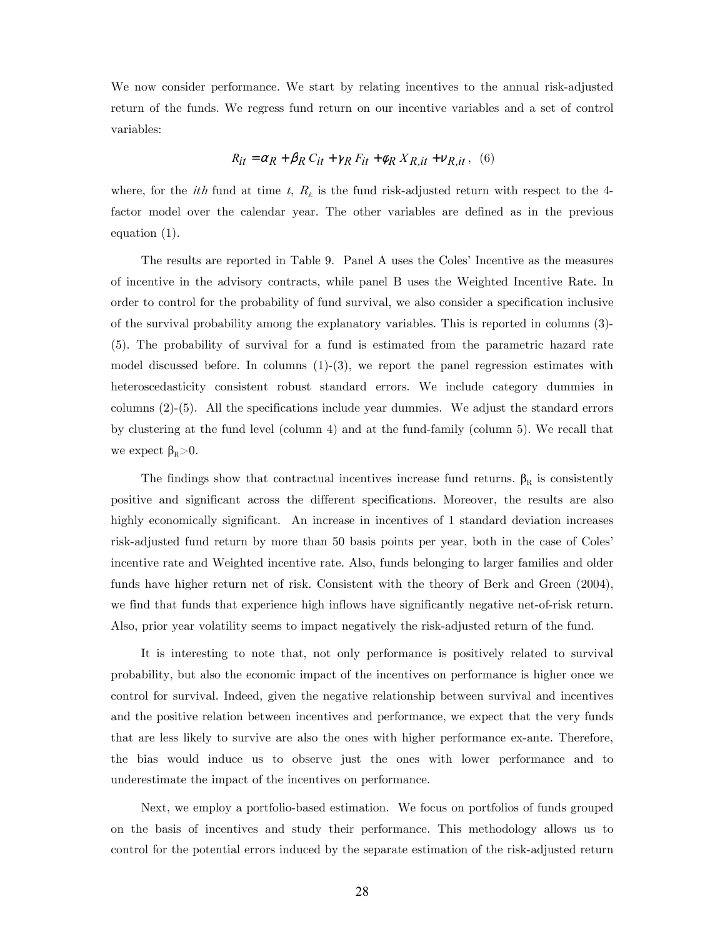We now consider performance. We start by relating incentives to the annual risk-adjusted return of the funds. We regress fund return on our incentive variables and a set of control variables:

$$
R_{it} = \alpha_R + \beta_R C_{it} + \gamma_R F_{it} + \phi_R X_{R, it} + v_{R, it} , \quad (6)
$$

where, for the *ith* fund at time t,  $R_{\hat{\theta}}$  is the fund risk-adjusted return with respect to the 4factor model over the calendar year. The other variables are defined as in the previous equation (1).

The results are reported in Table 9. Panel A uses the Coles' Incentive as the measures of incentive in the advisory contracts, while panel B uses the Weighted Incentive Rate. In order to control for the probability of fund survival, we also consider a specification inclusive of the survival probability among the explanatory variables. This is reported in columns (3)- (5). The probability of survival for a fund is estimated from the parametric hazard rate model discussed before. In columns  $(1)-(3)$ , we report the panel regression estimates with heteroscedasticity consistent robust standard errors. We include category dummies in columns (2)-(5). All the specifications include year dummies. We adjust the standard errors by clustering at the fund level (column 4) and at the fund-family (column 5). We recall that we expect  $\beta_R>0$ .

The findings show that contractual incentives increase fund returns.  $\beta_R$  is consistently positive and significant across the different specifications. Moreover, the results are also highly economically significant. An increase in incentives of 1 standard deviation increases risk-adjusted fund return by more than 50 basis points per year, both in the case of Coles' incentive rate and Weighted incentive rate. Also, funds belonging to larger families and older funds have higher return net of risk. Consistent with the theory of Berk and Green (2004), we find that funds that experience high inflows have significantly negative net-of-risk return. Also, prior year volatility seems to impact negatively the risk-adjusted return of the fund.

It is interesting to note that, not only performance is positively related to survival probability, but also the economic impact of the incentives on performance is higher once we control for survival. Indeed, given the negative relationship between survival and incentives and the positive relation between incentives and performance, we expect that the very funds that are less likely to survive are also the ones with higher performance ex-ante. Therefore, the bias would induce us to observe just the ones with lower performance and to underestimate the impact of the incentives on performance.

Next, we employ a portfolio-based estimation. We focus on portfolios of funds grouped on the basis of incentives and study their performance. This methodology allows us to control for the potential errors induced by the separate estimation of the risk-adjusted return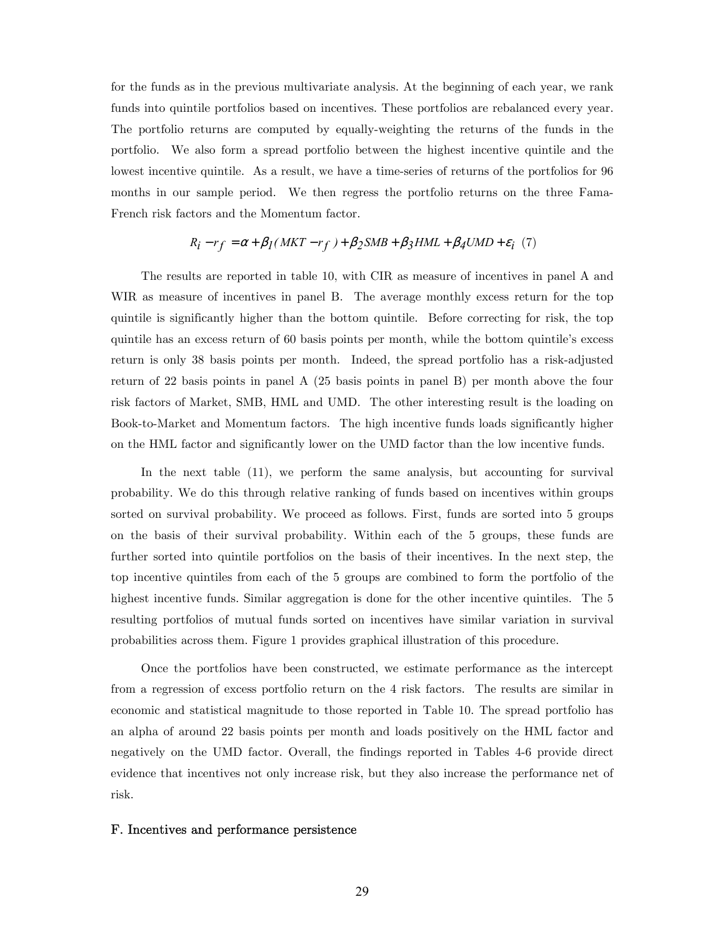for the funds as in the previous multivariate analysis. At the beginning of each year, we rank funds into quintile portfolios based on incentives. These portfolios are rebalanced every year. The portfolio returns are computed by equally-weighting the returns of the funds in the portfolio. We also form a spread portfolio between the highest incentive quintile and the lowest incentive quintile. As a result, we have a time-series of returns of the portfolios for 96 months in our sample period. We then regress the portfolio returns on the three Fama-French risk factors and the Momentum factor.

# $R_i - rf = \alpha + \beta_I (MKT - rf) + \beta_2 SMB + \beta_3 HML + \beta_4 UMD + \varepsilon_i$  (7)

The results are reported in table 10, with CIR as measure of incentives in panel A and WIR as measure of incentives in panel B. The average monthly excess return for the top quintile is significantly higher than the bottom quintile. Before correcting for risk, the top quintile has an excess return of 60 basis points per month, while the bottom quintile's excess return is only 38 basis points per month. Indeed, the spread portfolio has a risk-adjusted return of 22 basis points in panel A (25 basis points in panel B) per month above the four risk factors of Market, SMB, HML and UMD. The other interesting result is the loading on Book-to-Market and Momentum factors. The high incentive funds loads significantly higher on the HML factor and significantly lower on the UMD factor than the low incentive funds.

In the next table (11), we perform the same analysis, but accounting for survival probability. We do this through relative ranking of funds based on incentives within groups sorted on survival probability. We proceed as follows. First, funds are sorted into 5 groups on the basis of their survival probability. Within each of the 5 groups, these funds are further sorted into quintile portfolios on the basis of their incentives. In the next step, the top incentive quintiles from each of the 5 groups are combined to form the portfolio of the highest incentive funds. Similar aggregation is done for the other incentive quintiles. The 5 resulting portfolios of mutual funds sorted on incentives have similar variation in survival probabilities across them. Figure 1 provides graphical illustration of this procedure.

Once the portfolios have been constructed, we estimate performance as the intercept from a regression of excess portfolio return on the 4 risk factors. The results are similar in economic and statistical magnitude to those reported in Table 10. The spread portfolio has an alpha of around 22 basis points per month and loads positively on the HML factor and negatively on the UMD factor. Overall, the findings reported in Tables 4-6 provide direct evidence that incentives not only increase risk, but they also increase the performance net of risk.

#### F. Incentives and performance persistence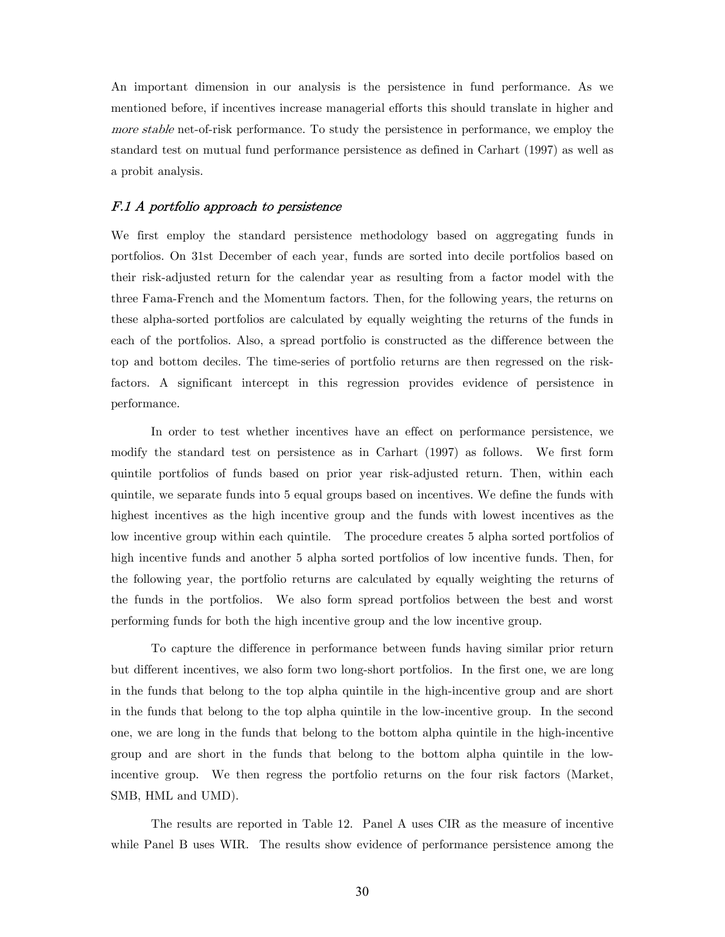An important dimension in our analysis is the persistence in fund performance. As we mentioned before, if incentives increase managerial efforts this should translate in higher and more stable net-of-risk performance. To study the persistence in performance, we employ the standard test on mutual fund performance persistence as defined in Carhart (1997) as well as a probit analysis.

#### F.1 A portfolio approach to persistence

We first employ the standard persistence methodology based on aggregating funds in portfolios. On 31st December of each year, funds are sorted into decile portfolios based on their risk-adjusted return for the calendar year as resulting from a factor model with the three Fama-French and the Momentum factors. Then, for the following years, the returns on these alpha-sorted portfolios are calculated by equally weighting the returns of the funds in each of the portfolios. Also, a spread portfolio is constructed as the difference between the top and bottom deciles. The time-series of portfolio returns are then regressed on the riskfactors. A significant intercept in this regression provides evidence of persistence in performance.

 In order to test whether incentives have an effect on performance persistence, we modify the standard test on persistence as in Carhart (1997) as follows. We first form quintile portfolios of funds based on prior year risk-adjusted return. Then, within each quintile, we separate funds into 5 equal groups based on incentives. We define the funds with highest incentives as the high incentive group and the funds with lowest incentives as the low incentive group within each quintile. The procedure creates 5 alpha sorted portfolios of high incentive funds and another 5 alpha sorted portfolios of low incentive funds. Then, for the following year, the portfolio returns are calculated by equally weighting the returns of the funds in the portfolios. We also form spread portfolios between the best and worst performing funds for both the high incentive group and the low incentive group.

To capture the difference in performance between funds having similar prior return but different incentives, we also form two long-short portfolios. In the first one, we are long in the funds that belong to the top alpha quintile in the high-incentive group and are short in the funds that belong to the top alpha quintile in the low-incentive group. In the second one, we are long in the funds that belong to the bottom alpha quintile in the high-incentive group and are short in the funds that belong to the bottom alpha quintile in the lowincentive group. We then regress the portfolio returns on the four risk factors (Market, SMB, HML and UMD).

 The results are reported in Table 12. Panel A uses CIR as the measure of incentive while Panel B uses WIR. The results show evidence of performance persistence among the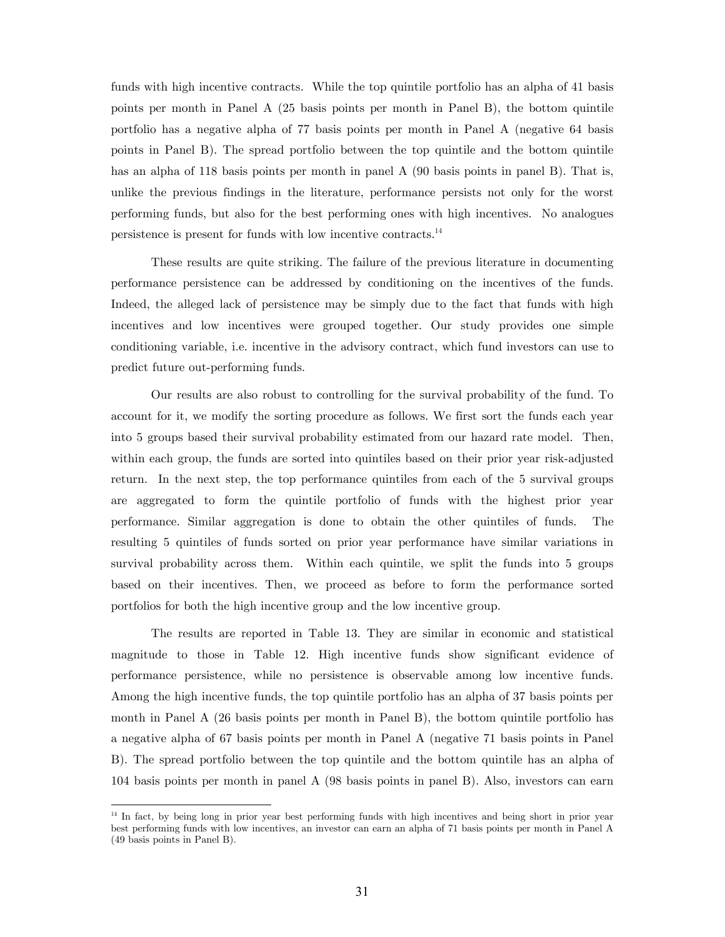funds with high incentive contracts. While the top quintile portfolio has an alpha of 41 basis points per month in Panel A (25 basis points per month in Panel B), the bottom quintile portfolio has a negative alpha of 77 basis points per month in Panel A (negative 64 basis points in Panel B). The spread portfolio between the top quintile and the bottom quintile has an alpha of 118 basis points per month in panel A (90 basis points in panel B). That is, unlike the previous findings in the literature, performance persists not only for the worst performing funds, but also for the best performing ones with high incentives. No analogues persistence is present for funds with low incentive contracts.14

 These results are quite striking. The failure of the previous literature in documenting performance persistence can be addressed by conditioning on the incentives of the funds. Indeed, the alleged lack of persistence may be simply due to the fact that funds with high incentives and low incentives were grouped together. Our study provides one simple conditioning variable, i.e. incentive in the advisory contract, which fund investors can use to predict future out-performing funds.

 Our results are also robust to controlling for the survival probability of the fund. To account for it, we modify the sorting procedure as follows. We first sort the funds each year into 5 groups based their survival probability estimated from our hazard rate model. Then, within each group, the funds are sorted into quintiles based on their prior year risk-adjusted return. In the next step, the top performance quintiles from each of the 5 survival groups are aggregated to form the quintile portfolio of funds with the highest prior year performance. Similar aggregation is done to obtain the other quintiles of funds. The resulting 5 quintiles of funds sorted on prior year performance have similar variations in survival probability across them. Within each quintile, we split the funds into 5 groups based on their incentives. Then, we proceed as before to form the performance sorted portfolios for both the high incentive group and the low incentive group.

 The results are reported in Table 13. They are similar in economic and statistical magnitude to those in Table 12. High incentive funds show significant evidence of performance persistence, while no persistence is observable among low incentive funds. Among the high incentive funds, the top quintile portfolio has an alpha of 37 basis points per month in Panel A (26 basis points per month in Panel B), the bottom quintile portfolio has a negative alpha of 67 basis points per month in Panel A (negative 71 basis points in Panel B). The spread portfolio between the top quintile and the bottom quintile has an alpha of 104 basis points per month in panel A (98 basis points in panel B). Also, investors can earn

-

<sup>&</sup>lt;sup>14</sup> In fact, by being long in prior year best performing funds with high incentives and being short in prior year best performing funds with low incentives, an investor can earn an alpha of 71 basis points per month in Panel A (49 basis points in Panel B).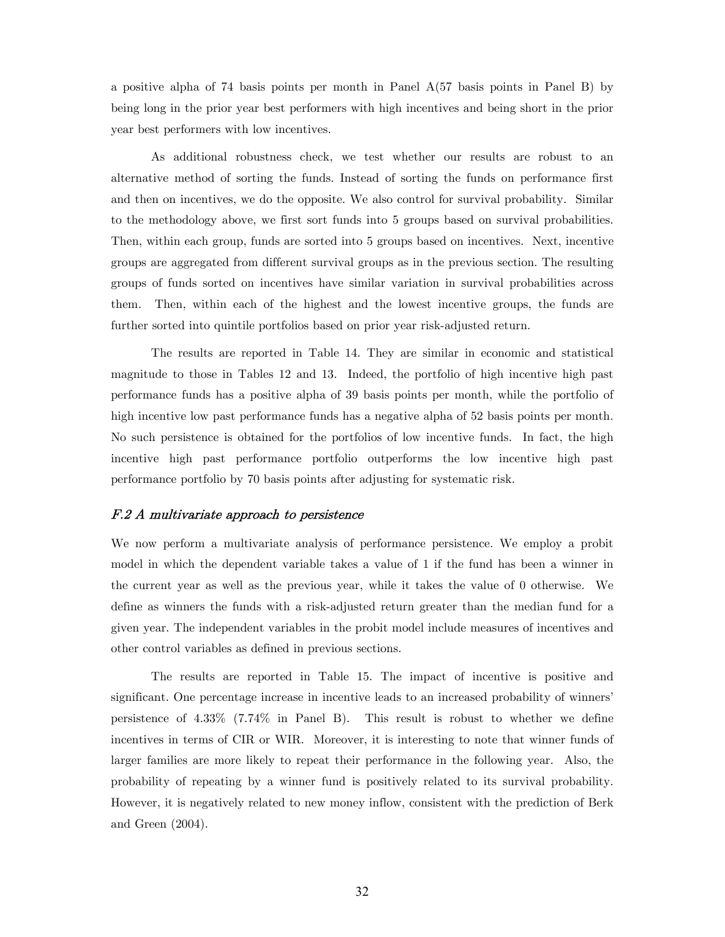a positive alpha of 74 basis points per month in Panel A(57 basis points in Panel B) by being long in the prior year best performers with high incentives and being short in the prior year best performers with low incentives.

 As additional robustness check, we test whether our results are robust to an alternative method of sorting the funds. Instead of sorting the funds on performance first and then on incentives, we do the opposite. We also control for survival probability. Similar to the methodology above, we first sort funds into 5 groups based on survival probabilities. Then, within each group, funds are sorted into 5 groups based on incentives. Next, incentive groups are aggregated from different survival groups as in the previous section. The resulting groups of funds sorted on incentives have similar variation in survival probabilities across them. Then, within each of the highest and the lowest incentive groups, the funds are further sorted into quintile portfolios based on prior year risk-adjusted return.

 The results are reported in Table 14. They are similar in economic and statistical magnitude to those in Tables 12 and 13. Indeed, the portfolio of high incentive high past performance funds has a positive alpha of 39 basis points per month, while the portfolio of high incentive low past performance funds has a negative alpha of 52 basis points per month. No such persistence is obtained for the portfolios of low incentive funds. In fact, the high incentive high past performance portfolio outperforms the low incentive high past performance portfolio by 70 basis points after adjusting for systematic risk.

#### F.2 A multivariate approach to persistence

We now perform a multivariate analysis of performance persistence. We employ a probit model in which the dependent variable takes a value of 1 if the fund has been a winner in the current year as well as the previous year, while it takes the value of 0 otherwise. We define as winners the funds with a risk-adjusted return greater than the median fund for a given year. The independent variables in the probit model include measures of incentives and other control variables as defined in previous sections.

The results are reported in Table 15. The impact of incentive is positive and significant. One percentage increase in incentive leads to an increased probability of winners' persistence of 4.33% (7.74% in Panel B). This result is robust to whether we define incentives in terms of CIR or WIR. Moreover, it is interesting to note that winner funds of larger families are more likely to repeat their performance in the following year. Also, the probability of repeating by a winner fund is positively related to its survival probability. However, it is negatively related to new money inflow, consistent with the prediction of Berk and Green (2004).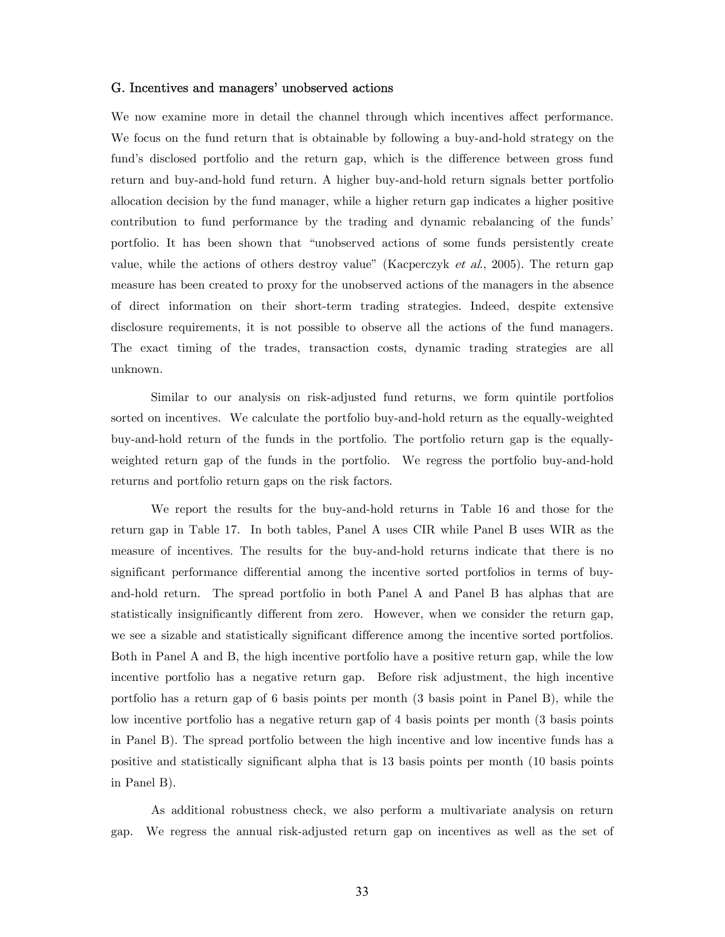#### G. Incentives and managers' unobserved actions

We now examine more in detail the channel through which incentives affect performance. We focus on the fund return that is obtainable by following a buy-and-hold strategy on the fund's disclosed portfolio and the return gap, which is the difference between gross fund return and buy-and-hold fund return. A higher buy-and-hold return signals better portfolio allocation decision by the fund manager, while a higher return gap indicates a higher positive contribution to fund performance by the trading and dynamic rebalancing of the funds' portfolio. It has been shown that "unobserved actions of some funds persistently create value, while the actions of others destroy value" (Kacperczyk et al., 2005). The return gap measure has been created to proxy for the unobserved actions of the managers in the absence of direct information on their short-term trading strategies. Indeed, despite extensive disclosure requirements, it is not possible to observe all the actions of the fund managers. The exact timing of the trades, transaction costs, dynamic trading strategies are all unknown.

Similar to our analysis on risk-adjusted fund returns, we form quintile portfolios sorted on incentives. We calculate the portfolio buy-and-hold return as the equally-weighted buy-and-hold return of the funds in the portfolio. The portfolio return gap is the equallyweighted return gap of the funds in the portfolio. We regress the portfolio buy-and-hold returns and portfolio return gaps on the risk factors.

We report the results for the buy-and-hold returns in Table 16 and those for the return gap in Table 17. In both tables, Panel A uses CIR while Panel B uses WIR as the measure of incentives. The results for the buy-and-hold returns indicate that there is no significant performance differential among the incentive sorted portfolios in terms of buyand-hold return. The spread portfolio in both Panel A and Panel B has alphas that are statistically insignificantly different from zero. However, when we consider the return gap, we see a sizable and statistically significant difference among the incentive sorted portfolios. Both in Panel A and B, the high incentive portfolio have a positive return gap, while the low incentive portfolio has a negative return gap. Before risk adjustment, the high incentive portfolio has a return gap of 6 basis points per month (3 basis point in Panel B), while the low incentive portfolio has a negative return gap of 4 basis points per month (3 basis points in Panel B). The spread portfolio between the high incentive and low incentive funds has a positive and statistically significant alpha that is 13 basis points per month (10 basis points in Panel B).

As additional robustness check, we also perform a multivariate analysis on return gap. We regress the annual risk-adjusted return gap on incentives as well as the set of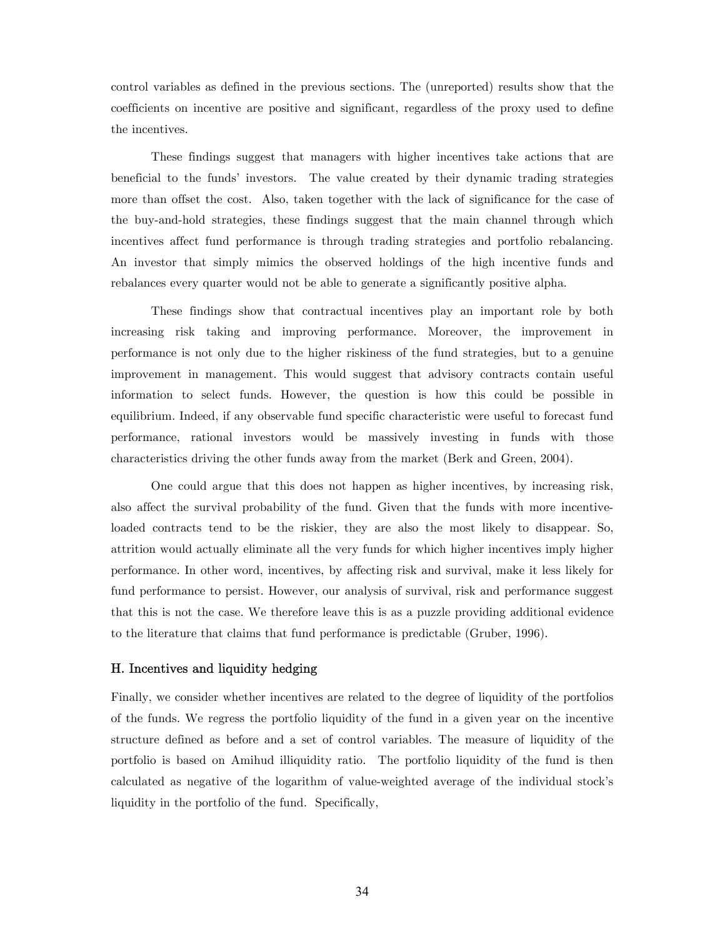control variables as defined in the previous sections. The (unreported) results show that the coefficients on incentive are positive and significant, regardless of the proxy used to define the incentives.

 These findings suggest that managers with higher incentives take actions that are beneficial to the funds' investors. The value created by their dynamic trading strategies more than offset the cost. Also, taken together with the lack of significance for the case of the buy-and-hold strategies, these findings suggest that the main channel through which incentives affect fund performance is through trading strategies and portfolio rebalancing. An investor that simply mimics the observed holdings of the high incentive funds and rebalances every quarter would not be able to generate a significantly positive alpha.

These findings show that contractual incentives play an important role by both increasing risk taking and improving performance. Moreover, the improvement in performance is not only due to the higher riskiness of the fund strategies, but to a genuine improvement in management. This would suggest that advisory contracts contain useful information to select funds. However, the question is how this could be possible in equilibrium. Indeed, if any observable fund specific characteristic were useful to forecast fund performance, rational investors would be massively investing in funds with those characteristics driving the other funds away from the market (Berk and Green, 2004).

One could argue that this does not happen as higher incentives, by increasing risk, also affect the survival probability of the fund. Given that the funds with more incentiveloaded contracts tend to be the riskier, they are also the most likely to disappear. So, attrition would actually eliminate all the very funds for which higher incentives imply higher performance. In other word, incentives, by affecting risk and survival, make it less likely for fund performance to persist. However, our analysis of survival, risk and performance suggest that this is not the case. We therefore leave this is as a puzzle providing additional evidence to the literature that claims that fund performance is predictable (Gruber, 1996).

#### H. Incentives and liquidity hedging

Finally, we consider whether incentives are related to the degree of liquidity of the portfolios of the funds. We regress the portfolio liquidity of the fund in a given year on the incentive structure defined as before and a set of control variables. The measure of liquidity of the portfolio is based on Amihud illiquidity ratio. The portfolio liquidity of the fund is then calculated as negative of the logarithm of value-weighted average of the individual stock's liquidity in the portfolio of the fund. Specifically,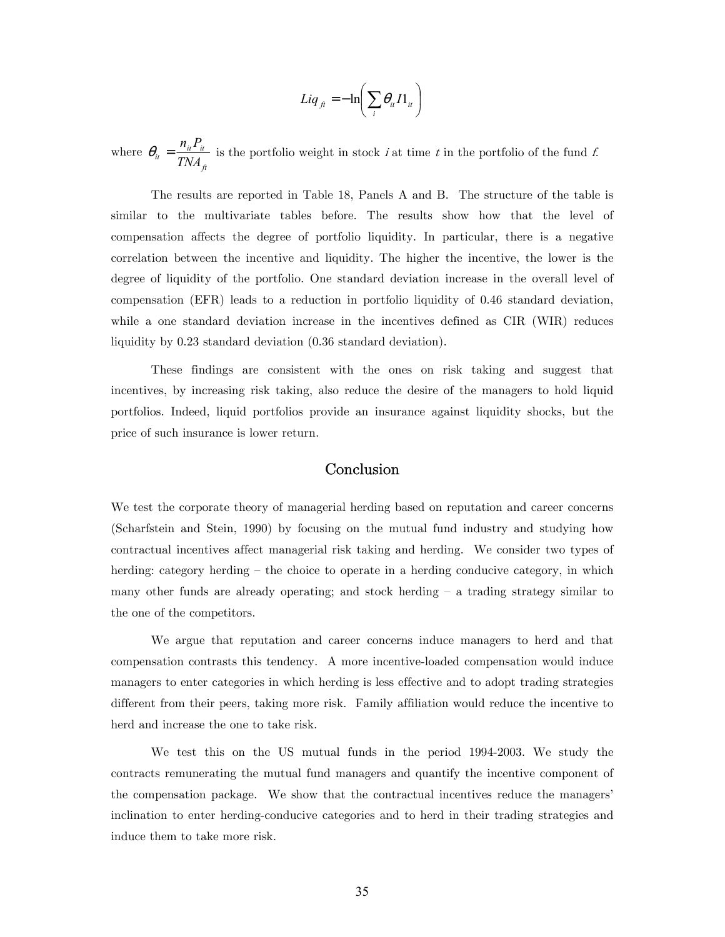$$
Liq_{ft} = -\ln\left(\sum_{i} \theta_{it} I1_{it}\right)
$$

where *ft*  $\frac{d}{dt} = \frac{n_{it}n_{it}}{TNA}$  $heta_{ij} = \frac{n_{ij} P_{ij}}{m_{i} m_{i}}$  is the portfolio weight in stock *i* at time *t* in the portfolio of the fund *f*.

The results are reported in Table 18, Panels A and B. The structure of the table is similar to the multivariate tables before. The results show how that the level of compensation affects the degree of portfolio liquidity. In particular, there is a negative correlation between the incentive and liquidity. The higher the incentive, the lower is the degree of liquidity of the portfolio. One standard deviation increase in the overall level of compensation (EFR) leads to a reduction in portfolio liquidity of 0.46 standard deviation, while a one standard deviation increase in the incentives defined as CIR (WIR) reduces liquidity by 0.23 standard deviation (0.36 standard deviation).

These findings are consistent with the ones on risk taking and suggest that incentives, by increasing risk taking, also reduce the desire of the managers to hold liquid portfolios. Indeed, liquid portfolios provide an insurance against liquidity shocks, but the price of such insurance is lower return.

# Conclusion

We test the corporate theory of managerial herding based on reputation and career concerns (Scharfstein and Stein, 1990) by focusing on the mutual fund industry and studying how contractual incentives affect managerial risk taking and herding. We consider two types of herding: category herding – the choice to operate in a herding conducive category, in which many other funds are already operating; and stock herding — a trading strategy similar to the one of the competitors.

We argue that reputation and career concerns induce managers to herd and that compensation contrasts this tendency. A more incentive-loaded compensation would induce managers to enter categories in which herding is less effective and to adopt trading strategies different from their peers, taking more risk. Family affiliation would reduce the incentive to herd and increase the one to take risk.

We test this on the US mutual funds in the period 1994-2003. We study the contracts remunerating the mutual fund managers and quantify the incentive component of the compensation package. We show that the contractual incentives reduce the managers' inclination to enter herding-conducive categories and to herd in their trading strategies and induce them to take more risk.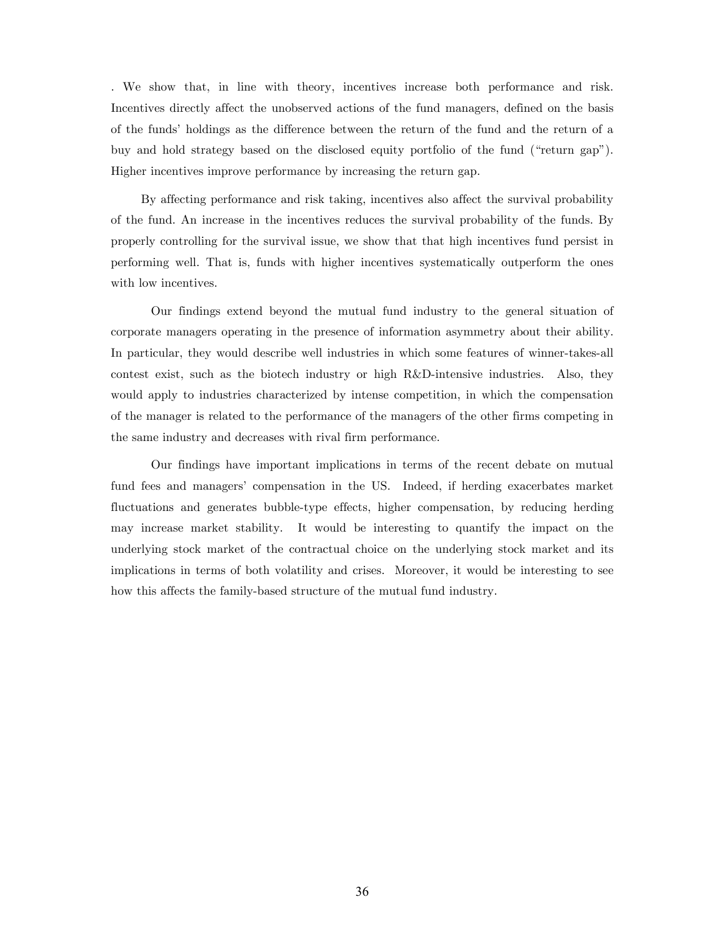. We show that, in line with theory, incentives increase both performance and risk. Incentives directly affect the unobserved actions of the fund managers, defined on the basis of the funds' holdings as the difference between the return of the fund and the return of a buy and hold strategy based on the disclosed equity portfolio of the fund ("return gap"). Higher incentives improve performance by increasing the return gap.

By affecting performance and risk taking, incentives also affect the survival probability of the fund. An increase in the incentives reduces the survival probability of the funds. By properly controlling for the survival issue, we show that that high incentives fund persist in performing well. That is, funds with higher incentives systematically outperform the ones with low incentives.

Our findings extend beyond the mutual fund industry to the general situation of corporate managers operating in the presence of information asymmetry about their ability. In particular, they would describe well industries in which some features of winner-takes-all contest exist, such as the biotech industry or high R&D-intensive industries. Also, they would apply to industries characterized by intense competition, in which the compensation of the manager is related to the performance of the managers of the other firms competing in the same industry and decreases with rival firm performance.

Our findings have important implications in terms of the recent debate on mutual fund fees and managers' compensation in the US. Indeed, if herding exacerbates market fluctuations and generates bubble-type effects, higher compensation, by reducing herding may increase market stability. It would be interesting to quantify the impact on the underlying stock market of the contractual choice on the underlying stock market and its implications in terms of both volatility and crises. Moreover, it would be interesting to see how this affects the family-based structure of the mutual fund industry.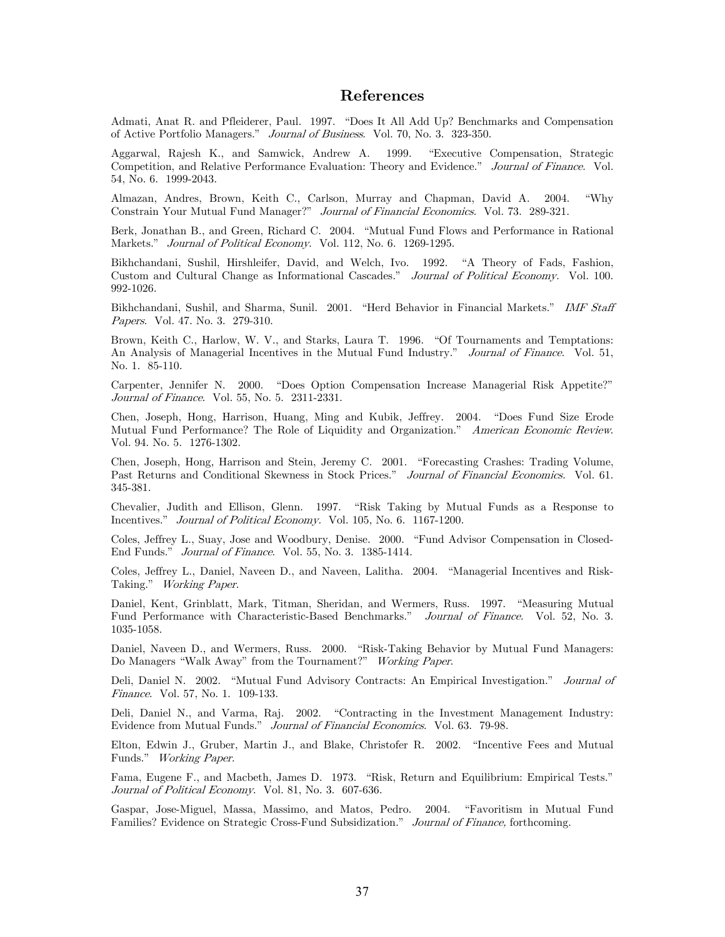# References

Admati, Anat R. and Pfleiderer, Paul. 1997. "Does It All Add Up? Benchmarks and Compensation of Active Portfolio Managers." Journal of Business. Vol. 70, No. 3. 323-350.

Aggarwal, Rajesh K., and Samwick, Andrew A. 1999. "Executive Compensation, Strategic Competition, and Relative Performance Evaluation: Theory and Evidence." Journal of Finance. Vol. 54, No. 6. 1999-2043.

Almazan, Andres, Brown, Keith C., Carlson, Murray and Chapman, David A. 2004. "Why Constrain Your Mutual Fund Manager?" Journal of Financial Economics. Vol. 73. 289-321.

Berk, Jonathan B., and Green, Richard C. 2004. "Mutual Fund Flows and Performance in Rational Markets." Journal of Political Economy. Vol. 112, No. 6. 1269-1295.

Bikhchandani, Sushil, Hirshleifer, David, and Welch, Ivo. 1992. "A Theory of Fads, Fashion, Custom and Cultural Change as Informational Cascades." Journal of Political Economy. Vol. 100. 992-1026.

Bikhchandani, Sushil, and Sharma, Sunil. 2001. "Herd Behavior in Financial Markets." IMF Staff Papers. Vol. 47. No. 3. 279-310.

Brown, Keith C., Harlow, W. V., and Starks, Laura T. 1996. "Of Tournaments and Temptations: An Analysis of Managerial Incentives in the Mutual Fund Industry." Journal of Finance. Vol. 51, No. 1. 85-110.

Carpenter, Jennifer N. 2000. "Does Option Compensation Increase Managerial Risk Appetite?" Journal of Finance. Vol. 55, No. 5. 2311-2331.

Chen, Joseph, Hong, Harrison, Huang, Ming and Kubik, Jeffrey. 2004. "Does Fund Size Erode Mutual Fund Performance? The Role of Liquidity and Organization." American Economic Review. Vol. 94. No. 5. 1276-1302.

Chen, Joseph, Hong, Harrison and Stein, Jeremy C. 2001. "Forecasting Crashes: Trading Volume, Past Returns and Conditional Skewness in Stock Prices." Journal of Financial Economics. Vol. 61. 345-381.

Chevalier, Judith and Ellison, Glenn. 1997. "Risk Taking by Mutual Funds as a Response to Incentives." Journal of Political Economy. Vol. 105, No. 6. 1167-1200.

Coles, Jeffrey L., Suay, Jose and Woodbury, Denise. 2000. "Fund Advisor Compensation in Closed-End Funds." Journal of Finance. Vol. 55, No. 3. 1385-1414.

Coles, Jeffrey L., Daniel, Naveen D., and Naveen, Lalitha. 2004. "Managerial Incentives and Risk-Taking." Working Paper.

Daniel, Kent, Grinblatt, Mark, Titman, Sheridan, and Wermers, Russ. 1997. "Measuring Mutual Fund Performance with Characteristic-Based Benchmarks." Journal of Finance. Vol. 52, No. 3. 1035-1058.

Daniel, Naveen D., and Wermers, Russ. 2000. "Risk-Taking Behavior by Mutual Fund Managers: Do Managers "Walk Away" from the Tournament?" Working Paper.

Deli, Daniel N. 2002. "Mutual Fund Advisory Contracts: An Empirical Investigation." Journal of Finance. Vol. 57, No. 1. 109-133.

Deli, Daniel N., and Varma, Raj. 2002. "Contracting in the Investment Management Industry: Evidence from Mutual Funds." Journal of Financial Economics. Vol. 63. 79-98.

Elton, Edwin J., Gruber, Martin J., and Blake, Christofer R. 2002. "Incentive Fees and Mutual Funds." Working Paper.

Fama, Eugene F., and Macbeth, James D. 1973. "Risk, Return and Equilibrium: Empirical Tests." Journal of Political Economy. Vol. 81, No. 3. 607-636.

Gaspar, Jose-Miguel, Massa, Massimo, and Matos, Pedro. 2004. "Favoritism in Mutual Fund Families? Evidence on Strategic Cross-Fund Subsidization." Journal of Finance, forthcoming.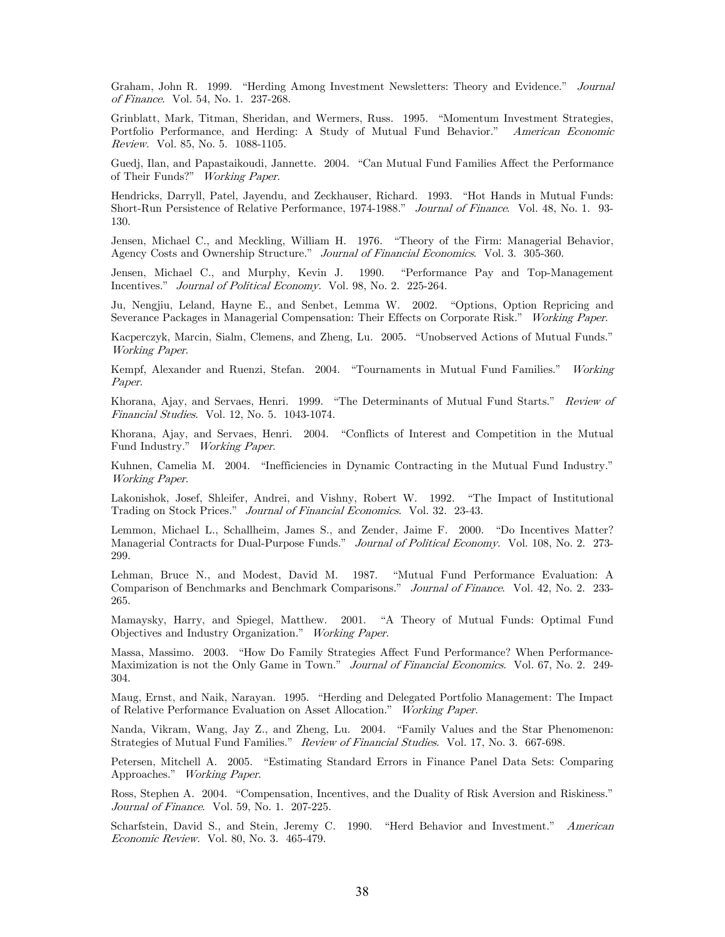Graham, John R. 1999. "Herding Among Investment Newsletters: Theory and Evidence." Journal of Finance. Vol. 54, No. 1. 237-268.

Grinblatt, Mark, Titman, Sheridan, and Wermers, Russ. 1995. "Momentum Investment Strategies, Portfolio Performance, and Herding: A Study of Mutual Fund Behavior." American Economic Review. Vol. 85, No. 5. 1088-1105.

Guedj, Ilan, and Papastaikoudi, Jannette. 2004. "Can Mutual Fund Families Affect the Performance of Their Funds?" Working Paper.

Hendricks, Darryll, Patel, Jayendu, and Zeckhauser, Richard. 1993. "Hot Hands in Mutual Funds: Short-Run Persistence of Relative Performance, 1974-1988." Journal of Finance. Vol. 48, No. 1. 93- 130.

Jensen, Michael C., and Meckling, William H. 1976. "Theory of the Firm: Managerial Behavior, Agency Costs and Ownership Structure." Journal of Financial Economics. Vol. 3. 305-360.

Jensen, Michael C., and Murphy, Kevin J. 1990. "Performance Pay and Top-Management Incentives." Journal of Political Economy. Vol. 98, No. 2. 225-264.

Ju, Nengjiu, Leland, Hayne E., and Senbet, Lemma W. 2002. "Options, Option Repricing and Severance Packages in Managerial Compensation: Their Effects on Corporate Risk." Working Paper.

Kacperczyk, Marcin, Sialm, Clemens, and Zheng, Lu. 2005. "Unobserved Actions of Mutual Funds." Working Paper.

Kempf, Alexander and Ruenzi, Stefan. 2004. "Tournaments in Mutual Fund Families." Working Paper.

Khorana, Ajay, and Servaes, Henri. 1999. "The Determinants of Mutual Fund Starts." Review of Financial Studies. Vol. 12, No. 5. 1043-1074.

Khorana, Ajay, and Servaes, Henri. 2004. "Conflicts of Interest and Competition in the Mutual Fund Industry." Working Paper.

Kuhnen, Camelia M. 2004. "Inefficiencies in Dynamic Contracting in the Mutual Fund Industry." Working Paper.

Lakonishok, Josef, Shleifer, Andrei, and Vishny, Robert W. 1992. "The Impact of Institutional Trading on Stock Prices." Journal of Financial Economics. Vol. 32. 23-43.

Lemmon, Michael L., Schallheim, James S., and Zender, Jaime F. 2000. "Do Incentives Matter? Managerial Contracts for Dual-Purpose Funds." Journal of Political Economy. Vol. 108, No. 2. 273-299.

Lehman, Bruce N., and Modest, David M. 1987. "Mutual Fund Performance Evaluation: A Comparison of Benchmarks and Benchmark Comparisons." Journal of Finance. Vol. 42, No. 2. 233- 265.

Mamaysky, Harry, and Spiegel, Matthew. 2001. "A Theory of Mutual Funds: Optimal Fund Objectives and Industry Organization." Working Paper.

Massa, Massimo. 2003. "How Do Family Strategies Affect Fund Performance? When Performance-Maximization is not the Only Game in Town." Journal of Financial Economics. Vol. 67, No. 2. 249-304.

Maug, Ernst, and Naik, Narayan. 1995. "Herding and Delegated Portfolio Management: The Impact of Relative Performance Evaluation on Asset Allocation." Working Paper.

Nanda, Vikram, Wang, Jay Z., and Zheng, Lu. 2004. "Family Values and the Star Phenomenon: Strategies of Mutual Fund Families." Review of Financial Studies. Vol. 17, No. 3. 667-698.

Petersen, Mitchell A. 2005. "Estimating Standard Errors in Finance Panel Data Sets: Comparing Approaches." Working Paper.

Ross, Stephen A. 2004. "Compensation, Incentives, and the Duality of Risk Aversion and Riskiness." Journal of Finance. Vol. 59, No. 1. 207-225.

Scharfstein, David S., and Stein, Jeremy C. 1990. "Herd Behavior and Investment." American Economic Review. Vol. 80, No. 3. 465-479.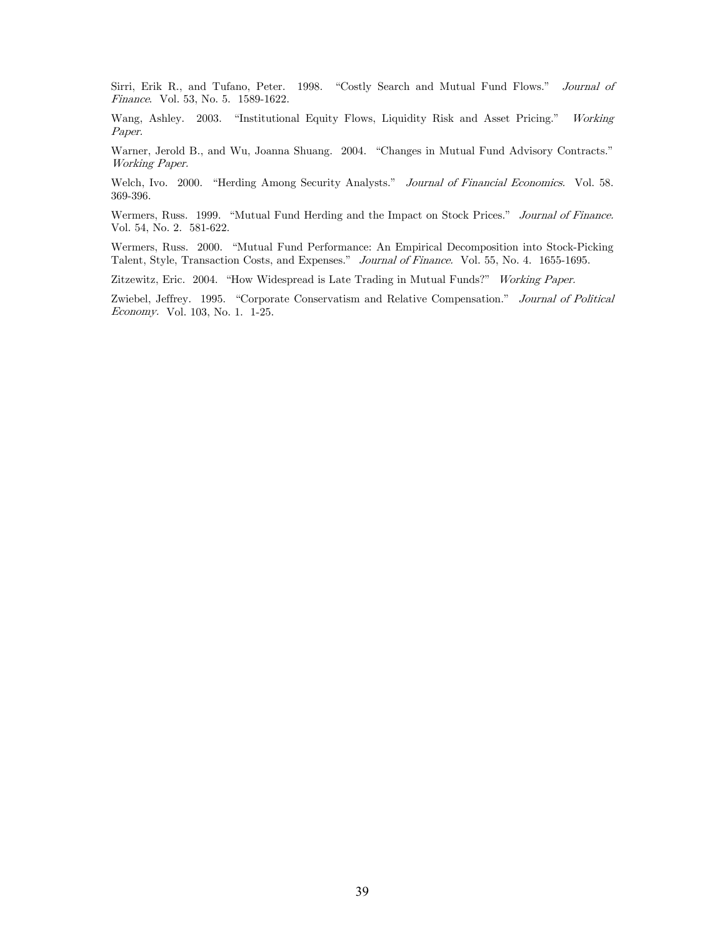Sirri, Erik R., and Tufano, Peter. 1998. "Costly Search and Mutual Fund Flows." Journal of Finance. Vol. 53, No. 5. 1589-1622.

Wang, Ashley. 2003. "Institutional Equity Flows, Liquidity Risk and Asset Pricing." Working Paper.

Warner, Jerold B., and Wu, Joanna Shuang. 2004. "Changes in Mutual Fund Advisory Contracts." Working Paper.

Welch, Ivo. 2000. "Herding Among Security Analysts." Journal of Financial Economics. Vol. 58. 369-396.

Wermers, Russ. 1999. "Mutual Fund Herding and the Impact on Stock Prices." Journal of Finance. Vol. 54, No. 2. 581-622.

Wermers, Russ. 2000. "Mutual Fund Performance: An Empirical Decomposition into Stock-Picking Talent, Style, Transaction Costs, and Expenses." Journal of Finance. Vol. 55, No. 4. 1655-1695.

Zitzewitz, Eric. 2004. "How Widespread is Late Trading in Mutual Funds?" Working Paper.

Zwiebel, Jeffrey. 1995. "Corporate Conservatism and Relative Compensation." Journal of Political Economy. Vol. 103, No. 1. 1-25.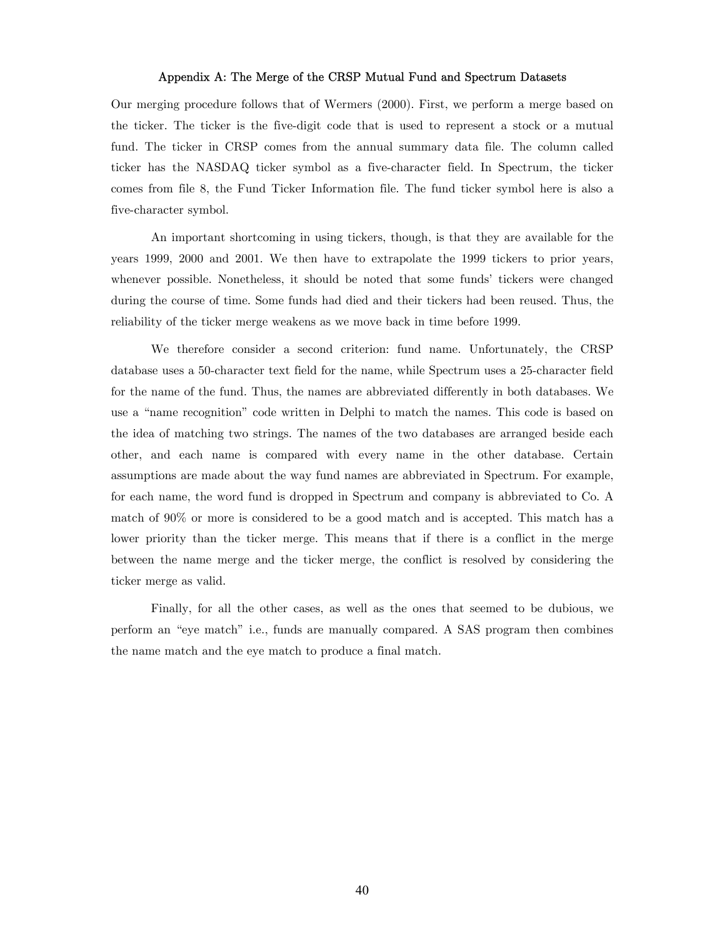## Appendix A: The Merge of the CRSP Mutual Fund and Spectrum Datasets

Our merging procedure follows that of Wermers (2000). First, we perform a merge based on the ticker. The ticker is the five-digit code that is used to represent a stock or a mutual fund. The ticker in CRSP comes from the annual summary data file. The column called ticker has the NASDAQ ticker symbol as a five-character field. In Spectrum, the ticker comes from file 8, the Fund Ticker Information file. The fund ticker symbol here is also a five-character symbol.

An important shortcoming in using tickers, though, is that they are available for the years 1999, 2000 and 2001. We then have to extrapolate the 1999 tickers to prior years, whenever possible. Nonetheless, it should be noted that some funds' tickers were changed during the course of time. Some funds had died and their tickers had been reused. Thus, the reliability of the ticker merge weakens as we move back in time before 1999.

We therefore consider a second criterion: fund name. Unfortunately, the CRSP database uses a 50-character text field for the name, while Spectrum uses a 25-character field for the name of the fund. Thus, the names are abbreviated differently in both databases. We use a "name recognition" code written in Delphi to match the names. This code is based on the idea of matching two strings. The names of the two databases are arranged beside each other, and each name is compared with every name in the other database. Certain assumptions are made about the way fund names are abbreviated in Spectrum. For example, for each name, the word fund is dropped in Spectrum and company is abbreviated to Co. A match of 90% or more is considered to be a good match and is accepted. This match has a lower priority than the ticker merge. This means that if there is a conflict in the merge between the name merge and the ticker merge, the conflict is resolved by considering the ticker merge as valid.

Finally, for all the other cases, as well as the ones that seemed to be dubious, we perform an "eye match" i.e., funds are manually compared. A SAS program then combines the name match and the eye match to produce a final match.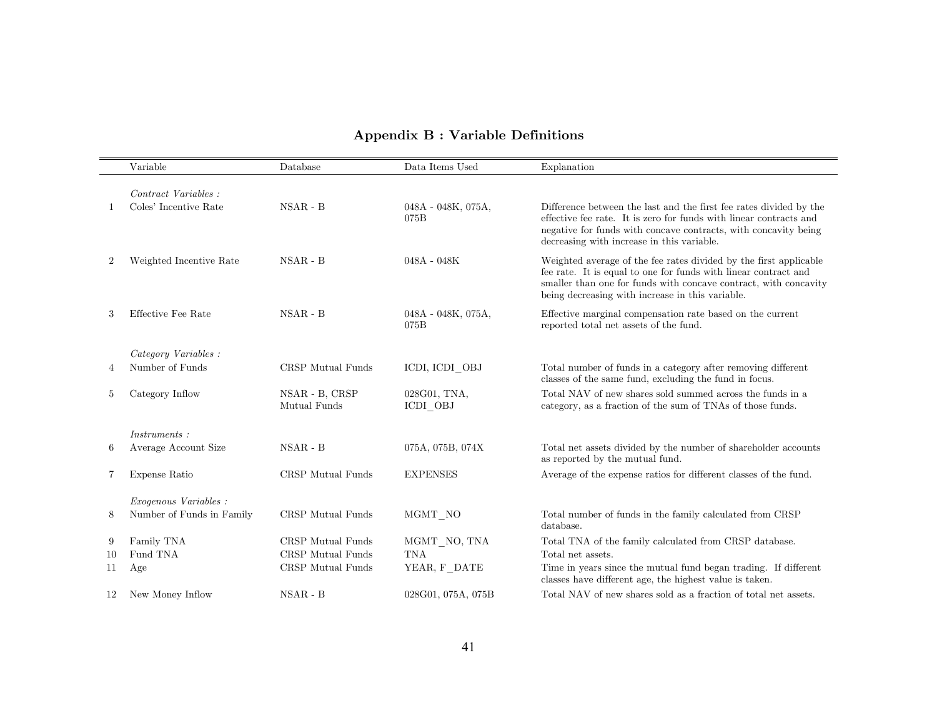# Appendix B : Variable Definitions

|    | Variable                     | Database                       | Data Items Used            | Explanation                                                                                                                                                                                                                                                  |
|----|------------------------------|--------------------------------|----------------------------|--------------------------------------------------------------------------------------------------------------------------------------------------------------------------------------------------------------------------------------------------------------|
|    |                              |                                |                            |                                                                                                                                                                                                                                                              |
|    | Contract Variables :         |                                |                            |                                                                                                                                                                                                                                                              |
|    | Coles' Incentive Rate        | $NSAR - B$                     | 048A - 048K, 075A,<br>075B | Difference between the last and the first fee rates divided by the<br>effective fee rate. It is zero for funds with linear contracts and<br>negative for funds with concave contracts, with concavity being<br>decreasing with increase in this variable.    |
| 2  | Weighted Incentive Rate      | $NSAR - B$                     | $048A - 048K$              | Weighted average of the fee rates divided by the first applicable<br>fee rate. It is equal to one for funds with linear contract and<br>smaller than one for funds with concave contract, with concavity<br>being decreasing with increase in this variable. |
| 3  | Effective Fee Rate           | $NSAR - B$                     | 048A - 048K, 075A,<br>075B | Effective marginal compensation rate based on the current<br>reported total net assets of the fund.                                                                                                                                                          |
|    | Category Variables:          |                                |                            |                                                                                                                                                                                                                                                              |
| 4  | Number of Funds              | CRSP Mutual Funds              | ICDI, ICDI OBJ             | Total number of funds in a category after removing different<br>classes of the same fund, excluding the fund in focus.                                                                                                                                       |
| 5  | Category Inflow              | NSAR - B, CRSP<br>Mutual Funds | 028G01, TNA,<br>ICDI OBJ   | Total NAV of new shares sold summed across the funds in a<br>category, as a fraction of the sum of TNAs of those funds.                                                                                                                                      |
|    | Instruments:                 |                                |                            |                                                                                                                                                                                                                                                              |
| 6  | Average Account Size         | $NSAR - B$                     | 075A, 075B, 074X           | Total net assets divided by the number of shareholder accounts<br>as reported by the mutual fund.                                                                                                                                                            |
| 7  | Expense Ratio                | CRSP Mutual Funds              | <b>EXPENSES</b>            | Average of the expense ratios for different classes of the fund.                                                                                                                                                                                             |
|    | <i>Exogenous Variables :</i> |                                |                            |                                                                                                                                                                                                                                                              |
| 8  | Number of Funds in Family    | CRSP Mutual Funds              | $MGMT_NO$                  | Total number of funds in the family calculated from CRSP<br>database.                                                                                                                                                                                        |
| 9  | Family TNA                   | CRSP Mutual Funds              | MGMT NO, TNA               | Total TNA of the family calculated from CRSP database.                                                                                                                                                                                                       |
| 10 | Fund TNA                     | CRSP Mutual Funds              | $\rm{TNA}$                 | Total net assets.                                                                                                                                                                                                                                            |
| 11 | Age                          | CRSP Mutual Funds              | YEAR, F_DATE               | Time in years since the mutual fund began trading. If different<br>classes have different age, the highest value is taken.                                                                                                                                   |
| 12 | New Money Inflow             | $NSAR - B$                     | 028G01, 075A, 075B         | Total NAV of new shares sold as a fraction of total net assets.                                                                                                                                                                                              |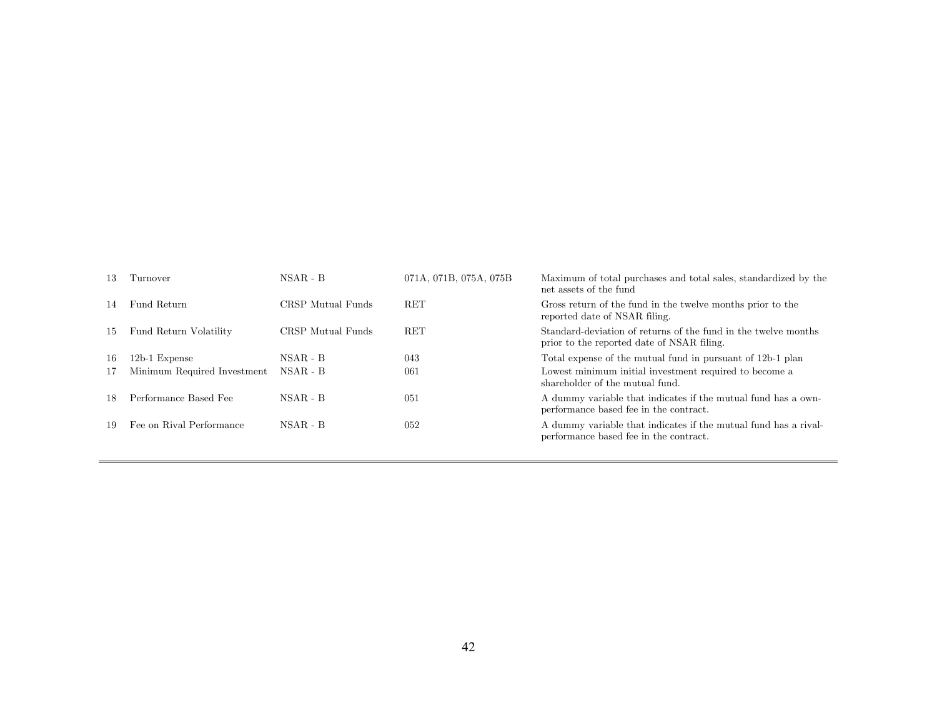| 13  | Turnover                    | $NSAR - B$        | 071A, 071B, 075A, 075B | Maximum of total purchases and total sales, standardized by the<br>net assets of the fund                    |
|-----|-----------------------------|-------------------|------------------------|--------------------------------------------------------------------------------------------------------------|
| 14  | Fund Return                 | CRSP Mutual Funds | <b>RET</b>             | Gross return of the fund in the twelve months prior to the<br>reported date of NSAR filing.                  |
| 15  | Fund Return Volatility      | CRSP Mutual Funds | <b>RET</b>             | Standard-deviation of returns of the fund in the twelve months<br>prior to the reported date of NSAR filing. |
| -16 | $12b-1$ Expense             | $NSAR - B$        | 043                    | Total expense of the mutual fund in pursuant of 12b-1 plan                                                   |
| 17  | Minimum Required Investment | NSAR - B          | 061                    | Lowest minimum initial investment required to become a<br>shareholder of the mutual fund.                    |
| 18  | Performance Based Fee       | $NSAR - B$        | 051                    | A dummy variable that indicates if the mutual fund has a own-<br>performance based fee in the contract.      |
| -19 | Fee on Rival Performance    | $NSAR - B$        | 052                    | A dummy variable that indicates if the mutual fund has a rival-<br>performance based fee in the contract.    |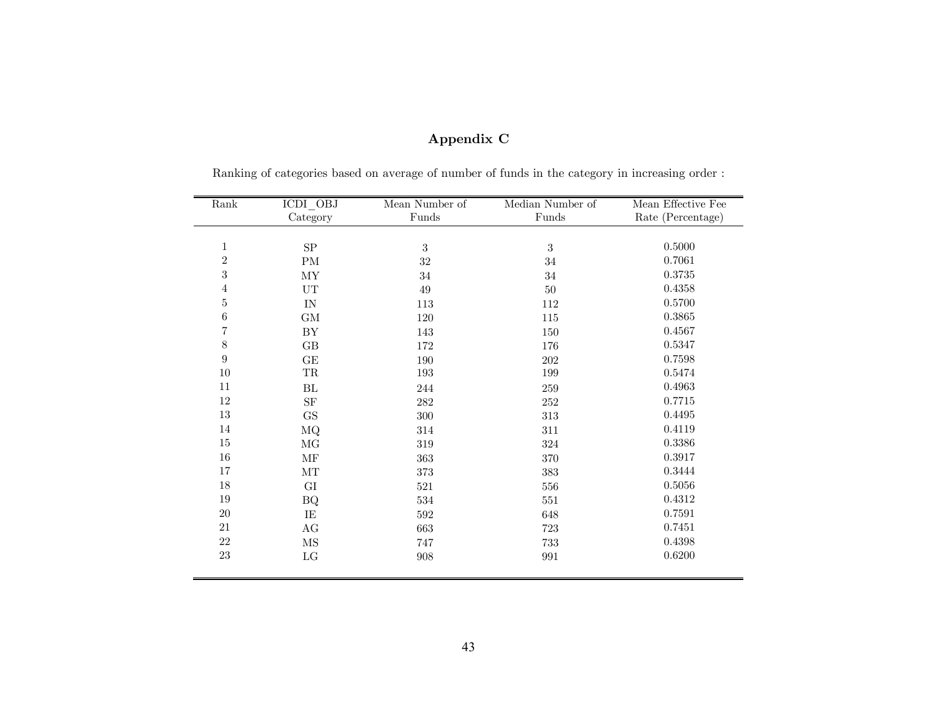| Rank             | ICDI_OBJ                 | Mean Number of | Median Number of | Mean Effective Fee |
|------------------|--------------------------|----------------|------------------|--------------------|
|                  | Category                 | Funds          | Funds            | Rate (Percentage)  |
|                  |                          |                |                  |                    |
| $\mathbf{1}$     | ${\rm SP}$               | $\sqrt{3}$     | $\sqrt{3}$       | 0.5000             |
| $\,2$            | PM                       | $32\,$         | $34\,$           | 0.7061             |
| 3                | $\ensuremath{\text{MY}}$ | $34\,$         | $34\,$           | 0.3735             |
| 4                | UT                       | 49             | 50               | 0.4358             |
| $\bf 5$          | IN                       | 113            | 112              | 0.5700             |
| $\,6$            | $\mbox{GM}$              | 120            | 115              | 0.3865             |
| 7                | ${\rm BY}$               | 143            | 150              | 0.4567             |
| $8\,$            | $\rm GB$                 | 172            | 176              | 0.5347             |
| $\boldsymbol{9}$ | $\operatorname{GE}$      | 190            | $202\,$          | 0.7598             |
| $10\,$           | $\operatorname{TR}$      | 193            | 199              | 0.5474             |
| 11               | BL                       | 244            | $259\,$          | 0.4963             |
| 12               | $\rm{SF}$                | 282            | $252\,$          | 0.7715             |
| $13\,$           | $\mathbf{G}\mathbf{S}$   | 300            | 313              | 0.4495             |
| 14               | MQ                       | 314            | 311              | 0.4119             |
| $15\,$           | $\rm MG$                 | $319\,$        | 324              | 0.3386             |
| $16\,$           | MF                       | 363            | 370              | 0.3917             |
| 17               | $\rm{MT}$                | 373            | 383              | 0.3444             |
| $18\,$           | GI                       | 521            | $556\,$          | 0.5056             |
| $19\,$           | <b>BQ</b>                | $534\,$        | 551              | 0.4312             |
| $20\,$           | IE                       | 592            | 648              | 0.7591             |
| 21               | $\rm{AG}$                | 663            | 723              | 0.7451             |
| $22\,$           | $\rm{MS}$                | 747            | 733              | 0.4398             |
| $23\,$           | $_{\rm LG}$              | 908            | 991              | 0.6200             |
|                  |                          |                |                  |                    |

# Appendix C

Ranking of categories based on average of number of funds in the category in increasing order :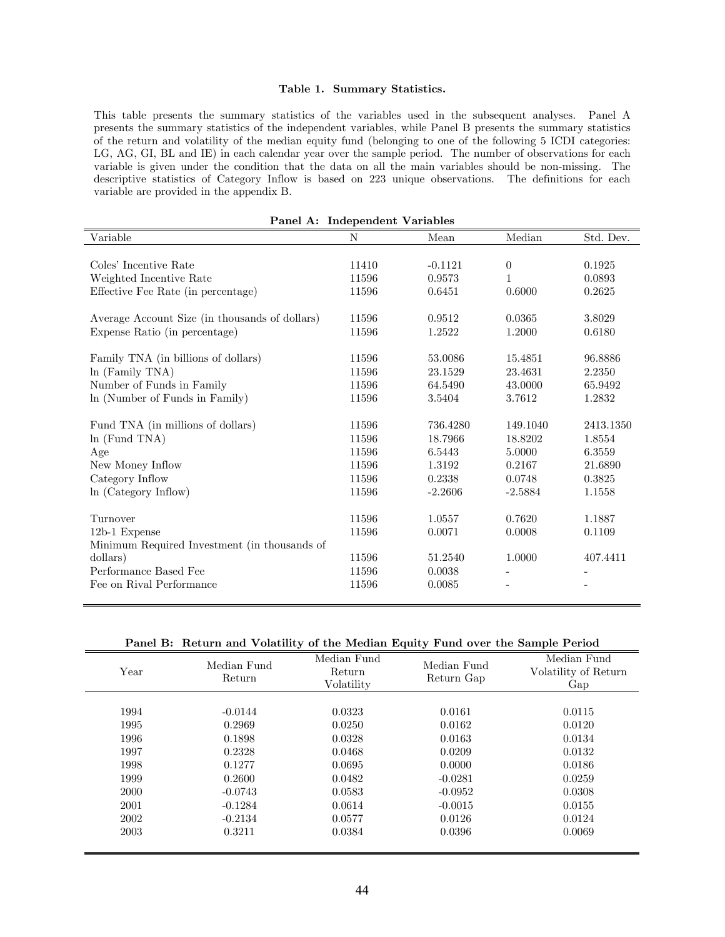## Table 1. Summary Statistics.

This table presents the summary statistics of the variables used in the subsequent analyses. Panel A presents the summary statistics of the independent variables, while Panel B presents the summary statistics of the return and volatility of the median equity fund (belonging to one of the following 5 ICDI categories: LG, AG, GI, BL and IE) in each calendar year over the sample period. The number of observations for each variable is given under the condition that the data on all the main variables should be non-missing. The descriptive statistics of Category Inflow is based on 223 unique observations. The definitions for each variable are provided in the appendix B.

|                                                | I allei A. Illuependent variables |           |                |           |
|------------------------------------------------|-----------------------------------|-----------|----------------|-----------|
| Variable                                       | N                                 | Mean      | Median         | Std. Dev. |
|                                                |                                   |           |                |           |
| Coles' Incentive Rate                          | 11410                             | $-0.1121$ | $\overline{0}$ | 0.1925    |
| Weighted Incentive Rate                        | 11596                             | 0.9573    | 1              | 0.0893    |
| Effective Fee Rate (in percentage)             | 11596                             | 0.6451    | 0.6000         | 0.2625    |
| Average Account Size (in thousands of dollars) | 11596                             | 0.9512    | 0.0365         | 3.8029    |
| Expense Ratio (in percentage)                  | 11596                             | 1.2522    | 1.2000         | 0.6180    |
| Family TNA (in billions of dollars)            | 11596                             | 53.0086   | 15.4851        | 96.8886   |
| $\ln$ (Family TNA)                             | 11596                             | 23.1529   | 23.4631        | 2.2350    |
| Number of Funds in Family                      | 11596                             | 64.5490   | 43.0000        | 65.9492   |
| In (Number of Funds in Family)                 | 11596                             | 3.5404    | 3.7612         | 1.2832    |
| Fund TNA (in millions of dollars)              | 11596                             | 736.4280  | 149.1040       | 2413.1350 |
| $ln$ (Fund TNA)                                | 11596                             | 18.7966   | 18.8202        | 1.8554    |
| Age                                            | 11596                             | 6.5443    | 5.0000         | 6.3559    |
| New Money Inflow                               | 11596                             | 1.3192    | 0.2167         | 21.6890   |
| Category Inflow                                | 11596                             | 0.2338    | 0.0748         | 0.3825    |
| ln (Category Inflow)                           | 11596                             | $-2.2606$ | $-2.5884$      | 1.1558    |
| Turnover                                       | 11596                             | 1.0557    | 0.7620         | 1.1887    |
| 12b-1 Expense                                  | 11596                             | 0.0071    | 0.0008         | 0.1109    |
| Minimum Required Investment (in thousands of   |                                   |           |                |           |
| dollars)                                       | 11596                             | 51.2540   | 1.0000         | 407.4411  |
| Performance Based Fee                          | 11596                             | 0.0038    |                |           |
| Fee on Rival Performance                       | 11596                             | 0.0085    |                |           |
|                                                |                                   |           |                |           |

Panel A: Independent Variables

Panel B: Return and Volatility of the Median Equity Fund over the Sample Period

| Year | Median Fund<br>Return | Median Fund<br>Return<br>Volatility | Median Fund<br>Return Gap | Median Fund<br>Volatility of Return<br>Gap |
|------|-----------------------|-------------------------------------|---------------------------|--------------------------------------------|
|      |                       |                                     |                           |                                            |
| 1994 | $-0.0144$             | 0.0323                              | 0.0161                    | 0.0115                                     |
| 1995 | 0.2969                | 0.0250                              | 0.0162                    | 0.0120                                     |
| 1996 | 0.1898                | 0.0328                              | 0.0163                    | 0.0134                                     |
| 1997 | 0.2328                | 0.0468                              | 0.0209                    | 0.0132                                     |
| 1998 | 0.1277                | 0.0695                              | 0.0000                    | 0.0186                                     |
| 1999 | 0.2600                | 0.0482                              | $-0.0281$                 | 0.0259                                     |
| 2000 | $-0.0743$             | 0.0583                              | $-0.0952$                 | 0.0308                                     |
| 2001 | $-0.1284$             | 0.0614                              | $-0.0015$                 | 0.0155                                     |
| 2002 | $-0.2134$             | 0.0577                              | 0.0126                    | 0.0124                                     |
| 2003 | 0.3211                | 0.0384                              | 0.0396                    | 0.0069                                     |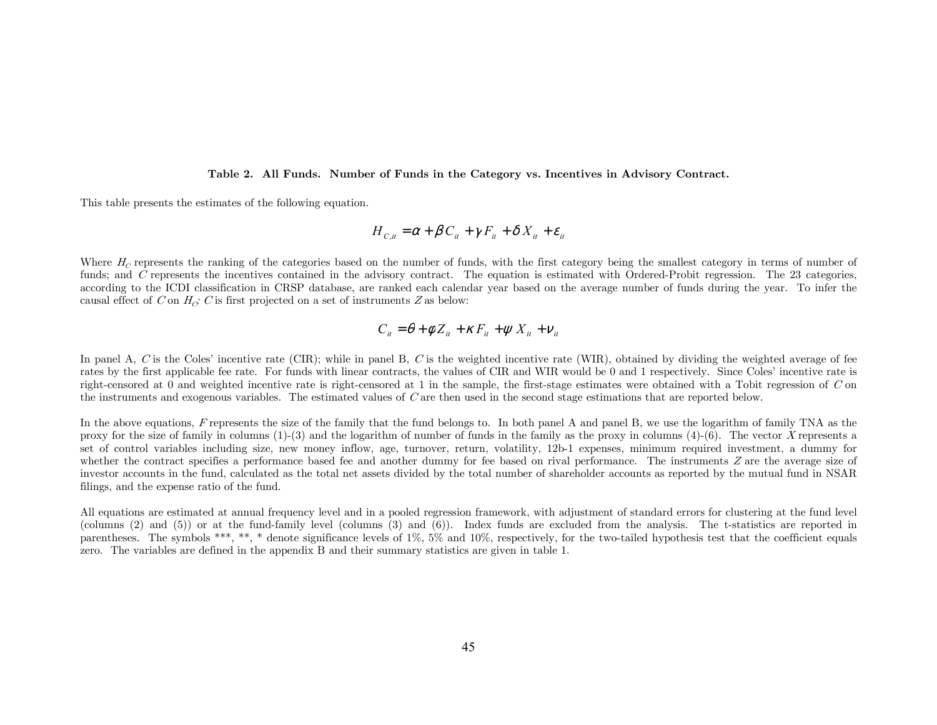#### Table 2. All Funds. Number of Funds in the Category vs. Incentives in Advisory Contract.

This table presents the estimates of the following equation.

$$
H_{c_{i}i} = \alpha + \beta C_{i} + \gamma F_{i} + \delta X_{i} + \varepsilon_{i}
$$

Where  $H_C$  represents the ranking of the categories based on the number of funds, with the first category being the smallest category in terms of number of funds; and C represents the incentives contained in the advisory contract. The equation is estimated with Ordered-Probit regression. The 23 categories, according to the ICDI classification in CRSP database, are ranked each calendar year based on the average number of funds during the year. To infer the causal effect of C on  $H_C$ ; C is first projected on a set of instruments Z as below:

$$
C_{it} = \theta + \phi Z_{it} + \kappa F_{it} + \psi X_{it} + v_{it}
$$

In panel A, C is the Coles' incentive rate (CIR); while in panel B, C is the weighted incentive rate (WIR), obtained by dividing the weighted average of fee rates by the first applicable fee rate. For funds with linear contracts, the values of CIR and WIR would be 0 and 1 respectively. Since Coles' incentive rate is right-censored at  $0$  and weighted incentive rate is right-censored at  $1$  in the sample, the first-stage estimates were obtained with a Tobit regression of  $C$  on the instruments and exogenous variables. The estimated values of C are then used in the second stage estimations that are reported below.

In the above equations, F represents the size of the family that the fund belongs to. In both panel A and panel B, we use the logarithm of family TNA as the proxy for the size of family in columns  $(1)-(3)$  and the logarithm of number of funds in the family as the proxy in columns  $(4)-(6)$ . The vector X represents a set of control variables including size, new money inflow, age, turnover, return, volatility, 12b-1 expenses, minimum required investment, a dummy for whether the contract specifies a performance based fee and another dummy for fee based on rival performance. The instruments  $Z$  are the average size of investor accounts in the fund, calculated as the total net assets divided by the total number of shareholder accounts as reported by the mutual fund in NSAR filings, and the expense ratio of the fund.

All equations are estimated at annual frequency level and in a pooled regression framework, with adjustment of standard errors for clustering at the fund level (columns (2) and (5)) or at the fund-family level (columns (3) and (6)). Index funds are excluded from the analysis. The t-statistics are reported in parentheses. The symbols \*\*\*, \*\*, \* denote significance levels of 1%, 5% and 10%, respectively, for the two-tailed hypothesis test that the coefficient equals zero. The variables are defined in the appendix B and their summary statistics are given in table 1.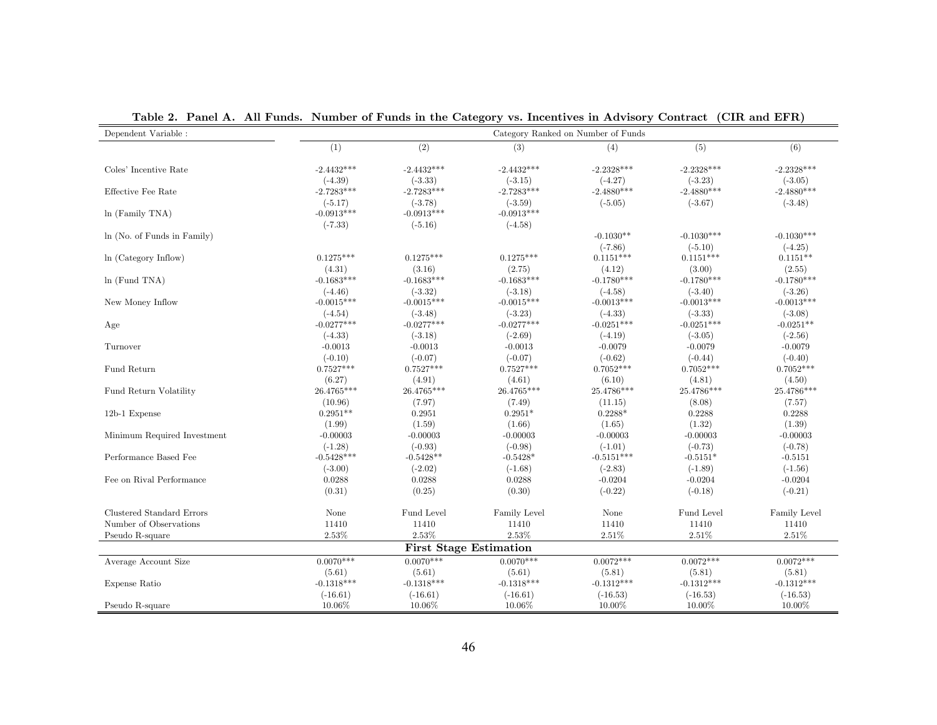| Dependent Variable :        |              |                               |              | Category Ranked on Number of Funds |              |              |
|-----------------------------|--------------|-------------------------------|--------------|------------------------------------|--------------|--------------|
|                             | (1)          | (2)                           | (3)          | (4)                                | (5)          | (6)          |
| Coles' Incentive Rate       | $-2.4432***$ | $-2.4432***$                  | $-2.4432***$ | $-2.2328***$                       | $-2.2328***$ | $-2.2328***$ |
|                             | $(-4.39)$    | $(-3.33)$                     | $(-3.15)$    | $(-4.27)$                          | $(-3.23)$    | $(-3.05)$    |
| Effective Fee Rate          | $-2.7283***$ | $-2.7283***$                  | $-2.7283***$ | $-2.4880***$                       | $-2.4880***$ | $-2.4880***$ |
|                             | $(-5.17)$    | $(-3.78)$                     | $(-3.59)$    | $(-5.05)$                          | $(-3.67)$    | $(-3.48)$    |
| $ln$ (Family TNA)           | $-0.0913***$ | $-0.0913***$                  | $-0.0913***$ |                                    |              |              |
|                             | $(-7.33)$    | $(-5.16)$                     | $(-4.58)$    |                                    |              |              |
| ln (No. of Funds in Family) |              |                               |              | $-0.1030**$                        | $-0.1030***$ | $-0.1030***$ |
|                             |              |                               |              | $(-7.86)$                          | $(-5.10)$    | $(-4.25)$    |
| ln (Category Inflow)        | $0.1275***$  | $0.1275***$                   | $0.1275***$  | $0.1151***$                        | $0.1151***$  | $0.1151**$   |
|                             | (4.31)       | (3.16)                        | (2.75)       | (4.12)                             | (3.00)       | (2.55)       |
| $ln$ (Fund TNA)             | $-0.1683***$ | $-0.1683***$                  | $-0.1683***$ | $-0.1780***$                       | $-0.1780***$ | $-0.1780***$ |
|                             | $(-4.46)$    | $(-3.32)$                     | $(-3.18)$    | $(-4.58)$                          | $(-3.40)$    | $(-3.26)$    |
| New Money Inflow            | $-0.0015***$ | $-0.0015***$                  | $-0.0015***$ | $-0.0013***$                       | $-0.0013***$ | $-0.0013***$ |
|                             | $(-4.54)$    | $(-3.48)$                     | $(-3.23)$    | $(-4.33)$                          | $(-3.33)$    | $(-3.08)$    |
| Age                         | $-0.0277***$ | $-0.0277***$                  | $-0.0277***$ | $-0.0251***$                       | $-0.0251***$ | $-0.0251**$  |
|                             | $(-4.33)$    | $(-3.18)$                     | $(-2.69)$    | $(-4.19)$                          | $(-3.05)$    | $(-2.56)$    |
| Turnover                    | $-0.0013$    | $-0.0013$                     | $-0.0013$    | $-0.0079$                          | $-0.0079$    | $-0.0079$    |
|                             | $(-0.10)$    | $(-0.07)$                     | $(-0.07)$    | $(-0.62)$                          | $(-0.44)$    | $(-0.40)$    |
| Fund Return                 | $0.7527***$  | $0.7527***$                   | $0.7527***$  | $0.7052***$                        | $0.7052***$  | $0.7052***$  |
|                             | (6.27)       | (4.91)                        | (4.61)       | (6.10)                             | (4.81)       | (4.50)       |
| Fund Return Volatility      | 26.4765***   | 26.4765***                    | 26.4765***   | 25.4786***                         | 25.4786***   | 25.4786***   |
|                             | (10.96)      | (7.97)                        | (7.49)       | (11.15)                            | (8.08)       | (7.57)       |
| 12b-1 Expense               | $0.2951**$   | 0.2951                        | $0.2951*$    | $0.2288*$                          | 0.2288       | 0.2288       |
|                             | (1.99)       | (1.59)                        | (1.66)       | (1.65)                             | (1.32)       | (1.39)       |
| Minimum Required Investment | $-0.00003$   | $-0.00003$                    | $-0.00003$   | $-0.00003$                         | $-0.00003$   | $-0.00003$   |
|                             | $(-1.28)$    | $(-0.93)$                     | $(-0.98)$    | $(-1.01)$                          | $(-0.73)$    | $(-0.78)$    |
| Performance Based Fee       | $-0.5428***$ | $-0.5428**$                   | $-0.5428*$   | $-0.5151***$                       | $-0.5151*$   | $-0.5151$    |
|                             | $(-3.00)$    | $(-2.02)$                     | $(-1.68)$    | $(-2.83)$                          | $(-1.89)$    | $(-1.56)$    |
| Fee on Rival Performance    | 0.0288       | 0.0288                        | 0.0288       | $-0.0204$                          | $-0.0204$    | $-0.0204$    |
|                             | (0.31)       | (0.25)                        | (0.30)       | $(-0.22)$                          | $(-0.18)$    | $(-0.21)$    |
| Clustered Standard Errors   | None         | Fund Level                    | Family Level | None                               | Fund Level   | Family Level |
| Number of Observations      | 11410        | 11410                         | 11410        | 11410                              | 11410        | 11410        |
| Pseudo R-square             | 2.53%        | 2.53%                         | 2.53%        | 2.51%                              | $2.51\%$     | 2.51%        |
|                             |              | <b>First Stage Estimation</b> |              |                                    |              |              |
| Average Account Size        | $0.0070***$  | $0.0070***$                   | $0.0070***$  | $0.0072***$                        | $0.0072***$  | $0.0072***$  |
|                             | (5.61)       | (5.61)                        | (5.61)       | (5.81)                             | (5.81)       | (5.81)       |
| Expense Ratio               | $-0.1318***$ | $-0.1318***$                  | $-0.1318***$ | $-0.1312***$                       | $-0.1312***$ | $-0.1312***$ |
|                             | $(-16.61)$   | $(-16.61)$                    | $(-16.61)$   | $(-16.53)$                         | $(-16.53)$   | $(-16.53)$   |
| Pseudo R-square             | 10.06%       | 10.06%                        | 10.06%       | 10.00%                             | 10.00%       | 10.00%       |

Table 2. Panel A. All Funds. Number of Funds in the Category vs. Incentives in Advisory Contract (CIR and EFR)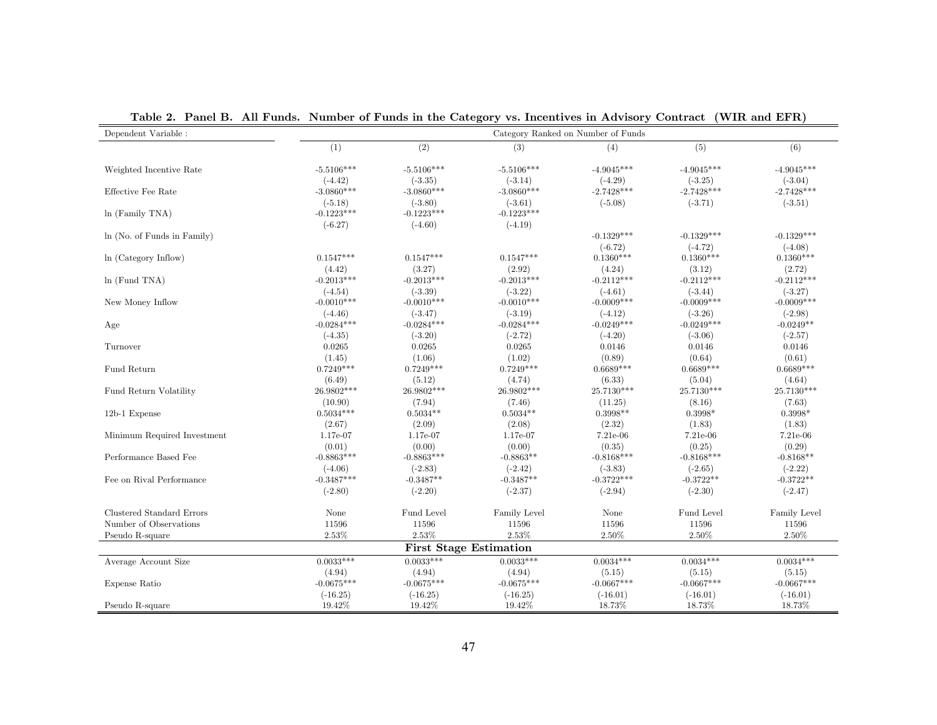| Dependent Variable :        |              |                               |                   | Category Ranked on Number of Funds |              |              |
|-----------------------------|--------------|-------------------------------|-------------------|------------------------------------|--------------|--------------|
|                             | (1)          | (2)                           | (3)               | (4)                                | (5)          | (6)          |
| Weighted Incentive Rate     | $-5.5106***$ | $-5.5106***$                  | $-5.5106***$      | $-4.9045***$                       | $-4.9045***$ | $-4.9045***$ |
|                             | $(-4.42)$    | $(-3.35)$                     | $(-3.14)$         | $(-4.29)$                          | $(-3.25)$    | $(-3.04)$    |
| Effective Fee Rate          | $-3.0860***$ | $-3.0860***$                  | $-3.0860***$      | $-2.7428***$                       | $-2.7428***$ | $-2.7428***$ |
|                             | $(-5.18)$    | $(-3.80)$                     | $(-3.61)$         | $(-5.08)$                          | $(-3.71)$    | $(-3.51)$    |
| $ln$ (Family TNA)           | $-0.1223***$ | $-0.1223***$                  | $-0.1223***$      |                                    |              |              |
|                             | $(-6.27)$    | $(-4.60)$                     | $(-4.19)$         |                                    |              |              |
| ln (No. of Funds in Family) |              |                               |                   | $-0.1329***$                       | $-0.1329***$ | $-0.1329***$ |
|                             |              |                               |                   | $(-6.72)$                          | $(-4.72)$    | $(-4.08)$    |
| ln (Category Inflow)        | $0.1547***$  | $0.1547***$                   | $0.1547***$       | $0.1360***$                        | $0.1360***$  | $0.1360***$  |
|                             | (4.42)       | (3.27)                        | (2.92)            | (4.24)                             | (3.12)       | (2.72)       |
| ln(Fund TNA)                | $-0.2013***$ | $-0.2013***$                  | $-0.2013***$      | $-0.2112***$                       | $-0.2112***$ | $-0.2112***$ |
|                             | $(-4.54)$    | $(-3.39)$                     | $(-3.22)$         | $(-4.61)$                          | $(-3.44)$    | $(-3.27)$    |
| New Money Inflow            | $-0.0010***$ | $-0.0010***$                  | $-0.0010***$      | $-0.0009***$                       | $-0.0009***$ | $-0.0009***$ |
|                             | $(-4.46)$    | $(-3.47)$                     | $(-3.19)$         | $(-4.12)$                          | $(-3.26)$    | $(-2.98)$    |
| Age                         | $-0.0284***$ | $-0.0284***$                  | $-0.0284***$      | $-0.0249***$                       | $-0.0249***$ | $-0.0249**$  |
|                             | $(-4.35)$    | $(-3.20)$                     | $(-2.72)$         | $(-4.20)$                          | $(-3.06)$    | $(-2.57)$    |
| Turnover                    | 0.0265       | 0.0265                        | 0.0265            | 0.0146                             | 0.0146       | 0.0146       |
|                             | (1.45)       | (1.06)                        | (1.02)            | (0.89)                             | (0.64)       | (0.61)       |
| Fund Return                 | $0.7249***$  | $0.7249***$                   | $0.7249***$       | $0.6689***$                        | $0.6689***$  | $0.6689***$  |
|                             | (6.49)       | (5.12)                        | (4.74)            | (6.33)                             | (5.04)       | (4.64)       |
| Fund Return Volatility      | 26.9802***   | 26.9802***                    | $26.9802^{***}\,$ | 25.7130***                         | 25.7130***   | $25.7130***$ |
|                             | (10.90)      | (7.94)                        | (7.46)            | (11.25)                            | (8.16)       | (7.63)       |
| 12b-1 Expense               | $0.5034***$  | $0.5034**$                    | $0.5034**$        | $0.3998**$                         | $0.3998*$    | $0.3998*$    |
|                             | (2.67)       | (2.09)                        | (2.08)            | (2.32)                             | (1.83)       | (1.83)       |
| Minimum Required Investment | 1.17e-07     | 1.17e-07                      | 1.17e-07          | 7.21e-06                           | 7.21e-06     | 7.21e-06     |
|                             | (0.01)       | (0.00)                        | (0.00)            | (0.35)                             | (0.25)       | (0.29)       |
| Performance Based Fee       | $-0.8863***$ | $-0.8863***$                  | $-0.8863**$       | $-0.8168***$                       | $-0.8168***$ | $-0.8168**$  |
|                             | $(-4.06)$    | $(-2.83)$                     | $(-2.42)$         | $(-3.83)$                          | $(-2.65)$    | $(-2.22)$    |
| Fee on Rival Performance    | $-0.3487***$ | $-0.3487**$                   | $-0.3487**$       | $-0.3722***$                       | $-0.3722**$  | $-0.3722**$  |
|                             | $(-2.80)$    | $(-2.20)$                     | $(-2.37)$         | $(-2.94)$                          | $(-2.30)$    | $(-2.47)$    |
| Clustered Standard Errors   | None         | Fund Level                    | Family Level      | None                               | Fund Level   | Family Level |
| Number of Observations      | 11596        | 11596                         | 11596             | 11596                              | 11596        | 11596        |
| Pseudo R-square             | 2.53%        | 2.53%                         | 2.53%             | 2.50%                              | 2.50%        | $2.50\%$     |
|                             |              | <b>First Stage Estimation</b> |                   |                                    |              |              |
| Average Account Size        | $0.0033***$  | $0.0033***$                   | $0.0033***$       | $0.0034***$                        | $0.0034***$  | $0.0034***$  |
|                             | (4.94)       | (4.94)                        | (4.94)            | (5.15)                             | (5.15)       | (5.15)       |
| Expense Ratio               | $-0.0675***$ | $-0.0675***$                  | $-0.0675***$      | $-0.0667***$                       | $-0.0667***$ | $-0.0667***$ |
|                             | $(-16.25)$   | $(-16.25)$                    | $(-16.25)$        | $(-16.01)$                         | $(-16.01)$   | $(-16.01)$   |
| Pseudo R-square             | 19.42%       | 19.42%                        | 19.42%            | 18.73%                             | 18.73%       | 18.73%       |

Table 2. Panel B. All Funds. Number of Funds in the Category vs. Incentives in Advisory Contract (WIR and EFR)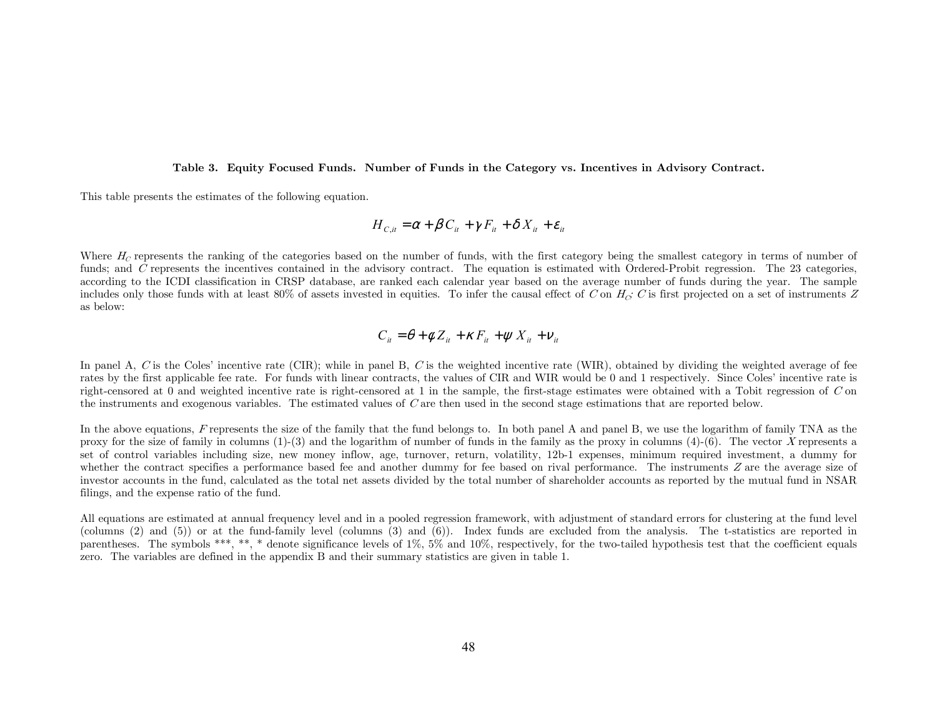Table 3. Equity Focused Funds. Number of Funds in the Category vs. Incentives in Advisory Contract.

This table presents the estimates of the following equation.

$$
H_{C, it} = \alpha + \beta C_{it} + \gamma F_{it} + \delta X_{it} + \varepsilon_{it}
$$

Where  $H_C$  represents the ranking of the categories based on the number of funds, with the first category being the smallest category in terms of number of funds; and C represents the incentives contained in the advisory contract. The equation is estimated with Ordered-Probit regression. The 23 categories, according to the ICDI classification in CRSP database, are ranked each calendar year based on the average number of funds during the year. The sample includes only those funds with at least 80% of assets invested in equities. To infer the causal effect of C on  $H_G$ ; C is first projected on a set of instruments Z as below:

$$
C_{it} = \theta + \phi Z_{it} + \kappa F_{it} + \psi X_{it} + \nu_{it}
$$

In panel A, C is the Coles' incentive rate (CIR); while in panel B, C is the weighted incentive rate (WIR), obtained by dividing the weighted average of fee rates by the first applicable fee rate. For funds with linear contracts, the values of CIR and WIR would be 0 and 1 respectively. Since Coles' incentive rate is right-censored at 0 and weighted incentive rate is right-censored at 1 in the sample, the first-stage estimates were obtained with a Tobit regression of  $C$  on the instruments and exogenous variables. The estimated values of C are then used in the second stage estimations that are reported below.

In the above equations, F represents the size of the family that the fund belongs to. In both panel A and panel B, we use the logarithm of family TNA as the proxy for the size of family in columns  $(1)-(3)$  and the logarithm of number of funds in the family as the proxy in columns  $(4)-(6)$ . The vector X represents a set of control variables including size, new money inflow, age, turnover, return, volatility, 12b-1 expenses, minimum required investment, a dummy for whether the contract specifies a performance based fee and another dummy for fee based on rival performance. The instruments  $Z$  are the average size of investor accounts in the fund, calculated as the total net assets divided by the total number of shareholder accounts as reported by the mutual fund in NSAR filings, and the expense ratio of the fund.

All equations are estimated at annual frequency level and in a pooled regression framework, with adjustment of standard errors for clustering at the fund level (columns (2) and (5)) or at the fund-family level (columns (3) and (6)). Index funds are excluded from the analysis. The t-statistics are reported in parentheses. The symbols \*\*\*, \*\*, \* denote significance levels of 1%, 5% and 10%, respectively, for the two-tailed hypothesis test that the coefficient equals zero. The variables are defined in the appendix B and their summary statistics are given in table 1.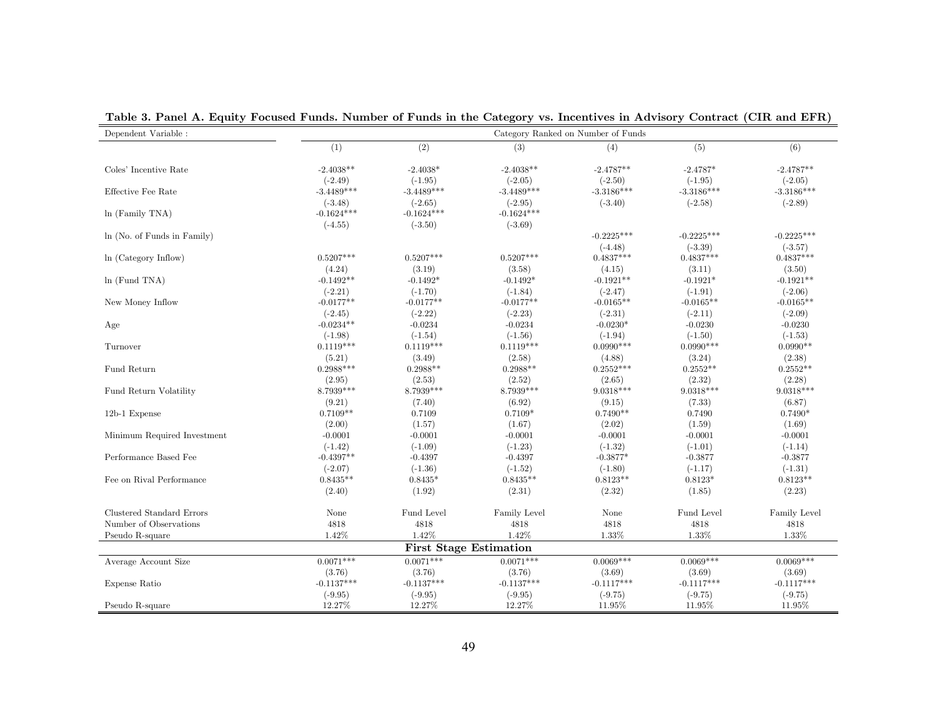| Dependent Variable :        |              |                               |              | Category Ranked on Number of Funds |              |              |
|-----------------------------|--------------|-------------------------------|--------------|------------------------------------|--------------|--------------|
|                             | (1)          | (2)                           | (3)          | (4)                                | (5)          | (6)          |
| Coles' Incentive Rate       | $-2.4038**$  | $-2.4038*$                    | $-2.4038**$  | $-2.4787**$                        | $-2.4787*$   | $-2.4787**$  |
|                             | $(-2.49)$    | $(-1.95)$                     | $(-2.05)$    | $(-2.50)$                          | $(-1.95)$    | $(-2.05)$    |
| Effective Fee Rate          | $-3.4489***$ | $-3.4489***$                  | $-3.4489***$ | $-3.3186***$                       | $-3.3186***$ | $-3.3186***$ |
|                             | $(-3.48)$    | $(-2.65)$                     | $(-2.95)$    | $(-3.40)$                          | $(-2.58)$    | $(-2.89)$    |
| $ln$ (Family TNA)           | $-0.1624***$ | $-0.1624***$                  | $-0.1624***$ |                                    |              |              |
|                             | $(-4.55)$    | $(-3.50)$                     | $(-3.69)$    |                                    |              |              |
| ln (No. of Funds in Family) |              |                               |              | $-0.2225***$                       | $-0.2225***$ | $-0.2225***$ |
|                             |              |                               |              | $(-4.48)$                          | $(-3.39)$    | $(-3.57)$    |
| ln (Category Inflow)        | $0.5207***$  | $0.5207***$                   | $0.5207***$  | $0.4837***$                        | $0.4837***$  | $0.4837***$  |
|                             | (4.24)       | (3.19)                        | (3.58)       | (4.15)                             | (3.11)       | (3.50)       |
| $ln$ (Fund TNA)             | $-0.1492**$  | $-0.1492*$                    | $-0.1492*$   | $-0.1921**$                        | $-0.1921*$   | $-0.1921**$  |
|                             | $(-2.21)$    | $(-1.70)$                     | $(-1.84)$    | $(-2.47)$                          | $(-1.91)$    | $(-2.06)$    |
| New Money Inflow            | $-0.0177**$  | $-0.0177**$                   | $-0.0177**$  | $-0.0165**$                        | $-0.0165**$  | $-0.0165**$  |
|                             | $(-2.45)$    | $(-2.22)$                     | $(-2.23)$    | $(-2.31)$                          | $(-2.11)$    | $(-2.09)$    |
| Age                         | $-0.0234**$  | $-0.0234$                     | $-0.0234$    | $-0.0230*$                         | $-0.0230$    | $-0.0230$    |
|                             | $(-1.98)$    | $(-1.54)$                     | $(-1.56)$    | $(-1.94)$                          | $(-1.50)$    | $(-1.53)$    |
| Turnover                    | $0.1119***$  | $0.1119***$                   | $0.1119***$  | $0.0990***$                        | $0.0990***$  | $0.0990**$   |
|                             | (5.21)       | (3.49)                        | (2.58)       | (4.88)                             | (3.24)       | (2.38)       |
| Fund Return                 | $0.2988***$  | $0.2988**$                    | $0.2988**$   | $0.2552***$                        | $0.2552**$   | $0.2552**$   |
|                             | (2.95)       | (2.53)                        | (2.52)       | (2.65)                             | (2.32)       | (2.28)       |
| Fund Return Volatility      | 8.7939***    | $8.7939***$                   | 8.7939***    | $9.0318***$                        | 9.0318***    | 9.0318***    |
|                             | (9.21)       | (7.40)                        | (6.92)       | (9.15)                             | (7.33)       | (6.87)       |
| 12b-1 Expense               | $0.7109**$   | 0.7109                        | $0.7109*$    | $0.7490**$                         | 0.7490       | $0.7490*$    |
|                             | (2.00)       | (1.57)                        | (1.67)       | (2.02)                             | (1.59)       | (1.69)       |
| Minimum Required Investment | $-0.0001$    | $-0.0001$                     | $-0.0001$    | $-0.0001$                          | $-0.0001$    | $-0.0001$    |
|                             | $(-1.42)$    | $(-1.09)$                     | $(-1.23)$    | $(-1.32)$                          | $(-1.01)$    | $(-1.14)$    |
| Performance Based Fee       | $-0.4397**$  | $-0.4397$                     | $-0.4397$    | $-0.3877*$                         | $-0.3877$    | $-0.3877$    |
|                             | $(-2.07)$    | $(-1.36)$                     | $(-1.52)$    | $(-1.80)$                          | $(-1.17)$    | $(-1.31)$    |
| Fee on Rival Performance    | $0.8435**$   | $0.8435*$                     | $0.8435**$   | $0.8123**$                         | $0.8123*$    | $0.8123**$   |
|                             | (2.40)       | (1.92)                        | (2.31)       | (2.32)                             | (1.85)       | (2.23)       |
| Clustered Standard Errors   | None         | Fund Level                    | Family Level | None                               | Fund Level   | Family Level |
| Number of Observations      | 4818         | 4818                          | 4818         | 4818                               | 4818         | 4818         |
| Pseudo R-square             | 1.42%        | 1.42%                         | 1.42%        | 1.33%                              | 1.33%        | 1.33%        |
|                             |              | <b>First Stage Estimation</b> |              |                                    |              |              |
| Average Account Size        | $0.0071***$  | $0.0071***$                   | $0.0071***$  | $0.0069***$                        | $0.0069***$  | $0.0069***$  |
|                             | (3.76)       | (3.76)                        | (3.76)       | (3.69)                             | (3.69)       | (3.69)       |
| Expense Ratio               | $-0.1137***$ | $-0.1137***$                  | $-0.1137***$ | $-0.1117***$                       | $-0.1117***$ | $-0.1117***$ |
|                             | $(-9.95)$    | $(-9.95)$                     | $(-9.95)$    | $(-9.75)$                          | $(-9.75)$    | $(-9.75)$    |
| Pseudo R-square             | 12.27%       | 12.27%                        | 12.27%       | 11.95%                             | 11.95%       | 11.95%       |

Table 3. Panel A. Equity Focused Funds. Number of Funds in the Category vs. Incentives in Advisory Contract (CIR and EFR)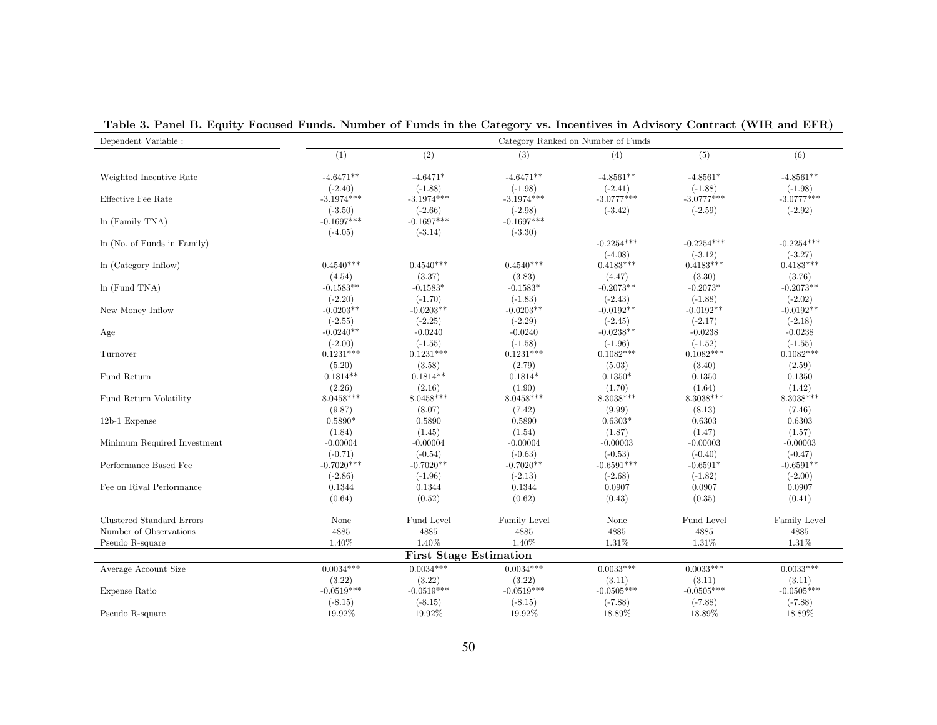| Dependent Variable :        |              | Category Ranked on Number of Funds |              |              |              |              |
|-----------------------------|--------------|------------------------------------|--------------|--------------|--------------|--------------|
|                             | (1)          | (2)                                | (3)          | (4)          | (5)          | (6)          |
| Weighted Incentive Rate     | $-4.6471**$  | $-4.6471*$                         | $-4.6471**$  | $-4.8561**$  | $-4.8561*$   | $-4.8561**$  |
|                             | $(-2.40)$    | $(-1.88)$                          | $(-1.98)$    | $(-2.41)$    | $(-1.88)$    | $(-1.98)$    |
| Effective Fee Rate          | $-3.1974***$ | $-3.1974***$                       | $-3.1974***$ | $-3.0777***$ | $-3.0777***$ | $-3.0777***$ |
|                             | $(-3.50)$    | $(-2.66)$                          | $(-2.98)$    | $(-3.42)$    | $(-2.59)$    | $(-2.92)$    |
| $ln$ (Family TNA)           | $-0.1697***$ | $-0.1697***$                       | $-0.1697***$ |              |              |              |
|                             | $(-4.05)$    | $(-3.14)$                          | $(-3.30)$    |              |              |              |
| In (No. of Funds in Family) |              |                                    |              | $-0.2254***$ | $-0.2254***$ | $-0.2254***$ |
|                             |              |                                    |              | $(-4.08)$    | $(-3.12)$    | $(-3.27)$    |
| ln (Category Inflow)        | $0.4540***$  | $0.4540***$                        | $0.4540***$  | $0.4183***$  | $0.4183***$  | $0.4183***$  |
|                             | (4.54)       | (3.37)                             | (3.83)       | (4.47)       | (3.30)       | (3.76)       |
| $ln$ (Fund TNA)             | $-0.1583**$  | $-0.1583*$                         | $-0.1583*$   | $-0.2073**$  | $-0.2073*$   | $-0.2073**$  |
|                             | $(-2.20)$    | $(-1.70)$                          | $(-1.83)$    | $(-2.43)$    | $(-1.88)$    | $(-2.02)$    |
| New Money Inflow            | $-0.0203**$  | $-0.0203**$                        | $-0.0203**$  | $-0.0192**$  | $-0.0192**$  | $-0.0192**$  |
|                             | $(-2.55)$    | $(-2.25)$                          | $(-2.29)$    | $(-2.45)$    | $(-2.17)$    | $(-2.18)$    |
| Age                         | $-0.0240**$  | $-0.0240$                          | $-0.0240$    | $-0.0238**$  | $-0.0238$    | $-0.0238$    |
|                             | $(-2.00)$    | $(-1.55)$                          | $(-1.58)$    | $(-1.96)$    | $(-1.52)$    | $(-1.55)$    |
| Turnover                    | $0.1231***$  | $0.1231***$                        | $0.1231***$  | $0.1082***$  | $0.1082***$  | $0.1082***$  |
|                             | (5.20)       | (3.58)                             | (2.79)       | (5.03)       | (3.40)       | (2.59)       |
| Fund Return                 | $0.1814**$   | $0.1814**$                         | $0.1814*$    | $0.1350*$    | 0.1350       | 0.1350       |
|                             | (2.26)       | (2.16)                             | (1.90)       | (1.70)       | (1.64)       | (1.42)       |
| Fund Return Volatility      | 8.0458***    | $8.0458***$                        | $8.0458***$  | 8.3038***    | $8.3038***$  | 8.3038***    |
|                             | (9.87)       | (8.07)                             | (7.42)       | (9.99)       | (8.13)       | (7.46)       |
| 12b-1 Expense               | $0.5890*$    | 0.5890                             | 0.5890       | $0.6303*$    | 0.6303       | 0.6303       |
|                             | (1.84)       | (1.45)                             | (1.54)       | (1.87)       | (1.47)       | (1.57)       |
| Minimum Required Investment | $-0.00004$   | $-0.00004$                         | $-0.00004$   | $-0.00003$   | $-0.00003$   | $-0.00003$   |
|                             | $(-0.71)$    | $(-0.54)$                          | $(-0.63)$    | $(-0.53)$    | $(-0.40)$    | $(-0.47)$    |
| Performance Based Fee       | $-0.7020***$ | $-0.7020**$                        | $-0.7020**$  | $-0.6591***$ | $-0.6591*$   | $-0.6591**$  |
|                             | $(-2.86)$    | $(-1.96)$                          | $(-2.13)$    | $(-2.68)$    | $(-1.82)$    | $(-2.00)$    |
| Fee on Rival Performance    | 0.1344       | 0.1344                             | 0.1344       | 0.0907       | 0.0907       | 0.0907       |
|                             | (0.64)       | (0.52)                             | (0.62)       | (0.43)       | (0.35)       | (0.41)       |
| Clustered Standard Errors   | None         | Fund Level                         | Family Level | None         | Fund Level   | Family Level |
| Number of Observations      | 4885         | 4885                               | 4885         | 4885         | 4885         | 4885         |
| Pseudo R-square             | 1.40%        | 1.40%                              | 1.40%        | 1.31%        | 1.31%        | 1.31%        |
|                             |              | <b>First Stage Estimation</b>      |              |              |              |              |
| Average Account Size        | $0.0034***$  | $0.0034***$                        | $0.0034***$  | $0.0033***$  | $0.0033***$  | $0.0033***$  |
|                             | (3.22)       | (3.22)                             | (3.22)       | (3.11)       | (3.11)       | (3.11)       |
| Expense Ratio               | $-0.0519***$ | $-0.0519***$                       | $-0.0519***$ | $-0.0505***$ | $-0.0505***$ | $-0.0505***$ |
|                             | $(-8.15)$    | $(-8.15)$                          | $(-8.15)$    | $(-7.88)$    | $(-7.88)$    | $(-7.88)$    |
| Pseudo R-square             | 19.92%       | 19.92%                             | 19.92%       | 18.89%       | 18.89%       | 18.89%       |

Table 3. Panel B. Equity Focused Funds. Number of Funds in the Category vs. Incentives in Advisory Contract (WIR and EFR)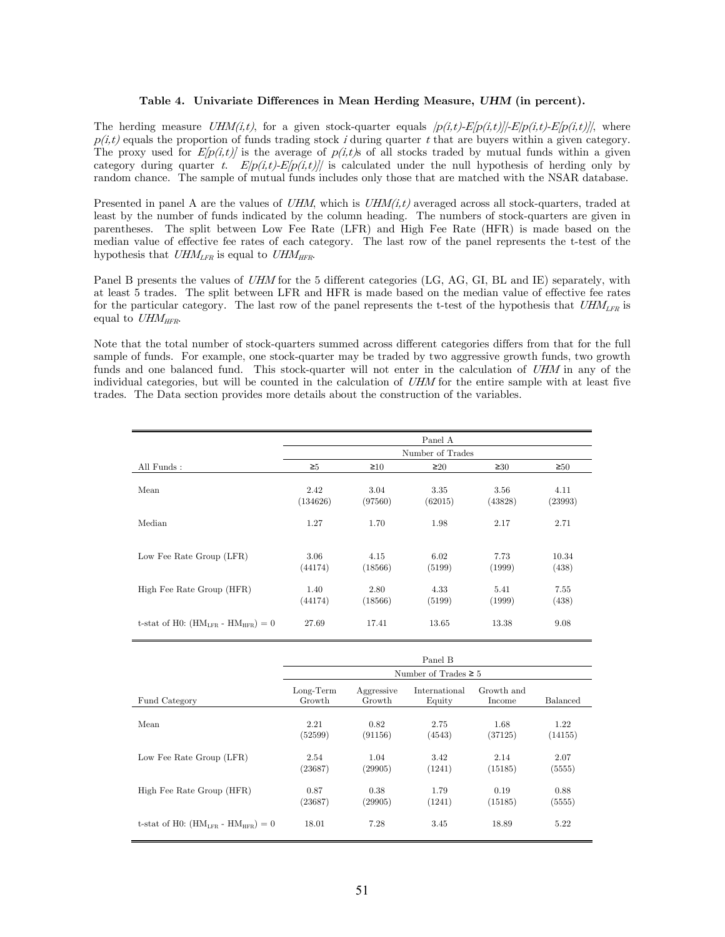## Table 4. Univariate Differences in Mean Herding Measure, UHM (in percent).

The herding measure UHM(i,t), for a given stock-quarter equals  $|p(i,t)-E[p(i,t)]-E[p(i,t)-E[p(i,t)]|$ , where  $p(i,t)$  equals the proportion of funds trading stock i during quarter t that are buyers within a given category. The proxy used for  $E[p(i,t)]$  is the average of  $p(i,t)$ s of all stocks traded by mutual funds within a given category during quarter t.  $E[p(i,t)-E[p(i,t)]$  is calculated under the null hypothesis of herding only by random chance. The sample of mutual funds includes only those that are matched with the NSAR database.

Presented in panel A are the values of UHM, which is  $UHM(i,t)$  averaged across all stock-quarters, traded at least by the number of funds indicated by the column heading. The numbers of stock-quarters are given in parentheses. The split between Low Fee Rate (LFR) and High Fee Rate (HFR) is made based on the median value of effective fee rates of each category. The last row of the panel represents the t-test of the hypothesis that  $UHM_{LFR}$  is equal to  $UHM_{HFR}$ .

Panel B presents the values of UHM for the 5 different categories (LG, AG, GI, BL and IE) separately, with at least 5 trades. The split between LFR and HFR is made based on the median value of effective fee rates for the particular category. The last row of the panel represents the t-test of the hypothesis that  $UHM_{LFR}$  is equal to  $UHM_{HFR}$ .

Note that the total number of stock-quarters summed across different categories differs from that for the full sample of funds. For example, one stock-quarter may be traded by two aggressive growth funds, two growth funds and one balanced fund. This stock-quarter will not enter in the calculation of UHM in any of the individual categories, but will be counted in the calculation of UHM for the entire sample with at least five trades. The Data section provides more details about the construction of the variables.

|                                           | Panel A          |                 |                 |                 |                 |  |  |
|-------------------------------------------|------------------|-----------------|-----------------|-----------------|-----------------|--|--|
|                                           | Number of Trades |                 |                 |                 |                 |  |  |
| All Funds:                                | $\geq 5$         | $\geq 10$       | $\geq 20$       | $\geq 30$       | $\geq 50$       |  |  |
| Mean                                      | 2.42<br>(134626) | 3.04<br>(97560) | 3.35<br>(62015) | 3.56<br>(43828) | 4.11<br>(23993) |  |  |
| Median                                    | 1.27             | 1.70            | 1.98            | 2.17            | 2.71            |  |  |
| Low Fee Rate Group (LFR)                  | 3.06<br>(44174)  | 4.15<br>(18566) | 6.02<br>(5199)  | 7.73<br>(1999)  | 10.34<br>(438)  |  |  |
| High Fee Rate Group (HFR)                 | 1.40<br>(44174)  | 2.80<br>(18566) | 4.33<br>(5199)  | 5.41<br>(1999)  | 7.55<br>(438)   |  |  |
| t-stat of H0: $(HM_{LFR} - HM_{HFR}) = 0$ | 27.69            | 17.41           | 13.65           | 13.38           | 9.08            |  |  |

|                                           | Panel B               |                      |                           |                      |                 |  |  |
|-------------------------------------------|-----------------------|----------------------|---------------------------|----------------------|-----------------|--|--|
|                                           |                       |                      | Number of Trades $\geq 5$ |                      |                 |  |  |
| Fund Category                             | $Long-Term$<br>Growth | Aggressive<br>Growth | International<br>Equity   | Growth and<br>Income | <b>Balanced</b> |  |  |
| Mean                                      | 2.21<br>(52599)       | 0.82<br>(91156)      | 2.75<br>(4543)            | 1.68<br>(37125)      | 1.22<br>(14155) |  |  |
| Low Fee Rate Group (LFR)                  | 2.54<br>(23687)       | 1.04<br>(29905)      | 3.42<br>(1241)            | 2.14<br>(15185)      | 2.07<br>(5555)  |  |  |
| High Fee Rate Group (HFR)                 | 0.87<br>(23687)       | 0.38<br>(29905)      | 1.79<br>(1241)            | 0.19<br>(15185)      | 0.88<br>(5555)  |  |  |
| t-stat of H0: $(HM_{LFR} - HM_{HFR}) = 0$ | 18.01                 | 7.28                 | 3.45                      | 18.89                | 5.22            |  |  |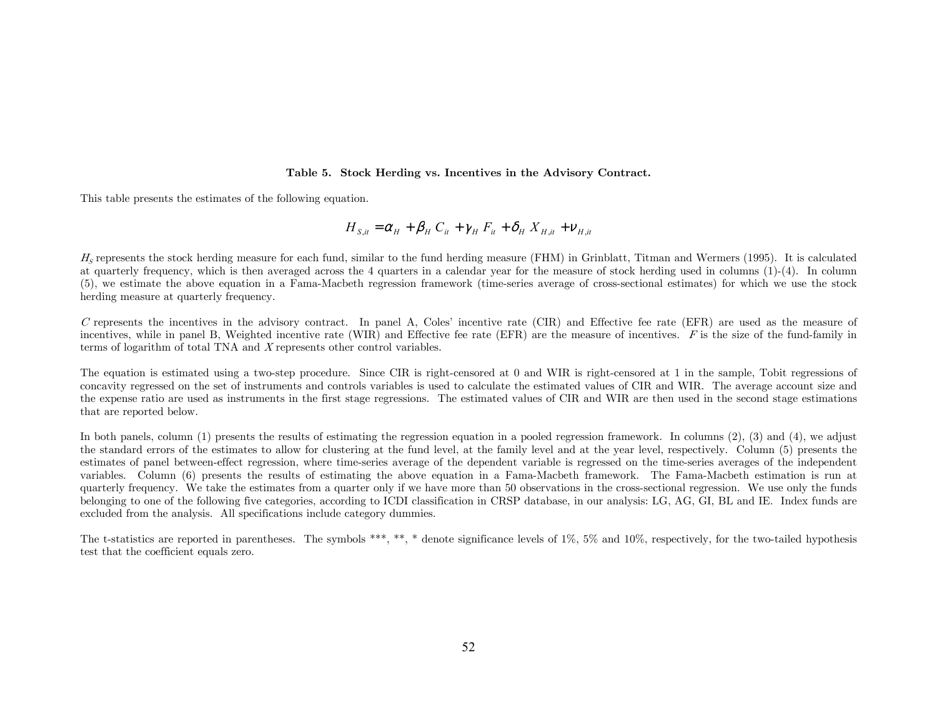### Table 5. Stock Herding vs. Incentives in the Advisory Contract.

This table presents the estimates of the following equation.

$$
H_{S,i} = \alpha_H + \beta_H C_{it} + \gamma_H F_{it} + \delta_H X_{H,i} + \nu_{H,i}
$$

 $H<sub>e</sub>$  represents the stock herding measure for each fund, similar to the fund herding measure (FHM) in Grinblatt, Titman and Wermers (1995). It is calculated at quarterly frequency, which is then averaged across the 4 quarters in a calendar year for the measure of stock herding used in columns (1)-(4). In column (5), we estimate the above equation in a Fama-Macbeth regression framework (time-series average of cross-sectional estimates) for which we use the stock herding measure at quarterly frequency.

C represents the incentives in the advisory contract. In panel A, Coles' incentive rate (CIR) and Effective fee rate (EFR) are used as the measure of incentives, while in panel B, Weighted incentive rate (WIR) and Effective fee rate (EFR) are the measure of incentives. F is the size of the fund-family in terms of logarithm of total TNA and X represents other control variables.

The equation is estimated using a two-step procedure. Since CIR is right-censored at 0 and WIR is right-censored at 1 in the sample, Tobit regressions of concavity regressed on the set of instruments and controls variables is used to calculate the estimated values of CIR and WIR. The average account size and the expense ratio are used as instruments in the first stage regressions. The estimated values of CIR and WIR are then used in the second stage estimations that are reported below.

In both panels, column (1) presents the results of estimating the regression equation in a pooled regression framework. In columns (2), (3) and (4), we adjust the standard errors of the estimates to allow for clustering at the fund level, at the family level and at the year level, respectively. Column (5) presents the estimates of panel between-effect regression, where time-series average of the dependent variable is regressed on the time-series averages of the independent variables. Column (6) presents the results of estimating the above equation in a Fama-Macbeth framework. The Fama-Macbeth estimation is run at quarterly frequency. We take the estimates from a quarter only if we have more than 50 observations in the cross-sectional regression. We use only the funds belonging to one of the following five categories, according to ICDI classification in CRSP database, in our analysis: LG, AG, GI, BL and IE. Index funds are excluded from the analysis. All specifications include category dummies.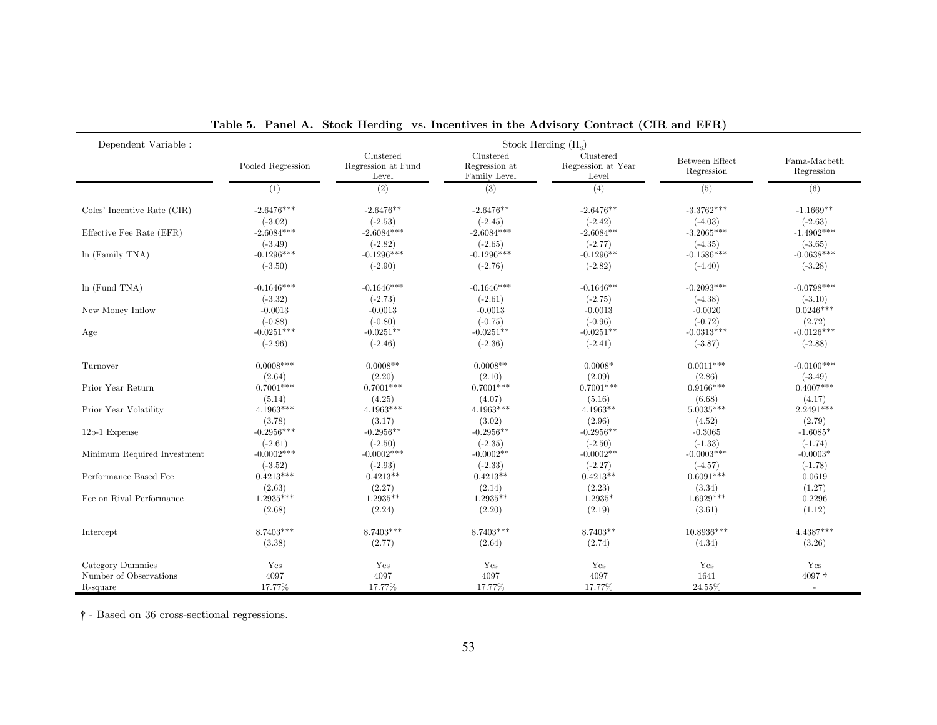| Dependent Variable :        | Stock Herding $(H_s)$ |                                          |                                            |                                          |                              |                            |  |  |  |
|-----------------------------|-----------------------|------------------------------------------|--------------------------------------------|------------------------------------------|------------------------------|----------------------------|--|--|--|
|                             | Pooled Regression     | Clustered<br>Regression at Fund<br>Level | Clustered<br>Regression at<br>Family Level | Clustered<br>Regression at Year<br>Level | Between Effect<br>Regression | Fama-Macbeth<br>Regression |  |  |  |
|                             | (1)                   | (2)                                      | (3)                                        | (4)                                      | (5)                          | (6)                        |  |  |  |
| Coles' Incentive Rate (CIR) | $-2.6476***$          | $-2.6476**$                              | $-2.6476**$                                | $-2.6476**$                              | $-3.3762***$                 | $-1.1669**$                |  |  |  |
|                             | $(-3.02)$             | $(-2.53)$                                | $(-2.45)$                                  | $(-2.42)$                                | $(-4.03)$                    | $(-2.63)$                  |  |  |  |
| Effective Fee Rate (EFR)    | $-2.6084***$          | $-2.6084***$                             | $-2.6084***$                               | $-2.6084**$                              | $-3.2065***$                 | $-1.4902***$               |  |  |  |
|                             | $(-3.49)$             | $(-2.82)$                                | $(-2.65)$                                  | $(-2.77)$                                | $(-4.35)$                    | $(-3.65)$                  |  |  |  |
| $ln$ (Family TNA)           | $-0.1296***$          | $-0.1296***$                             | $-0.1296***$                               | $-0.1296**$                              | $-0.1586***$                 | $-0.0638***$               |  |  |  |
|                             | $(-3.50)$             | $(-2.90)$                                | $(-2.76)$                                  | $(-2.82)$                                | $(-4.40)$                    | $(-3.28)$                  |  |  |  |
| $ln$ (Fund TNA)             | $-0.1646***$          | $-0.1646***$                             | $-0.1646***$                               | $-0.1646**$                              | $-0.2093***$                 | $-0.0798***$               |  |  |  |
|                             | $(-3.32)$             | $(-2.73)$                                | $(-2.61)$                                  | $(-2.75)$                                | $(-4.38)$                    | $(-3.10)$                  |  |  |  |
| New Money Inflow            | $-0.0013$             | $-0.0013$                                | $-0.0013$                                  | $-0.0013$                                | $-0.0020$                    | $0.0246***$                |  |  |  |
|                             | $(-0.88)$             | $(-0.80)$                                | $(-0.75)$                                  | $(-0.96)$                                | $(-0.72)$                    | (2.72)                     |  |  |  |
| Age                         | $-0.0251***$          | $-0.0251**$                              | $-0.0251**$                                | $-0.0251**$                              | $-0.0313***$                 | $-0.0126***$               |  |  |  |
|                             | $(-2.96)$             | $(-2.46)$                                | $(-2.36)$                                  | $(-2.41)$                                | $(-3.87)$                    | $(-2.88)$                  |  |  |  |
| Turnover                    | $0.0008***$           | $0.0008**$                               | $0.0008**$                                 | $0.0008*$                                | $0.0011***$                  | $-0.0100***$               |  |  |  |
|                             | (2.64)                | (2.20)                                   | (2.10)                                     | (2.09)                                   | (2.86)                       | $(-3.49)$                  |  |  |  |
| Prior Year Return           | $0.7001***$           | $0.7001***$                              | $0.7001***$                                | $0.7001***$                              | $0.9166***$                  | $0.4007***$                |  |  |  |
|                             | (5.14)                | (4.25)                                   | (4.07)                                     | (5.16)                                   | (6.68)                       | (4.17)                     |  |  |  |
| Prior Year Volatility       | $4.1963***$           | $4.1963***$                              | $4.1963***$                                | $4.1963**$                               | 5.0035***                    | $2.2491***$                |  |  |  |
|                             | (3.78)                | (3.17)                                   | (3.02)                                     | (2.96)                                   | (4.52)                       | (2.79)                     |  |  |  |
| 12b-1 Expense               | $-0.2956***$          | $-0.2956**$                              | $-0.2956**$                                | $-0.2956**$                              | $-0.3065$                    | $-1.6085*$                 |  |  |  |
|                             | $(-2.61)$             | $(-2.50)$                                | $(-2.35)$                                  | $(-2.50)$                                | $(-1.33)$                    | $(-1.74)$                  |  |  |  |
| Minimum Required Investment | $-0.0002***$          | $-0.0002***$                             | $-0.0002**$                                | $-0.0002**$                              | $-0.0003***$                 | $-0.0003*$                 |  |  |  |
|                             | $(-3.52)$             | $(-2.93)$                                | $(-2.33)$                                  | $(-2.27)$                                | $(-4.57)$                    | $(-1.78)$                  |  |  |  |
| Performance Based Fee       | $0.4213***$           | $0.4213**$                               | $0.4213**$                                 | $0.4213**$                               | $0.6091***$                  | 0.0619                     |  |  |  |
|                             | (2.63)                | (2.27)                                   | (2.14)                                     | (2.23)                                   | (3.34)                       | (1.27)                     |  |  |  |
| Fee on Rival Performance    | $1.2935***$           | $1.2935**$                               | $1.2935**$                                 | $1.2935*$                                | $1.6929***$                  | 0.2296                     |  |  |  |
|                             | (2.68)                | (2.24)                                   | (2.20)                                     | (2.19)                                   | (3.61)                       | (1.12)                     |  |  |  |
| Intercept                   | $8.7403***$           | $8.7403***$                              | $8.7403***$                                | $8.7403**$                               | $10.8936***$                 | $4.4387***$                |  |  |  |
|                             | (3.38)                | (2.77)                                   | (2.64)                                     | (2.74)                                   | (4.34)                       | (3.26)                     |  |  |  |
| Category Dummies            | Yes                   | Yes                                      | Yes                                        | Yes                                      | Yes                          | Yes                        |  |  |  |
| Number of Observations      | 4097                  | 4097                                     | 4097                                       | 4097                                     | 1641                         | 4097 †                     |  |  |  |
| R-square                    | 17.77%                | 17.77%                                   | 17.77%                                     | 17.77%                                   | 24.55%                       | $\sim$                     |  |  |  |

Table 5. Panel A. Stock Herding vs. Incentives in the Advisory Contract (CIR and EFR)

† - Based on 36 cross-sectional regressions.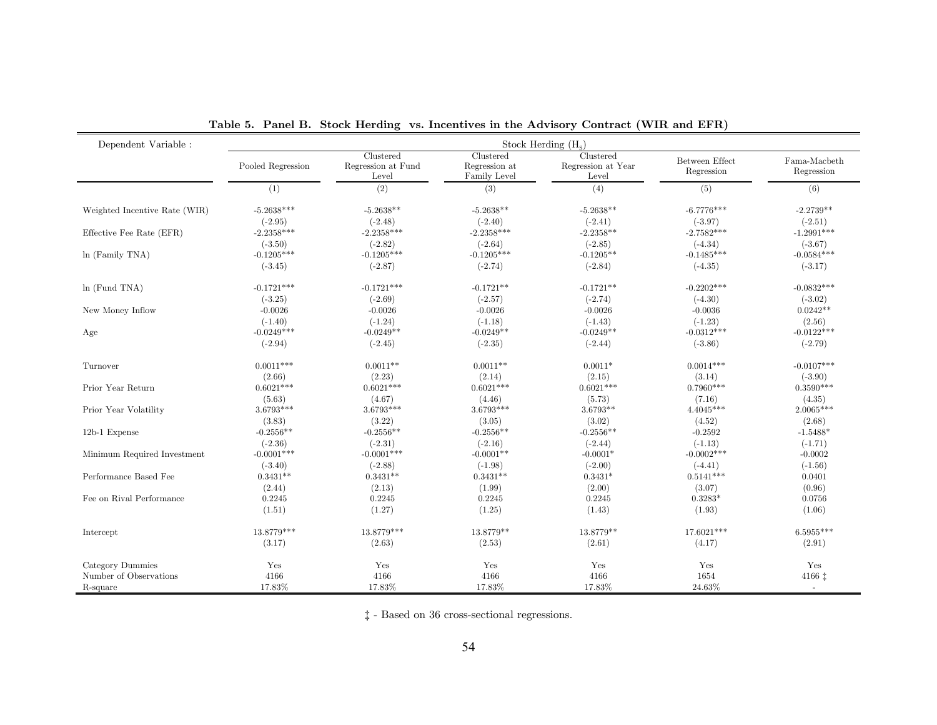| Dependent Variable :          |                   | Stock Herding $(H_s)$                    |                                            |                                          |                              |                            |  |  |  |
|-------------------------------|-------------------|------------------------------------------|--------------------------------------------|------------------------------------------|------------------------------|----------------------------|--|--|--|
|                               | Pooled Regression | Clustered<br>Regression at Fund<br>Level | Clustered<br>Regression at<br>Family Level | Clustered<br>Regression at Year<br>Level | Between Effect<br>Regression | Fama-Macbeth<br>Regression |  |  |  |
|                               | (1)               | (2)                                      | (3)                                        | (4)                                      | (5)                          | (6)                        |  |  |  |
| Weighted Incentive Rate (WIR) | $-5.2638***$      | $-5.2638**$                              | $-5.2638**$                                | $-5.2638**$                              | $-6.7776***$                 | $-2.2739**$                |  |  |  |
|                               | $(-2.95)$         | $(-2.48)$                                | $(-2.40)$                                  | $(-2.41)$                                | $(-3.97)$                    | $(-2.51)$                  |  |  |  |
| Effective Fee Rate (EFR)      | $-2.2358***$      | $-2.2358***$                             | $-2.2358***$                               | $-2.2358**$                              | $-2.7582***$                 | $-1.2991***$               |  |  |  |
|                               | $(-3.50)$         | $(-2.82)$                                | $(-2.64)$                                  | $(-2.85)$                                | $(-4.34)$                    | $(-3.67)$                  |  |  |  |
| $ln$ (Family TNA)             | $-0.1205***$      | $-0.1205***$                             | $-0.1205***$                               | $-0.1205**$                              | $-0.1485***$                 | $-0.0584***$               |  |  |  |
|                               | $(-3.45)$         | $(-2.87)$                                | $(-2.74)$                                  | $(-2.84)$                                | $(-4.35)$                    | $(-3.17)$                  |  |  |  |
| ln(Fund TNA)                  | $-0.1721***$      | $-0.1721***$                             | $-0.1721**$                                | $-0.1721**$                              | $-0.2202***$                 | $-0.0832***$               |  |  |  |
|                               | $(-3.25)$         | $(-2.69)$                                | $(-2.57)$                                  | $(-2.74)$                                | $(-4.30)$                    | $(-3.02)$                  |  |  |  |
| New Money Inflow              | $-0.0026$         | $-0.0026$                                | $-0.0026$                                  | $-0.0026$                                | $-0.0036$                    | $0.0242**$                 |  |  |  |
|                               | $(-1.40)$         | $(-1.24)$                                | $(-1.18)$                                  | $(-1.43)$                                | $(-1.23)$                    | (2.56)                     |  |  |  |
| Age                           | $-0.0249***$      | $-0.0249**$                              | $-0.0249**$                                | $-0.0249**$                              | $-0.0312***$                 | $-0.0122***$               |  |  |  |
|                               | $(-2.94)$         | $(-2.45)$                                | $(-2.35)$                                  | $(-2.44)$                                | $(-3.86)$                    | $(-2.79)$                  |  |  |  |
| Turnover                      | $0.0011***$       | $0.0011**$                               | $0.0011**$                                 | $0.0011*$                                | $0.0014***$                  | $-0.0107***$               |  |  |  |
|                               | (2.66)            | (2.23)                                   | (2.14)                                     | (2.15)                                   | (3.14)                       | $(-3.90)$                  |  |  |  |
| Prior Year Return             | $0.6021***$       | $0.6021***$                              | $0.6021***$                                | $0.6021***$                              | $0.7960***$                  | $0.3590***$                |  |  |  |
|                               | (5.63)            | (4.67)                                   | (4.46)                                     | (5.73)                                   | (7.16)                       | (4.35)                     |  |  |  |
| Prior Year Volatility         | $3.6793***$       | 3.6793***                                | $3.6793***$                                | $3.6793**$                               | $4.4045***$                  | $2.0065***$                |  |  |  |
|                               | (3.83)            | (3.22)                                   | (3.05)                                     | (3.02)                                   | (4.52)                       | (2.68)                     |  |  |  |
| 12b-1 Expense                 | $-0.2556**$       | $-0.2556**$                              | $-0.2556**$                                | $-0.2556**$                              | $-0.2592$                    | $-1.5488*$                 |  |  |  |
|                               | $(-2.36)$         | $(-2.31)$                                | $(-2.16)$                                  | $(-2.44)$                                | $(-1.13)$                    | $(-1.71)$                  |  |  |  |
| Minimum Required Investment   | $-0.0001***$      | $-0.0001***$                             | $-0.0001**$                                | $-0.0001*$                               | $-0.0002***$                 | $-0.0002$                  |  |  |  |
|                               | $(-3.40)$         | $(-2.88)$                                | $(-1.98)$                                  | $(-2.00)$                                | $(-4.41)$                    | $(-1.56)$                  |  |  |  |
| Performance Based Fee         | $0.3431**$        | $0.3431**$                               | $0.3431**$                                 | $0.3431*$                                | $0.5141***$                  | 0.0401                     |  |  |  |
|                               | (2.44)            | (2.13)                                   | (1.99)                                     | (2.00)                                   | (3.07)                       | (0.96)                     |  |  |  |
| Fee on Rival Performance      | 0.2245            | 0.2245                                   | 0.2245                                     | 0.2245                                   | $0.3283*$                    | 0.0756                     |  |  |  |
|                               | (1.51)            | (1.27)                                   | (1.25)                                     | (1.43)                                   | (1.93)                       | (1.06)                     |  |  |  |
| Intercept                     | 13.8779***        | 13.8779***                               | 13.8779**                                  | 13.8779**                                | 17.6021***                   | 6.5955***                  |  |  |  |
|                               | (3.17)            | (2.63)                                   | (2.53)                                     | (2.61)                                   | (4.17)                       | (2.91)                     |  |  |  |
| Category Dummies              | Yes               | Yes                                      | Yes                                        | Yes                                      | Yes                          | Yes                        |  |  |  |
| Number of Observations        | 4166              | 4166                                     | 4166                                       | 4166                                     | 1654                         | 4166 1                     |  |  |  |
| R-square                      | 17.83%            | 17.83%                                   | 17.83%                                     | 17.83%                                   | 24.63%                       | $\sim$                     |  |  |  |

Table 5. Panel B. Stock Herding vs. Incentives in the Advisory Contract (WIR and EFR)

 $\ddagger$  - Based on 36 cross-sectional regressions.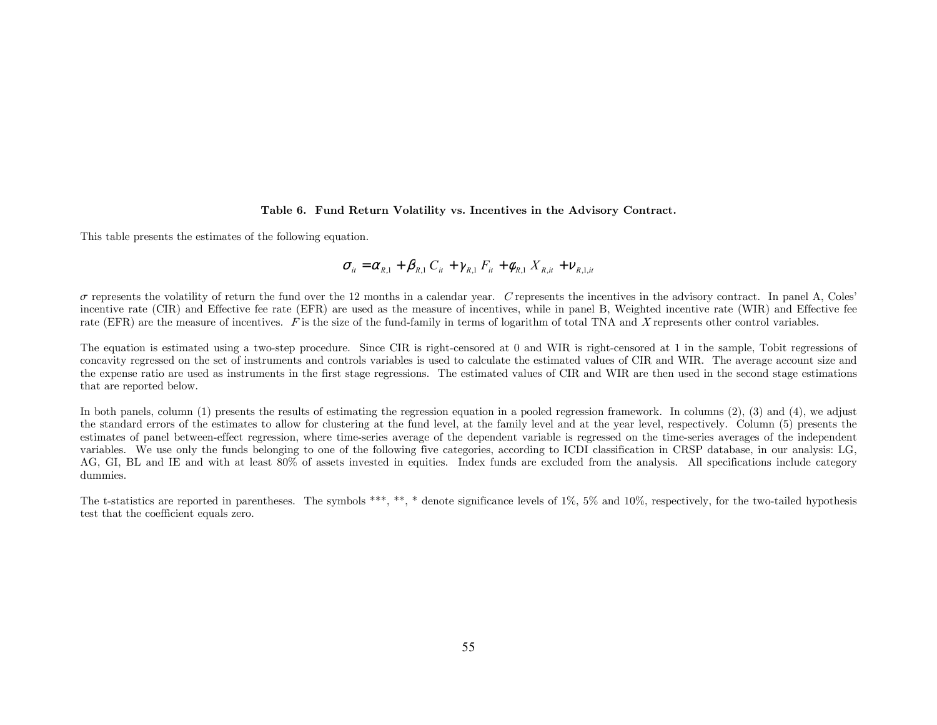#### Table 6. Fund Return Volatility vs. Incentives in the Advisory Contract.

This table presents the estimates of the following equation.

$$
\sigma_{it} = \alpha_{R,1} + \beta_{R,1} C_{it} + \gamma_{R,1} F_{it} + \phi_{R,1} X_{R,it} + \nu_{R,1,it}
$$

 $\sigma$  represents the volatility of return the fund over the 12 months in a calendar year. C represents the incentives in the advisory contract. In panel A, Coles' incentive rate (CIR) and Effective fee rate (EFR) are used as the measure of incentives, while in panel B, Weighted incentive rate (WIR) and Effective fee rate (EFR) are the measure of incentives. F is the size of the fund-family in terms of logarithm of total TNA and X represents other control variables.

The equation is estimated using a two-step procedure. Since CIR is right-censored at 0 and WIR is right-censored at 1 in the sample, Tobit regressions of concavity regressed on the set of instruments and controls variables is used to calculate the estimated values of CIR and WIR. The average account size and the expense ratio are used as instruments in the first stage regressions. The estimated values of CIR and WIR are then used in the second stage estimations that are reported below.

In both panels, column (1) presents the results of estimating the regression equation in a pooled regression framework. In columns (2), (3) and (4), we adjust the standard errors of the estimates to allow for clustering at the fund level, at the family level and at the year level, respectively. Column (5) presents the estimates of panel between-effect regression, where time-series average of the dependent variable is regressed on the time-series averages of the independent variables. We use only the funds belonging to one of the following five categories, according to ICDI classification in CRSP database, in our analysis: LG, AG, GI, BL and IE and with at least 80% of assets invested in equities. Index funds are excluded from the analysis. All specifications include category dummies.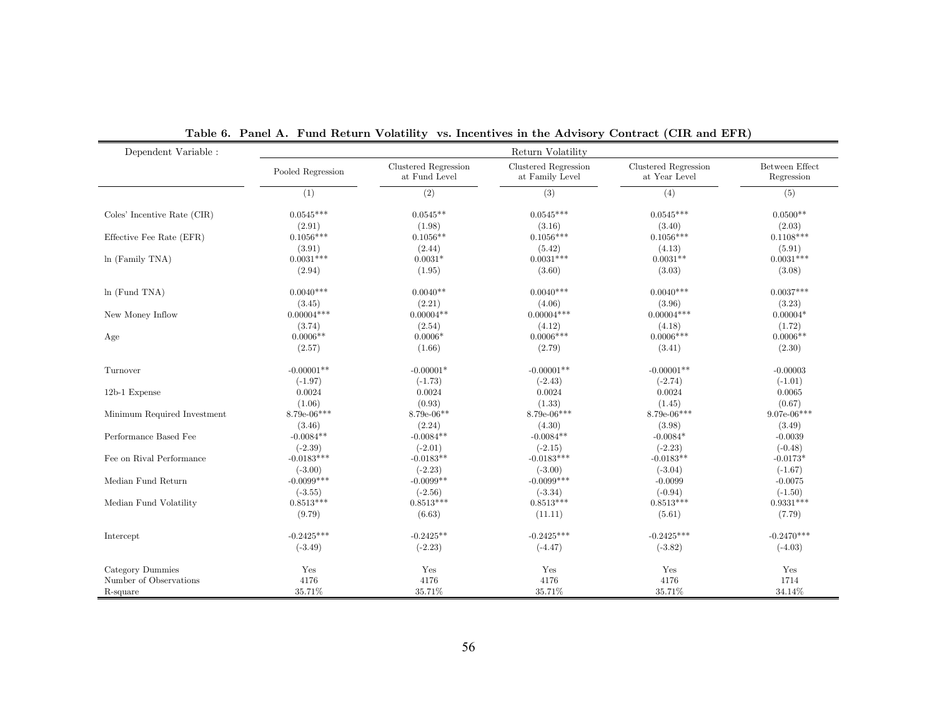| Dependent Variable :        |                   |                                       | Return Volatility                       |                                       |                              |
|-----------------------------|-------------------|---------------------------------------|-----------------------------------------|---------------------------------------|------------------------------|
|                             | Pooled Regression | Clustered Regression<br>at Fund Level | Clustered Regression<br>at Family Level | Clustered Regression<br>at Year Level | Between Effect<br>Regression |
|                             | (1)               | (2)                                   | (3)                                     | (4)                                   | (5)                          |
| Coles' Incentive Rate (CIR) | $0.0545***$       | $0.0545**$                            | $0.0545***$                             | $0.0545***$                           | $0.0500**$                   |
| Effective Fee Rate (EFR)    | (2.91)            | (1.98)                                | (3.16)                                  | (3.40)                                | (2.03)                       |
|                             | $0.1056***$       | $0.1056**$                            | $0.1056***$                             | $0.1056***$                           | $0.1108***$                  |
| $ln$ (Family TNA)           | (3.91)            | (2.44)                                | (5.42)                                  | (4.13)                                | (5.91)                       |
|                             | $0.0031***$       | $0.0031*$                             | $0.0031***$                             | $0.0031**$                            | $0.0031***$                  |
|                             | (2.94)            | (1.95)                                | (3.60)                                  | (3.03)                                | (3.08)                       |
| ln (Fund TNA)               | $0.0040***$       | $0.0040**$                            | $0.0040***$                             | $0.0040***$                           | $0.0037***$                  |
| New Money Inflow            | (3.45)            | (2.21)                                | (4.06)                                  | (3.96)                                | (3.23)                       |
|                             | $0.00004***$      | $0.00004**$                           | $0.00004***$                            | $0.00004***$                          | $0.00004*$                   |
|                             | (3.74)            | (2.54)                                | (4.12)                                  | (4.18)                                | (1.72)                       |
| Age                         | $0.0006**$        | $0.0006*$                             | $0.0006***$                             | $0.0006***$                           | $0.0006**$                   |
|                             | (2.57)            | (1.66)                                | (2.79)                                  | (3.41)                                | (2.30)                       |
| Turnover                    | $-0.00001**$      | $-0.00001*$                           | $-0.00001**$                            | $-0.00001**$                          | $-0.00003$                   |
|                             | $(-1.97)$         | $(-1.73)$                             | $(-2.43)$                               | $(-2.74)$                             | $(-1.01)$                    |
| 12b-1 Expense               | 0.0024            | 0.0024                                | 0.0024                                  | 0.0024                                | 0.0065                       |
|                             | (1.06)            | (0.93)                                | (1.33)                                  | (1.45)                                | (0.67)                       |
| Minimum Required Investment | $8.79e-06***$     | $8.79e-06**$                          | $8.79e-06***$                           | $8.79e-06***$                         | $9.07e-06***$                |
|                             | (3.46)            | (2.24)                                | (4.30)                                  | (3.98)                                | (3.49)                       |
| Performance Based Fee       | $-0.0084**$       | $-0.0084**$                           | $-0.0084**$                             | $-0.0084*$                            | $-0.0039$                    |
|                             | $(-2.39)$         | $(-2.01)$                             | $(-2.15)$                               | $(-2.23)$                             | $(-0.48)$                    |
| Fee on Rival Performance    | $-0.0183***$      | $-0.0183**$                           | $-0.0183***$                            | $-0.0183**$                           | $-0.0173*$                   |
|                             | $(-3.00)$         | $(-2.23)$                             | $(-3.00)$                               | $(-3.04)$                             | $(-1.67)$                    |
| Median Fund Return          | $-0.0099***$      | $-0.0099**$                           | $-0.0099***$                            | $-0.0099$                             | $-0.0075$                    |
|                             | $(-3.55)$         | $(-2.56)$                             | $(-3.34)$                               | $(-0.94)$                             | $(-1.50)$                    |
| Median Fund Volatility      | $0.8513***$       | $0.8513***$                           | $0.8513***$                             | $0.8513***$                           | $0.9331***$                  |
|                             | (9.79)            | (6.63)                                | (11.11)                                 | (5.61)                                | (7.79)                       |
| Intercept                   | $-0.2425***$      | $-0.2425**$                           | $-0.2425***$                            | $-0.2425***$                          | $-0.2470***$                 |
|                             | $(-3.49)$         | $(-2.23)$                             | $(-4.47)$                               | $(-3.82)$                             | $(-4.03)$                    |
| Category Dummies            | Yes               | Yes                                   | Yes                                     | Yes                                   | Yes                          |
| Number of Observations      | 4176              | 4176                                  | 4176                                    | 4176                                  | 1714                         |
| R-square                    | 35.71%            | 35.71%                                | 35.71%                                  | 35.71%                                | 34.14%                       |

Table 6. Panel A. Fund Return Volatility vs. Incentives in the Advisory Contract (CIR and EFR)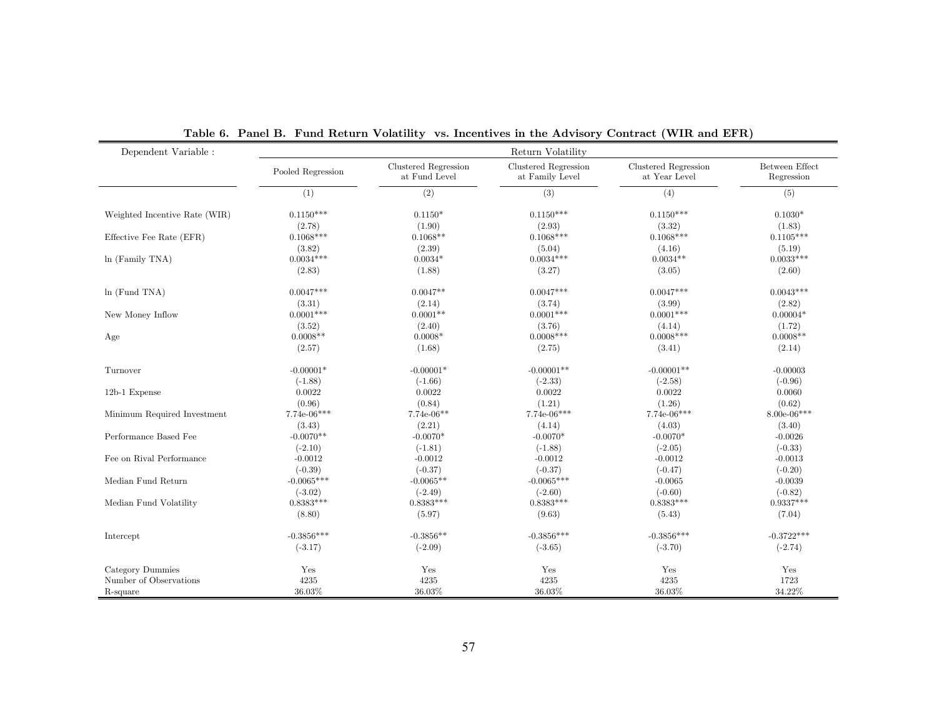| Dependent Variable :          |                        |                                       | Return Volatility                       |                                       |                              |
|-------------------------------|------------------------|---------------------------------------|-----------------------------------------|---------------------------------------|------------------------------|
|                               | Pooled Regression      | Clustered Regression<br>at Fund Level | Clustered Regression<br>at Family Level | Clustered Regression<br>at Year Level | Between Effect<br>Regression |
|                               | (1)                    | (2)                                   | (3)                                     | (4)                                   | (5)                          |
| Weighted Incentive Rate (WIR) | $0.1150***$            | $0.1150*$                             | $0.1150***$                             | $0.1150***$                           | $0.1030*$                    |
|                               | (2.78)                 | (1.90)                                | (2.93)                                  | (3.32)                                | (1.83)                       |
| Effective Fee Rate (EFR)      | $0.1068***$            | $0.1068**$                            | $0.1068***$                             | $0.1068***$                           | $0.1105***$                  |
| $ln$ (Family TNA)             | (3.82)<br>$0.0034***$  | (2.39)<br>$0.0034*$                   | (5.04)<br>$0.0034***$                   | (4.16)<br>$0.0034**$                  | (5.19)<br>$0.0033***$        |
|                               | (2.83)                 | (1.88)                                | (3.27)                                  | (3.05)                                | (2.60)                       |
| ln(Fund TNA)                  | $0.0047***$            | $0.0047**$                            | $0.0047***$                             | $0.0047***$                           | $0.0043***$                  |
|                               | (3.31)                 | (2.14)                                | (3.74)                                  | (3.99)                                | (2.82)                       |
| New Money Inflow              | $0.0001***$            | $0.0001**$                            | $0.0001$ ***                            | $0.0001***$                           | $0.00004*$                   |
|                               | (3.52)                 | (2.40)                                | (3.76)                                  | (4.14)                                | (1.72)                       |
| Age                           | $0.0008**$             | $0.0008*$                             | $0.0008***$                             | $0.0008***$                           | $0.0008**$                   |
|                               | (2.57)                 | (1.68)                                | (2.75)                                  | (3.41)                                | (2.14)                       |
| Turnover                      | $-0.00001*$            | $-0.00001*$                           | $-0.00001**$                            | $-0.00001**$                          | $-0.00003$                   |
|                               | $(-1.88)$              | $(-1.66)$                             | $(-2.33)$                               | $(-2.58)$                             | $(-0.96)$                    |
| 12b-1 Expense                 | 0.0022                 | 0.0022                                | 0.0022                                  | 0.0022                                | 0.0060                       |
|                               | (0.96)                 | (0.84)                                | (1.21)                                  | (1.26)                                | (0.62)                       |
| Minimum Required Investment   | $7.74e-06***$          | $7.74e-06**$                          | $7.74e-06***$                           | $7.74e-06***$                         | $8.00e-06***$                |
|                               | (3.43)                 | (2.21)                                | (4.14)                                  | (4.03)                                | (3.40)                       |
| Performance Based Fee         | $-0.0070**$            | $-0.0070*$                            | $-0.0070*$                              | $-0.0070*$                            | $-0.0026$                    |
| Fee on Rival Performance      | $(-2.10)$<br>$-0.0012$ | $(-1.81)$<br>$-0.0012$                | $(-1.88)$<br>$-0.0012$                  | $(-2.05)$<br>$-0.0012$                | $(-0.33)$<br>$-0.0013$       |
|                               | $(-0.39)$              | $(-0.37)$                             | $(-0.37)$                               | $(-0.47)$                             | $(-0.20)$                    |
| Median Fund Return            | $-0.0065***$           | $-0.0065**$                           | $-0.0065***$                            | $-0.0065$                             | $-0.0039$                    |
|                               | $(-3.02)$              | $(-2.49)$                             | $(-2.60)$                               | $(-0.60)$                             | $(-0.82)$                    |
| Median Fund Volatility        | $0.8383***$            | $0.8383***$                           | $0.8383***$                             | $0.8383***$                           | $0.9337***$                  |
|                               | (8.80)                 | (5.97)                                | (9.63)                                  | (5.43)                                | (7.04)                       |
| Intercept                     | $-0.3856***$           | $-0.3856**$                           | $-0.3856***$                            | $-0.3856***$                          | $-0.3722***$                 |
|                               | $(-3.17)$              | $(-2.09)$                             | $(-3.65)$                               | $(-3.70)$                             | $(-2.74)$                    |
| Category Dummies              | Yes                    | Yes                                   | Yes                                     | Yes                                   | Yes                          |
| Number of Observations        | 4235                   | 4235                                  | 4235                                    | 4235                                  | 1723                         |
| R-square                      | 36.03%                 | 36.03%                                | 36.03%                                  | 36.03%                                | 34.22%                       |

Table 6. Panel B. Fund Return Volatility vs. Incentives in the Advisory Contract (WIR and EFR)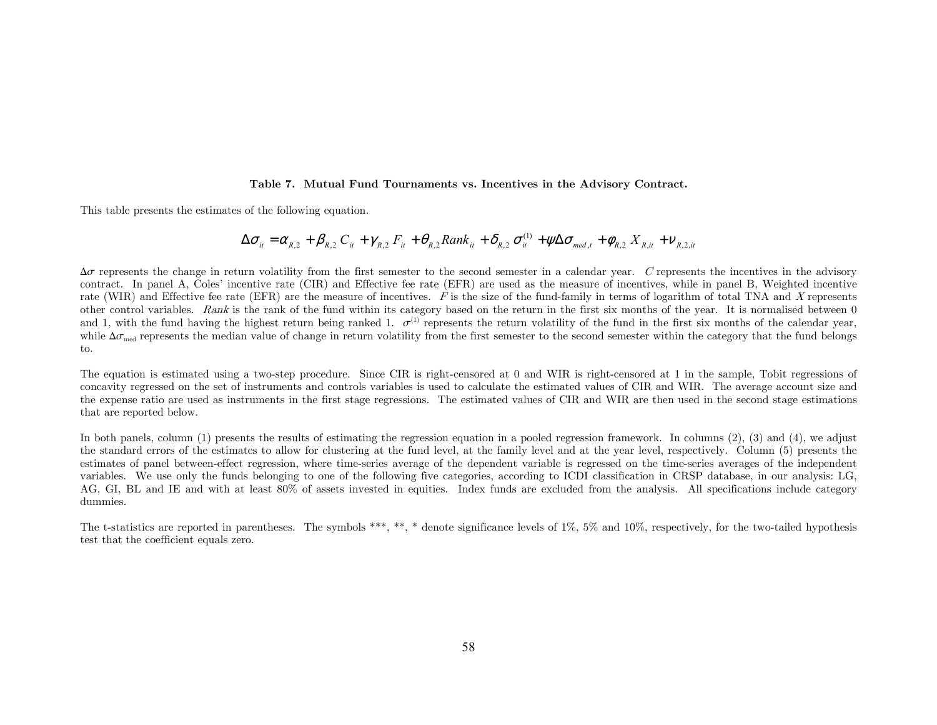#### Table 7. Mutual Fund Tournaments vs. Incentives in the Advisory Contract.

This table presents the estimates of the following equation.

$$
\Delta \sigma_{ii} = \alpha_{R,2} + \beta_{R,2} C_{ii} + \gamma_{R,2} F_{ii} + \theta_{R,2} Rank_{ii} + \delta_{R,2} \sigma_{ii}^{(1)} + \psi \Delta \sigma_{med,t} + \phi_{R,2} X_{R,i} + \nu_{R,2,ii}
$$

 $\Delta\sigma$  represents the change in return volatility from the first semester to the second semester in a calendar year. C represents the incentives in the advisory contract. In panel A, Coles' incentive rate (CIR) and Effective fee rate (EFR) are used as the measure of incentives, while in panel B, Weighted incentive rate (WIR) and Effective fee rate (EFR) are the measure of incentives.  $F$  is the size of the fund-family in terms of logarithm of total TNA and X represents other control variables. Rank is the rank of the fund within its category based on the return in the first six months of the year. It is normalised between 0 and 1, with the fund having the highest return being ranked 1.  $\sigma^{(1)}$  represents the return volatility of the fund in the first six months of the calendar year, while  $\Delta\sigma_{\text{mod}}$  represents the median value of change in return volatility from the first semester to the second semester within the category that the fund belongs to.

The equation is estimated using a two-step procedure. Since CIR is right-censored at 0 and WIR is right-censored at 1 in the sample, Tobit regressions of concavity regressed on the set of instruments and controls variables is used to calculate the estimated values of CIR and WIR. The average account size and the expense ratio are used as instruments in the first stage regressions. The estimated values of CIR and WIR are then used in the second stage estimations that are reported below.

In both panels, column (1) presents the results of estimating the regression equation in a pooled regression framework. In columns (2), (3) and (4), we adjust the standard errors of the estimates to allow for clustering at the fund level, at the family level and at the year level, respectively. Column (5) presents the estimates of panel between-effect regression, where time-series average of the dependent variable is regressed on the time-series averages of the independent variables. We use only the funds belonging to one of the following five categories, according to ICDI classification in CRSP database, in our analysis: LG, AG, GI, BL and IE and with at least 80% of assets invested in equities. Index funds are excluded from the analysis. All specifications include category dummies.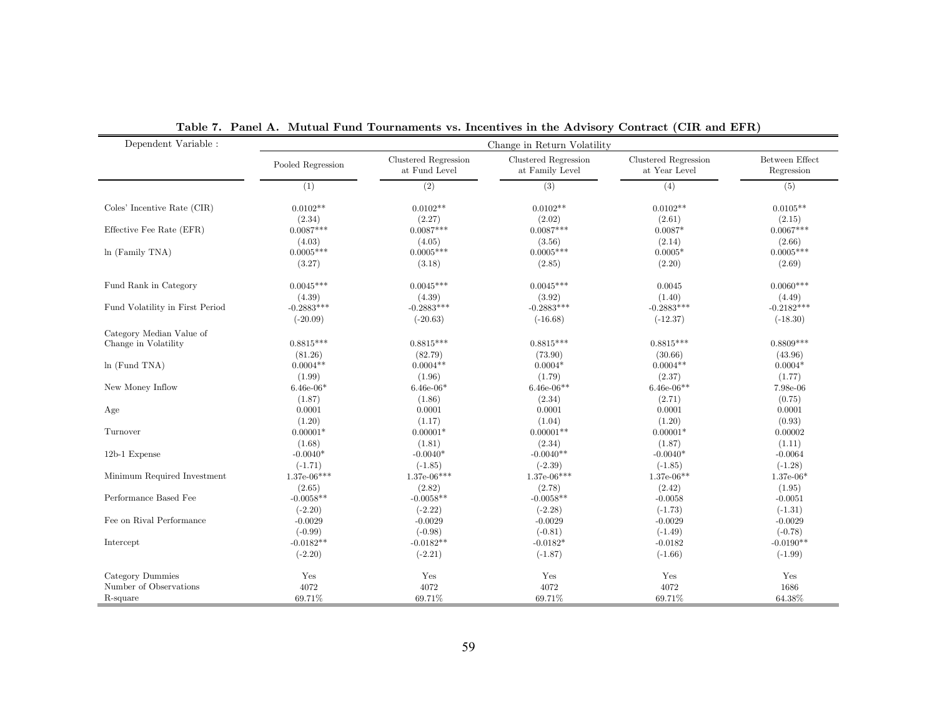| Dependent Variable :            | Change in Return Volatility |                                       |                                         |                                       |                              |  |  |
|---------------------------------|-----------------------------|---------------------------------------|-----------------------------------------|---------------------------------------|------------------------------|--|--|
|                                 | Pooled Regression           | Clustered Regression<br>at Fund Level | Clustered Regression<br>at Family Level | Clustered Regression<br>at Year Level | Between Effect<br>Regression |  |  |
|                                 | (1)                         | (2)                                   | (3)                                     | (4)                                   | (5)                          |  |  |
| Coles' Incentive Rate (CIR)     | $0.0102**$                  | $0.0102**$                            | $0.0102**$                              | $0.0102**$                            | $0.0105**$                   |  |  |
| Effective Fee Rate (EFR)        | (2.34)<br>$0.0087***$       | (2.27)<br>$0.0087***$                 | (2.02)<br>$0.0087***$                   | (2.61)<br>$0.0087*$                   | (2.15)<br>$0.0067***$        |  |  |
|                                 | (4.03)                      | (4.05)                                | (3.56)                                  | (2.14)                                | (2.66)                       |  |  |
| ln (Family TNA)                 | $0.0005***$                 | $0.0005***$                           | $0.0005***$                             | $0.0005*$                             | $0.0005***$                  |  |  |
|                                 | (3.27)                      | (3.18)                                | (2.85)                                  | (2.20)                                | (2.69)                       |  |  |
| Fund Rank in Category           | $0.0045***$                 | $0.0045***$                           | $0.0045***$                             | 0.0045                                | $0.0060***$                  |  |  |
|                                 | (4.39)                      | (4.39)                                | (3.92)                                  | (1.40)                                | (4.49)                       |  |  |
| Fund Volatility in First Period | $-0.2883***$                | $-0.2883***$                          | $-0.2883***$                            | $-0.2883***$                          | $-0.2182***$                 |  |  |
|                                 | $(-20.09)$                  | $(-20.63)$                            | $(-16.68)$                              | $(-12.37)$                            | $(-18.30)$                   |  |  |
| Category Median Value of        |                             |                                       |                                         |                                       |                              |  |  |
| Change in Volatility            | $0.8815***$                 | $0.8815***$                           | $0.8815***$                             | $0.8815***$                           | $0.8809***$                  |  |  |
|                                 | (81.26)                     | (82.79)                               | (73.90)                                 | (30.66)                               | (43.96)                      |  |  |
| ln(Fund TNA)                    | $0.0004**$                  | $0.0004**$                            | $0.0004*$                               | $0.0004**$                            | $0.0004*$                    |  |  |
|                                 | (1.99)                      | (1.96)                                | (1.79)                                  | (2.37)                                | (1.77)                       |  |  |
| New Money Inflow                | $6.46e-06*$                 | $6.46e-06*$                           | $6.46e-06**$                            | $6.46e-06**$                          | 7.98e-06                     |  |  |
|                                 | (1.87)                      | (1.86)                                | (2.34)                                  | (2.71)                                | (0.75)                       |  |  |
| Age                             | 0.0001                      | 0.0001                                | 0.0001                                  | 0.0001                                | 0.0001                       |  |  |
|                                 | (1.20)                      | (1.17)                                | (1.04)                                  | (1.20)                                | (0.93)                       |  |  |
| Turnover                        | $0.00001*$                  | $0.00001*$                            | $0.00001**$                             | $0.00001*$                            | 0.00002                      |  |  |
|                                 | (1.68)                      | (1.81)                                | (2.34)                                  | (1.87)                                | (1.11)                       |  |  |
| 12b-1 Expense                   | $-0.0040*$                  | $-0.0040*$                            | $-0.0040**$                             | $-0.0040*$                            | $-0.0064$                    |  |  |
|                                 | $(-1.71)$                   | $(-1.85)$                             | $(-2.39)$                               | $(-1.85)$                             | $(-1.28)$                    |  |  |
| Minimum Required Investment     | $1.37e-06***$               | $1.37e-06***$                         | $1.37e-06***$                           | $1.37e-06**$                          | $1.37e-06*$                  |  |  |
|                                 | (2.65)                      | (2.82)                                | (2.78)                                  | (2.42)                                | (1.95)                       |  |  |
| Performance Based Fee           | $-0.0058**$                 | $-0.0058**$                           | $-0.0058**$                             | $-0.0058$                             | $-0.0051$                    |  |  |
|                                 | $(-2.20)$                   | $(-2.22)$                             | $(-2.28)$                               | $(-1.73)$                             | $(-1.31)$                    |  |  |
| Fee on Rival Performance        | $-0.0029$                   | $-0.0029$                             | $-0.0029$                               | $-0.0029$                             | $-0.0029$                    |  |  |
|                                 | $(-0.99)$                   | $(-0.98)$                             | $(-0.81)$                               | $(-1.49)$                             | $(-0.78)$                    |  |  |
| Intercept                       | $-0.0182**$                 | $-0.0182**$                           | $-0.0182*$                              | $-0.0182$                             | $-0.0190**$                  |  |  |
|                                 | $(-2.20)$                   | $(-2.21)$                             | $(-1.87)$                               | $(-1.66)$                             | $(-1.99)$                    |  |  |
| Category Dummies                | Yes                         | Yes                                   | Yes                                     | Yes                                   | Yes                          |  |  |
| Number of Observations          | 4072                        | 4072                                  | 4072                                    | 4072                                  | 1686                         |  |  |
| R-square                        | 69.71%                      | 69.71%                                | 69.71%                                  | 69.71%                                | 64.38%                       |  |  |

Table 7. Panel A. Mutual Fund Tournaments vs. Incentives in the Advisory Contract (CIR and EFR)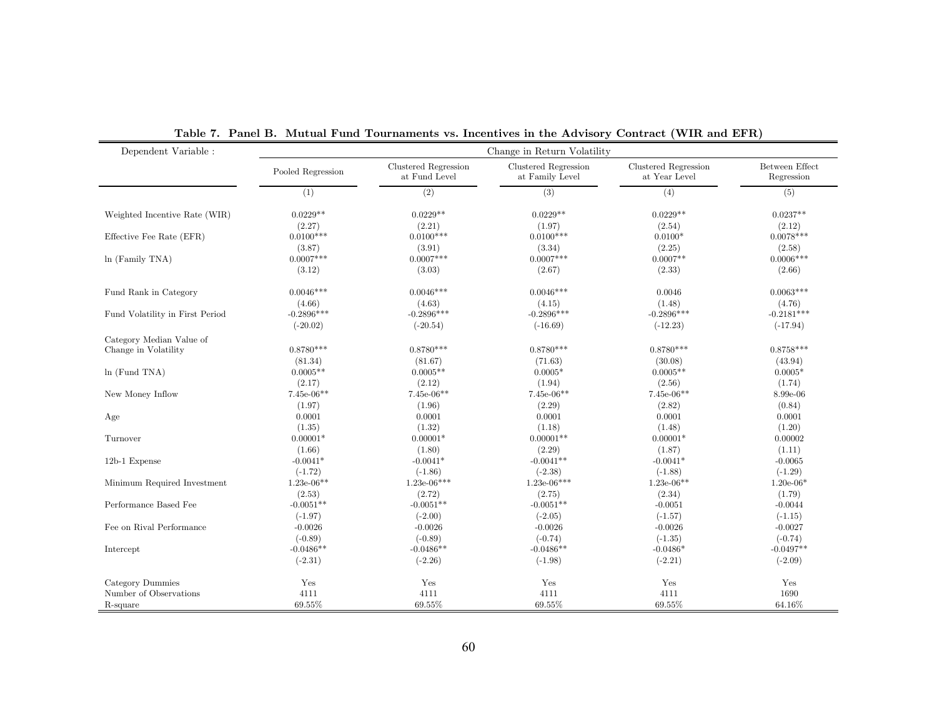| Dependent Variable :            |                       |                                       | Change in Return Volatility             |                                       |                              |
|---------------------------------|-----------------------|---------------------------------------|-----------------------------------------|---------------------------------------|------------------------------|
|                                 | Pooled Regression     | Clustered Regression<br>at Fund Level | Clustered Regression<br>at Family Level | Clustered Regression<br>at Year Level | Between Effect<br>Regression |
|                                 | (1)                   | (2)                                   | (3)                                     | (4)                                   | (5)                          |
| Weighted Incentive Rate (WIR)   | $0.0229**$            | $0.0229**$                            | $0.0229**$                              | $0.0229**$                            | $0.0237**$                   |
|                                 | (2.27)                | (2.21)                                | (1.97)<br>$0.0100***$                   | (2.54)                                | (2.12)                       |
| Effective Fee Rate (EFR)        | $0.0100***$           | $0.0100***$                           |                                         | $0.0100*$                             | $0.0078***$                  |
| $ln$ (Family TNA)               | (3.87)<br>$0.0007***$ | (3.91)<br>$0.0007***$                 | (3.34)<br>$0.0007***$                   | (2.25)<br>$0.0007**$                  | (2.58)<br>$0.0006***$        |
|                                 | (3.12)                | (3.03)                                | (2.67)                                  | (2.33)                                | (2.66)                       |
|                                 |                       |                                       |                                         |                                       |                              |
| Fund Rank in Category           | $0.0046***$           | $0.0046***$                           | $0.0046***$                             | 0.0046                                | $0.0063***$                  |
|                                 | (4.66)                | (4.63)                                | (4.15)                                  | (1.48)                                | (4.76)                       |
| Fund Volatility in First Period | $-0.2896***$          | $-0.2896***$                          | $-0.2896***$                            | $-0.2896***$                          | $-0.2181***$                 |
|                                 | $(-20.02)$            | $(-20.54)$                            | $(-16.69)$                              | $(-12.23)$                            | $(-17.94)$                   |
| Category Median Value of        |                       |                                       |                                         |                                       |                              |
| Change in Volatility            | $0.8780***$           | $0.8780***$                           | $0.8780***$                             | $0.8780***$                           | $0.8758***$                  |
|                                 | (81.34)               | (81.67)                               | (71.63)                                 | (30.08)                               | (43.94)                      |
| $ln$ (Fund TNA)                 | $0.0005**$            | $0.0005**$                            | $0.0005*$                               | $0.0005**$                            | $0.0005*$                    |
|                                 | (2.17)                | (2.12)                                | (1.94)                                  | (2.56)                                | (1.74)                       |
| New Money Inflow                | $7.45e-06**$          | $7.45e-06**$                          | 7.45e-06**                              | $7.45e-06**$                          | 8.99e-06                     |
|                                 | (1.97)                | (1.96)                                | (2.29)                                  | (2.82)                                | (0.84)                       |
| Age                             | 0.0001                | 0.0001                                | 0.0001                                  | 0.0001                                | 0.0001                       |
|                                 | (1.35)                | (1.32)                                | (1.18)                                  | (1.48)                                | (1.20)                       |
| Turnover                        | $0.00001*$            | $0.00001*$                            | $0.00001**$                             | $0.00001*$                            | 0.00002                      |
|                                 | (1.66)                | (1.80)                                | (2.29)                                  | (1.87)                                | (1.11)                       |
| 12b-1 Expense                   | $-0.0041*$            | $-0.0041*$                            | $-0.0041**$                             | $-0.0041*$                            | $-0.0065$                    |
|                                 | $(-1.72)$             | $(-1.86)$                             | $(-2.38)$                               | $(-1.88)$                             | $(-1.29)$                    |
| Minimum Required Investment     | $1.23e-06**$          | $1.23e-06***$                         | $1.23e-06***$                           | $1.23e-06**$                          | $1.20e-06*$                  |
|                                 | (2.53)                | (2.72)                                | (2.75)                                  | (2.34)                                | (1.79)                       |
| Performance Based Fee           | $-0.0051**$           | $-0.0051**$                           | $-0.0051**$                             | $-0.0051$                             | $-0.0044$                    |
|                                 | $(-1.97)$             | $(-2.00)$                             | $(-2.05)$                               | $(-1.57)$                             | $(-1.15)$                    |
| Fee on Rival Performance        | $-0.0026$             | $-0.0026$                             | $-0.0026$                               | $-0.0026$                             | $-0.0027$                    |
|                                 | $(-0.89)$             | $(-0.89)$                             | $(-0.74)$                               | $(-1.35)$                             | $(-0.74)$                    |
| Intercept                       | $-0.0486**$           | $-0.0486**$                           | $-0.0486**$                             | $-0.0486*$                            | $-0.0497**$                  |
|                                 | $(-2.31)$             | $(-2.26)$                             | $(-1.98)$                               | $(-2.21)$                             | $(-2.09)$                    |
| Category Dummies                | Yes                   | Yes                                   | Yes                                     | Yes                                   | Yes                          |
| Number of Observations          | 4111                  | 4111                                  | 4111                                    | 4111                                  | 1690                         |
| R-square                        | 69.55%                | 69.55%                                | 69.55%                                  | 69.55%                                | 64.16%                       |
|                                 |                       |                                       |                                         |                                       |                              |

Table 7. Panel B. Mutual Fund Tournaments vs. Incentives in the Advisory Contract (WIR and EFR)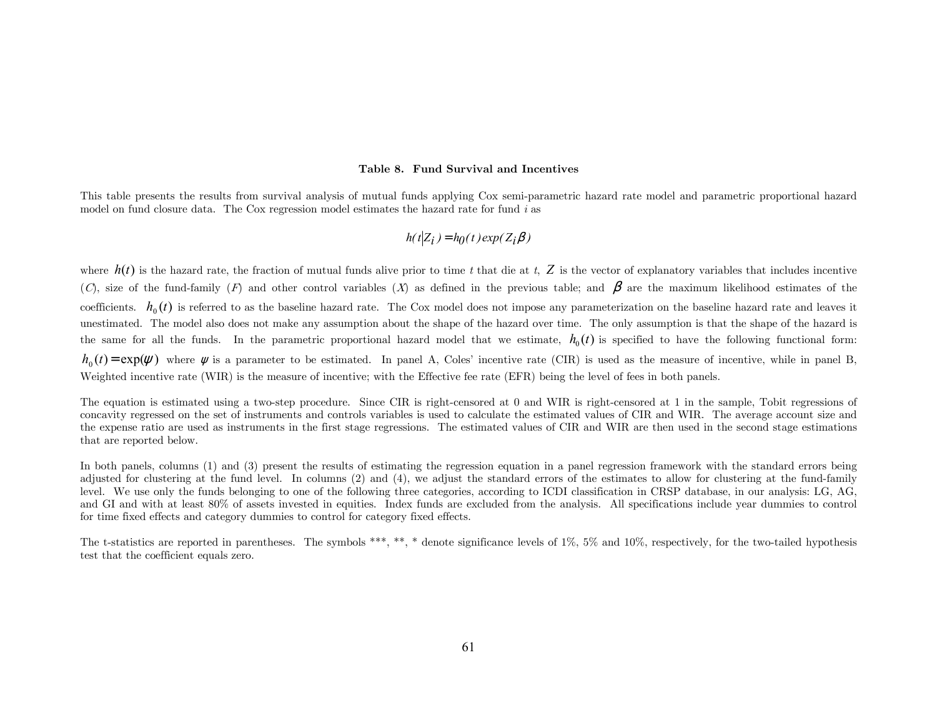#### Table 8. Fund Survival and Incentives

This table presents the results from survival analysis of mutual funds applying Cox semi-parametric hazard rate model and parametric proportional hazard model on fund closure data. The Cox regression model estimates the hazard rate for fund i as

$$
h(t|Z_i) = h_0(t) \exp(Z_i \beta)
$$

where  $h(t)$  is the hazard rate, the fraction of mutual funds alive prior to time t that die at t,  $Z$  is the vector of explanatory variables that includes incentive (C), size of the fund-family (F) and other control variables (X) as defined in the previous table; and  $\beta$  are the maximum likelihood estimates of the coefficients.  $h_0(t)$  is referred to as the baseline hazard rate. The Cox model does not impose any parameterization on the baseline hazard rate and leaves it unestimated. The model also does not make any assumption about the shape of the hazard over time. The only assumption is that the shape of the hazard is the same for all the funds. In the parametric proportional hazard model that we estimate,  $h_0(t)$  is specified to have the following functional form:  $h_0(t) = \exp(\psi)$  where  $\psi$  is a parameter to be estimated. In panel A, Coles' incentive rate (CIR) is used as the measure of incentive, while in panel B, Weighted incentive rate (WIR) is the measure of incentive; with the Effective fee rate (EFR) being the level of fees in both panels.

The equation is estimated using a two-step procedure. Since CIR is right-censored at 0 and WIR is right-censored at 1 in the sample, Tobit regressions of concavity regressed on the set of instruments and controls variables is used to calculate the estimated values of CIR and WIR. The average account size and the expense ratio are used as instruments in the first stage regressions. The estimated values of CIR and WIR are then used in the second stage estimations that are reported below.

In both panels, columns (1) and (3) present the results of estimating the regression equation in a panel regression framework with the standard errors being adjusted for clustering at the fund level. In columns (2) and (4), we adjust the standard errors of the estimates to allow for clustering at the fund-family level. We use only the funds belonging to one of the following three categories, according to ICDI classification in CRSP database, in our analysis: LG, AG, and GI and with at least 80% of assets invested in equities. Index funds are excluded from the analysis. All specifications include year dummies to control for time fixed effects and category dummies to control for category fixed effects.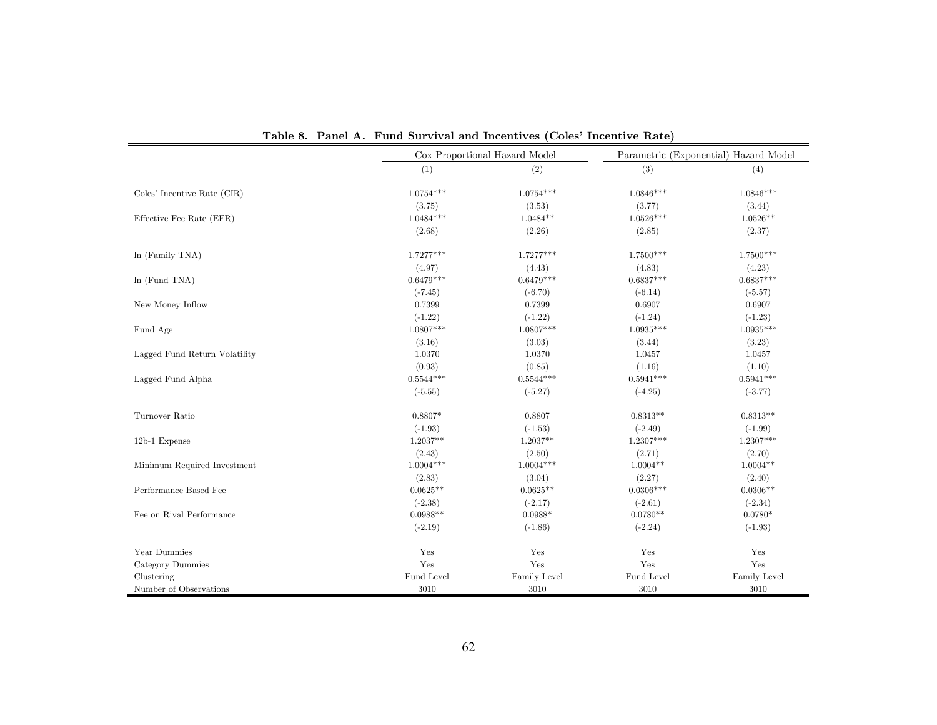|                               |                                                                   | Cox Proportional Hazard Model |             | Parametric (Exponential) Hazard Model |
|-------------------------------|-------------------------------------------------------------------|-------------------------------|-------------|---------------------------------------|
|                               | (1)                                                               | (2)                           | (3)         | (4)                                   |
| Coles' Incentive Rate (CIR)   | $1.0754***$                                                       | $1.0754***$                   | $1.0846***$ | $1.0846***$                           |
|                               | (3.75)                                                            | (3.53)                        | (3.77)      | (3.44)                                |
| Effective Fee Rate (EFR)      | $1.0484***$                                                       | $1.0484**$                    | $1.0526***$ | $1.0526**$                            |
|                               | (2.68)                                                            | (2.26)                        | (2.85)      | (2.37)                                |
| In (Family TNA)               | $1.7277***$                                                       | $1.7277***$                   | $1.7500***$ | $1.7500***$                           |
|                               | (4.97)                                                            | (4.43)                        | (4.83)      | (4.23)                                |
| ln(Fund TNA)                  | $0.6479***$                                                       | $0.6479***$                   | $0.6837***$ | $0.6837***$                           |
|                               | $(-7.45)$<br>$(-6.70)$<br>$(-6.14)$<br>0.7399<br>0.7399<br>0.6907 |                               | $(-5.57)$   |                                       |
| New Money Inflow              |                                                                   |                               |             | 0.6907                                |
|                               | $(-1.22)$                                                         | $(-1.22)$                     | $(-1.24)$   | $(-1.23)$                             |
| Fund Age                      | $1.0807***$                                                       | $1.0807***$                   | $1.0935***$ | $1.0935***$                           |
|                               | (3.16)                                                            | (3.03)                        | (3.44)      | (3.23)                                |
| Lagged Fund Return Volatility | 1.0370                                                            | 1.0370                        | 1.0457      | 1.0457                                |
|                               | (0.93)                                                            | (0.85)                        | (1.16)      | (1.10)                                |
| Lagged Fund Alpha             | $0.5544***$                                                       | $0.5544***$                   | $0.5941***$ | $0.5941***$                           |
|                               | $(-5.55)$                                                         | $(-5.27)$                     | $(-4.25)$   | $(-3.77)$                             |
| Turnover Ratio                | $0.8807*$                                                         | 0.8807                        | $0.8313**$  | $0.8313**$                            |
|                               | $(-1.93)$                                                         | $(-1.53)$                     | $(-2.49)$   | $(-1.99)$                             |
| 12b-1 Expense                 | $1.2037**$                                                        | $1.2037**$                    | $1.2307***$ | $1.2307***$                           |
|                               | (2.43)                                                            | (2.50)                        | (2.71)      | (2.70)                                |
| Minimum Required Investment   | $1.0004***$                                                       | $1.0004***$                   | $1.0004**$  | $1.0004**$                            |
|                               | (2.83)                                                            | (3.04)                        | (2.27)      | (2.40)                                |
| Performance Based Fee         | $0.0625**$                                                        | $0.0625**$                    | $0.0306***$ | $0.0306**$                            |
|                               | $(-2.38)$                                                         | $(-2.17)$                     | $(-2.61)$   | $(-2.34)$                             |
| Fee on Rival Performance      | $0.0988**$                                                        | $0.0988*$                     | $0.0780**$  | $0.0780*$                             |
|                               | $(-2.19)$                                                         | $(-1.86)$                     | $(-2.24)$   | $(-1.93)$                             |
| Year Dummies                  | Yes                                                               | Yes                           | Yes         | Yes                                   |
| Category Dummies              | $\operatorname{Yes}$                                              | Yes                           | Yes         | Yes                                   |
| Clustering                    | Fund Level                                                        | Family Level                  | Fund Level  | Family Level                          |
| Number of Observations        | 3010                                                              | 3010                          | 3010        | 3010                                  |

Table 8. Panel A. Fund Survival and Incentives (Coles' Incentive Rate)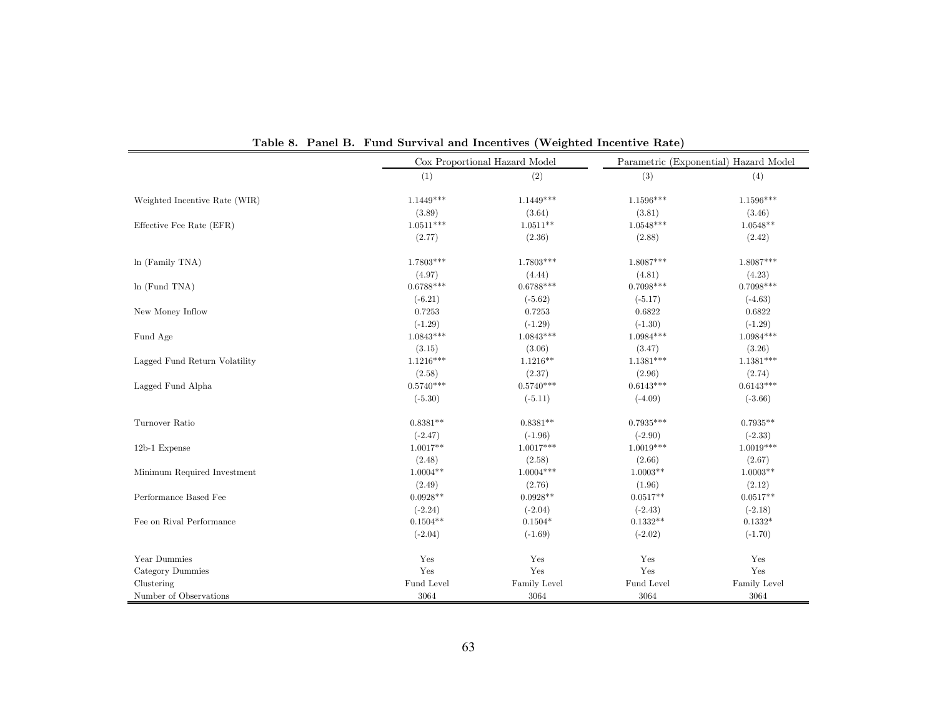|                               |                                                                                                                                                                                                                                                                                                            | Cox Proportional Hazard Model |             | Parametric (Exponential) Hazard Model |
|-------------------------------|------------------------------------------------------------------------------------------------------------------------------------------------------------------------------------------------------------------------------------------------------------------------------------------------------------|-------------------------------|-------------|---------------------------------------|
|                               | (1)                                                                                                                                                                                                                                                                                                        | (2)                           | (3)         | (4)                                   |
| Weighted Incentive Rate (WIR) | $1.1449***$                                                                                                                                                                                                                                                                                                | $1.1449***$                   | $1.1596***$ | $1.1596***$                           |
|                               | (3.89)                                                                                                                                                                                                                                                                                                     | (3.64)                        | (3.81)      | (3.46)                                |
| Effective Fee Rate (EFR)      | $1.0511***$                                                                                                                                                                                                                                                                                                | $1.0511**$                    | $1.0548***$ | $1.0548**$                            |
|                               | (2.77)                                                                                                                                                                                                                                                                                                     | (2.36)                        | (2.88)      | (2.42)                                |
| $ln$ (Family TNA)             | 1.7803***                                                                                                                                                                                                                                                                                                  | 1.7803***                     | $1.8087***$ | $1.8087***$                           |
|                               | (4.97)                                                                                                                                                                                                                                                                                                     | (4.44)                        | (4.81)      | (4.23)                                |
| ln(Fund TNA)                  | $0.6788***$                                                                                                                                                                                                                                                                                                | $0.6788***$                   | $0.7098***$ | $0.7098***$                           |
|                               | $(-6.21)$<br>$(-5.62)$<br>$(-5.17)$<br>0.7253<br>0.7253<br>0.6822<br>$(-1.29)$<br>$(-1.29)$<br>$(-1.30)$<br>$1.0843***$<br>$1.0843***$<br>$1.0984***$<br>(3.06)<br>(3.47)<br>(3.15)<br>$1.1216***$<br>$1.1216**$<br>$1.1381***$<br>(2.37)<br>(2.58)<br>(2.96)<br>$0.5740***$<br>$0.5740***$<br>$0.6143***$ | $(-4.63)$                     |             |                                       |
| New Money Inflow              |                                                                                                                                                                                                                                                                                                            |                               |             | 0.6822                                |
|                               |                                                                                                                                                                                                                                                                                                            |                               |             | $(-1.29)$                             |
| Fund Age                      |                                                                                                                                                                                                                                                                                                            |                               |             | $1.0984***$                           |
|                               |                                                                                                                                                                                                                                                                                                            |                               |             | (3.26)                                |
| Lagged Fund Return Volatility |                                                                                                                                                                                                                                                                                                            |                               |             | $1.1381***$                           |
|                               |                                                                                                                                                                                                                                                                                                            |                               |             | (2.74)                                |
| Lagged Fund Alpha             |                                                                                                                                                                                                                                                                                                            |                               |             | $0.6143***$                           |
|                               | $(-5.30)$                                                                                                                                                                                                                                                                                                  | $(-5.11)$                     | $(-4.09)$   | $(-3.66)$                             |
| Turnover Ratio                | $0.8381**$                                                                                                                                                                                                                                                                                                 | $0.8381**$                    | $0.7935***$ | $0.7935**$                            |
|                               | $(-2.47)$                                                                                                                                                                                                                                                                                                  | $(-1.96)$                     | $(-2.90)$   | $(-2.33)$                             |
| 12b-1 Expense                 | $1.0017**$                                                                                                                                                                                                                                                                                                 | $1.0017***$                   | $1.0019***$ | $1.0019***$                           |
|                               | (2.48)                                                                                                                                                                                                                                                                                                     | (2.58)                        | (2.66)      | (2.67)                                |
| Minimum Required Investment   | $1.0004**$                                                                                                                                                                                                                                                                                                 | $1.0004***$                   | $1.0003**$  | $1.0003**$                            |
|                               | (2.49)                                                                                                                                                                                                                                                                                                     | (2.76)                        | (1.96)      | (2.12)                                |
| Performance Based Fee         | $0.0928**$                                                                                                                                                                                                                                                                                                 | $0.0928**$                    | $0.0517**$  | $0.0517**$                            |
|                               | $(-2.24)$                                                                                                                                                                                                                                                                                                  | $(-2.04)$                     | $(-2.43)$   | $(-2.18)$                             |
| Fee on Rival Performance      | $0.1504**$                                                                                                                                                                                                                                                                                                 | $0.1504*$                     | $0.1332**$  | $0.1332*$                             |
|                               | $(-2.04)$                                                                                                                                                                                                                                                                                                  | $(-1.69)$                     | $(-2.02)$   | $(-1.70)$                             |
| Year Dummies                  | Yes                                                                                                                                                                                                                                                                                                        | Yes                           | Yes         | Yes                                   |
| Category Dummies              | Yes                                                                                                                                                                                                                                                                                                        | $\operatorname{Yes}$          | Yes         | Yes                                   |
| Clustering                    | Fund Level                                                                                                                                                                                                                                                                                                 | Family Level                  | Fund Level  | Family Level                          |
| Number of Observations        | 3064                                                                                                                                                                                                                                                                                                       | 3064                          | 3064        | 3064                                  |

Table 8. Panel B. Fund Survival and Incentives (Weighted Incentive Rate)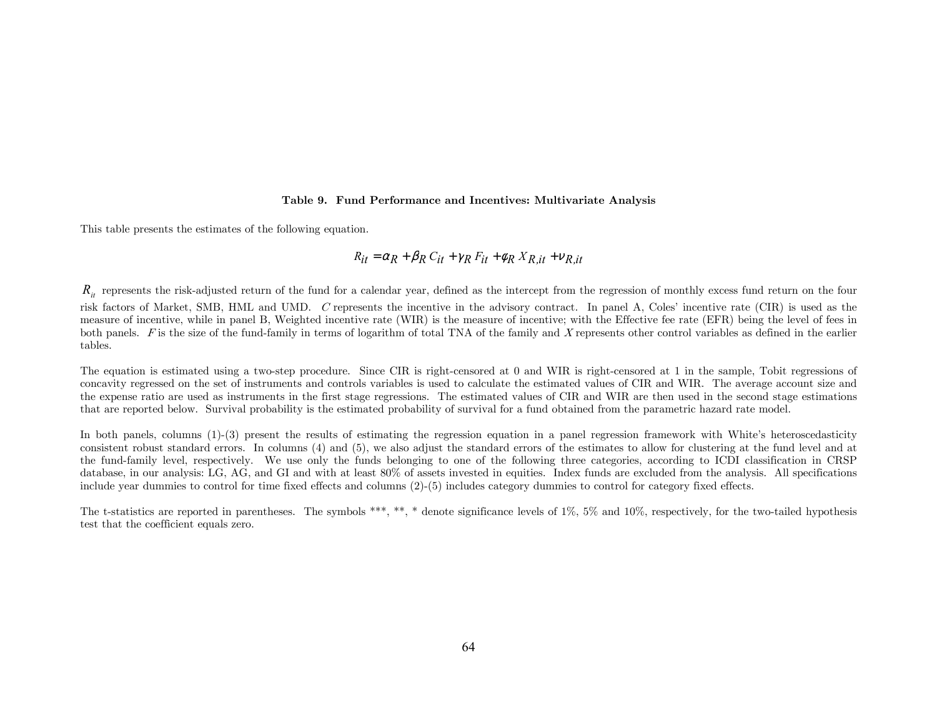#### Table 9. Fund Performance and Incentives: Multivariate Analysis

This table presents the estimates of the following equation.

$$
R_{it} = \alpha_R + \beta_R C_{it} + \gamma_R F_{it} + \phi_R X_{R, it} + v_{R, it}
$$

 $R_{ii}$  represents the risk-adjusted return of the fund for a calendar year, defined as the intercept from the regression of monthly excess fund return on the four risk factors of Market, SMB, HML and UMD. C represents the incentive in the advisory contract. In panel A, Coles' incentive rate (CIR) is used as the measure of incentive, while in panel B, Weighted incentive rate (WIR) is the measure of incentive; with the Effective fee rate (EFR) being the level of fees in both panels. F is the size of the fund-family in terms of logarithm of total TNA of the family and X represents other control variables as defined in the earlier tables.

The equation is estimated using a two-step procedure. Since CIR is right-censored at 0 and WIR is right-censored at 1 in the sample. Tobit regressions of concavity regressed on the set of instruments and controls variables is used to calculate the estimated values of CIR and WIR. The average account size and the expense ratio are used as instruments in the first stage regressions. The estimated values of CIR and WIR are then used in the second stage estimations that are reported below. Survival probability is the estimated probability of survival for a fund obtained from the parametric hazard rate model.

In both panels, columns (1)-(3) present the results of estimating the regression equation in a panel regression framework with White's heteroscedasticity consistent robust standard errors. In columns (4) and (5), we also adjust the standard errors of the estimates to allow for clustering at the fund level and at the fund-family level, respectively. We use only the funds belonging to one of the following three categories, according to ICDI classification in CRSP database, in our analysis: LG, AG, and GI and with at least 80% of assets invested in equities. Index funds are excluded from the analysis. All specifications include year dummies to control for time fixed effects and columns (2)-(5) includes category dummies to control for category fixed effects.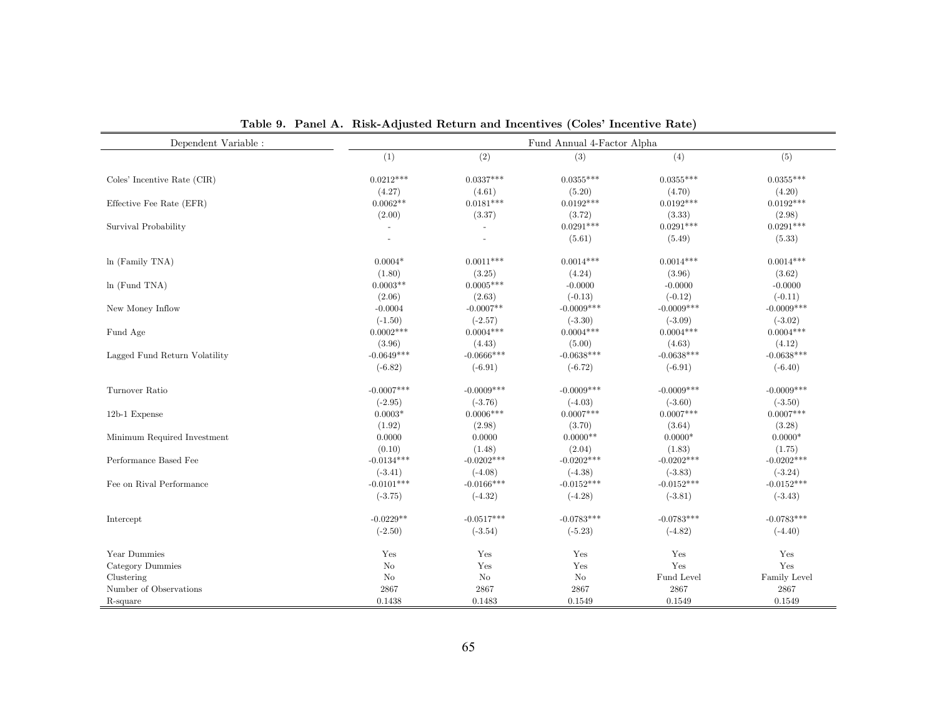| Dependent Variable :          |                                     | Fund Annual 4-Factor Alpha           |                                     |                                     |                                     |  |  |
|-------------------------------|-------------------------------------|--------------------------------------|-------------------------------------|-------------------------------------|-------------------------------------|--|--|
|                               | (1)                                 | (2)                                  | (3)                                 | (4)                                 | (5)                                 |  |  |
| Coles' Incentive Rate (CIR)   | $0.0212***$                         | $0.0337***$                          | $0.0355***$                         | $0.0355***$                         | $0.0355***$                         |  |  |
| Effective Fee Rate (EFR)      | (4.27)<br>$0.0062**$                | (4.61)<br>$0.0181***$                | (5.20)<br>$0.0192***$               | (4.70)<br>$0.0192***$               | (4.20)<br>$0.0192***$               |  |  |
| Survival Probability          | (2.00)<br>$\overline{\phantom{a}}$  | (3.37)                               | (3.72)<br>$0.0291***$               | (3.33)<br>$0.0291***$               | (2.98)<br>$0.0291***$               |  |  |
|                               | $\overline{\phantom{a}}$            |                                      | (5.61)                              | (5.49)                              | (5.33)                              |  |  |
| $ln$ (Family TNA)             | $0.0004*$<br>(1.80)                 | $0.0011***$<br>(3.25)                | $0.0014***$<br>(4.24)               | $0.0014***$<br>(3.96)               | $0.0014***$<br>(3.62)               |  |  |
| $ln$ (Fund TNA)               | $0.0003**$                          | $0.0005***$                          | $-0.0000$                           | $-0.0000$                           | $-0.0000$                           |  |  |
| New Money Inflow              | (2.06)<br>$-0.0004$                 | (2.63)<br>$-0.0007**$                | $(-0.13)$<br>$-0.0009***$           | $(-0.12)$<br>$-0.0009***$           | $(-0.11)$<br>$-0.0009***$           |  |  |
| Fund Age                      | $(-1.50)$<br>$0.0002***$            | $(-2.57)$<br>$0.0004***$             | $(-3.30)$<br>$0.0004***$            | $(-3.09)$<br>$0.0004***$            | $(-3.02)$<br>$0.0004***$            |  |  |
| Lagged Fund Return Volatility | (3.96)<br>$-0.0649***$<br>$(-6.82)$ | (4.43)<br>$-0.0666$ ***<br>$(-6.91)$ | (5.00)<br>$-0.0638***$<br>$(-6.72)$ | (4.63)<br>$-0.0638***$<br>$(-6.91)$ | (4.12)<br>$-0.0638***$<br>$(-6.40)$ |  |  |
|                               |                                     |                                      |                                     |                                     |                                     |  |  |
| Turnover Ratio                | $-0.0007***$                        | $-0.0009***$                         | $-0.0009***$                        | $-0.0009***$                        | $-0.0009***$                        |  |  |
| 12b-1 Expense                 | $(-2.95)$<br>$0.0003*$              | $(-3.76)$<br>$0.0006***$             | $(-4.03)$<br>$0.0007***$            | $(-3.60)$<br>$0.0007***$            | $(-3.50)$<br>$0.0007***$            |  |  |
| Minimum Required Investment   | (1.92)<br>0.0000                    | (2.98)<br>0.0000                     | (3.70)<br>$0.0000**$                | (3.64)<br>$0.0000*$                 | (3.28)<br>$0.0000*$                 |  |  |
| Performance Based Fee         | (0.10)<br>$-0.0134***$              | (1.48)<br>$-0.0202***$               | (2.04)<br>$-0.0202***$              | (1.83)<br>$-0.0202***$              | (1.75)<br>$-0.0202***$              |  |  |
| Fee on Rival Performance      | $(-3.41)$<br>$-0.0101***$           | $(-4.08)$<br>$-0.0166***$            | $(-4.38)$<br>$-0.0152***$           | $(-3.83)$<br>$-0.0152***$           | $(-3.24)$<br>$-0.0152***$           |  |  |
|                               | $(-3.75)$                           | $(-4.32)$                            | $(-4.28)$                           | $(-3.81)$                           | $(-3.43)$                           |  |  |
| Intercept                     | $-0.0229**$                         | $-0.0517***$                         | $-0.0783***$                        | $-0.0783***$                        | $-0.0783***$                        |  |  |
|                               | $(-2.50)$                           | $(-3.54)$                            | $(-5.23)$                           | $(-4.82)$                           | $(-4.40)$                           |  |  |
| Year Dummies                  | Yes                                 | Yes                                  | Yes                                 | Yes                                 | Yes                                 |  |  |
| Category Dummies              | $\rm No$                            | Yes                                  | Yes                                 | Yes                                 | Yes                                 |  |  |
| Clustering                    | N <sub>o</sub>                      | No                                   | N <sub>o</sub>                      | Fund Level                          | Family Level                        |  |  |
| Number of Observations        | 2867                                | 2867                                 | 2867                                | 2867                                | 2867                                |  |  |
| R-square                      | 0.1438                              | 0.1483                               | 0.1549                              | 0.1549                              | 0.1549                              |  |  |

Table 9. Panel A. Risk-Adjusted Return and Incentives (Coles' Incentive Rate)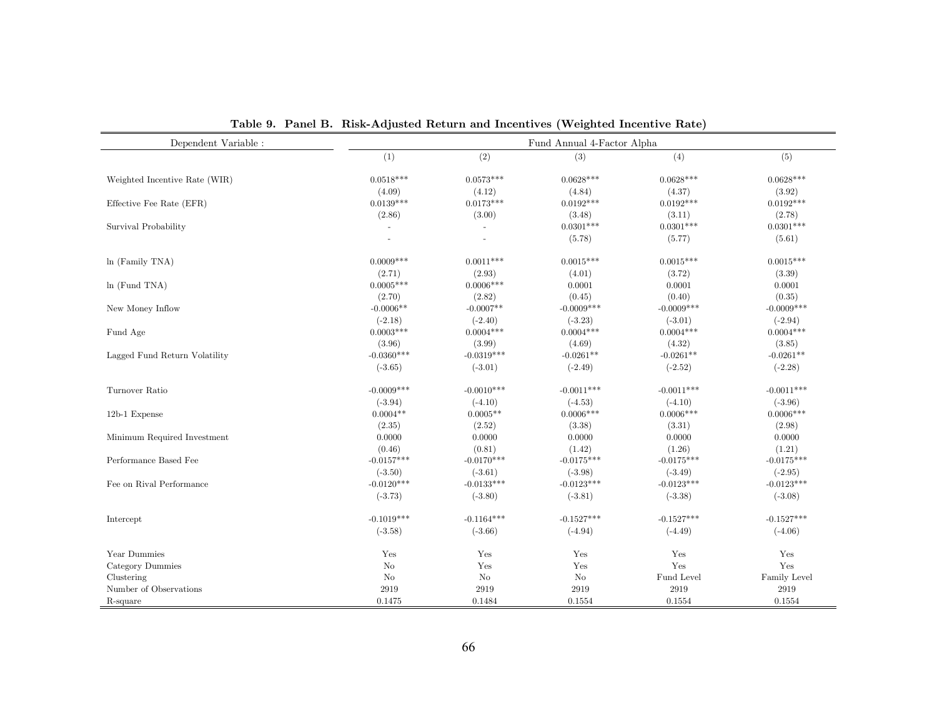| Dependent Variable :          |                |              | Fund Annual 4-Factor Alpha |              |              |
|-------------------------------|----------------|--------------|----------------------------|--------------|--------------|
|                               | (1)            | (2)          | (3)                        | (4)          | (5)          |
| Weighted Incentive Rate (WIR) | $0.0518***$    | $0.0573***$  | $0.0628***$                | $0.0628***$  | $0.0628***$  |
|                               | (4.09)         | (4.12)       | (4.84)                     | (4.37)       | (3.92)       |
| Effective Fee Rate (EFR)      | $0.0139***$    | $0.0173***$  | $0.0192***$                | $0.0192***$  | $0.0192***$  |
|                               | (2.86)         | (3.00)       | (3.48)                     | (3.11)       | (2.78)       |
| Survival Probability          | $\sim$         |              | $0.0301***$                | $0.0301***$  | $0.0301***$  |
|                               |                |              | (5.78)                     | (5.77)       | (5.61)       |
| ln (Family TNA)               | $0.0009***$    | $0.0011***$  | $0.0015***$                | $0.0015***$  | $0.0015***$  |
|                               | (2.71)         | (2.93)       | (4.01)                     | (3.72)       | (3.39)       |
| $ln$ (Fund TNA)               | $0.0005***$    | $0.0006***$  | 0.0001                     | 0.0001       | 0.0001       |
|                               | (2.70)         | (2.82)       | (0.45)                     | (0.40)       | (0.35)       |
| New Money Inflow              | $-0.0006**$    | $-0.0007**$  | $-0.0009***$               | $-0.0009***$ | $-0.0009***$ |
|                               | $(-2.18)$      | $(-2.40)$    | $(-3.23)$                  | $(-3.01)$    | $(-2.94)$    |
| Fund Age                      | $0.0003***$    | $0.0004***$  | $0.0004***$                | $0.0004***$  | $0.0004***$  |
|                               | (3.96)         | (3.99)       | (4.69)                     | (4.32)       | (3.85)       |
| Lagged Fund Return Volatility | $-0.0360***$   | $-0.0319***$ | $-0.0261**$                | $-0.0261**$  | $-0.0261**$  |
|                               | $(-3.65)$      | $(-3.01)$    | $(-2.49)$                  | $(-2.52)$    | $(-2.28)$    |
| Turnover Ratio                | $-0.0009***$   | $-0.0010***$ | $-0.0011***$               | $-0.0011***$ | $-0.0011***$ |
|                               | $(-3.94)$      | $(-4.10)$    | $(-4.53)$                  | $(-4.10)$    | $(-3.96)$    |
| 12b-1 Expense                 | $0.0004**$     | $0.0005**$   | $0.0006***$                | $0.0006***$  | $0.0006***$  |
|                               | (2.35)         | (2.52)       | (3.38)                     | (3.31)       | (2.98)       |
| Minimum Required Investment   | 0.0000         | 0.0000       | 0.0000                     | 0.0000       | 0.0000       |
|                               | (0.46)         | (0.81)       | (1.42)                     | (1.26)       | (1.21)       |
| Performance Based Fee         | $-0.0157***$   | $-0.0170***$ | $-0.0175***$               | $-0.0175***$ | $-0.0175***$ |
|                               | $(-3.50)$      | $(-3.61)$    | $(-3.98)$                  | $(-3.49)$    | $(-2.95)$    |
| Fee on Rival Performance      | $-0.0120***$   | $-0.0133***$ | $-0.0123***$               | $-0.0123***$ | $-0.0123***$ |
|                               | $(-3.73)$      | $(-3.80)$    | $(-3.81)$                  | $(-3.38)$    | $(-3.08)$    |
| Intercept                     | $-0.1019***$   | $-0.1164***$ | $-0.1527***$               | $-0.1527***$ | $-0.1527***$ |
|                               | $(-3.58)$      | $(-3.66)$    | $(-4.94)$                  | $(-4.49)$    | $(-4.06)$    |
| Year Dummies                  | Yes            | Yes          | Yes                        | Yes          | Yes          |
| Category Dummies              | $\rm No$       | Yes          | Yes                        | Yes          | Yes          |
| Clustering                    | N <sub>o</sub> | No           | N <sub>o</sub>             | Fund Level   | Family Level |
| Number of Observations        | 2919           | 2919         | 2919                       | 2919         | 2919         |
| R-square                      | 0.1475         | 0.1484       | 0.1554                     | 0.1554       | 0.1554       |

Table 9. Panel B. Risk-Adjusted Return and Incentives (Weighted Incentive Rate)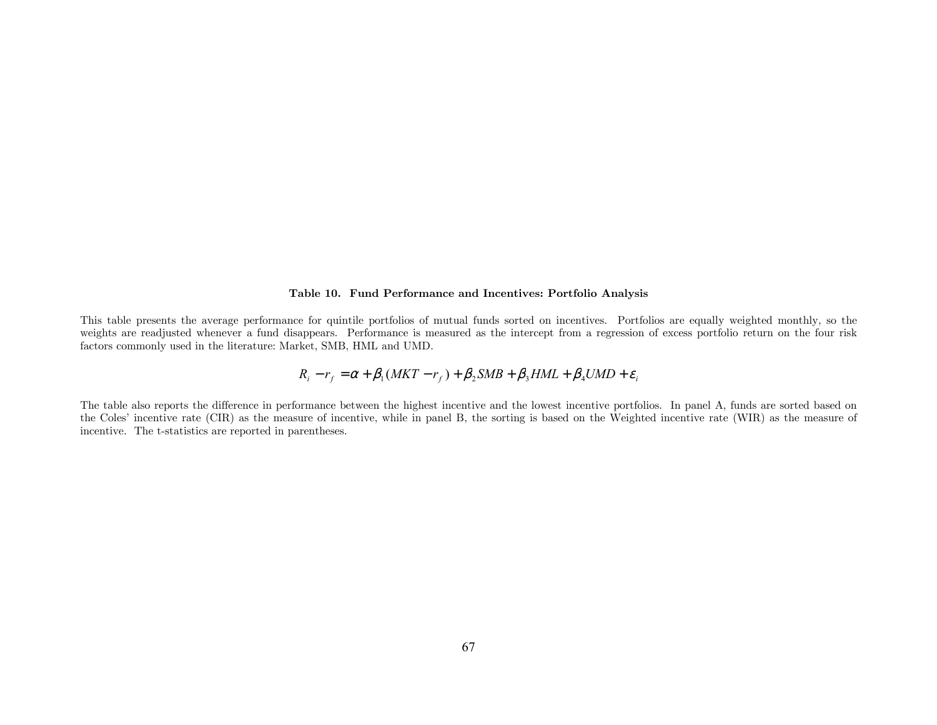### Table 10. Fund Performance and Incentives: Portfolio Analysis

This table presents the average performance for quintile portfolios of mutual funds sorted on incentives. Portfolios are equally weighted monthly, so the weights are readjusted whenever a fund disappears. Performance is measured as the intercept from a regression of excess portfolio return on the four risk factors commonly used in the literature: Market, SMB, HML and UMD.

$$
R_i - r_f = \alpha + \beta_1 (MKT - r_f) + \beta_2 SMB + \beta_3 HML + \beta_4 UMD + \varepsilon_i
$$

The table also reports the difference in performance between the highest incentive and the lowest incentive portfolios. In panel A, funds are sorted based on the Coles' incentive rate (CIR) as the measure of incentive, while in panel B, the sorting is based on the Weighted incentive rate (WIR) as the measure of incentive. The t-statistics are reported in parentheses.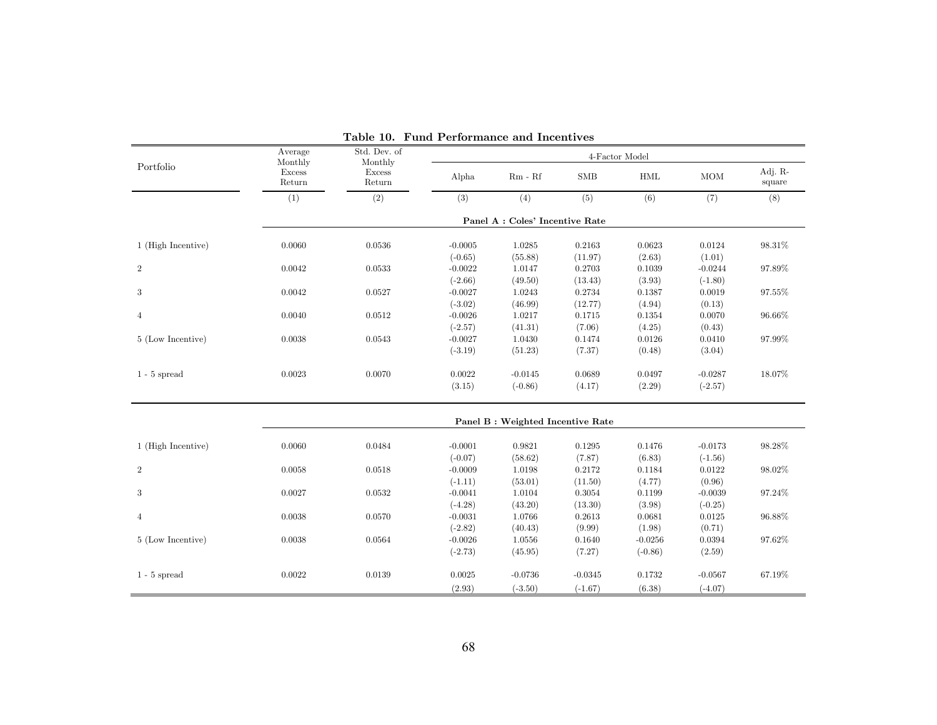|                    | Average<br>Monthly | Std. Dev. of<br>Monthly | 4-Factor Model                      |                                   |                            |                                  |                            |                   |  |
|--------------------|--------------------|-------------------------|-------------------------------------|-----------------------------------|----------------------------|----------------------------------|----------------------------|-------------------|--|
| Portfolio          | Excess<br>Return   | Excess<br>Return        | Alpha                               | $Rm - Rf$                         | <b>SMB</b>                 | $\operatorname{HML}$             | MOM                        | Adj. R-<br>square |  |
|                    | (1)                | (2)                     | (3)                                 | (4)                               | (5)                        | (6)                              | (7)                        | (8)               |  |
|                    |                    |                         |                                     | Panel A : Coles' Incentive Rate   |                            |                                  |                            |                   |  |
| 1 (High Incentive) | 0.0060             | 0.0536                  | $-0.0005$                           | 1.0285                            | 0.2163                     | 0.0623                           | 0.0124                     | 98.31%            |  |
| $\overline{2}$     | 0.0042             | 0.0533                  | $(-0.65)$<br>$-0.0022$              | (55.88)<br>1.0147                 | (11.97)<br>0.2703          | (2.63)<br>0.1039                 | (1.01)<br>$-0.0244$        | 97.89%            |  |
|                    |                    |                         | $(-2.66)$                           | (49.50)                           | (13.43)                    | (3.93)                           | $(-1.80)$                  |                   |  |
| 3                  | 0.0042             | 0.0527                  | $-0.0027$<br>$(-3.02)$              | 1.0243<br>(46.99)                 | 0.2734<br>(12.77)          | 0.1387<br>(4.94)                 | 0.0019<br>(0.13)           | 97.55%            |  |
| $\overline{4}$     | 0.0040             | 0.0512                  | $-0.0026$                           | 1.0217                            | 0.1715                     | 0.1354                           | 0.0070                     | 96.66%            |  |
| 5 (Low Incentive)  | 0.0038             | 0.0543                  | $(-2.57)$<br>$-0.0027$              | (41.31)<br>1.0430                 | (7.06)<br>0.1474           | (4.25)<br>0.0126                 | (0.43)<br>0.0410           | 97.99%            |  |
|                    |                    |                         | $(-3.19)$                           | (51.23)                           | (7.37)                     | (0.48)                           | (3.04)                     |                   |  |
| $1 - 5$ spread     | 0.0023             | 0.0070                  | 0.0022<br>(3.15)                    | $-0.0145$<br>$(-0.86)$            | 0.0689<br>(4.17)           | 0.0497<br>(2.29)                 | $-0.0287$<br>$(-2.57)$     | 18.07%            |  |
|                    |                    |                         |                                     | Panel B : Weighted Incentive Rate |                            |                                  |                            |                   |  |
| 1 (High Incentive) | 0.0060             | 0.0484                  | $-0.0001$                           | 0.9821                            | 0.1295                     | 0.1476                           | $-0.0173$                  | 98.28%            |  |
|                    |                    |                         | $(-0.07)$                           | (58.62)                           | (7.87)                     | (6.83)                           | $(-1.56)$                  |                   |  |
| $\overline{2}$     | 0.0058             | 0.0518                  | $-0.0009$<br>$(-1.11)$              | 1.0198                            | 0.2172                     | 0.1184                           | 0.0122                     | 98.02%            |  |
| $\sqrt{3}$         | 0.0027             | 0.0532                  | $-0.0041$                           | (53.01)<br>1.0104                 | (11.50)<br>0.3054          | (4.77)<br>0.1199                 | (0.96)<br>$-0.0039$        | 97.24%            |  |
| $\overline{4}$     | 0.0038             | 0.0570                  | $(-4.28)$<br>$-0.0031$              | (43.20)<br>1.0766                 | (13.30)<br>0.2613          | (3.98)<br>0.0681                 | $(-0.25)$<br>0.0125        | 96.88%            |  |
| 5 (Low Incentive)  | 0.0038             | 0.0564                  | $(-2.82)$<br>$-0.0026$<br>$(-2.73)$ | (40.43)<br>1.0556<br>(45.95)      | (9.99)<br>0.1640<br>(7.27) | (1.98)<br>$-0.0256$<br>$(-0.86)$ | (0.71)<br>0.0394<br>(2.59) | 97.62%            |  |
|                    |                    |                         |                                     |                                   |                            |                                  |                            |                   |  |
| $1 - 5$ spread     | 0.0022             | 0.0139                  | 0.0025<br>(2.93)                    | $-0.0736$<br>$(-3.50)$            | $-0.0345$<br>$(-1.67)$     | 0.1732<br>(6.38)                 | $-0.0567$<br>$(-4.07)$     | 67.19%            |  |

Table 10. Fund Performance and Incentives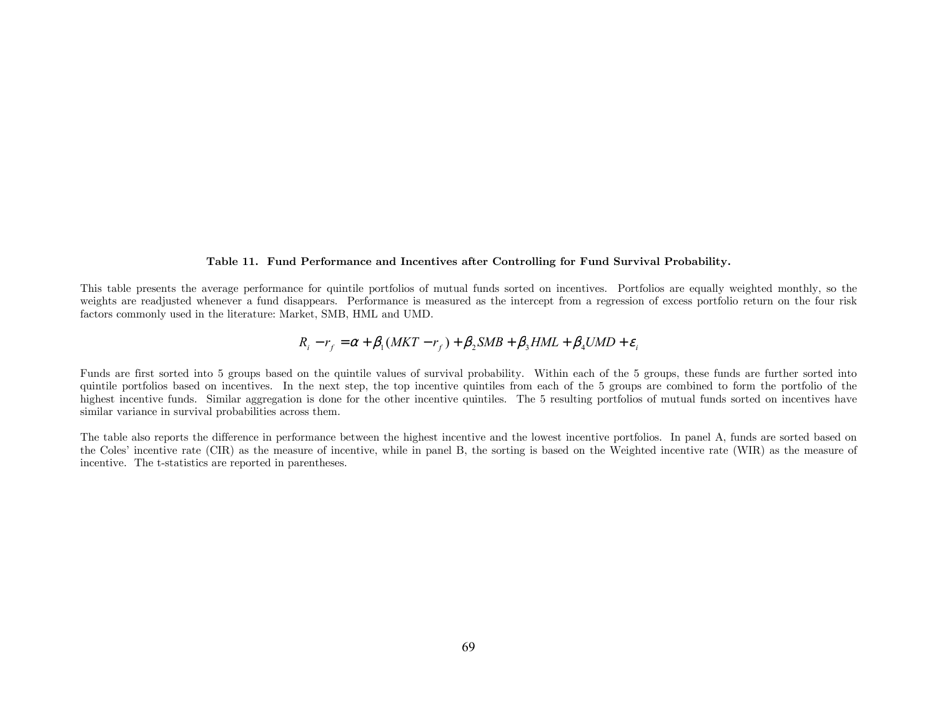#### Table 11. Fund Performance and Incentives after Controlling for Fund Survival Probability.

This table presents the average performance for quintile portfolios of mutual funds sorted on incentives. Portfolios are equally weighted monthly, so the weights are readjusted whenever a fund disappears. Performance is measured as the intercept from a regression of excess portfolio return on the four risk factors commonly used in the literature: Market, SMB, HML and UMD.

$$
R_i - r_f = \alpha + \beta_1 (MKT - r_f) + \beta_2 SMB + \beta_3 HML + \beta_4 UMD + \varepsilon_i
$$

Funds are first sorted into 5 groups based on the quintile values of survival probability. Within each of the 5 groups, these funds are further sorted into quintile portfolios based on incentives. In the next step, the top incentive quintiles from each of the 5 groups are combined to form the portfolio of the highest incentive funds. Similar aggregation is done for the other incentive quintiles. The 5 resulting portfolios of mutual funds sorted on incentives have similar variance in survival probabilities across them.

The table also reports the difference in performance between the highest incentive and the lowest incentive portfolios. In panel A, funds are sorted based on the Coles' incentive rate (CIR) as the measure of incentive, while in panel B, the sorting is based on the Weighted incentive rate (WIR) as the measure of incentive. The t-statistics are reported in parentheses.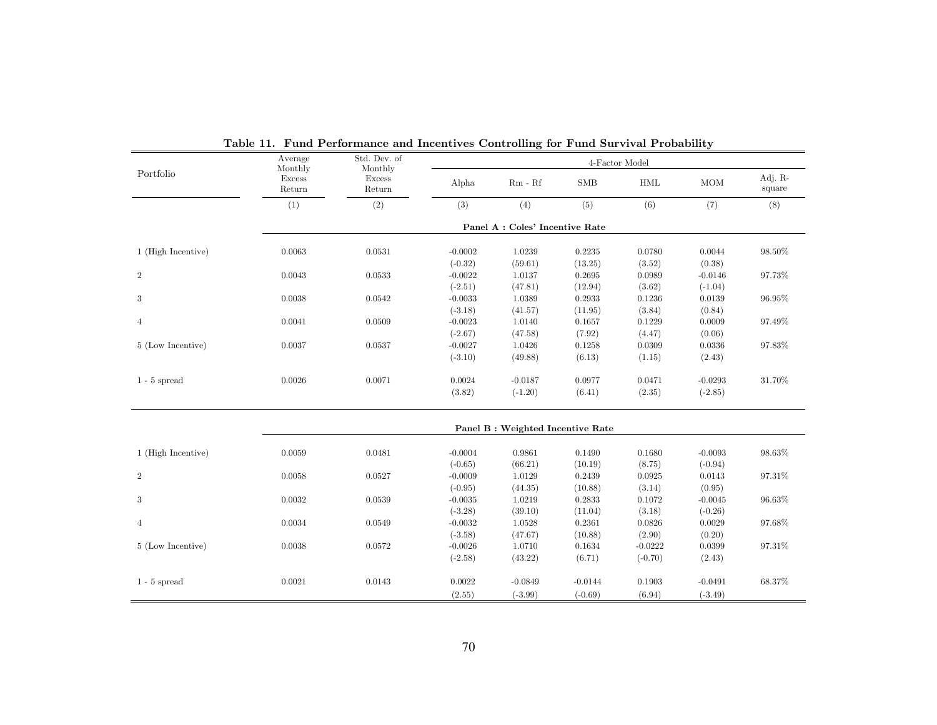|                    | Average<br>Monthly | Std. Dev. of<br>Monthly |                        |                                   |                   | 4-Factor Model       |                     |                   |
|--------------------|--------------------|-------------------------|------------------------|-----------------------------------|-------------------|----------------------|---------------------|-------------------|
| Portfolio          | Excess<br>Return   | Excess<br>Return        | Alpha                  | $Rm - Rf$                         | SMB               | $\operatorname{HML}$ | $\rm{MOM}$          | Adj. R-<br>square |
|                    | (1)                | (2)                     | (3)                    | (4)                               | (5)               | (6)                  | (7)                 | (8)               |
|                    |                    |                         |                        | Panel A : Coles' Incentive Rate   |                   |                      |                     |                   |
| 1 (High Incentive) | 0.0063             | 0.0531                  | $-0.0002$              | 1.0239                            | 0.2235            | 0.0780               | 0.0044              | 98.50%            |
|                    |                    |                         | $(-0.32)$              | (59.61)                           | (13.25)           | (3.52)               | (0.38)              |                   |
| $\overline{2}$     | 0.0043             | 0.0533                  | $-0.0022$              | 1.0137                            | 0.2695            | 0.0989               | $-0.0146$           | 97.73%            |
|                    | 0.0038             | 0.0542                  | $(-2.51)$<br>$-0.0033$ | (47.81)<br>1.0389                 | (12.94)<br>0.2933 | (3.62)<br>0.1236     | $(-1.04)$<br>0.0139 | 96.95%            |
| 3                  |                    |                         | $(-3.18)$              | (41.57)                           | (11.95)           | (3.84)               | (0.84)              |                   |
| $\overline{4}$     | 0.0041             | 0.0509                  | $-0.0023$              | 1.0140                            | 0.1657            | 0.1229               | 0.0009              | 97.49%            |
|                    |                    |                         | $(-2.67)$              | (47.58)                           | (7.92)            | (4.47)               | (0.06)              |                   |
| 5 (Low Incentive)  | 0.0037             | 0.0537                  | $-0.0027$              | 1.0426                            | 0.1258            | 0.0309               | 0.0336              | 97.83%            |
|                    |                    |                         | $(-3.10)$              | (49.88)                           | (6.13)            | (1.15)               | (2.43)              |                   |
| $1 - 5$ spread     | 0.0026             | 0.0071                  | 0.0024                 | $-0.0187$                         | 0.0977            | 0.0471               | $-0.0293$           | 31.70%            |
|                    |                    |                         | (3.82)                 | $(-1.20)$                         | (6.41)            | (2.35)               | $(-2.85)$           |                   |
|                    |                    |                         |                        | Panel B : Weighted Incentive Rate |                   |                      |                     |                   |
|                    |                    |                         |                        |                                   |                   |                      |                     |                   |
| 1 (High Incentive) | 0.0059             | 0.0481                  | $-0.0004$              | 0.9861                            | 0.1490            | 0.1680               | $-0.0093$           | 98.63%            |
|                    |                    |                         | $(-0.65)$              | (66.21)                           | (10.19)           | (8.75)               | $(-0.94)$           |                   |
| $\overline{2}$     | 0.0058             | 0.0527                  | $-0.0009$              | 1.0129                            | 0.2439            | 0.0925               | 0.0143              | 97.31%            |
|                    |                    |                         | $(-0.95)$              | (44.35)                           | (10.88)           | (3.14)               | (0.95)              |                   |
| 3                  | 0.0032             | 0.0539                  | $-0.0035$              | 1.0219                            | 0.2833            | 0.1072               | $-0.0045$           | 96.63%            |
|                    |                    |                         | $(-3.28)$              | (39.10)                           | (11.04)           | (3.18)               | $(-0.26)$           |                   |
| $\overline{4}$     | 0.0034             | 0.0549                  | $-0.0032$              | 1.0528                            | 0.2361            | 0.0826               | 0.0029              | 97.68%            |
|                    |                    |                         | $(-3.58)$              | (47.67)                           | (10.88)           | (2.90)               | (0.20)              |                   |
| 5 (Low Incentive)  | 0.0038             | 0.0572                  | $-0.0026$              | 1.0710                            | 0.1634            | $-0.0222$            | 0.0399              | 97.31%            |
|                    |                    |                         | $(-2.58)$              | (43.22)                           | (6.71)            | $(-0.70)$            | (2.43)              |                   |
| $1 - 5$ spread     | 0.0021             | 0.0143                  | 0.0022                 | $-0.0849$                         | $-0.0144$         | 0.1903               | $-0.0491$           | 68.37%            |
|                    |                    |                         | (2.55)                 | $(-3.99)$                         | $(-0.69)$         | (6.94)               | $(-3.49)$           |                   |

Table 11. Fund Performance and Incentives Controlling for Fund Survival Probability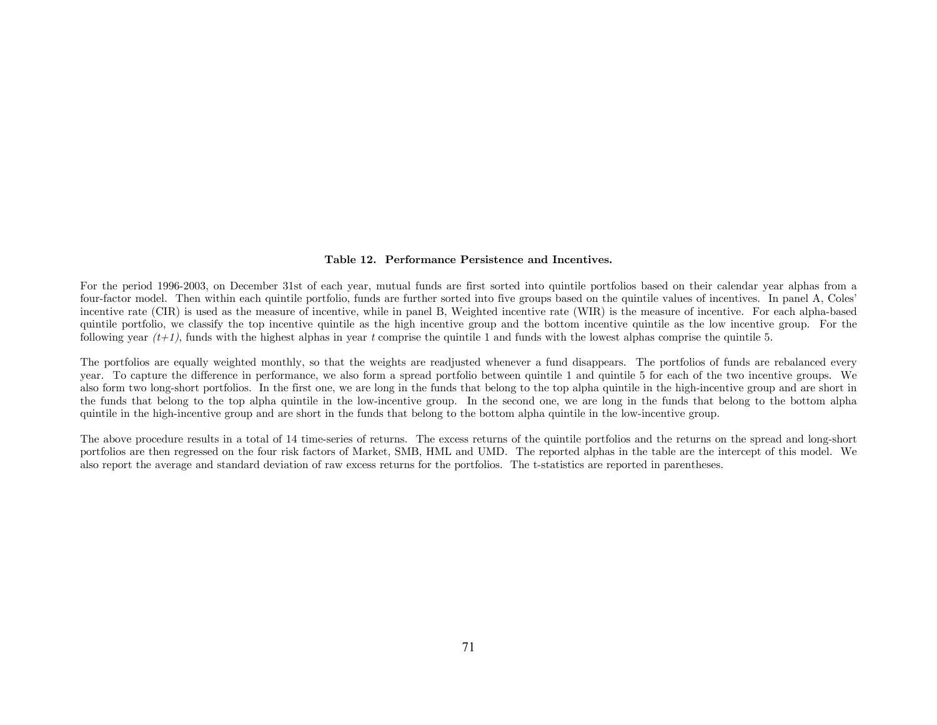#### Table 12. Performance Persistence and Incentives.

For the period 1996-2003, on December 31st of each year, mutual funds are first sorted into quintile portfolios based on their calendar year alphas from a four-factor model. Then within each quintile portfolio, funds are further sorted into five groups based on the quintile values of incentives. In panel A, Coles' incentive rate (CIR) is used as the measure of incentive, while in panel B, Weighted incentive rate (WIR) is the measure of incentive. For each alpha-based quintile portfolio, we classify the top incentive quintile as the high incentive group and the bottom incentive quintile as the low incentive group. For the following year  $(t+1)$ , funds with the highest alphas in year t comprise the quintile 1 and funds with the lowest alphas comprise the quintile 5.

The portfolios are equally weighted monthly, so that the weights are readjusted whenever a fund disappears. The portfolios of funds are rebalanced every year. To capture the difference in performance, we also form a spread portfolio between quintile 1 and quintile 5 for each of the two incentive groups. We also form two long-short portfolios. In the first one, we are long in the funds that belong to the top alpha quintile in the high-incentive group and are short in the funds that belong to the top alpha quintile in the low-incentive group. In the second one, we are long in the funds that belong to the bottom alpha quintile in the high-incentive group and are short in the funds that belong to the bottom alpha quintile in the low-incentive group.

The above procedure results in a total of 14 time-series of returns. The excess returns of the quintile portfolios and the returns on the spread and long-short portfolios are then regressed on the four risk factors of Market, SMB, HML and UMD. The reported alphas in the table are the intercept of this model. We also report the average and standard deviation of raw excess returns for the portfolios. The t-statistics are reported in parentheses.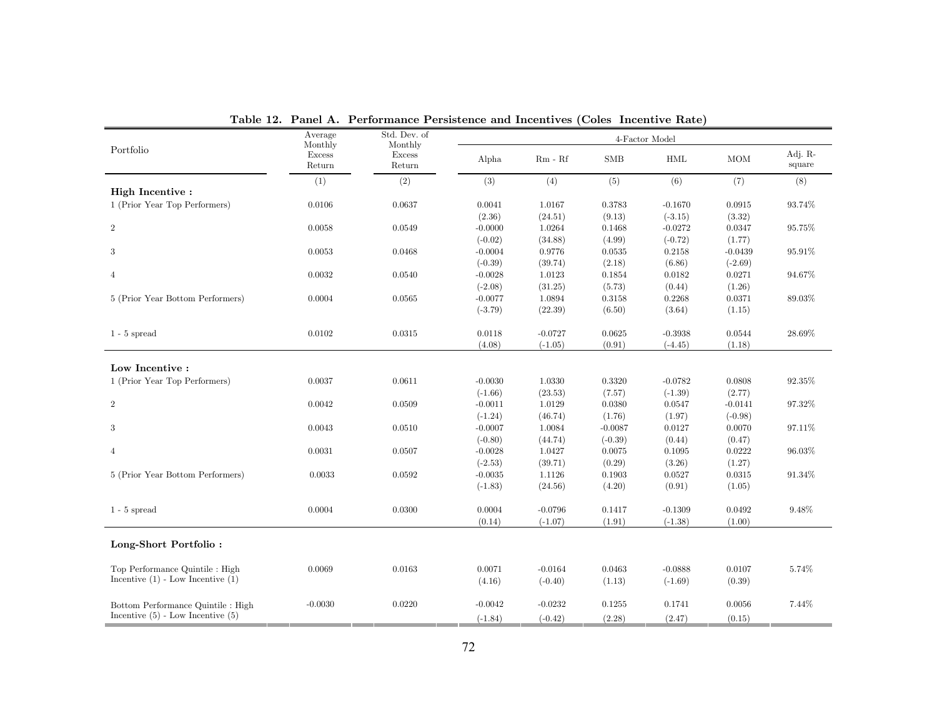|                                       | Average<br>Monthly      | Std. Dev. of                |           |                       |            | 4-Factor Model |            |                   |
|---------------------------------------|-------------------------|-----------------------------|-----------|-----------------------|------------|----------------|------------|-------------------|
| Portfolio                             | <b>Excess</b><br>Return | Monthly<br>Excess<br>Return | Alpha     | $\rm{Rm}$ - $\rm{Rf}$ | <b>SMB</b> | <b>HML</b>     | <b>MOM</b> | Adj. R-<br>square |
|                                       | (1)                     | (2)                         | (3)       | (4)                   | (5)        | (6)            | (7)        | (8)               |
| High Incentive:                       |                         |                             |           |                       |            |                |            |                   |
| 1 (Prior Year Top Performers)         | 0.0106                  | 0.0637                      | 0.0041    | 1.0167                | 0.3783     | $-0.1670$      | 0.0915     | 93.74%            |
|                                       |                         |                             | (2.36)    | (24.51)               | (9.13)     | $(-3.15)$      | (3.32)     |                   |
| $\overline{2}$                        | 0.0058                  | 0.0549                      | $-0.0000$ | 1.0264                | 0.1468     | $-0.0272$      | 0.0347     | 95.75%            |
|                                       |                         |                             | $(-0.02)$ | (34.88)               | (4.99)     | $(-0.72)$      | (1.77)     |                   |
| 3                                     | 0.0053                  | 0.0468                      | $-0.0004$ | 0.9776                | 0.0535     | 0.2158         | $-0.0439$  | 95.91%            |
|                                       |                         |                             | $(-0.39)$ | (39.74)               | (2.18)     | (6.86)         | $(-2.69)$  |                   |
| $\overline{4}$                        | 0.0032                  | 0.0540                      | $-0.0028$ | 1.0123                | 0.1854     | 0.0182         | 0.0271     | 94.67%            |
|                                       |                         |                             | $(-2.08)$ | (31.25)               | (5.73)     | (0.44)         | (1.26)     |                   |
| 5 (Prior Year Bottom Performers)      | 0.0004                  | 0.0565                      | $-0.0077$ | 1.0894                | 0.3158     | 0.2268         | 0.0371     | 89.03%            |
|                                       |                         |                             | $(-3.79)$ | (22.39)               | (6.50)     | (3.64)         | (1.15)     |                   |
| $1 - 5$ spread                        | 0.0102                  | 0.0315                      | 0.0118    | $-0.0727$             | 0.0625     | $-0.3938$      | 0.0544     | 28.69%            |
|                                       |                         |                             | (4.08)    | $(-1.05)$             | (0.91)     | $(-4.45)$      | (1.18)     |                   |
|                                       |                         |                             |           |                       |            |                |            |                   |
| Low Incentive :                       |                         |                             |           |                       |            |                |            |                   |
| 1 (Prior Year Top Performers)         | 0.0037                  | 0.0611                      | $-0.0030$ | 1.0330                | 0.3320     | $-0.0782$      | 0.0808     | $92.35\%$         |
|                                       |                         |                             | $(-1.66)$ | (23.53)               | (7.57)     | $(-1.39)$      | (2.77)     |                   |
| $\overline{2}$                        | 0.0042                  | 0.0509                      | $-0.0011$ | 1.0129                | 0.0380     | 0.0547         | $-0.0141$  | 97.32%            |
|                                       |                         |                             | $(-1.24)$ | (46.74)               | (1.76)     | (1.97)         | $(-0.98)$  |                   |
| 3                                     | 0.0043                  | 0.0510                      | $-0.0007$ | 1.0084                | $-0.0087$  | 0.0127         | 0.0070     | 97.11%            |
|                                       |                         |                             | $(-0.80)$ | (44.74)               | $(-0.39)$  | (0.44)         | (0.47)     |                   |
| $\overline{4}$                        | 0.0031                  | 0.0507                      | $-0.0028$ | 1.0427                | 0.0075     | 0.1095         | 0.0222     | $96.03\%$         |
|                                       |                         |                             | $(-2.53)$ | (39.71)               | (0.29)     | (3.26)         | (1.27)     |                   |
| 5 (Prior Year Bottom Performers)      | 0.0033                  | 0.0592                      | $-0.0035$ | 1.1126                | 0.1903     | 0.0527         | 0.0315     | 91.34%            |
|                                       |                         |                             | $(-1.83)$ | (24.56)               | (4.20)     | (0.91)         | (1.05)     |                   |
| $1 - 5$ spread                        | 0.0004                  | 0.0300                      | 0.0004    | $-0.0796$             | 0.1417     | $-0.1309$      | 0.0492     | 9.48%             |
|                                       |                         |                             | (0.14)    | $(-1.07)$             | (1.91)     | $(-1.38)$      | (1.00)     |                   |
| Long-Short Portfolio:                 |                         |                             |           |                       |            |                |            |                   |
| Top Performance Quintile : High       | 0.0069                  | 0.0163                      | 0.0071    | $-0.0164$             | 0.0463     | $-0.0888$      | 0.0107     | 5.74%             |
| Incentive $(1)$ - Low Incentive $(1)$ |                         |                             | (4.16)    | $(-0.40)$             | (1.13)     | $(-1.69)$      | (0.39)     |                   |
| Bottom Performance Quintile : High    | $-0.0030$               | 0.0220                      | $-0.0042$ | $-0.0232$             | 0.1255     | 0.1741         | 0.0056     | 7.44%             |
| Incentive $(5)$ - Low Incentive $(5)$ |                         |                             | $(-1.84)$ | $(-0.42)$             | (2.28)     | (2.47)         | (0.15)     |                   |

Table 12. Panel A. Performance Persistence and Incentives (Coles' Incentive Rate)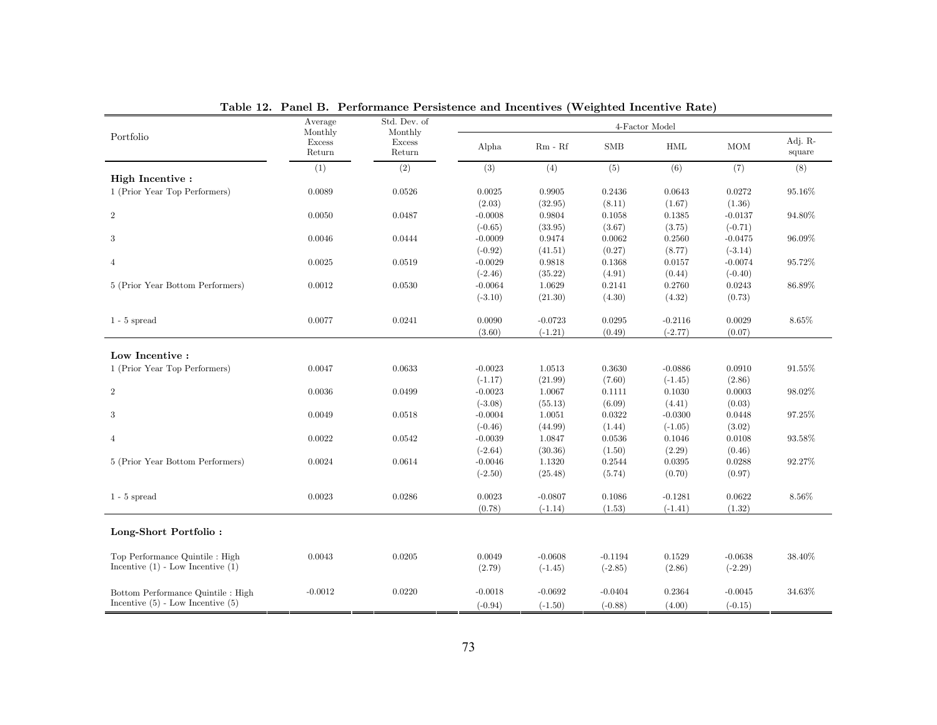|                                       | Average                            | Std. Dev. of                |           |           |            | 4-Factor Model |            |                   |
|---------------------------------------|------------------------------------|-----------------------------|-----------|-----------|------------|----------------|------------|-------------------|
| Portfolio                             | Monthly<br><b>Excess</b><br>Return | Monthly<br>Excess<br>Return | Alpha     | $Rm - Rf$ | <b>SMB</b> | HML            | <b>MOM</b> | Adj. R-<br>square |
|                                       | (1)                                | (2)                         | (3)       | (4)       | (5)        | (6)            | (7)        | (8)               |
| High Incentive:                       |                                    |                             |           |           |            |                |            |                   |
| 1 (Prior Year Top Performers)         | 0.0089                             | 0.0526                      | 0.0025    | 0.9905    | 0.2436     | 0.0643         | 0.0272     | 95.16%            |
|                                       |                                    |                             | (2.03)    | (32.95)   | (8.11)     | (1.67)         | (1.36)     |                   |
| $\overline{2}$                        | 0.0050                             | 0.0487                      | $-0.0008$ | 0.9804    | 0.1058     | 0.1385         | $-0.0137$  | 94.80%            |
|                                       |                                    |                             | $(-0.65)$ | (33.95)   | (3.67)     | (3.75)         | $(-0.71)$  |                   |
| 3                                     | 0.0046                             | 0.0444                      | $-0.0009$ | 0.9474    | 0.0062     | 0.2560         | $-0.0475$  | 96.09%            |
|                                       |                                    |                             | $(-0.92)$ | (41.51)   | (0.27)     | (8.77)         | $(-3.14)$  |                   |
| $\overline{4}$                        | 0.0025                             | 0.0519                      | $-0.0029$ | 0.9818    | 0.1368     | 0.0157         | $-0.0074$  | 95.72%            |
|                                       |                                    |                             | $(-2.46)$ | (35.22)   | (4.91)     | (0.44)         | $(-0.40)$  |                   |
| 5 (Prior Year Bottom Performers)      | 0.0012                             | 0.0530                      | $-0.0064$ | 1.0629    | 0.2141     | 0.2760         | 0.0243     | 86.89%            |
|                                       |                                    |                             | $(-3.10)$ | (21.30)   | (4.30)     | (4.32)         | (0.73)     |                   |
| $1 - 5$ spread                        | 0.0077                             | 0.0241                      | 0.0090    | $-0.0723$ | 0.0295     | $-0.2116$      | 0.0029     | 8.65%             |
|                                       |                                    |                             | (3.60)    | $(-1.21)$ | (0.49)     | $(-2.77)$      | (0.07)     |                   |
|                                       |                                    |                             |           |           |            |                |            |                   |
| $\operatorname{Low}$ Incentive :      |                                    |                             |           |           |            |                |            |                   |
| 1 (Prior Year Top Performers)         | 0.0047                             | 0.0633                      | $-0.0023$ | 1.0513    | 0.3630     | $-0.0886$      | 0.0910     | 91.55%            |
|                                       |                                    |                             | $(-1.17)$ | (21.99)   | (7.60)     | $(-1.45)$      | (2.86)     |                   |
| $\overline{2}$                        | 0.0036                             | 0.0499                      | $-0.0023$ | 1.0067    | 0.1111     | 0.1030         | 0.0003     | 98.02%            |
|                                       |                                    |                             | $(-3.08)$ | (55.13)   | (6.09)     | (4.41)         | (0.03)     |                   |
| 3                                     | 0.0049                             | 0.0518                      | $-0.0004$ | 1.0051    | 0.0322     | $-0.0300$      | 0.0448     | 97.25%            |
|                                       |                                    |                             | $(-0.46)$ | (44.99)   | (1.44)     | $(-1.05)$      | (3.02)     |                   |
| $\overline{4}$                        | 0.0022                             | 0.0542                      | $-0.0039$ | 1.0847    | 0.0536     | 0.1046         | 0.0108     | 93.58%            |
|                                       |                                    |                             | $(-2.64)$ | (30.36)   | (1.50)     | (2.29)         | (0.46)     |                   |
| 5 (Prior Year Bottom Performers)      | 0.0024                             | 0.0614                      | $-0.0046$ | 1.1320    | 0.2544     | 0.0395         | 0.0288     | 92.27%            |
|                                       |                                    |                             | $(-2.50)$ | (25.48)   | (5.74)     | (0.70)         | (0.97)     |                   |
| $1 - 5$ spread                        | 0.0023                             | 0.0286                      | 0.0023    | $-0.0807$ | 0.1086     | $-0.1281$      | 0.0622     | 8.56%             |
|                                       |                                    |                             | (0.78)    | $(-1.14)$ | (1.53)     | $(-1.41)$      | (1.32)     |                   |
| Long-Short Portfolio:                 |                                    |                             |           |           |            |                |            |                   |
|                                       |                                    |                             |           |           |            |                |            |                   |
| Top Performance Quintile : High       | 0.0043                             | 0.0205                      | 0.0049    | $-0.0608$ | $-0.1194$  | 0.1529         | $-0.0638$  | 38.40%            |
| Incentive $(1)$ - Low Incentive $(1)$ |                                    |                             | (2.79)    | $(-1.45)$ | $(-2.85)$  | (2.86)         | $(-2.29)$  |                   |
| Bottom Performance Quintile : High    | $-0.0012$                          | 0.0220                      | $-0.0018$ | $-0.0692$ | $-0.0404$  | 0.2364         | $-0.0045$  | 34.63%            |
| Incentive $(5)$ - Low Incentive $(5)$ |                                    |                             | $(-0.94)$ | $(-1.50)$ | $(-0.88)$  | (4.00)         | $(-0.15)$  |                   |

Table 12. Panel B. Performance Persistence and Incentives (Weighted Incentive Rate)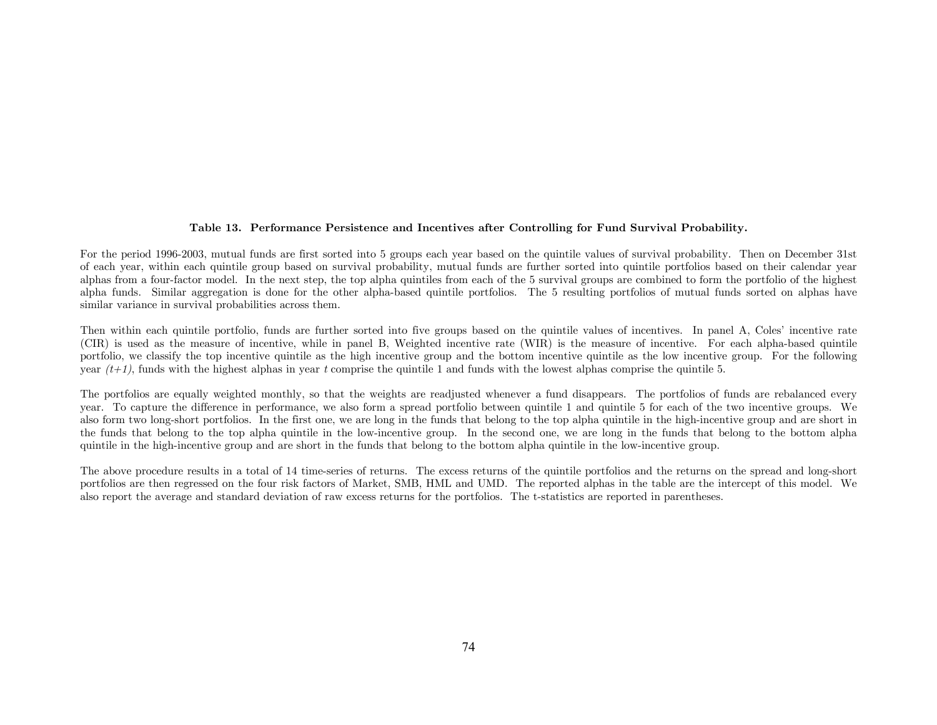## Table 13. Performance Persistence and Incentives after Controlling for Fund Survival Probability.

For the period 1996-2003, mutual funds are first sorted into 5 groups each year based on the quintile values of survival probability. Then on December 31st of each year, within each quintile group based on survival probability, mutual funds are further sorted into quintile portfolios based on their calendar year alphas from a four-factor model. In the next step, the top alpha quintiles from each of the 5 survival groups are combined to form the portfolio of the highest alpha funds. Similar aggregation is done for the other alpha-based quintile portfolios. The 5 resulting portfolios of mutual funds sorted on alphas have similar variance in survival probabilities across them.

Then within each quintile portfolio, funds are further sorted into five groups based on the quintile values of incentives. In panel A, Coles' incentive rate (CIR) is used as the measure of incentive, while in panel B, Weighted incentive rate (WIR) is the measure of incentive. For each alpha-based quintile portfolio, we classify the top incentive quintile as the high incentive group and the bottom incentive quintile as the low incentive group. For the following year  $(t+1)$ , funds with the highest alphas in year t comprise the quintile 1 and funds with the lowest alphas comprise the quintile 5.

The portfolios are equally weighted monthly, so that the weights are readjusted whenever a fund disappears. The portfolios of funds are rebalanced every year. To capture the difference in performance, we also form a spread portfolio between quintile 1 and quintile 5 for each of the two incentive groups. We also form two long-short portfolios. In the first one, we are long in the funds that belong to the top alpha quintile in the high-incentive group and are short in the funds that belong to the top alpha quintile in the low-incentive group. In the second one, we are long in the funds that belong to the bottom alpha quintile in the high-incentive group and are short in the funds that belong to the bottom alpha quintile in the low-incentive group.

The above procedure results in a total of 14 time-series of returns. The excess returns of the quintile portfolios and the returns on the spread and long-short portfolios are then regressed on the four risk factors of Market, SMB, HML and UMD. The reported alphas in the table are the intercept of this model. We also report the average and standard deviation of raw excess returns for the portfolios. The t-statistics are reported in parentheses.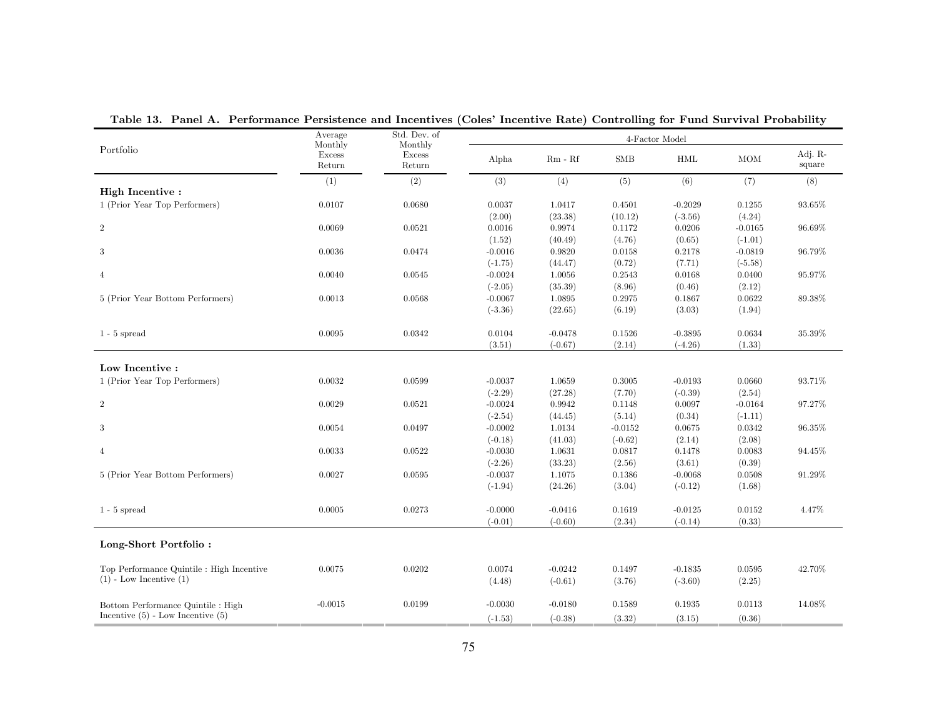|                                                                          | Average<br>Monthly      | Std. Dev. of<br>Monthly |           |           |            | 4-Factor Model |            |                   |
|--------------------------------------------------------------------------|-------------------------|-------------------------|-----------|-----------|------------|----------------|------------|-------------------|
| Portfolio                                                                | <b>Excess</b><br>Return | <b>Excess</b><br>Return | Alpha     | $Rm - Rf$ | <b>SMB</b> | <b>HML</b>     | <b>MOM</b> | Adj. R-<br>square |
|                                                                          | (1)                     | (2)                     | (3)       | (4)       | (5)        | (6)            | (7)        | (8)               |
| <b>High Incentive:</b>                                                   |                         |                         |           |           |            |                |            |                   |
| 1 (Prior Year Top Performers)                                            | 0.0107                  | 0.0680                  | 0.0037    | 1.0417    | 0.4501     | $-0.2029$      | 0.1255     | $93.65\%$         |
|                                                                          |                         |                         | (2.00)    | (23.38)   | (10.12)    | $(-3.56)$      | (4.24)     |                   |
| $\overline{2}$                                                           | 0.0069                  | 0.0521                  | 0.0016    | 0.9974    | 0.1172     | 0.0206         | $-0.0165$  | 96.69%            |
|                                                                          |                         |                         | (1.52)    | (40.49)   | (4.76)     | (0.65)         | $(-1.01)$  |                   |
| $\sqrt{3}$                                                               | 0.0036                  | 0.0474                  | $-0.0016$ | 0.9820    | 0.0158     | 0.2178         | $-0.0819$  | 96.79%            |
|                                                                          |                         |                         | $(-1.75)$ | (44.47)   | (0.72)     | (7.71)         | $(-5.58)$  |                   |
| $\overline{4}$                                                           | 0.0040                  | 0.0545                  | $-0.0024$ | 1.0056    | 0.2543     | 0.0168         | 0.0400     | 95.97%            |
|                                                                          |                         |                         | $(-2.05)$ | (35.39)   | (8.96)     | (0.46)         | (2.12)     |                   |
| 5 (Prior Year Bottom Performers)                                         | 0.0013                  | 0.0568                  | $-0.0067$ | 1.0895    | 0.2975     | 0.1867         | 0.0622     | 89.38%            |
|                                                                          |                         |                         | $(-3.36)$ | (22.65)   | (6.19)     | (3.03)         | (1.94)     |                   |
|                                                                          |                         |                         |           |           |            |                |            |                   |
| $1 - 5$ spread                                                           | 0.0095                  | 0.0342                  | 0.0104    | $-0.0478$ | 0.1526     | $-0.3895$      | 0.0634     | 35.39%            |
|                                                                          |                         |                         | (3.51)    | $(-0.67)$ | (2.14)     | $(-4.26)$      | (1.33)     |                   |
|                                                                          |                         |                         |           |           |            |                |            |                   |
| Low Incentive:                                                           |                         |                         |           |           |            |                |            |                   |
| 1 (Prior Year Top Performers)                                            | 0.0032                  | 0.0599                  | $-0.0037$ | 1.0659    | 0.3005     | $-0.0193$      | 0.0660     | 93.71%            |
|                                                                          |                         |                         | $(-2.29)$ | (27.28)   | (7.70)     | $(-0.39)$      | (2.54)     |                   |
| $\,2$                                                                    | 0.0029                  | 0.0521                  | $-0.0024$ | 0.9942    | 0.1148     | 0.0097         | $-0.0164$  | 97.27%            |
|                                                                          |                         |                         | $(-2.54)$ | (44.45)   | (5.14)     | (0.34)         | $(-1.11)$  |                   |
| 3                                                                        | 0.0054                  | 0.0497                  | $-0.0002$ | 1.0134    | $-0.0152$  | 0.0675         | 0.0342     | 96.35%            |
|                                                                          |                         |                         | $(-0.18)$ | (41.03)   | $(-0.62)$  | (2.14)         | (2.08)     |                   |
| $\overline{4}$                                                           | 0.0033                  | 0.0522                  | $-0.0030$ | 1.0631    | 0.0817     | 0.1478         | 0.0083     | 94.45%            |
|                                                                          |                         |                         | $(-2.26)$ | (33.23)   | (2.56)     | (3.61)         | (0.39)     |                   |
| 5 (Prior Year Bottom Performers)                                         | 0.0027                  | 0.0595                  | $-0.0037$ | 1.1075    | 0.1386     | $-0.0068$      | 0.0508     | 91.29%            |
|                                                                          |                         |                         | $(-1.94)$ | (24.26)   | (3.04)     | $(-0.12)$      | (1.68)     |                   |
|                                                                          |                         |                         |           |           |            |                |            |                   |
| $1 - 5$ spread                                                           | 0.0005                  | 0.0273                  | $-0.0000$ | $-0.0416$ | 0.1619     | $-0.0125$      | 0.0152     | 4.47%             |
|                                                                          |                         |                         | $(-0.01)$ | $(-0.60)$ | (2.34)     | $(-0.14)$      | (0.33)     |                   |
|                                                                          |                         |                         |           |           |            |                |            |                   |
| Long-Short Portfolio:                                                    |                         |                         |           |           |            |                |            |                   |
|                                                                          | 0.0075                  | 0.0202                  | 0.0074    | $-0.0242$ | 0.1497     | $-0.1835$      | 0.0595     | 42.70%            |
| Top Performance Quintile : High Incentive<br>$(1)$ - Low Incentive $(1)$ |                         |                         |           |           |            |                |            |                   |
|                                                                          |                         |                         | (4.48)    | $(-0.61)$ | (3.76)     | $(-3.60)$      | (2.25)     |                   |
|                                                                          |                         |                         |           |           |            |                |            |                   |
| Bottom Performance Quintile : High                                       | $-0.0015$               | 0.0199                  | $-0.0030$ | $-0.0180$ | 0.1589     | 0.1935         | 0.0113     | 14.08%            |
| Incentive $(5)$ - Low Incentive $(5)$                                    |                         |                         | $(-1.53)$ | $(-0.38)$ | (3.32)     | (3.15)         | (0.36)     |                   |

Table 13. Panel A. Performance Persistence and Incentives (Coles' Incentive Rate) Controlling for Fund Survival Probability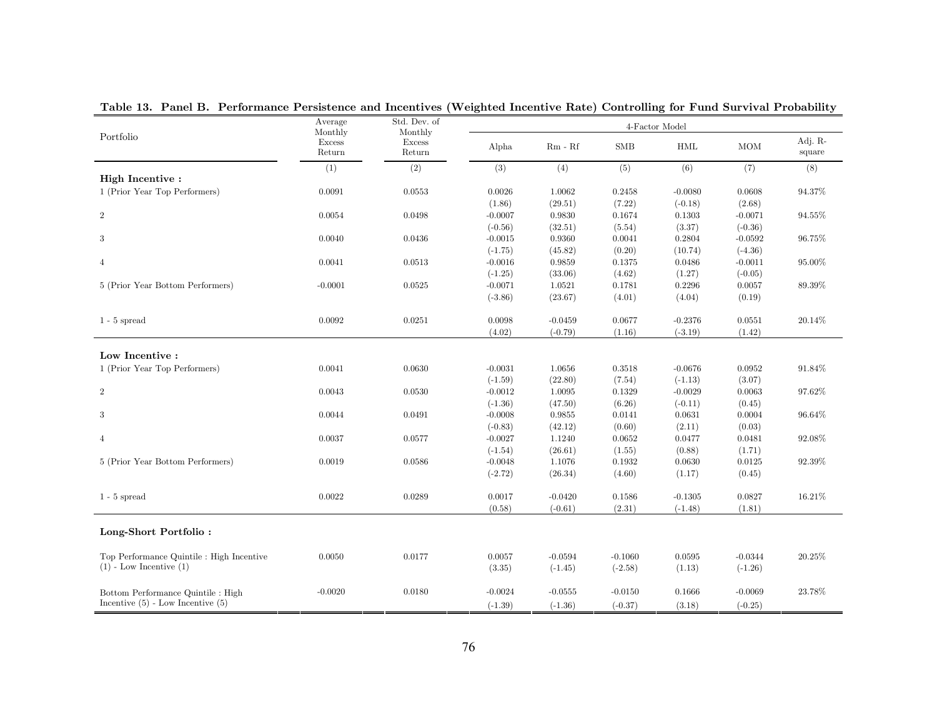|                                           | Average<br>Monthly      | Std. Dev. of<br>Monthly |           |           | 4-Factor Model |            |            |                   |
|-------------------------------------------|-------------------------|-------------------------|-----------|-----------|----------------|------------|------------|-------------------|
| Portfolio                                 | <b>Excess</b><br>Return | <b>Excess</b><br>Return | Alpha     | $Rm - Rf$ | <b>SMB</b>     | <b>HML</b> | <b>MOM</b> | Adj. R-<br>square |
|                                           | (1)                     | (2)                     | (3)       | (4)       | (5)            | (6)        | (7)        | (8)               |
| High Incentive:                           |                         |                         |           |           |                |            |            |                   |
| 1 (Prior Year Top Performers)             | 0.0091                  | 0.0553                  | 0.0026    | 1.0062    | 0.2458         | $-0.0080$  | 0.0608     | 94.37%            |
|                                           |                         |                         | (1.86)    | (29.51)   | (7.22)         | $(-0.18)$  | (2.68)     |                   |
| $\overline{2}$                            | 0.0054                  | 0.0498                  | $-0.0007$ | 0.9830    | 0.1674         | 0.1303     | $-0.0071$  | 94.55%            |
|                                           |                         |                         | $(-0.56)$ | (32.51)   | (5.54)         | (3.37)     | $(-0.36)$  |                   |
| 3                                         | 0.0040                  | 0.0436                  | $-0.0015$ | 0.9360    | 0.0041         | 0.2804     | $-0.0592$  | 96.75%            |
|                                           |                         |                         | $(-1.75)$ | (45.82)   | (0.20)         | (10.74)    | $(-4.36)$  |                   |
| $\overline{4}$                            | 0.0041                  | 0.0513                  | $-0.0016$ | 0.9859    | 0.1375         | 0.0486     | $-0.0011$  | 95.00%            |
|                                           |                         |                         | $(-1.25)$ | (33.06)   | (4.62)         | (1.27)     | $(-0.05)$  |                   |
| 5 (Prior Year Bottom Performers)          | $-0.0001$               | 0.0525                  | $-0.0071$ | 1.0521    | 0.1781         | 0.2296     | 0.0057     | 89.39%            |
|                                           |                         |                         | $(-3.86)$ | (23.67)   | (4.01)         | (4.04)     | (0.19)     |                   |
| $1 - 5$ spread                            | 0.0092                  | 0.0251                  | 0.0098    | $-0.0459$ | 0.0677         | $-0.2376$  | 0.0551     | 20.14%            |
|                                           |                         |                         | (4.02)    |           | (1.16)         |            |            |                   |
|                                           |                         |                         |           | $(-0.79)$ |                | $(-3.19)$  | (1.42)     |                   |
| Low Incentive:                            |                         |                         |           |           |                |            |            |                   |
| 1 (Prior Year Top Performers)             | 0.0041                  | 0.0630                  | $-0.0031$ | 1.0656    | 0.3518         | $-0.0676$  | 0.0952     | 91.84%            |
|                                           |                         |                         | $(-1.59)$ | (22.80)   | (7.54)         | $(-1.13)$  | (3.07)     |                   |
| $\overline{2}$                            | 0.0043                  | 0.0530                  | $-0.0012$ | 1.0095    | 0.1329         | $-0.0029$  | 0.0063     | 97.62%            |
|                                           |                         |                         | $(-1.36)$ | (47.50)   | (6.26)         | $(-0.11)$  | (0.45)     |                   |
| 3                                         | 0.0044                  | 0.0491                  | $-0.0008$ | 0.9855    | 0.0141         | 0.0631     | 0.0004     | 96.64%            |
|                                           |                         |                         |           |           |                |            |            |                   |
|                                           |                         |                         | $(-0.83)$ | (42.12)   | (0.60)         | (2.11)     | (0.03)     |                   |
| $\overline{4}$                            | 0.0037                  | 0.0577                  | $-0.0027$ | 1.1240    | 0.0652         | 0.0477     | 0.0481     | 92.08%            |
|                                           |                         |                         | $(-1.54)$ | (26.61)   | (1.55)         | (0.88)     | (1.71)     |                   |
| 5 (Prior Year Bottom Performers)          | 0.0019                  | 0.0586                  | $-0.0048$ | 1.1076    | 0.1932         | 0.0630     | 0.0125     | 92.39%            |
|                                           |                         |                         | $(-2.72)$ | (26.34)   | (4.60)         | (1.17)     | (0.45)     |                   |
| $1 - 5$ spread                            | 0.0022                  | 0.0289                  | 0.0017    | $-0.0420$ | 0.1586         | $-0.1305$  | 0.0827     | $16.21\%$         |
|                                           |                         |                         | (0.58)    | $(-0.61)$ | (2.31)         | $(-1.48)$  | (1.81)     |                   |
|                                           |                         |                         |           |           |                |            |            |                   |
| Long-Short Portfolio:                     |                         |                         |           |           |                |            |            |                   |
| Top Performance Quintile : High Incentive | 0.0050                  | 0.0177                  | 0.0057    | $-0.0594$ | $-0.1060$      | 0.0595     | $-0.0344$  | 20.25%            |
| $(1)$ - Low Incentive $(1)$               |                         |                         | (3.35)    | $(-1.45)$ | $(-2.58)$      | (1.13)     | $(-1.26)$  |                   |
|                                           |                         |                         |           |           |                |            |            |                   |
| Bottom Performance Quintile : High        | $-0.0020$               | 0.0180                  | $-0.0024$ | $-0.0555$ | $-0.0150$      | 0.1666     | $-0.0069$  | 23.78%            |
| Incentive $(5)$ - Low Incentive $(5)$     |                         |                         | $(-1.39)$ | $(-1.36)$ | $(-0.37)$      | (3.18)     | $(-0.25)$  |                   |

Table 13. Panel B. Performance Persistence and Incentives (Weighted Incentive Rate) Controlling for Fund Survival Probability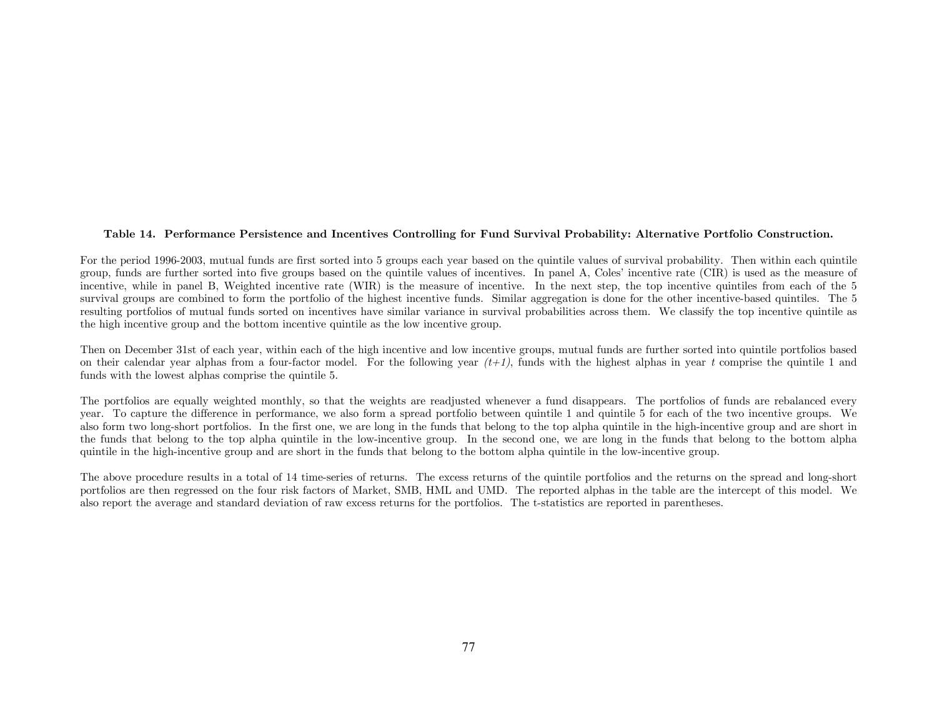#### Table 14. Performance Persistence and Incentives Controlling for Fund Survival Probability: Alternative Portfolio Construction.

For the period 1996-2003, mutual funds are first sorted into 5 groups each year based on the quintile values of survival probability. Then within each quintile group, funds are further sorted into five groups based on the quintile values of incentives. In panel A, Coles' incentive rate (CIR) is used as the measure of incentive, while in panel B, Weighted incentive rate (WIR) is the measure of incentive. In the next step, the top incentive quintiles from each of the 5 survival groups are combined to form the portfolio of the highest incentive funds. Similar aggregation is done for the other incentive-based quintiles. The 5 resulting portfolios of mutual funds sorted on incentives have similar variance in survival probabilities across them. We classify the top incentive quintile as the high incentive group and the bottom incentive quintile as the low incentive group.

Then on December 31st of each year, within each of the high incentive and low incentive groups, mutual funds are further sorted into quintile portfolios based on their calendar year alphas from a four-factor model. For the following year  $(t+1)$ , funds with the highest alphas in year t comprise the quintile 1 and funds with the lowest alphas comprise the quintile 5.

The portfolios are equally weighted monthly, so that the weights are readjusted whenever a fund disappears. The portfolios of funds are rebalanced every year. To capture the difference in performance, we also form a spread portfolio between quintile 1 and quintile 5 for each of the two incentive groups. We also form two long-short portfolios. In the first one, we are long in the funds that belong to the top alpha quintile in the high-incentive group and are short in the funds that belong to the top alpha quintile in the low-incentive group. In the second one, we are long in the funds that belong to the bottom alpha quintile in the high-incentive group and are short in the funds that belong to the bottom alpha quintile in the low-incentive group.

The above procedure results in a total of 14 time-series of returns. The excess returns of the quintile portfolios and the returns on the spread and long-short portfolios are then regressed on the four risk factors of Market, SMB, HML and UMD. The reported alphas in the table are the intercept of this model. We also report the average and standard deviation of raw excess returns for the portfolios. The t-statistics are reported in parentheses.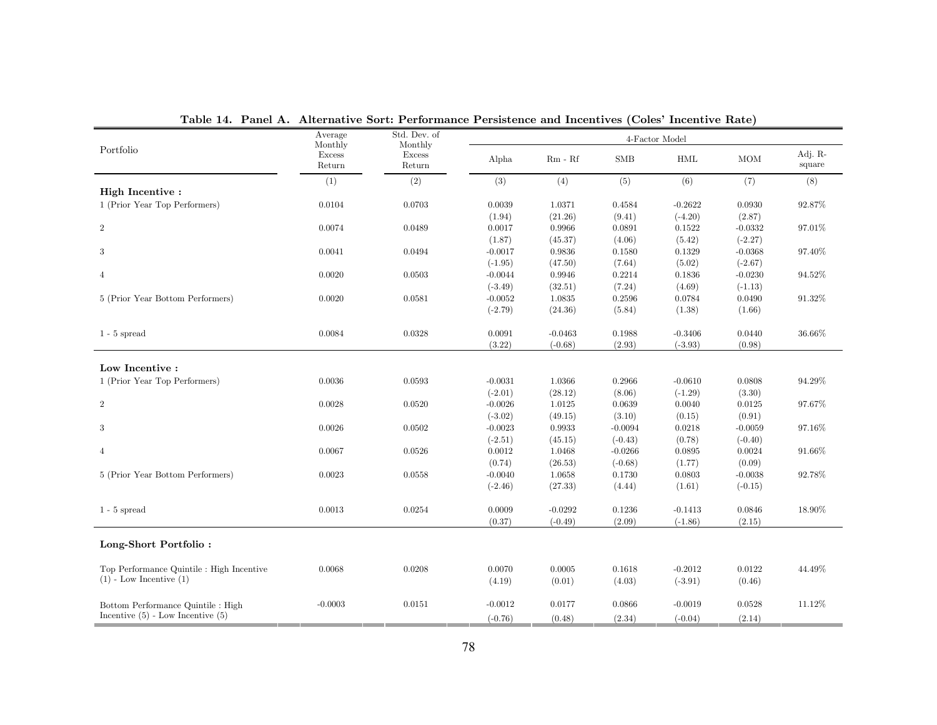|                                                                          | Average<br>Monthly      | Std. Dev. of<br>Monthly |           |           | 4-Factor Model |           |            |                   |
|--------------------------------------------------------------------------|-------------------------|-------------------------|-----------|-----------|----------------|-----------|------------|-------------------|
| Portfolio                                                                | <b>Excess</b><br>Return | <b>Excess</b><br>Return | Alpha     | $Rm - Rf$ | <b>SMB</b>     | HML       | <b>MOM</b> | Adj. R-<br>square |
|                                                                          | (1)                     | (2)                     | (3)       | (4)       | (5)            | (6)       | (7)        | (8)               |
| High Incentive:<br>1 (Prior Year Top Performers)                         | 0.0104                  | 0.0703                  | 0.0039    | 1.0371    | 0.4584         | $-0.2622$ | 0.0930     | 92.87%            |
|                                                                          |                         |                         | (1.94)    | (21.26)   | (9.41)         | $(-4.20)$ | (2.87)     |                   |
| $\overline{2}$                                                           | 0.0074                  | 0.0489                  | 0.0017    | 0.9966    | 0.0891         | 0.1522    | $-0.0332$  | 97.01%            |
|                                                                          |                         |                         | (1.87)    | (45.37)   | (4.06)         | (5.42)    | $(-2.27)$  |                   |
| 3                                                                        | 0.0041                  | 0.0494                  | $-0.0017$ | 0.9836    | 0.1580         | 0.1329    | $-0.0368$  | 97.40%            |
|                                                                          |                         |                         | $(-1.95)$ | (47.50)   | (7.64)         | (5.02)    | $(-2.67)$  |                   |
| $\overline{4}$                                                           | 0.0020                  | 0.0503                  | $-0.0044$ | 0.9946    | 0.2214         | 0.1836    | $-0.0230$  | 94.52%            |
|                                                                          |                         |                         | $(-3.49)$ | (32.51)   | (7.24)         | (4.69)    | $(-1.13)$  |                   |
| 5 (Prior Year Bottom Performers)                                         | 0.0020                  | 0.0581                  | $-0.0052$ | 1.0835    | 0.2596         | 0.0784    | 0.0490     | 91.32%            |
|                                                                          |                         |                         | $(-2.79)$ | (24.36)   | (5.84)         | (1.38)    | (1.66)     |                   |
|                                                                          |                         |                         |           |           |                |           |            |                   |
| $1 - 5$ spread                                                           | 0.0084                  | 0.0328                  | 0.0091    | $-0.0463$ | 0.1988         | $-0.3406$ | 0.0440     | 36.66%            |
|                                                                          |                         |                         | (3.22)    | $(-0.68)$ | (2.93)         | $(-3.93)$ | (0.98)     |                   |
|                                                                          |                         |                         |           |           |                |           |            |                   |
| Low Incentive:                                                           |                         |                         |           |           |                |           |            |                   |
| 1 (Prior Year Top Performers)                                            | 0.0036                  | 0.0593                  | $-0.0031$ | 1.0366    | 0.2966         | $-0.0610$ | 0.0808     | 94.29%            |
|                                                                          |                         |                         | $(-2.01)$ | (28.12)   | (8.06)         | $(-1.29)$ | (3.30)     |                   |
| $\overline{2}$                                                           | 0.0028                  | 0.0520                  | $-0.0026$ | 1.0125    | 0.0639         | 0.0040    | 0.0125     | 97.67%            |
|                                                                          |                         |                         | $(-3.02)$ | (49.15)   | (3.10)         | (0.15)    | (0.91)     |                   |
| 3                                                                        | 0.0026                  | 0.0502                  | $-0.0023$ | 0.9933    | $-0.0094$      | 0.0218    | $-0.0059$  | 97.16%            |
|                                                                          |                         |                         | $(-2.51)$ | (45.15)   | $(-0.43)$      | (0.78)    | $(-0.40)$  |                   |
| $\overline{4}$                                                           | 0.0067                  | 0.0526                  | 0.0012    | 1.0468    | $-0.0266$      | 0.0895    | 0.0024     | 91.66%            |
|                                                                          |                         |                         | (0.74)    | (26.53)   | $(-0.68)$      | (1.77)    | (0.09)     |                   |
| 5 (Prior Year Bottom Performers)                                         | 0.0023                  | 0.0558                  | $-0.0040$ | 1.0658    | 0.1730         | 0.0803    | $-0.0038$  | 92.78%            |
|                                                                          |                         |                         | $(-2.46)$ | (27.33)   | (4.44)         | (1.61)    | $(-0.15)$  |                   |
|                                                                          |                         |                         |           |           |                |           |            |                   |
| $1 - 5$ spread                                                           | 0.0013                  | 0.0254                  | 0.0009    | $-0.0292$ | 0.1236         | $-0.1413$ | 0.0846     | 18.90%            |
|                                                                          |                         |                         | (0.37)    | $(-0.49)$ | (2.09)         | $(-1.86)$ | (2.15)     |                   |
| Long-Short Portfolio:                                                    |                         |                         |           |           |                |           |            |                   |
|                                                                          |                         |                         |           |           |                |           |            |                   |
| Top Performance Quintile : High Incentive<br>$(1)$ - Low Incentive $(1)$ | 0.0068                  | 0.0208                  | 0.0070    | 0.0005    | 0.1618         | $-0.2012$ | 0.0122     | 44.49%            |
|                                                                          |                         |                         | (4.19)    | (0.01)    | (4.03)         | $(-3.91)$ | (0.46)     |                   |
| Bottom Performance Quintile : High                                       | $-0.0003$               | 0.0151                  | $-0.0012$ | 0.0177    | 0.0866         | $-0.0019$ | 0.0528     | 11.12%            |
| Incentive $(5)$ - Low Incentive $(5)$                                    |                         |                         | $(-0.76)$ | (0.48)    | (2.34)         | $(-0.04)$ | (2.14)     |                   |

Table 14. Panel A. Alternative Sort: Performance Persistence and Incentives (Coles' Incentive Rate)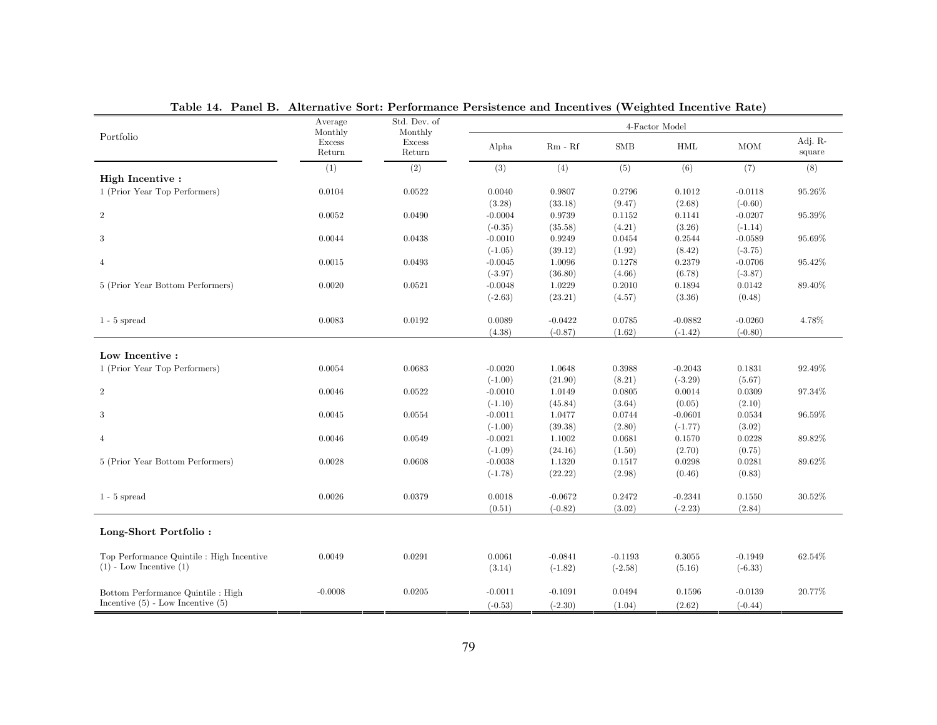| rable 14. Tanel D. Anchauve Sort. I criorinance I croistence and incentives (Weighted Incentive Rate) | Average                     | Std. Dev. of                |           |           |            | 4-Factor Model |            |                   |
|-------------------------------------------------------------------------------------------------------|-----------------------------|-----------------------------|-----------|-----------|------------|----------------|------------|-------------------|
| Portfolio                                                                                             | Monthly<br>Excess<br>Return | Monthly<br>Excess<br>Return | Alpha     | $Rm - Rf$ | <b>SMB</b> | <b>HML</b>     | <b>MOM</b> | Adj. R-<br>square |
|                                                                                                       | (1)                         | (2)                         | (3)       | (4)       | (5)        | (6)            | (7)        | (8)               |
| High Incentive:                                                                                       |                             |                             |           |           |            |                |            |                   |
| 1 (Prior Year Top Performers)                                                                         | 0.0104                      | 0.0522                      | 0.0040    | 0.9807    | 0.2796     | 0.1012         | $-0.0118$  | 95.26%            |
|                                                                                                       |                             |                             | (3.28)    | (33.18)   | (9.47)     | (2.68)         | $(-0.60)$  |                   |
| $\overline{2}$                                                                                        | 0.0052                      | 0.0490                      | $-0.0004$ | 0.9739    | 0.1152     | 0.1141         | $-0.0207$  | 95.39%            |
|                                                                                                       |                             |                             | $(-0.35)$ | (35.58)   | (4.21)     | (3.26)         | $(-1.14)$  |                   |
| 3                                                                                                     | 0.0044                      | 0.0438                      | $-0.0010$ | 0.9249    | 0.0454     | 0.2544         | $-0.0589$  | 95.69%            |
|                                                                                                       |                             |                             | $(-1.05)$ | (39.12)   | (1.92)     | (8.42)         | $(-3.75)$  |                   |
| $\overline{4}$                                                                                        | 0.0015                      | 0.0493                      | $-0.0045$ | 1.0096    | 0.1278     | 0.2379         | $-0.0706$  | 95.42%            |
|                                                                                                       |                             |                             | $(-3.97)$ | (36.80)   | (4.66)     | (6.78)         | $(-3.87)$  |                   |
| 5 (Prior Year Bottom Performers)                                                                      | 0.0020                      | 0.0521                      | $-0.0048$ | 1.0229    | 0.2010     | 0.1894         | 0.0142     | 89.40%            |
|                                                                                                       |                             |                             | $(-2.63)$ | (23.21)   | (4.57)     | (3.36)         | (0.48)     |                   |
| $1 - 5$ spread                                                                                        | 0.0083                      | 0.0192                      | 0.0089    | $-0.0422$ | 0.0785     | $-0.0882$      | $-0.0260$  | 4.78%             |
|                                                                                                       |                             |                             | (4.38)    | $(-0.87)$ | (1.62)     | $(-1.42)$      | $(-0.80)$  |                   |
|                                                                                                       |                             |                             |           |           |            |                |            |                   |
| Low Incentive:                                                                                        |                             |                             |           |           |            |                |            |                   |
| 1 (Prior Year Top Performers)                                                                         | 0.0054                      | 0.0683                      | $-0.0020$ | 1.0648    | 0.3988     | $-0.2043$      | 0.1831     | 92.49%            |
|                                                                                                       |                             |                             | $(-1.00)$ | (21.90)   | (8.21)     | $(-3.29)$      | (5.67)     |                   |
| $\overline{2}$                                                                                        | 0.0046                      | 0.0522                      | $-0.0010$ | 1.0149    | 0.0805     | 0.0014         | 0.0309     | 97.34%            |
|                                                                                                       |                             |                             | $(-1.10)$ | (45.84)   | (3.64)     | (0.05)         | (2.10)     |                   |
| 3                                                                                                     | 0.0045                      | 0.0554                      | $-0.0011$ | 1.0477    | 0.0744     | $-0.0601$      | 0.0534     | 96.59%            |
|                                                                                                       |                             |                             | $(-1.00)$ | (39.38)   | (2.80)     | $(-1.77)$      | (3.02)     |                   |
| $\overline{4}$                                                                                        | 0.0046                      | 0.0549                      | $-0.0021$ | 1.1002    | 0.0681     | 0.1570         | 0.0228     | 89.82%            |
|                                                                                                       |                             |                             | $(-1.09)$ | (24.16)   | (1.50)     | (2.70)         | (0.75)     |                   |
| 5 (Prior Year Bottom Performers)                                                                      | 0.0028                      | 0.0608                      | $-0.0038$ | 1.1320    | 0.1517     | 0.0298         | 0.0281     | 89.62%            |
|                                                                                                       |                             |                             | $(-1.78)$ | (22.22)   | (2.98)     | (0.46)         | (0.83)     |                   |
| $1 - 5$ spread                                                                                        | 0.0026                      | 0.0379                      | 0.0018    | $-0.0672$ | 0.2472     | $-0.2341$      | 0.1550     | 30.52%            |
|                                                                                                       |                             |                             | (0.51)    | $(-0.82)$ | (3.02)     | $(-2.23)$      | (2.84)     |                   |
| Long-Short Portfolio:                                                                                 |                             |                             |           |           |            |                |            |                   |
| Top Performance Quintile : High Incentive                                                             | 0.0049                      | 0.0291                      | 0.0061    | $-0.0841$ | $-0.1193$  | 0.3055         | $-0.1949$  | 62.54%            |
| $(1)$ - Low Incentive $(1)$                                                                           |                             |                             | (3.14)    | $(-1.82)$ | $(-2.58)$  | (5.16)         | $(-6.33)$  |                   |
| Bottom Performance Quintile : High                                                                    | $-0.0008$                   | 0.0205                      | $-0.0011$ | $-0.1091$ | 0.0494     | 0.1596         | $-0.0139$  | 20.77%            |
| Incentive $(5)$ - Low Incentive $(5)$                                                                 |                             |                             | $(-0.53)$ | $(-2.30)$ | (1.04)     | (2.62)         | $(-0.44)$  |                   |

Table 14. Panel B. Alternative Sort: Performance Persistence and Incentives (Weighted Incentive Rate)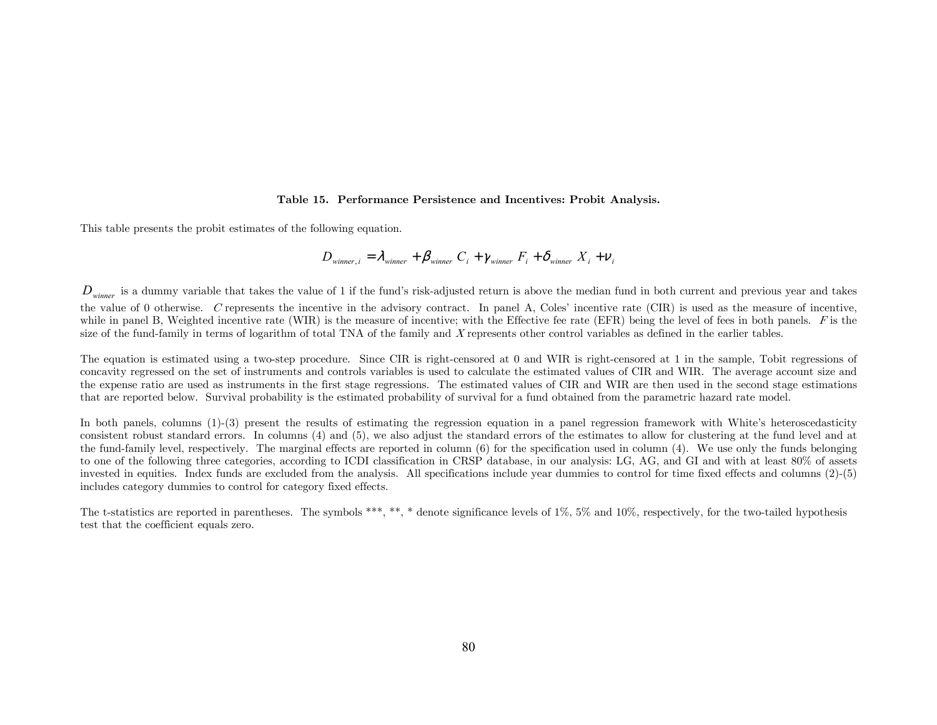#### Table 15. Performance Persistence and Incentives: Probit Analysis.

This table presents the probit estimates of the following equation.

$$
D_{\text{winner},i} = \lambda_{\text{winner}} + \beta_{\text{winner}} C_i + \gamma_{\text{winner}} F_i + \delta_{\text{winner}} X_i + \nu_i
$$

 $D_{winner}$  is a dummy variable that takes the value of 1 if the fund's risk-adjusted return is above the median fund in both current and previous year and takes the value of 0 otherwise. C represents the incentive in the advisory contract. In panel A, Coles' incentive rate (CIR) is used as the measure of incentive, while in panel B, Weighted incentive rate (WIR) is the measure of incentive; with the Effective fee rate (EFR) being the level of fees in both panels.  $F$  is the size of the fund-family in terms of logarithm of total TNA of the family and X represents other control variables as defined in the earlier tables.

The equation is estimated using a two-step procedure. Since CIR is right-censored at 0 and WIR is right-censored at 1 in the sample, Tobit regressions of concavity regressed on the set of instruments and controls variables is used to calculate the estimated values of CIR and WIR. The average account size and the expense ratio are used as instruments in the first stage regressions. The estimated values of CIR and WIR are then used in the second stage estimations that are reported below. Survival probability is the estimated probability of survival for a fund obtained from the parametric hazard rate model.

In both panels, columns (1)-(3) present the results of estimating the regression equation in a panel regression framework with White's heteroscedasticity consistent robust standard errors. In columns (4) and (5), we also adjust the standard errors of the estimates to allow for clustering at the fund level and at the fund-family level, respectively. The marginal effects are reported in column (6) for the specification used in column (4). We use only the funds belonging to one of the following three categories, according to ICDI classification in CRSP database, in our analysis: LG, AG, and GI and with at least 80% of assets invested in equities. Index funds are excluded from the analysis. All specifications include year dummies to control for time fixed effects and columns (2)-(5) includes category dummies to control for category fixed effects.

The t-statistics are reported in parentheses. The symbols \*\*\*, \*\*, \* denote significance levels of 1%, 5% and 10%, respectively, for the two-tailed hypothesis test that the coefficient equals zero.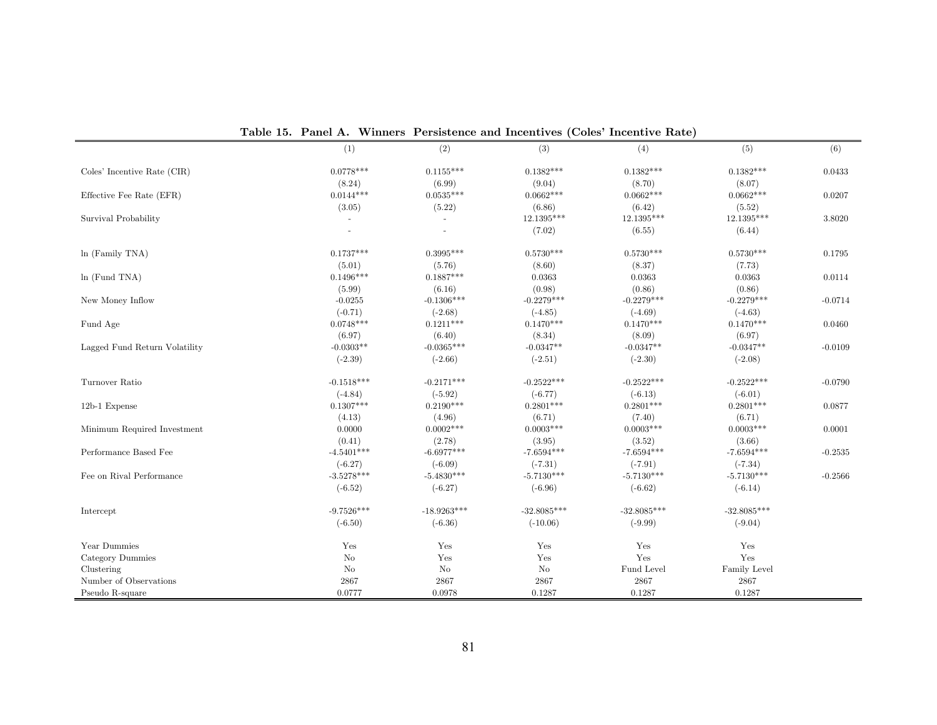|                               | (1)            | (2)            | (3)           | (4)           | (5)           | (6)       |
|-------------------------------|----------------|----------------|---------------|---------------|---------------|-----------|
| Coles' Incentive Rate (CIR)   | $0.0778***$    | $0.1155***$    | $0.1382***$   | $0.1382***$   | $0.1382***$   | 0.0433    |
|                               | (8.24)         | (6.99)         | (9.04)        | (8.70)        | (8.07)        |           |
| Effective Fee Rate (EFR)      | $0.0144***$    | $0.0535***$    | $0.0662***$   | $0.0662***$   | $0.0662***$   | 0.0207    |
|                               | (3.05)         | (5.22)         | (6.86)        | (6.42)        | (5.52)        |           |
| Survival Probability          | $\blacksquare$ | $\blacksquare$ | 12.1395***    | 12.1395***    | 12.1395***    | 3.8020    |
|                               |                | ÷.             | (7.02)        | (6.55)        | (6.44)        |           |
| $ln$ (Family TNA)             | $0.1737***$    | $0.3995***$    | $0.5730***$   | $0.5730***$   | $0.5730***$   | 0.1795    |
|                               | (5.01)         | (5.76)         | (8.60)        | (8.37)        | (7.73)        |           |
| $ln$ (Fund TNA)               | $0.1496***$    | $0.1887***$    | 0.0363        | 0.0363        | 0.0363        | 0.0114    |
|                               | (5.99)         | (6.16)         | (0.98)        | (0.86)        | (0.86)        |           |
| New Money Inflow              | $-0.0255$      | $-0.1306***$   | $-0.2279***$  | $-0.2279***$  | $-0.2279***$  | $-0.0714$ |
|                               | $(-0.71)$      | $(-2.68)$      | $(-4.85)$     | $(-4.69)$     | $(-4.63)$     |           |
| Fund Age                      | $0.0748***$    | $0.1211***$    | $0.1470***$   | $0.1470***$   | $0.1470***$   | 0.0460    |
|                               | (6.97)         | (6.40)         | (8.34)        | (8.09)        | (6.97)        |           |
| Lagged Fund Return Volatility | $-0.0303**$    | $-0.0365***$   | $-0.0347**$   | $-0.0347**$   | $-0.0347**$   | $-0.0109$ |
|                               | $(-2.39)$      | $(-2.66)$      | $(-2.51)$     | $(-2.30)$     | $(-2.08)$     |           |
| Turnover Ratio                | $-0.1518***$   | $-0.2171***$   | $-0.2522***$  | $-0.2522***$  | $-0.2522***$  | $-0.0790$ |
|                               | $(-4.84)$      | $(-5.92)$      | $(-6.77)$     | $(-6.13)$     | $(-6.01)$     |           |
| $12b-1$ Expense               | $0.1307***$    | $0.2190***$    | $0.2801***$   | $0.2801***$   | $0.2801***$   | 0.0877    |
|                               | (4.13)         | (4.96)         | (6.71)        | (7.40)        | (6.71)        |           |
| Minimum Required Investment   | 0.0000         | $0.0002***$    | $0.0003***$   | $0.0003***$   | $0.0003***$   | 0.0001    |
|                               | (0.41)         | (2.78)         | (3.95)        | (3.52)        | (3.66)        |           |
| Performance Based Fee         | $-4.5401***$   | $-6.6977***$   | $-7.6594***$  | $-7.6594***$  | $-7.6594***$  | $-0.2535$ |
|                               | $(-6.27)$      | $(-6.09)$      | $(-7.31)$     | $(-7.91)$     | $(-7.34)$     |           |
| Fee on Rival Performance      | $-3.5278***$   | $-5.4830***$   | $-5.7130***$  | $-5.7130***$  | $-5.7130***$  | $-0.2566$ |
|                               | $(-6.52)$      | $(-6.27)$      | $(-6.96)$     | $(-6.62)$     | $(-6.14)$     |           |
| Intercept                     | $-9.7526***$   | $-18.9263***$  | $-32.8085***$ | $-32.8085***$ | $-32.8085***$ |           |
|                               | $(-6.50)$      | $(-6.36)$      | $(-10.06)$    | $(-9.99)$     | $(-9.04)$     |           |
| Year Dummies                  | Yes            | Yes            | Yes           | Yes           | Yes           |           |
| Category Dummies              | No             | Yes            | Yes           | Yes           | Yes           |           |
| Clustering                    | No             | No             | No            | Fund Level    | Family Level  |           |
| Number of Observations        | 2867           | 2867           | 2867          | 2867          | 2867          |           |
| Pseudo R-square               | 0.0777         | 0.0978         | 0.1287        | 0.1287        | 0.1287        |           |

Table 15. Panel A. Winners' Persistence and Incentives (Coles' Incentive Rate)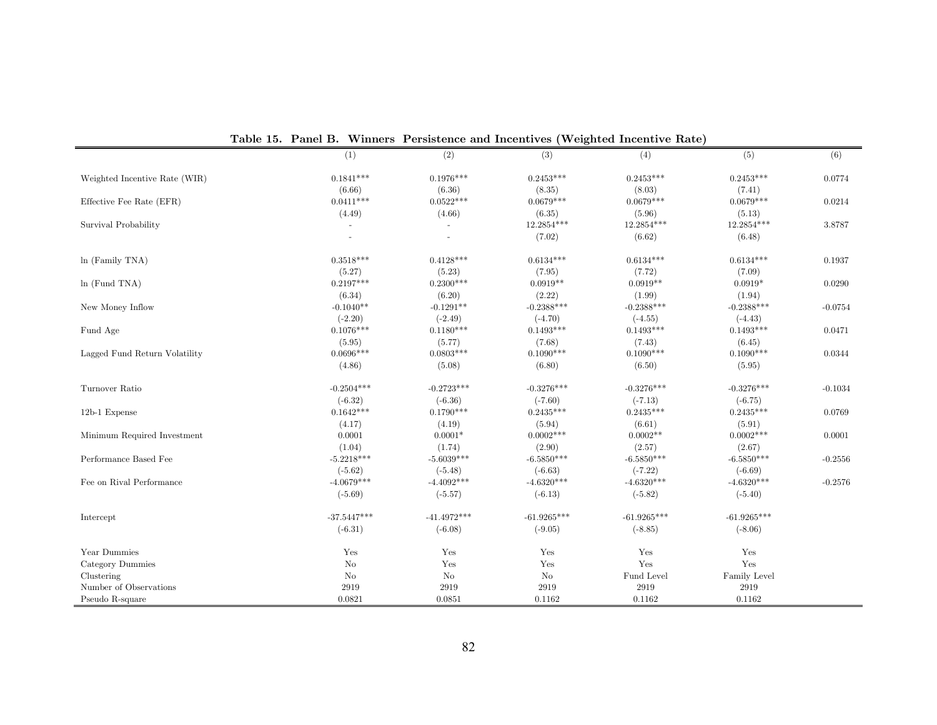|                               | (1)           | (2)           | (3)                    | (4)           | (5)               | (6)       |
|-------------------------------|---------------|---------------|------------------------|---------------|-------------------|-----------|
| Weighted Incentive Rate (WIR) | $0.1841***$   | $0.1976***$   | $0.2453***$            | $0.2453***$   | $0.2453***$       | 0.0774    |
|                               | (6.66)        | (6.36)        | (8.35)                 | (8.03)        | (7.41)            |           |
| Effective Fee Rate (EFR)      | $0.0411***$   | $0.0522***$   | $0.0679***$            | $0.0679***$   | $0.0679***$       | 0.0214    |
|                               | (4.49)        | (4.66)        | (6.35)                 | (5.96)        | (5.13)            |           |
| Survival Probability          | $\sim$        |               | 12.2854***             | 12.2854***    | 12.2854***        | 3.8787    |
|                               |               |               | (7.02)                 | (6.62)        | (6.48)            |           |
| ln (Family TNA)               | $0.3518***$   | $0.4128***$   | $0.6134***$            | $0.6134***$   | $0.6134***$       | 0.1937    |
|                               | (5.27)        | (5.23)        | (7.95)                 | (7.72)        | (7.09)            |           |
| $ln$ (Fund TNA)               | $0.2197***$   | $0.2300***$   | $0.0919**$             | $0.0919**$    | $0.0919*$         | 0.0290    |
|                               | (6.34)        | (6.20)        | (2.22)                 | (1.99)        | (1.94)            |           |
| New Money Inflow              | $-0.1040**$   | $-0.1291**$   | $-0.2388***$           | $-0.2388***$  | $-0.2388***$      | $-0.0754$ |
|                               | $(-2.20)$     | $(-2.49)$     | $(-4.70)$              | $(-4.55)$     | $(-4.43)$         |           |
| Fund Age                      | $0.1076***$   | $0.1180***$   | $0.1493***$            | $0.1493***$   | $0.1493***$       | 0.0471    |
|                               | (5.95)        | (5.77)        | (7.68)                 | (7.43)        | (6.45)            |           |
| Lagged Fund Return Volatility | $0.0696***$   | $0.0803***$   | $0.1090***$            | $0.1090***$   | $0.1090***$       | 0.0344    |
|                               | (4.86)        | (5.08)        | (6.80)                 | (6.50)        | (5.95)            |           |
| Turnover Ratio                | $-0.2504***$  | $-0.2723***$  | $-0.3276***$           | $-0.3276***$  | $-0.3276***$      | $-0.1034$ |
|                               | $(-6.32)$     | $(-6.36)$     | $(-7.60)$              | $(-7.13)$     | $(-6.75)$         |           |
| 12b-1 Expense                 | $0.1642***$   | $0.1790***$   | $0.2435***$            | $0.2435***$   | $0.2435***$       | 0.0769    |
|                               | (4.17)        | (4.19)        | (5.94)                 | (6.61)        | (5.91)            |           |
| Minimum Required Investment   | 0.0001        | $0.0001*$     | $0.0002***$            | $0.0002**$    | $0.0002***$       | 0.0001    |
|                               | (1.04)        | (1.74)        | (2.90)                 | (2.57)        | (2.67)            |           |
| Performance Based Fee         | $-5.2218***$  | $-5.6039***$  | $\text{-}6.5850^{***}$ | $-6.5850***$  | $-6.5850^{***}\,$ | $-0.2556$ |
|                               | $(-5.62)$     | $(-5.48)$     | $(-6.63)$              | $(-7.22)$     | $(-6.69)$         |           |
| Fee on Rival Performance      | $-4.0679***$  | $-4.4092***$  | $-4.6320***$           | $-4.6320***$  | $-4.6320***$      | $-0.2576$ |
|                               | $(-5.69)$     | $(-5.57)$     | $(-6.13)$              | $(-5.82)$     | $(-5.40)$         |           |
| Intercept                     | $-37.5447***$ | $-41.4972***$ | $-61.9265***$          | $-61.9265***$ | $-61.9265***$     |           |
|                               | $(-6.31)$     | $(-6.08)$     | $(-9.05)$              | $(-8.85)$     | $(-8.06)$         |           |
| Year Dummies                  | Yes           | Yes           | Yes                    | Yes           | Yes               |           |
| Category Dummies              | $\rm No$      | Yes           | Yes                    | Yes           | Yes               |           |
| Clustering                    | $\rm No$      | $\rm No$      | No                     | Fund Level    | Family Level      |           |
| Number of Observations        | 2919          | 2919          | 2919                   | 2919          | 2919              |           |
| Pseudo R-square               | 0.0821        | 0.0851        | 0.1162                 | 0.1162        | 0.1162            |           |

|  |  |  | Table 15. Panel B. Winners Persistence and Incentives (Weighted Incentive Rate) |  |  |  |  |
|--|--|--|---------------------------------------------------------------------------------|--|--|--|--|
|--|--|--|---------------------------------------------------------------------------------|--|--|--|--|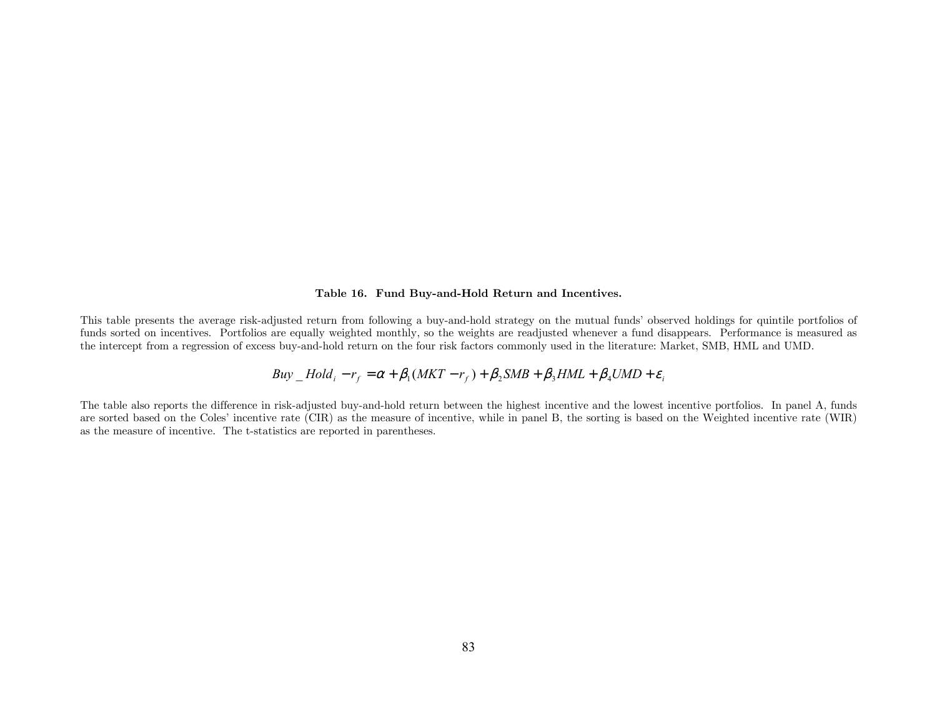#### Table 16. Fund Buy-and-Hold Return and Incentives.

This table presents the average risk-adjusted return from following a buy-and-hold strategy on the mutual funds' observed holdings for quintile portfolios of funds sorted on incentives. Portfolios are equally weighted monthly, so the weights are readjusted whenever a fund disappears. Performance is measured as the intercept from a regression of excess buy-and-hold return on the four risk factors commonly used in the literature: Market, SMB, HML and UMD.

$$
Buy\_Hold_i - r_f = \alpha + \beta_1(MKT - r_f) + \beta_2SMB + \beta_3HML + \beta_4UMD + \varepsilon_i
$$

The table also reports the difference in risk-adjusted buy-and-hold return between the highest incentive and the lowest incentive portfolios. In panel A, funds are sorted based on the Coles' incentive rate (CIR) as the measure of incentive, while in panel B, the sorting is based on the Weighted incentive rate (WIR) as the measure of incentive. The t-statistics are reported in parentheses.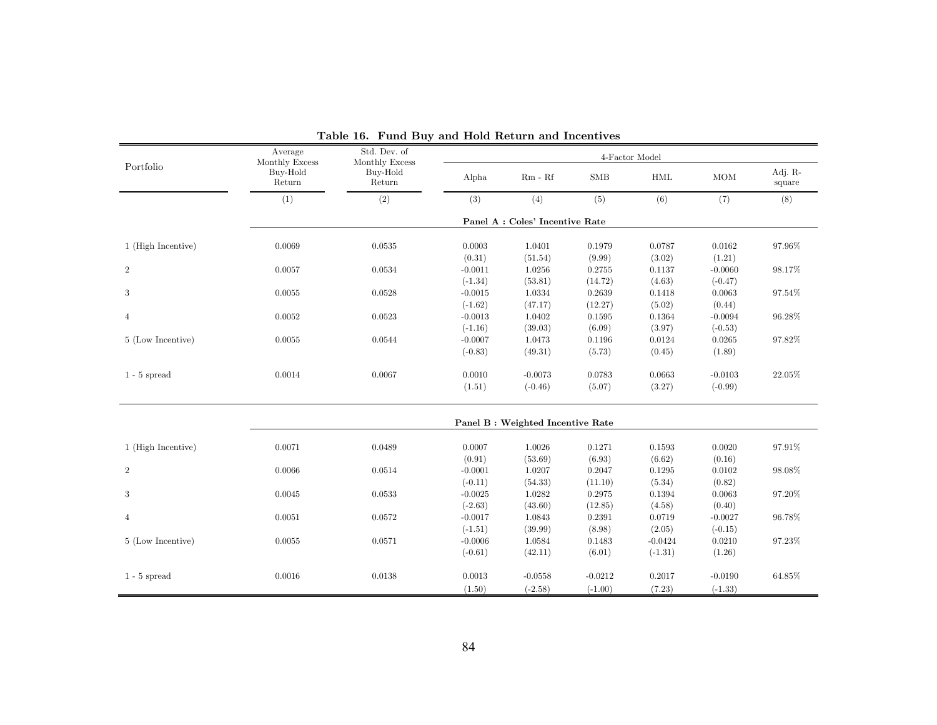|                    | Average<br>Monthly Excess | Std. Dev. of<br>Monthly Excess |                     |                                   |                  | 4-Factor Model   |                     |                   |
|--------------------|---------------------------|--------------------------------|---------------------|-----------------------------------|------------------|------------------|---------------------|-------------------|
| Portfolio          | Buy-Hold<br>Return        | Buy-Hold<br>Return             | Alpha               | $Rm - Rf$                         | <b>SMB</b>       | HML              | <b>MOM</b>          | Adj. R-<br>square |
|                    | (1)                       | (2)                            | (3)                 | (4)                               | (5)              | (6)              | (7)                 | (8)               |
|                    |                           |                                |                     | Panel A : Coles' Incentive Rate   |                  |                  |                     |                   |
| 1 (High Incentive) | 0.0069                    | 0.0535                         | 0.0003              | 1.0401                            | 0.1979           | 0.0787           | 0.0162              | 97.96%            |
| $\overline{2}$     | 0.0057                    | 0.0534                         | (0.31)<br>$-0.0011$ | (51.54)<br>1.0256                 | (9.99)<br>0.2755 | (3.02)<br>0.1137 | (1.21)<br>$-0.0060$ | 98.17%            |
|                    |                           |                                | $(-1.34)$           | (53.81)                           | (14.72)          | (4.63)           | $(-0.47)$           |                   |
| 3                  | 0.0055                    | 0.0528                         | $-0.0015$           | 1.0334                            | 0.2639           | 0.1418           | 0.0063              | 97.54%            |
|                    |                           |                                | $(-1.62)$           | (47.17)                           | (12.27)          | (5.02)           | (0.44)              |                   |
| $\overline{4}$     | 0.0052                    | 0.0523                         | $-0.0013$           | 1.0402                            | 0.1595           | 0.1364           | $-0.0094$           | 96.28%            |
|                    |                           |                                | $(-1.16)$           | (39.03)                           | (6.09)           | (3.97)           | $(-0.53)$           |                   |
| 5 (Low Incentive)  | 0.0055                    | 0.0544                         | $-0.0007$           | 1.0473                            | 0.1196           | 0.0124           | 0.0265              | 97.82%            |
|                    |                           |                                | $(-0.83)$           | (49.31)                           | (5.73)           | (0.45)           | (1.89)              |                   |
| $1$ - $5$ spread   | 0.0014                    | 0.0067                         | 0.0010              | $-0.0073$                         | 0.0783           | 0.0663           | $-0.0103$           | 22.05%            |
|                    |                           |                                | (1.51)              | $(-0.46)$                         | (5.07)           | (3.27)           | $(-0.99)$           |                   |
|                    |                           |                                |                     | Panel B : Weighted Incentive Rate |                  |                  |                     |                   |
|                    |                           |                                |                     |                                   |                  |                  |                     |                   |
| 1 (High Incentive) | 0.0071                    | 0.0489                         | 0.0007              | 1.0026                            | 0.1271           | 0.1593           | 0.0020              | 97.91%            |
| $\overline{2}$     | 0.0066                    | 0.0514                         | (0.91)<br>$-0.0001$ | (53.69)<br>1.0207                 | (6.93)<br>0.2047 | (6.62)<br>0.1295 | (0.16)<br>0.0102    | 98.08%            |
|                    |                           |                                | $(-0.11)$           | (54.33)                           | (11.10)          | (5.34)           | (0.82)              |                   |
| 3                  | 0.0045                    | 0.0533                         | $-0.0025$           | 1.0282                            | 0.2975           | 0.1394           | 0.0063              | 97.20%            |
|                    |                           |                                | $(-2.63)$           | (43.60)                           | (12.85)          | (4.58)           | (0.40)              |                   |
| $\overline{4}$     | 0.0051                    | 0.0572                         | $-0.0017$           | 1.0843                            | 0.2391           | 0.0719           | $-0.0027$           | 96.78%            |
|                    |                           |                                | $(-1.51)$           | (39.99)                           | (8.98)           | (2.05)           | $(-0.15)$           |                   |
| 5 (Low Incentive)  | 0.0055                    | 0.0571                         | $-0.0006$           | 1.0584                            | 0.1483           | $-0.0424$        | 0.0210              | 97.23%            |
|                    |                           |                                | $(-0.61)$           | (42.11)                           | (6.01)           | $(-1.31)$        | (1.26)              |                   |
| $1 - 5$ spread     | 0.0016                    | 0.0138                         | $0.0013\,$          | $-0.0558$                         | $-0.0212$        | 0.2017           | $-0.0190$           | 64.85%            |
|                    |                           |                                | (1.50)              | $(-2.58)$                         | $(-1.00)$        | (7.23)           | $(-1.33)$           |                   |

Table 16. Fund Buy and Hold Return and Incentives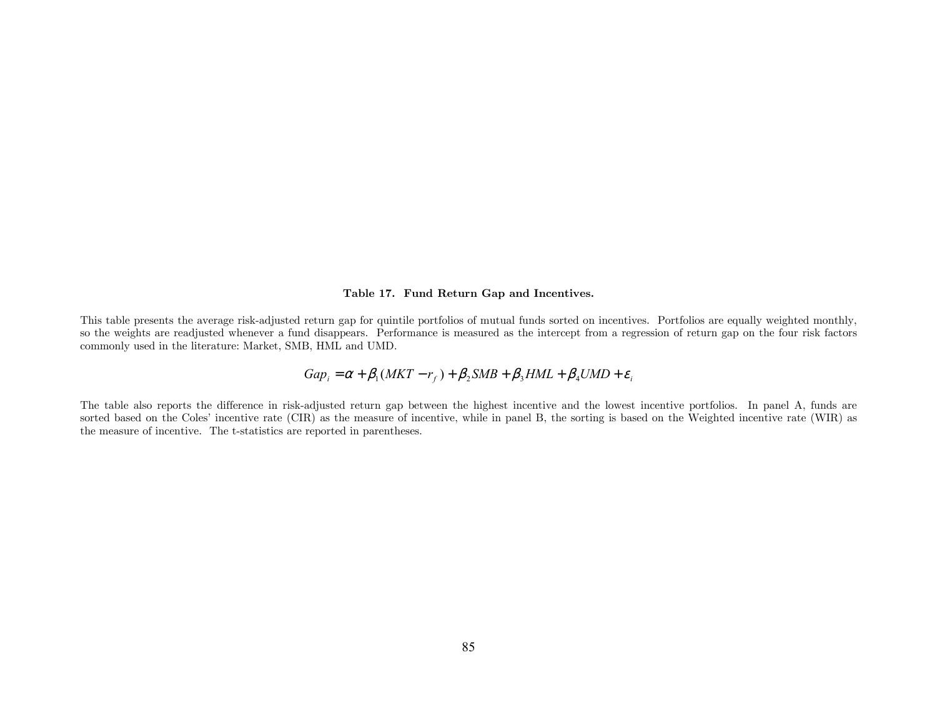# Table 17. Fund Return Gap and Incentives.

This table presents the average risk-adjusted return gap for quintile portfolios of mutual funds sorted on incentives. Portfolios are equally weighted monthly, so the weights are readjusted whenever a fund disappears. Performance is measured as the intercept from a regression of return gap on the four risk factors commonly used in the literature: Market, SMB, HML and UMD.

$$
Gap_i = \alpha + \beta_1(MKT - r_f) + \beta_2SMB + \beta_3HML + \beta_4UMD + \varepsilon_i
$$

The table also reports the difference in risk-adjusted return gap between the highest incentive and the lowest incentive portfolios. In panel A, funds are sorted based on the Coles' incentive rate (CIR) as the measure of incentive, while in panel B, the sorting is based on the Weighted incentive rate (WIR) as the measure of incentive. The t-statistics are reported in parentheses.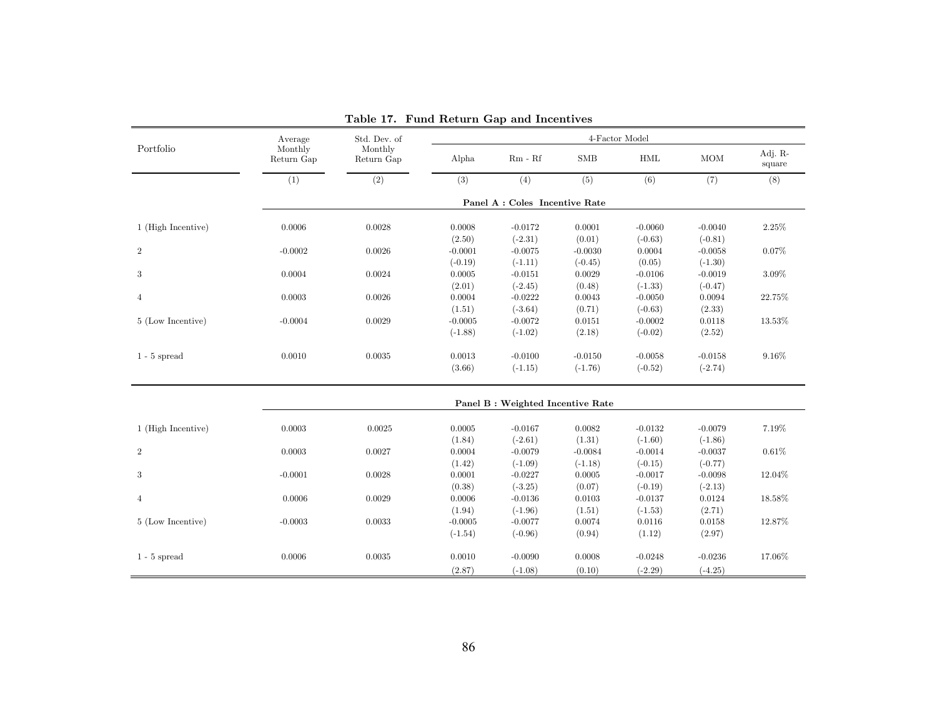|                    | Average               | Std. Dev. of          |           |                                   |            | 4-Factor Model       |            |                   |
|--------------------|-----------------------|-----------------------|-----------|-----------------------------------|------------|----------------------|------------|-------------------|
| Portfolio          | Monthly<br>Return Gap | Monthly<br>Return Gap | Alpha     | $Rm - Rf$                         | <b>SMB</b> | $\operatorname{HML}$ | <b>MOM</b> | Adj. R-<br>square |
|                    | (1)                   | (2)                   | (3)       | (4)                               | (5)        | (6)                  | (7)        | (8)               |
|                    |                       |                       |           | Panel A : Coles Incentive Rate    |            |                      |            |                   |
| 1 (High Incentive) | 0.0006                | 0.0028                | 0.0008    | $-0.0172$                         | 0.0001     | $-0.0060$            | $-0.0040$  | 2.25%             |
|                    |                       |                       | (2.50)    | $(-2.31)$                         | (0.01)     | $(-0.63)$            | $(-0.81)$  |                   |
| $\overline{2}$     | $-0.0002$             | 0.0026                | $-0.0001$ | $-0.0075$                         | $-0.0030$  | 0.0004               | $-0.0058$  | 0.07%             |
|                    |                       |                       | $(-0.19)$ | $(-1.11)$                         | $(-0.45)$  | (0.05)               | $(-1.30)$  |                   |
| 3                  | 0.0004                | 0.0024                | 0.0005    | $-0.0151$                         | 0.0029     | $-0.0106$            | $-0.0019$  | $3.09\%$          |
|                    |                       |                       | (2.01)    | $(-2.45)$                         | (0.48)     | $(-1.33)$            | $(-0.47)$  |                   |
| 4                  | 0.0003                | 0.0026                | 0.0004    | $-0.0222$                         | 0.0043     | $-0.0050$            | 0.0094     | 22.75%            |
|                    |                       |                       | (1.51)    | $(-3.64)$                         | (0.71)     | $(-0.63)$            | (2.33)     |                   |
| 5 (Low Incentive)  | $-0.0004$             | 0.0029                | $-0.0005$ | $-0.0072$                         | 0.0151     | $-0.0002$            | 0.0118     | 13.53%            |
|                    |                       |                       | $(-1.88)$ | $(-1.02)$                         | (2.18)     | $(-0.02)$            | (2.52)     |                   |
| $1 - 5$ spread     | 0.0010                | 0.0035                | 0.0013    | $-0.0100$                         | $-0.0150$  | $-0.0058$            | $-0.0158$  | 9.16%             |
|                    |                       |                       | (3.66)    | $(-1.15)$                         | $(-1.76)$  | $(-0.52)$            | $(-2.74)$  |                   |
|                    |                       |                       |           | Panel B : Weighted Incentive Rate |            |                      |            |                   |
| 1 (High Incentive) | 0.0003                | 0.0025                | 0.0005    | $-0.0167$                         | 0.0082     | $-0.0132$            | $-0.0079$  | 7.19%             |
|                    |                       |                       | (1.84)    | $(-2.61)$                         | (1.31)     | $(-1.60)$            | $(-1.86)$  |                   |
| $\overline{2}$     | 0.0003                | 0.0027                | 0.0004    | $-0.0079$                         | $-0.0084$  | $-0.0014$            | $-0.0037$  | 0.61%             |
|                    |                       |                       | (1.42)    | $(-1.09)$                         | $(-1.18)$  | $(-0.15)$            | $(-0.77)$  |                   |
| 3                  | $-0.0001$             | 0.0028                | 0.0001    | $-0.0227$                         | 0.0005     | $-0.0017$            | $-0.0098$  | 12.04%            |
|                    |                       |                       | (0.38)    | $(-3.25)$                         | (0.07)     | $(-0.19)$            | $(-2.13)$  |                   |
| $\overline{4}$     | 0.0006                | 0.0029                | 0.0006    | $-0.0136$                         | 0.0103     | $-0.0137$            | 0.0124     | 18.58%            |
|                    |                       |                       | (1.94)    | $(-1.96)$                         | (1.51)     | $(-1.53)$            | (2.71)     |                   |
| 5 (Low Incentive)  | $-0.0003$             | 0.0033                | $-0.0005$ | $-0.0077$                         | 0.0074     | 0.0116               | 0.0158     | 12.87%            |
|                    |                       |                       | $(-1.54)$ | $(-0.96)$                         | (0.94)     | (1.12)               | (2.97)     |                   |
| $1 - 5$ spread     | 0.0006                | 0.0035                | 0.0010    | $-0.0090$                         | 0.0008     | $-0.0248$            | $-0.0236$  | 17.06%            |
|                    |                       |                       | (2.87)    | $(-1.08)$                         | (0.10)     | $(-2.29)$            | $(-4.25)$  |                   |

Table 17. Fund Return Gap and Incentives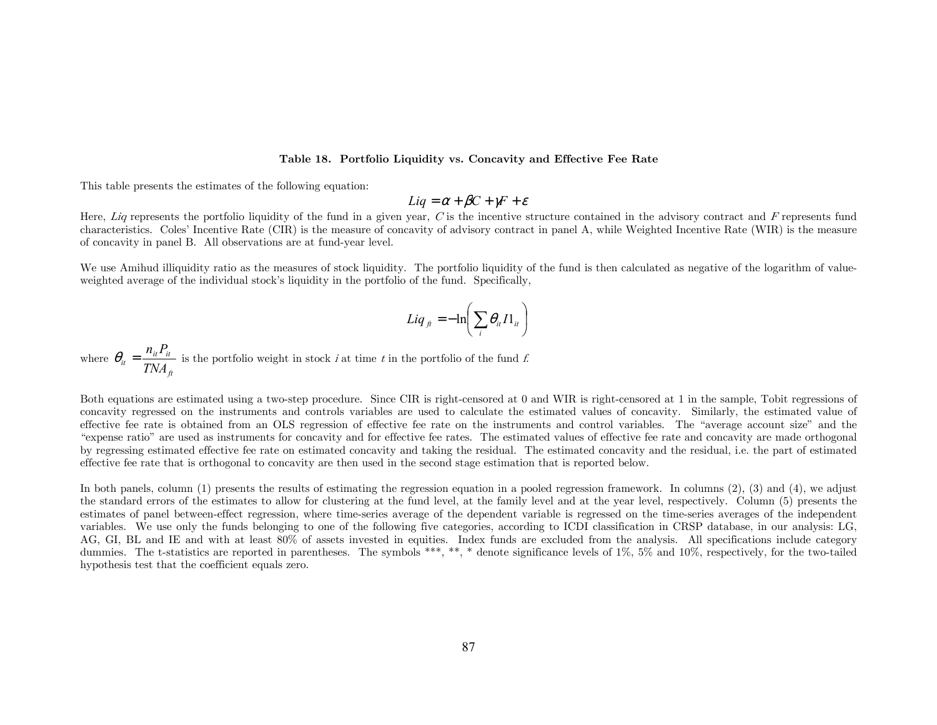### Table 18. Portfolio Liquidity vs. Concavity and Effective Fee Rate

This table presents the estimates of the following equation:

$$
Liq = \alpha + \beta C + \gamma F + \varepsilon
$$

Here, Liq represents the portfolio liquidity of the fund in a given year, C is the incentive structure contained in the advisory contract and F represents fund characteristics. Coles' Incentive Rate (CIR) is the measure of concavity of advisory contract in panel A, while Weighted Incentive Rate (WIR) is the measure of concavity in panel B. All observations are at fund-year level.

We use Amihud illiquidity ratio as the measures of stock liquidity. The portfolio liquidity of the fund is then calculated as negative of the logarithm of valueweighted average of the individual stock's liquidity in the portfolio of the fund. Specifically,

$$
Liq_{ft} = -\ln\left(\sum_{i} \theta_{it} I1_{it}\right)
$$

where  $\theta_{it} = \frac{u - u}{T N A_{ft}}$  $\frac{d}{dt} = \frac{n_{it} \cdot t}{TNA}$  $heta_{ij} = \frac{n_{ij} P_{ij}}{n_{ij} + n_{ij}}$  is the portfolio weight in stock *i* at time *t* in the portfolio of the fund *f*.

Both equations are estimated using a two-step procedure. Since CIR is right-censored at 0 and WIR is right-censored at 1 in the sample. Tobit regressions of concavity regressed on the instruments and controls variables are used to calculate the estimated values of concavity. Similarly, the estimated value of effective fee rate is obtained from an OLS regression of effective fee rate on the instruments and control variables. The "average account size" and the "expense ratio" are used as instruments for concavity and for effective fee rates. The estimated values of effective fee rate and concavity are made orthogonal by regressing estimated effective fee rate on estimated concavity and taking the residual. The estimated concavity and the residual, i.e. the part of estimated effective fee rate that is orthogonal to concavity are then used in the second stage estimation that is reported below.

In both panels, column (1) presents the results of estimating the regression equation in a pooled regression framework. In columns (2), (3) and (4), we adjust the standard errors of the estimates to allow for clustering at the fund level, at the family level and at the year level, respectively. Column (5) presents the estimates of panel between-effect regression, where time-series average of the dependent variable is regressed on the time-series averages of the independent variables. We use only the funds belonging to one of the following five categories, according to ICDI classification in CRSP database, in our analysis: LG, AG, GI, BL and IE and with at least 80% of assets invested in equities. Index funds are excluded from the analysis. All specifications include category dummies. The t-statistics are reported in parentheses. The symbols \*\*\*, \*\*, \* denote significance levels of 1%, 5% and 10%, respectively, for the two-tailed hypothesis test that the coefficient equals zero.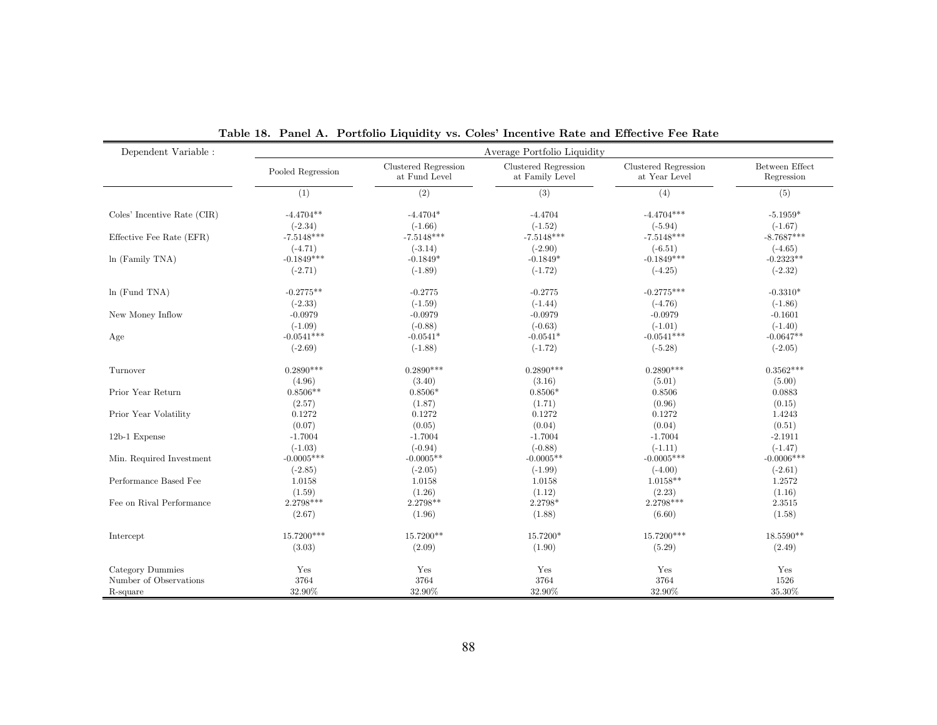| $\mbox{Dependent Variable}$ : |                   |                                       | Average Portfolio Liquidity             |                                       |                              |
|-------------------------------|-------------------|---------------------------------------|-----------------------------------------|---------------------------------------|------------------------------|
|                               | Pooled Regression | Clustered Regression<br>at Fund Level | Clustered Regression<br>at Family Level | Clustered Regression<br>at Year Level | Between Effect<br>Regression |
|                               | (1)               | $\overline{(2)}$                      | (3)                                     | (4)                                   | (5)                          |
| Coles' Incentive Rate (CIR)   | $-4.4704**$       | $-4.4704*$                            | $-4.4704$                               | $-4.4704***$                          | $-5.1959*$                   |
|                               | $(-2.34)$         | $(-1.66)$                             | $(-1.52)$                               | $(-5.94)$                             | $(-1.67)$                    |
| Effective Fee Rate (EFR)      | $-7.5148***$      | $-7.5148***$                          | $-7.5148***$                            | $-7.5148***$                          | $-8.7687***$                 |
|                               | $(-4.71)$         | $(-3.14)$                             | $(-2.90)$                               | $(-6.51)$                             | $(-4.65)$                    |
| $ln$ (Family TNA)             | $-0.1849***$      | $-0.1849*$                            | $-0.1849*$                              | $-0.1849***$                          | $-0.2323**$                  |
|                               | $(-2.71)$         | $(-1.89)$                             | $(-1.72)$                               | $(-4.25)$                             | $(-2.32)$                    |
| $ln$ (Fund TNA)               | $-0.2775**$       | $-0.2775$                             | $-0.2775$                               | $-0.2775***$                          | $-0.3310*$                   |
|                               | $(-2.33)$         | $(-1.59)$                             | $(-1.44)$                               | $(-4.76)$                             | $(-1.86)$                    |
| New Money Inflow              | $-0.0979$         | $-0.0979$                             | $-0.0979$                               | $-0.0979$                             | $-0.1601$                    |
|                               | $(-1.09)$         | $(-0.88)$                             | $(-0.63)$                               | $(-1.01)$                             | $(-1.40)$                    |
| Age                           | $-0.0541***$      | $-0.0541*$                            | $-0.0541*$                              | $-0.0541***$                          | $-0.0647**$                  |
|                               | $(-2.69)$         | $(-1.88)$                             | $(-1.72)$                               | $(-5.28)$                             | $(-2.05)$                    |
| Turnover                      | $0.2890***$       | $0.2890***$                           | $0.2890***$                             | $0.2890***$                           | $0.3562***$                  |
|                               | (4.96)            | (3.40)                                | (3.16)                                  | (5.01)                                | (5.00)                       |
| Prior Year Return             | $0.8506**$        | $0.8506*$                             | $0.8506*$                               | 0.8506                                | 0.0883                       |
|                               | (2.57)            | (1.87)                                | (1.71)                                  | (0.96)                                | (0.15)                       |
| Prior Year Volatility         | 0.1272            | 0.1272                                | 0.1272                                  | 0.1272                                | 1.4243                       |
|                               | (0.07)            | (0.05)                                | (0.04)                                  | (0.04)                                | (0.51)                       |
| 12b-1 Expense                 | $-1.7004$         | $-1.7004$                             | $-1.7004$                               | $-1.7004$                             | $-2.1911$                    |
|                               | $(-1.03)$         | $(-0.94)$                             | $(-0.88)$                               | $(-1.11)$                             | $(-1.47)$                    |
| Min. Required Investment      | $-0.0005***$      | $-0.0005**$                           | $-0.0005**$                             | $-0.0005***$                          | $-0.0006$ ***                |
|                               | $(-2.85)$         | $(-2.05)$                             | $(-1.99)$                               | $(-4.00)$                             | $(-2.61)$                    |
| Performance Based Fee         | 1.0158            | 1.0158                                | 1.0158                                  | $1.0158**$                            | 1.2572                       |
|                               | (1.59)            | (1.26)                                | (1.12)                                  | (2.23)                                | (1.16)                       |
| Fee on Rival Performance      | 2.2798***         | 2.2798**                              | 2.2798*                                 | 2.2798***                             | 2.3515                       |
|                               | (2.67)            | (1.96)                                | (1.88)                                  | (6.60)                                | (1.58)                       |
| Intercept                     | 15.7200***        | 15.7200**                             | 15.7200*                                | 15.7200***                            | 18.5590**                    |
|                               | (3.03)            | (2.09)                                | (1.90)                                  | (5.29)                                | (2.49)                       |
| Category Dummies              | Yes               | Yes                                   | Yes                                     | Yes                                   | Yes                          |
| Number of Observations        | 3764              | 3764                                  | 3764                                    | 3764                                  | 1526                         |
| R-square                      | 32.90%            | $32.90\%$                             | 32.90%                                  | 32.90%                                | 35.30%                       |

Table 18. Panel A. Portfolio Liquidity vs. Coles' Incentive Rate and Effective Fee Rate